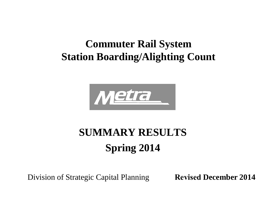# **Commuter Rail System Station Boarding/Alighting Count**



# **SUMMARY RESULTS Spring 2014**

Division of Strategic Capital Planning **Revised December 2014**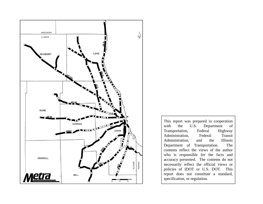

This repor<sup>t</sup> was prepared in cooperation with the U.S. Department of Transportation, Federal Highway Administration, Federal Transit Administration, and the Illinois Department of Transportation. The contents reflect the views of the author who is responsible for the facts and accuracy presented. The contents do not necessarily reflect the official views or policies of IDOT or U.S. DOT. This repor<sup>t</sup> does not constitute <sup>a</sup> standard, specification, or regulation.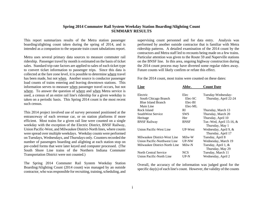### **Spring 2014 Commuter Rail System Weekday Station Boarding/Alighting Count SUMMARY RESULTS**

This report summarizes results of the Metra station passenger boarding/alighting count taken during the spring of 2014, and is intended as a companion to the separate train count tabulations report.

Metra uses several primary data sources to measure commuter rail ridership. Passenger travel by month is estimated on the basis of ticket sales. Standard trip-rate factors are applied to sales of each ticket type to convert ticket information to passenger trips. Since this data is collected at the fare zone level, it is possible to determine where travel has been made, but not when. Another source is conductor passenger load counts of trains entering and leaving downtown stations. This information serves to measure when passenger travel occurs, but not where. To answer the question of where and when Metra service is used, a census of an entire rail line's ridership for a given weekday is taken on a periodic basis. This Spring 2014 count is the most recent such census.

This 2014 project involved use of survey personnel positioned at the entranceway of each revenue car, or on station platforms if more efficient. Most trains for a given rail line were counted on a single weekday with the exception of the Electric District, BNSF Railway, Union Pacific-West, and Milwaukee District-North lines, where counts were spread over multiple weekdays. Weekday counts were performed on Tuesdays, Wednesdays, and Thursdays only. Counters recorded the number of passengers boarding and alighting at each station stop on pre-coded forms that were later keyed and computer processed. (The South Shore Line trains of the Northern Indiana Commuter Transportation District were not counted.)

The Spring 2014 Commuter Rail System Weekday Station Boarding/Alighting Count (2014 count) was managed by an outside contractor, who was responsible for recruiting, training, scheduling, and

supervising count personnel and for data entry. Analysis was performed by another outside contractor that is familiar with Metra ridership patterns. A detailed examination of the 2014 count by the contractors and Metra staff led to recounts being made on a few trains. Particular attention was given to the Route 59 and Naperville stations on the BNSF line. In this area, ongoing highway construction during the 2014 count process may have diverted some regular riders away. Future counts will likely confirm or refute this effect.

For the 2014 count, most trains were counted on these dates:

| Line                          | Abbr.      | <b>Count Date</b>        |
|-------------------------------|------------|--------------------------|
| Electric                      | Elec       | Tuesday-Wednesday-       |
| South Chicago Branch          | Elec-SC    | Thursday, April 22-24    |
| <b>Blue Island Branch</b>     | Elec-BI    |                          |
| Main Line                     | Elec-ML    |                          |
| Rock Island                   | RI         | Thursday, March 13       |
| SouthWest Service             | <b>SWS</b> | Thursday, March 20       |
| Heritage                      | Her        | Thursday, April 10       |
| <b>BNSF Railway</b>           | BNSF       | Tue.-Wed, April 15-16, & |
|                               |            | Thursday, May 1          |
| Union Pacific-West Line       | UP-West    | Wednesday, April 9, $&$  |
|                               |            | Thursday, April 17       |
| Milwaukee District-West Line  | Milw-W     | Tuesday, April 8         |
| Union Pacific-Northwest Line  | UP-NW      | Wednesday, March 19      |
| Milwaukee District-North Line | Milw-N     | Tuesday, April 1, &      |
|                               |            | Thursday, May 29         |
| North Central Service         | <b>NCS</b> | Tuesday, March 11        |
| Union Pacific-North Line      | UP-N       | Wednesday, April 2       |

Overall, the accuracy of the information was judged good for the specific day(s) of each line's count. However, the validity of the counts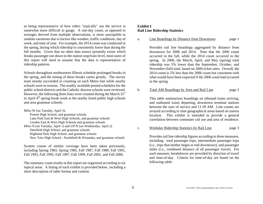as being representative of how riders "typically" use the service is somewhat more difficult to gauge. A one-day count, as opposed to averages derived from multiple observations, is more susceptible to random variations due to factors like weather, traffic conditions, day of week, and time of year. For example, the 2014 count was conducted in the spring, during which ridership is consistently lower than during the fall months. Given that no other data source presently exists which breaks passenger use down to the station stop/train level, most users of this report will need to assume that the data is representative of ridership patterns.

Schools throughout northeastern Illinois schedule prolonged breaks in the spring, and the timing of these breaks varies greatly. The survey team mostly succeeded in counting on each Metra line while nearby schools were in session. The readily available posted schedules for the public school districts and the Catholic diocese schools were reviewed. However, the following three lines were counted during the March  $31<sup>st</sup>$ to April  $4<sup>th</sup>$  spring break week at the nearby listed public high schools and area grammar schools:

Milw-W (on Tuesday, April 3): Fenton High School, and grammar schools Lake Park East & West High Schools, and grammar schools Leyden East & West High Schools and grammar schools Milw-N (on Tuesday, April 1) and UP-N (on Wednesday, April 2) Deerfield High School, and grammar schools Highland Park High School, and grammar schools New Trier High School - Northfield & Winnetka, and grammar schools

System counts of similar coverage have been taken previously, including Spring 1983, Spring 1985, Fall 1987, Fall 1989, Fall 1991, Fall 1993, Fall 1995, Fall 1997, Fall 1999, Fall 2002, and Fall 2006.

The summary count results in this report are organized according to six topical areas. A listing of each exhibit is provided below, including a short description of table format and content.

### **Exhibit I Rail Line Ridership Statistics**

### a. Line Boardings by Distance from Downtown page 1

Provides rail line boardings aggregated by distance from downtown for 2006 and 2014. Note that the 2006 count occurred in the fall, while the 2014 count occurred in the spring. In 2006, the March, April, and May (spring) total ridership was 5% lower than the September, October, and November (fall) total, based on 2006 ticket sales. Overall, the 2014 count is 5% less than the 2006 count but consistent with what would have been expected if the 2006 count had occurred in the spring.

### b. Total AM Boardings by Area and Rail Line page 2

This table summarizes boardings on inbound trains arriving, and outbound trains departing, downtown terminal stations between the start of service and 11:59 AM. Line counts are arrayed according to nine geographical areas based on station location. This exhibit is intended to provide a general correlation between commuter rail use and area of residence.

### c. Weekday Ridership Statistics by Rail Line page 3

Provides rail line ridership figures according to three measures, including: total passenger trips, intermediate passenger trips (i.e., trips that neither begin or end downtown), and passenger miles (i.e., combined distance of all passenger travel). For each measure, breakdowns are provided by direction of travel and time-of-day. Criteria for time-of-day are based on the following table: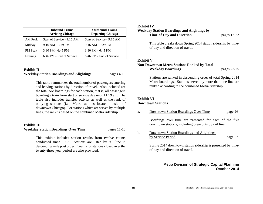|                | <b>Inbound Trains</b><br><b>Arriving Chicago</b> | <b>Outbound Trains</b><br><b>Departing Chicago</b> |
|----------------|--------------------------------------------------|----------------------------------------------------|
| AM Peak        | Start of Service - 9:15 AM                       | Start of Service - 9:15 AM                         |
| Midday         | $9:16$ AM - 3:29 PM                              | $9:16$ AM - 3:29 PM                                |
| <b>PM</b> Peak | $3:30$ PM - 6:45 PM                              | $3:30$ PM - 6:45 PM                                |
| Evening        | 6:46 PM - End of Service                         | 6:46 PM - End of Service                           |

### **Exhibit II Weekday Station Boardings and Alightings** pages 4-10

This table summarizes the total number of passengers entering and leaving stations by direction of travel. Also included are the total AM boardings for each station, that is, all passengers boarding a train from start of service day until 11:59 am. The table also includes transfer activity as well as the rank of outlying stations (i.e., Metra stations located outside of downtown Chicago). For stations which are served by multiple lines, the rank is based on the combined Metra ridership.

### **Exhibit III Weekday Station Boardings Over Time** pages 11-16

This exhibit includes station results from twelve counts conducted since 1983. Stations are listed by rail line in descending mile post order. Counts for stations closed over the twenty-three year period are also provided.

### **Exhibit IV**

### **Weekday Station Boardings and Alightings by**

**Time-of-Day and Direction** pages 17-22

This table breaks down Spring 2014 station ridership by timeof-day and direction of travel.

### **Exhibit V**

### **Non-Downtown Metra Stations Ranked by Total**

### **Weekday Boardings** pages 23-25

Stations are ranked in descending order of total Spring 2014 Metra boardings. Stations served by more than one line are ranked according to the combined Metra ridership.

### **Exhibit VI**

### **Downtown Stations**

| Downtown Station Boardings Over Time |  | page 26 |
|--------------------------------------|--|---------|
|                                      |  |         |

Boardings over time are presented for each of the five downtown stations, including breakouts by rail line.

b. Downtown Station Boardings and Alightings by Service Period page 27

> Spring 2014 downtown station ridership is presented by timeof-day and direction of travel.

### **Metra Division of Strategic Capital Planning October 2014**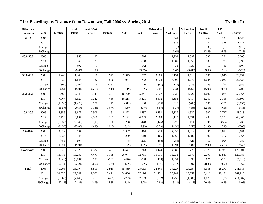## **Line Boardings by Distance from Downtown, Fall 2006 vs. Spring 2014 Exhibit Ia.**

| <b>Miles</b> from |         |          | <b>Rock</b>   | <b>SouthWest</b> |          |             | <b>UP</b> | <b>Milwaukee</b> | $\overline{UP}$  | <b>Milwaukee</b> | <b>North</b>   | UP           |               |
|-------------------|---------|----------|---------------|------------------|----------|-------------|-----------|------------------|------------------|------------------|----------------|--------------|---------------|
| <b>Downtown</b>   | Year    | Electric | <b>Island</b> | <b>Service</b>   | Heritage | <b>BNSF</b> | West      | West             | <b>Northwest</b> | <b>North</b>     | <b>Central</b> | <b>North</b> | <b>System</b> |
| $50.1 +$          | 2006    |          |               |                  |          |             |           |                  | 831              |                  | 262            | 431          | 1,524         |
|                   | 2014    |          |               |                  |          |             |           |                  | 826              |                  | 227            | 358          | 1,411         |
|                   | Change  |          |               |                  |          |             |           |                  | (5)              |                  | (35)           | (73)         | (113)         |
|                   | %Change |          |               |                  |          |             |           |                  | $-0.6%$          |                  | $-13.4%$       | $-16.9%$     | $-7.4%$       |
| $40.1 - 50.0$     | 2006    |          | 958           | 22               |          |             | 516       |                  | 1,951            | 2,397            | 530            | 231          | 6,605         |
|                   | 2014    |          | 866           | 29               |          |             | 658       |                  | 1,982            | 1,658            | 580            | $225\,$      | 5,998         |
|                   | Change  |          | (92)          | $\overline{7}$   |          |             | 142       |                  | 31               | (739)            | $50\,$         | (6)          | (607)         |
|                   | %Change |          | $-9.6%$       | 31.8%            |          |             | 27.5%     |                  | 1.6%             | $-30.8%$         | 9.4%           | $-2.6%$      | $-9.2%$       |
| 30.1-40.0         | 2006    | 1,243    | 1,348         | 11               | 947      | 7,973       | 1,562     | 3,085            | 3,134            | 1,513            | 935            | 2,046        | 23,797        |
|                   | 2014    | 939      | 1,146         | 27               | 596      | 7,981       | 1,732     | 3,024            | 3,000            | 1,277            | 1,084          | 2,032        | 22,838        |
|                   | Change  | (304)    | (202)         | 16               | (351)    | $\,8\,$     | 170       | (61)             | (134)            | (236)            | 149            | (14)         | (959)         |
|                   | %Change | $-24.5%$ | $-15.0%$      | 145.5%           | $-37.1%$ | 0.1%        | 10.9%     | $-2.0%$          | $-4.3%$          | $-15.6%$         | 15.9%          | $-0.7%$      | $-4.0%$       |
| 20.1-30.0         | 2006    | 8,465    | 7,048         | 1,545            | 381      | 10,729      | 5,241     | 5,727            | 6,036            | 4,622            | 1,096          | 3,074        | 53,964        |
|                   | 2014    | 7,067    | 5,620         | 1,722            | 456      | 10,218      | 5,421     | 5,512            | 6,355            | 4,414            | 1,231          | 2,793        | 50,809        |
|                   | Change  | (1, 398) | (1, 428)      | 177              | 75       | (511)       | 180       | (215)            | 319              | (208)            | 135            | (281)        | (3, 155)      |
|                   | %Change | $-16.5%$ | $-20.3%$      | 11.5%            | 19.7%    | $-4.8%$     | 3.4%      | $-3.8%$          | 5.3%             | $-4.5%$          | 12.3%          | $-9.1%$      | $-5.8%$       |
| $10.1 - 20.0$     | 2006    | 8,356    | 8,177         | 2,906            | 161      | 8,823       | 4,537     | 2,153            | 5,339            | 4,537            | 307            | 7,747        | 53,043        |
|                   | 2014    | 5,723    | 6,134         | 2,811            | 181      | 9,121       | 4,985     | 2,008            | 6,115            | 4,651            | 403            | 7,173        | 49,305        |
|                   | Change  | (2,633)  | (2,043)       | (95)             | 20       | 298         | 448       | (145)            | 776              | 114              | 96             | (574)        | (3,738)       |
|                   | %Change | $-31.5%$ | $-25.0%$      | $-3.3%$          | 12.4%    | 3.4%        | 9.9%      | $-6.7%$          | 14.5%            | 2.5%             | 31.3%          | $-7.4%$      | $-7.0%$       |
| $1.0 - 10.0$      | 2006    | 4,319    | 537           |                  |          | 1,367       | 1,414     | 1,234            | 2,050            | 1,412            | 35             | 3,813        | 16,181        |
|                   | 2014    | 3,834    | 644           |                  |          | 1,289       | 1,619     | 1,166            | 1,766            | 1,387            | 92             | 4,767        | 16,564        |
|                   | Change  | (485)    | 107           |                  |          | (78)        | 205       | (68)             | (284)            | (25)             | 57             | 954          | 383           |
|                   | %Change | $-11.2%$ | 19.9%         |                  |          | $-5.7%$     | 14.5%     | $-5.5%$          | $-13.9%$         | $-1.8%$          | 162.9%         | 25.0%        | 2.4%          |
| <b>Downtown</b>   | 2006    | 17,823   | 17,026        | 4,327            | 1,421    | 26,547      | 11,743    | 10,144           | 14,886           | 9,776            | 2,173          | 10,935       | 126,801       |
|                   | 2014    | 13,775   | 13,239        | 4,477            | 1,188    | 26,077      | 12,781    | 10,011           | 15,938           | 9,870            | 2,799          | 10,833       | 120,988       |
|                   | Change  | (4,048)  | (3,787)       | 150              | (233)    | (470)       | 1,038     | (133)            | 1,052            | 94               | 626            | (102)        | (5, 813)      |
|                   | %Change | $-22.7%$ | $-22.2%$      | 3.5%             | $-16.4%$ | $-1.8%$     | 8.8%      | $-1.3%$          | 7.1%             | 1.0%             | 28.8%          | $-0.9%$      | $-4.6%$       |
| <b>Total</b>      | 2006    | 40,206   | 35,094        | 8,811            | 2,910    | 55,439      | 25,013    | 22,343           | 34,227           | 24,257           | 5,338          | 28,277       | 281,915       |
|                   | 2014    | 31,338   | 27,649        | 9,066            | 2,421    | 54,686      | 27,196    | 21,721           | 35,982           | 23,257           | 6,416          | 28,181       | 267,913       |
|                   | Change  | (8, 868) | (7, 445)      | 255              | (489)    | (753)       | 2,183     | (622)            | 1,755            | (1,000)          | 1,078          | (96)         | (14,002)      |
|                   | %Change | $-22.1%$ | $-21.2%$      | 2.9%             | $-16.8%$ | $-1.4%$     | 8.7%      | $-2.8%$          | 5.1%             | $-4.1%$          | 20.2%          | $-0.3%$      | $-5.0%$       |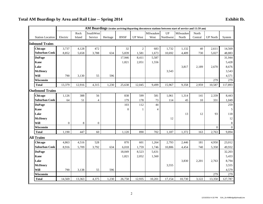# **Total AM Boardings by Area and Rail Line -- Spring 2014 Exhibit Ib.**

|                   |                         |              | AM Boardings (trains arriving/departing downtown stations between start of service and 11:59 am) |                |          |                  |                |                |           |           |         |                  |              |  |  |  |
|-------------------|-------------------------|--------------|--------------------------------------------------------------------------------------------------|----------------|----------|------------------|----------------|----------------|-----------|-----------|---------|------------------|--------------|--|--|--|
|                   |                         |              | Rock                                                                                             | SouthWest      |          |                  |                | Milwaukee      | UP        | Milwaukee | North   |                  |              |  |  |  |
|                   | <b>Station Location</b> | Electric     | Island                                                                                           | Service        | Heritage | <b>BNSF</b>      | <b>UP</b> West | West           | Northwest | North     | Central | <b>UP</b> North  | System       |  |  |  |
|                   | <b>Inbound Trains</b>   |              |                                                                                                  |                |          |                  |                |                |           |           |         |                  |              |  |  |  |
|                   | Chicago                 | 3,737        | 4,128                                                                                            | 472            |          | 32               | $\sqrt{2}$     | 683            | 1,732     | 1,132     | 40      | 2,611            | 14,569       |  |  |  |
|                   | <b>Suburban Cook</b>    | 8,852        | 5,658                                                                                            | 3,788          | 634      | 5,839            | 1,581          | 1,673          | 10,692    | 4,409     | 730     | 5,027            | 48,883       |  |  |  |
|                   | <b>DuPage</b>           |              |                                                                                                  |                |          | 17,946           | 8,411          | 5,587          |           |           |         |                  | 31,944       |  |  |  |
| <b>Kane</b>       |                         |              |                                                                                                  |                |          | 1,821            | 2,051          | 1,556          |           |           |         |                  | 5,428        |  |  |  |
| Lake              |                         |              |                                                                                                  |                |          |                  |                |                |           | 3,817     | 2,189   | 2,670            | 8,676        |  |  |  |
|                   | <b>McHenry</b>          |              |                                                                                                  |                |          |                  |                |                | 3,543     |           |         |                  | 3,543        |  |  |  |
| Will              |                         | 790          | 3,130                                                                                            | 55             | 596      |                  |                |                |           |           |         |                  | 4,571        |  |  |  |
|                   | Wisconsin               |              |                                                                                                  |                |          |                  |                |                |           |           |         | 279              | 279          |  |  |  |
| <b>Total</b>      |                         | 13,379       | 12,916                                                                                           | 4,315          | 1,230    | 25,638           | 12,045         | 9,499          | 15,967    | 9,358     | 2,959   | 10,587           | 117,893      |  |  |  |
|                   | <b>Outbound Trains</b>  |              |                                                                                                  |                |          |                  |                |                |           |           |         |                  |              |  |  |  |
|                   | Chicago                 | 1,126        | 388                                                                                              | 56             |          | 838              | 599            | 581            | 1,061     | 1,314     | 141     | 2,339            | 8,443        |  |  |  |
|                   | <b>Suburban Cook</b>    | 64           | 51                                                                                               | $\overline{4}$ |          | 179              | 178            | 73             | 114       | 45        | 10      | 331              | 1,049        |  |  |  |
|                   | <b>DuPage</b>           |              |                                                                                                  |                |          | 103              | 112            | 44             |           |           |         |                  | 259          |  |  |  |
| <b>Kane</b>       |                         |              |                                                                                                  |                |          | $\boldsymbol{0}$ | $\mathbf{1}$   | $\overline{4}$ |           |           |         |                  | 5            |  |  |  |
| Lake              |                         |              |                                                                                                  |                |          |                  |                |                |           | 13        | 12      | 93               | 118          |  |  |  |
|                   | <b>McHenry</b>          |              |                                                                                                  |                |          |                  |                |                | 12        |           |         |                  | $12\,$       |  |  |  |
| Will              |                         | $\mathbf{0}$ | 8                                                                                                | $\mathbf{0}$   |          |                  |                |                |           |           |         |                  | $\,8\,$      |  |  |  |
|                   | Wisconsin               |              |                                                                                                  |                |          |                  |                |                |           |           |         | $\boldsymbol{0}$ | $\mathbf{0}$ |  |  |  |
| <b>Total</b>      |                         | 1,190        | 447                                                                                              | 60             |          | 1,120            | 890            | 702            | 1,187     | 1,372     | 163     | 2,763            | 9,894        |  |  |  |
| <b>All Trains</b> |                         |              |                                                                                                  |                |          |                  |                |                |           |           |         |                  |              |  |  |  |
|                   | Chicago                 | 4,863        | 4,516                                                                                            | 528            |          | 870              | 601            | 1,264          | 2,793     | 2,446     | 181     | 4,950            | 23,012       |  |  |  |
|                   | <b>Suburban Cook</b>    | 8,916        | 5,709                                                                                            | 3,792          | 634      | 6,018            | 1,759          | 1,746          | 10,806    | 4,454     | 740     | 5,358            | 49,932       |  |  |  |
|                   | <b>DuPage</b>           |              |                                                                                                  |                |          | 18,049           | 8,523          | 5,631          |           |           |         |                  | 32,203       |  |  |  |
| <b>Kane</b>       |                         |              |                                                                                                  |                |          | 1,821            | 2,052          | 1,560          |           |           |         |                  | 5,433        |  |  |  |
| Lake              |                         |              |                                                                                                  |                |          |                  |                |                |           | 3,830     | 2,201   | 2,763            | 8,794        |  |  |  |
|                   | <b>McHenry</b>          |              |                                                                                                  |                |          |                  |                |                | 3,555     |           |         |                  | 3,555        |  |  |  |
| Will              |                         | 790          | 3,138                                                                                            | 55             | 596      |                  |                |                |           |           |         |                  | 4,579        |  |  |  |
|                   | Wisconsin               |              |                                                                                                  |                |          |                  |                |                |           |           |         | 279              | 279          |  |  |  |
| <b>Total</b>      |                         | 14,569       | 13,363                                                                                           | 4,375          | 1,230    | 26,758           | 12,935         | 10,201         | 17,154    | 10,730    | 3,122   | 13,350           | 127,787      |  |  |  |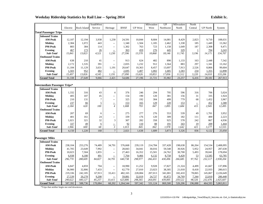### Weekday Ridership Statistics by Rail Line -- Spring 2014 **Exhibit Ic.** Exhibit Ic.

|                               |          |             | SouthWest      |                                               |             |                | Milwaukee | UP        | Milwaukee | North   |                 |           |
|-------------------------------|----------|-------------|----------------|-----------------------------------------------|-------------|----------------|-----------|-----------|-----------|---------|-----------------|-----------|
|                               | Electric | Rock Island | Service        | Heritage                                      | <b>BNSF</b> | <b>UP</b> West | West      | Northwest | North     | Central | <b>UP</b> North | System    |
| <b>Total Passenger Trips</b>  |          |             |                |                                               |             |                |           |           |           |         |                 |           |
| <b>Inbound Trains</b>         |          |             |                |                                               |             |                |           |           |           |         |                 |           |
| <b>AM-Peak</b>                | 12,107   | 12,194      | 3,938          | 1,230                                         | 24,591      | 10,844         | 8,684     | 14,081    | 8,429     | 2,823   | 9,710           | 108,631   |
| <b>Midday</b>                 | 2,384    | 1,072       | 443            | $-$                                           | 1,340       | 1,504          | 1,185     | 2,462     | 1,338     | 185     | 1,449           | 13,362    |
| <b>PM-Peak</b>                | 883      | 384         | 114            | $\mathord{\hspace{1pt}\text{--}\hspace{1pt}}$ | 1,302       | 763            | 723       | 1,158     | 1,649     | 187     | 2,308           | 9,471     |
| <b>Evening</b>                | 467      | <u>173</u>  | 26             | $\equiv$                                      | 363         | 459            | 276       | 445       | 329       | 1       | 704             | 3,243     |
| Sub-Total                     | 15,841   | 13,823      | 4,521          | 1,230                                         | 27,596      | 13,570         | 10,868    | 18,146    | 11,745    | 3,196   | 14,171          | 134,707   |
| <b>Outbound Trains</b>        |          |             |                |                                               |             |                |           |           |           |         |                 |           |
| <b>AM-Peak</b>                | 638      | 210         | 41             | $\mathord{\hspace{1pt}\text{--}\hspace{1pt}}$ | 913         | 624            | 482       | 890       | 1,133     | 163     | 2,448           | 7,542     |
| <b>Midday</b>                 | 2,172    | 1,535       | 391            | $\overline{a}$                                | 2,835       | 1,232          | 912       | 1,564     | 883       | 297     | 1,341           | 13,162    |
| <b>PM-Peak</b>                | 11,184   | 11,129      | 3,631          | 1,191                                         | 20,647      | 10,363         | 8,457     | 13,697    | 7,913     | 2,526   | 8,866           | 99,604    |
| <b>Evening</b>                | 1,503    | 952         | 482            | $\equiv$                                      | 2,695       | 1,407          | 1,002     | 1,685     | 1,583     | 234     | 1,355           | 12,898    |
| Sub-Total                     | 15,497   | 13,826      | 4,545          | 1,191                                         | 27,090      | 13,626         | 10,853    | 17,836    | 11,512    | 3,220   | 14,010          | 133,206   |
| <b>Grand Total</b>            | 31,338   | 27,649      | 9,066          | 2,421                                         | 54,686      | 27,196         | 21,721    | 35,982    | 23,257    | 6,416   | 28,181          | 267,913   |
|                               |          |             |                |                                               |             |                |           |           |           |         |                 |           |
| Intermediate Passenger Trips* |          |             |                |                                               |             |                |           |           |           |         |                 |           |
| <b>Inbound Trains</b>         |          |             |                |                                               |             |                |           |           |           |         |                 |           |
| <b>AM-Peak</b>                | 1,332    | 316         | 43             | $\overline{4}$                                | 376         | 246            | 294       | 795       | 596       | 316     | 706             | 5,024     |
| <b>Midday</b>                 | 405      | 107         | 45             | $-$                                           | 154         | 190            | 120       | 381       | 156       | 31      | 335             | 1,924     |
| <b>PM-Peak</b>                | 210      | 131         | $\tau$         | --                                            | 325         | 192            | 304       | 499       | 779       | 68      | 1,452           | 3,967     |
| <b>Evening</b>                | 237      | <u>66</u>   | $\overline{2}$ | $\frac{1}{4}$                                 | 153         | 165            | 129       | 220       | 153       |         | 452             | 1,580     |
| Sub-Total                     | 2,184    | 620         | 100            |                                               | 1,008       | 793            | 847       | 1,895     | 1,684     | 415     | 2,945           | 12,495    |
| <b>Outbound Trains</b>        |          |             |                |                                               |             |                |           |           |           |         |                 |           |
| <b>AM-Peak</b>                | 207      | 69          | 6              | $\mathord{\hspace{1pt}\text{--}\hspace{1pt}}$ | 275         | 277            | 276       | 553       | 539       | 49      | 1,701           | 3,952     |
| <b>Midday</b>                 | 401      | 161         | 24             | $\overline{a}$                                | 339         | 176            | 120       | 309       | 182       | 111     | 400             | 2,223     |
| <b>PM-Peak</b>                | 1,021    | 321         | 32             | 3                                             | 307         | 282            | 358       | 925       | 578       | 242     | 867             | 4,936     |
| Evening                       | 337      | 49          | 6              | $\frac{1}{3}$                                 | 92          | 110            | 88        | 191       | 343       | 19      | 209             | 1,444     |
| Sub-Total                     | 1,966    | 600         | 68             |                                               | 1,013       | 845            | 842       | 1,978     | 1,642     | 421     | 3,177           | 12,555    |
| <b>Grand Total</b>            | 4,150    | 1,220       | 168            | $\overline{7}$                                | 2,021       | 1,638          | 1,689     | 3,873     | 3,326     | 836     | 6,122           | 25,050    |
| <b>Passenger Miles</b>        |          |             |                |                                               |             |                |           |           |           |         |                 |           |
| <b>Inbound Trains</b>         |          |             |                |                                               |             |                |           |           |           |         |                 |           |
| <b>AM-Peak</b>                | 238,104  | 253,276     | 74,489         | 34,791                                        | 576,668     | 239,119        | 214,784   | 337,428   | 198,638   | 86,264  | 154,534         | 2,408,095 |
| <b>Midday</b>                 | 41,705   | 23,649      | 7,992          | $\overline{a}$                                | 28,843      | 34,041         | 30,016    | 59,548    | 30,926    | 5,952   | 24,957          | 287,630   |
| <b>PM-Peak</b>                | 10,023   | 7,504       | 1,855          | $\mathord{\hspace{1pt}\text{--}\hspace{1pt}}$ | 27,463      | 16,352         | 15,501    | 24,762    | 30,700    | 5,493   | 39,041          | 178,694   |
| <b>Evening</b>                | 6,938    | 4,180       | 491            |                                               | 7,764       | 9,466          | 6,132     | 8,758     | 6,420     | 53      | 13,585          | 63,785    |
| Sub-Total                     | 296,770  | 288,609     | 84,827         | 34,791                                        | 640,738     | 298,977        | 266,433   | 430,496   | 266,685   | 97,762  | 232,117         | 2,938,204 |
| <b>Outbound Trains</b>        |          |             |                |                                               |             |                |           |           |           |         |                 |           |
| <b>AM-Peak</b>                | 6,847    | 4,859       | 704            | $\mathord{\hspace{1pt}\text{--}\hspace{1pt}}$ | 18,990      | 11,252         | 9,928     | 17,827    | 21,324    | 4,499   | 41,667          | 137,896   |
| <b>Midday</b>                 | 36,900   | 32,806      | 7,433          | $\overline{\phantom{a}}$                      | 62,770      | 27,010         | 23,023    | 38,305    | 21,018    | 8,418   | 22,933          | 280,615   |
| <b>PM-Peak</b>                | 219,336  | 242,185     | 67,913         | 33,411                                        | 482,165     | 228,084        | 207,013   | 341,001   | 182,410   | 78,065  | 145,067         | 2,226,649 |
| Evening                       | 27,539   | 20,278      | 9,208          | $\equiv$                                      | 59,881      | 32,019         | 24,727    | 41,872    | 34,769    | 7,344   | 22,810          | 280,448   |
| Sub-Total                     | 290,622  | 300,127     | 85,257         | 33,411                                        | 623,806     | 298,365        | 264,691   | 439,005   | 259,522   | 98,326  | 232,476         | 2,925,607 |
| <b>Grand Total</b>            | 587,392  | 588,736     | 170,084        | 68,202                                        | 1,264,544   | 597,342        | 531,124   | 869,500   | 526,206   | 196,088 | 464,593         | 5,863,811 |

\*Trips that neither begin nor end downtown.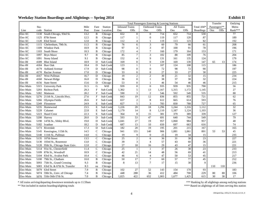|           |      |                                    |      |                           |          | Total Passengers Entering & Leaving Stations |                 |                        |       |            |             |                  | Transfer     |      | Outlying        |
|-----------|------|------------------------------------|------|---------------------------|----------|----------------------------------------------|-----------------|------------------------|-------|------------|-------------|------------------|--------------|------|-----------------|
|           | Sta- |                                    | Mile | Fare                      | Station  | <b>Inbound Trains</b>                        |                 | <b>Outbound Trains</b> |       | All Trains |             | Total AM*        | Passengers** |      | Metra           |
| Line      |      | code Station                       | Post | Zone                      | Location | Ons                                          | Offs            | Ons                    | Offs  | Ons        | <b>Offs</b> | <b>Boardings</b> | Ons          | Offs | Rank***         |
| Elec-SC   | 1130 | South Chicago, 93rd St.            | 13.2 | B                         | Chicago  | 652                                          | $\overline{0}$  | $\boldsymbol{0}$       | 714   | 652        | 714         | 530              |              |      | 77              |
| Elec-SC   | 1125 | 87th Street                        | 12.5 | B                         | Chicago  | 117                                          | 1               | $\overline{0}$         | 119   | 117        | 120         | 87               |              |      | 189             |
| Elec-SC   | 1120 | 83rd Street                        | 12.0 | B                         | Chicago  | 112                                          | 4               |                        | 119   | 113        | 123         | 82               |              |      | 192             |
| Elec-SC   | 1115 | Cheltenham, 79th St.               | 11.5 | $\, {\bf B}$              | Chicago  | 76                                           | 6               | 3                      | 60    | 79         | 66          | 61               |              |      | 208             |
| Elec-SC   | 1109 | <b>Windsor Park</b>                | 10.9 | B                         | Chicago  | 97                                           | 4               | 3                      | 87    | 100        | 91          | 78               |              |      | 196             |
| Elec-SC   | 1103 | South Shore                        | 10.3 | B                         | Chicago  | 172                                          | 4               | $\overline{7}$         | 160   | 179        | 164         | 153              |              |      | 171             |
| Elec-SC   | 1097 | Bryn Mawr                          | 9.7  | $\, {\bf B}$              | Chicago  | 85                                           | $\overline{7}$  | 3                      | 102   | 88         | 109         | 76               |              |      | 204             |
| Elec-SC   | 1091 | <b>Stony Island</b>                | 9.1  | B                         | Chicago  | 152                                          | $\overline{4}$  | 9                      | 131   | 161        | 135         | 124              |              |      | 179             |
| Elec-BI   | 4189 | <b>Blue Island</b>                 | 18.9 | D                         | Sub Cook | 169                                          | $\Omega$        | $\overline{0}$         | 139   | 169        | 139         | 147              | 65           | 13   | 174             |
| Elec-BI   | 4184 | <b>Burr Oak</b>                    | 18.4 | D                         | Sub Cook | 123                                          | $\mathbf{1}$    | $\mathbf{1}$           | 107   | 124        | 108         | 115              |              |      | 186             |
| Elec-BI   | 4179 | <b>Ashland Avenue</b>              | 17.9 | D                         | Sub Cook | 98                                           | $\overline{0}$  | $\boldsymbol{0}$       | 72    | 98         | 72          | 90               |              |      | 197             |
| Elec-BI   | 4170 | Racine Avenue                      | 17.0 | D                         | Chicago  | 33                                           | $\Omega$        | $\theta$               | 27    | 33         | 27          | 30               |              |      | 225             |
| Elec-BI   | 4167 | West Pullman                       | 16.7 | D                         | Chicago  | 19                                           | $\overline{2}$  | $\overline{2}$         | 30    | 21         | 32          | 15               |              |      | 234             |
| Elec-BI   | 4160 | <b>Stewart Ridge</b>               | 16.0 | D                         | Chicago  | 36                                           | $\overline{0}$  | $\mathbf{1}$           | 38    | 37         | 38          | 32               |              |      | 224             |
| Elec-BI   |      | 4156 State Street                  | 15.6 | D                         | Chicago  | 53                                           | $\overline{0}$  |                        | 46    | 54         | 46          | 46               |              |      | 215             |
| Elec-Main | 5315 | <b>University Park</b>             | 31.5 | ${\bf G}$                 | Will     | 939                                          | $\overline{0}$  | $\boldsymbol{0}$       | 935   | 939        | 935         | 790              |              |      | 56              |
| Elec-Main |      | 5293 Richton Park                  | 29.3 | $\boldsymbol{\mathrm{F}}$ | Sub Cook | 1,302                                        | 5               | 13                     | 1,167 | 1,315      | 1,172       | 1,145            |              |      | 27              |
| Elec-Main |      | 5282 Matteson                      | 28.2 | $\mathbf F$               | Sub Cook | 590                                          | 3               | $\overline{2}$         | 546   | 592        | 549         | 535              |              |      | 88              |
| Elec-Main | 5276 | 211th St., Lincoln Hwy.            | 27.6 | $\mathbf F$               | Sub Cook | 843                                          | 19              | 12                     | 836   | 855        | 855         | 721              |              |      | 62              |
| Elec-Main |      | 5266 Olympia Fields                | 26.6 | $\boldsymbol{\mathrm{F}}$ | Sub Cook | 657                                          | $\sqrt{2}$      | 8                      | 612   | 665        | 614         | 593              |              |      | $76\,$          |
| Elec-Main |      | 5249 Flossmoor                     | 24.9 | E                         | Sub Cook | 827                                          | 5               | 3                      | 783   | 830        | 788         | 727              |              |      | 65              |
| Elec-Main | 5235 | Homewood                           | 23.5 | $\mathbf E$               | Sub Cook | 1,226                                        | 20              | 18                     | 1,296 | 1,244      | 1,316       | 1,112            |              |      | $\overline{32}$ |
| Elec-Main |      | 5228 Calumet                       | 22.8 | E                         | Sub Cook | 1,179                                        | 14              | $\,8\,$                | 1,110 | 1,187      | 1,124       | 1,103            |              |      | 36              |
| Elec-Main |      | 5223 Hazel Crest                   | 22.3 | E                         | Sub Cook | 364                                          | 8               | 15                     | 381   | 379        | 389         | 339              |              |      | 127             |
| Elec-Main | 5200 | Harvey                             | 20.0 | $\mathbf D$               | Sub Cook | 593                                          | 53              | 47                     | 691   | 640        | 744         | 549              |              |      | 79              |
| Elec-Main |      | 5190 147th St., Sibley Blvd.       | 19.0 | D                         | Sub Cook | 1,041                                        | 27              | 19                     | 957   | 1,060      | 984         | 957              |              |      | 48              |
| Elec-Main |      | 5182 Ivanhoe                       | 18.2 | D                         | Sub Cook | 687                                          | 13              | 10                     | 650   | 697        | 663         | 616              |              |      | 74              |
| Elec-Main |      | 5173 Riverdale                     | 17.3 | D                         | Sub Cook | 182                                          | 20              | 19                     | 195   | 201        | 215         | 167              |              |      | 165             |
| Elec-Main |      | 5145 Kensington, 115th St.         | 14.5 | $\mathbf C$               | Chicago  | 941                                          | 155             | 140                    | 906   | 1,081      | 1,061       | 891              | 53           | 53   | 45              |
| Elec-Main |      | 5140 111th St., Pullman            | 14.0 | $\mathsf{C}$              | Chicago  | 19                                           | 9               | $\mathbf{0}$           | 25    | 19         | 34          | 15               |              |      | 235             |
| Elec-Main |      | 5135 107th Street                  | 13.5 | $\overline{C}$            | Chicago  | 25                                           | $\overline{c}$  | 6                      | 36    | 31         | 38          | 23               |              |      | 227             |
| Elec-Main |      | 5130 103rd St., Rosemoor           | 13.0 | $\mathsf{C}$              | Chicago  | 39                                           | 3               | $\overline{4}$         | 57    | 43         | 60          | 36               |              |      | 221             |
| Elec-Main |      | 5120 95th St., Chicago State Univ. | 12.0 | $\mathsf C$               | Chicago  | $27\,$                                       | 18              | 16                     | 29    | 43         | $47\,$      | 15               |              |      | 221             |
| Elec-Main | 5114 | 91st St., Chesterfield             | 11.4 | $\mathsf C$               | Chicago  | $\overline{25}$                              | $\mathbf{1}$    | $\overline{1}$         | 37    | 26         | 38          | $\overline{23}$  |              |      | 233             |
| Elec-Main |      | 5109 87th St., Woodruff            | 10.9 | $\mathbf C$               | Chicago  | 42                                           | 21              | 14                     | 48    | 56         | 69          | 41               |              |      | 213             |
| Elec-Main | 5104 | 83rd St., Avalon Park              | 10.4 | $\mathsf C$               | Chicago  | 46                                           | 6               | $\overline{4}$         | 47    | 50         | 53          | 45               |              |      | 217             |
| Elec-Main | 5100 | 79th St., Chatham                  | 10.0 | $\, {\bf B}$              | Chicago  | 50                                           | $\overline{17}$ | $\overline{7}$         | 60    | 57         | 77          | 45               |              |      | 212             |
| Elec-Main |      | 5093 75th St., Grand Crossing      | 9.3  | B                         | Chicago  | 8                                            | 13              | $\overline{7}$         | 17    | 15         | 30          | 9                |              |      | 236             |
| Elec-Main | 5083 | 63rd St. & 67th St. Transfer       | 8.3  | na                        | Chicago  |                                              |                 |                        |       |            |             |                  | 110          | 110  |                 |
| Elec-Main | 5079 | 63rd Street                        | 7.9  | $\bf{B}$                  | Chicago  | 102                                          | 27              | 52                     | 143   | 154        | 170         | 93               |              |      | 183             |
| Elec-Main |      | 5074 59th St., Univ. of Chicago    | 7.4  | B                         | Chicago  | 448                                          | 288             | 36                     | 412   | 484        | 700         | 229              | 80           | 80   | 106             |
| Elec-Main |      | 5070 55th-56th-57th St.            | 7.0  | B                         | Chicago  | 1,025                                        | 422             | 652                    | 1,003 | 1,677      | 1,425       | 615              | 30           | 30   | 17              |

\* All trains arriving/departing downtown terminals up to 11:59am

\*\* Not included in station boarding/alighting totals

\*\*\* Ranking by all alightings among outlying stations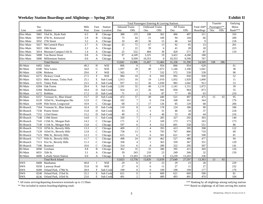|            |      |                               |      |                           |          | Total Passengers Entering & Leaving Stations |                |                        |                  |            |        |                       | Transfer     |      | Outlying         |
|------------|------|-------------------------------|------|---------------------------|----------|----------------------------------------------|----------------|------------------------|------------------|------------|--------|-----------------------|--------------|------|------------------|
|            | Sta- |                               | Mile | Fare                      | Station  | <b>Inbound Trains</b>                        |                | <b>Outbound Trains</b> |                  | All Trains |        | Total AM <sup>®</sup> | Passengers** |      | Metra            |
| Line       |      | code Station                  | Post | Zone                      | Location | Ons                                          | Offs           | Ons                    | Offs             | Ons        | Offs   | <b>Boardings</b>      | Ons          | Offs | Rank***          |
| Elec-Main  | 5065 | 53rd St., Hyde Park           | 6.5  | B                         | Chicago  | 388                                          | 135            | 108                    | 362              | 496        | 497    | 311                   |              |      | 103              |
| Elec-Main  | 5059 | 47th St., Kenwood             | 5.9  | $\, {\bf B}$              | Chicago  | 73                                           | 44             | 21                     | 100              | 94         | 144    | 66                    |              |      | 200              |
| Elec-Main  | 5032 | 27th Street                   | 3.2  | A                         | Chicago  | 10                                           | 49             | 36                     | 15               | 46         | 64     | 9                     |              |      | 218              |
| Elec-Main  | 5027 | McCormick Place               | 2.7  | A                         | Chicago  | 25                                           | 72             | 67                     | 13               | 92         | 85     | 23                    |              |      | 201              |
| Elec-Main  |      | 5022 18th Street              | 2.2  | A                         | Chicago  | $\sqrt{2}$                                   | 22             | 39                     | 6                | 41         | 28     | 18                    |              |      | 223              |
| Elec-Main  |      | 5014 Museum Campus/11th St.   | 1.4  | A                         | Chicago  | 25                                           | 532            | 404                    | 39               | 429        | 571    | 87                    |              |      | 119              |
| Elec-Main  | 5008 | Van Buren Street              | 0.8  | $\mathbf{A}$              | Chicago  | 97                                           | 4,249          | 3,325                  | 19               | 3,422      | 4,268  | 188                   |              |      |                  |
| Elec-Main  | 5000 | <b>Millennium Station</b>     | 0.0  | A                         | Chicago  | $\overline{0}$                               | 9,599          | 10,353                 | $\overline{0}$   | 10,353     | 9,599  | 767                   |              |      |                  |
|            |      | <b>Total Electric</b>         |      |                           |          | 15,841                                       | 15,906         | 15,497                 | 15,484           | 31,338     | 31,390 | 14,569                | 338          | 286  |                  |
| RI-Main    | 6402 | Joliet                        | 40.2 | H                         | Will     | 866                                          | $\mathbf{0}$   | $\mathbf{0}$           | 954              | 866        | 954    | 628                   |              |      | 61               |
| RI-Main    | 6340 | New Lenox                     | 34.0 | ${\bf G}$                 | Will     | 1,097                                        | 28             | 49                     | 1,072            | 1,146      | 1,100  | 1,041                 |              |      | 38               |
| RI-Main    | 6296 | Mokena                        | 29.6 | $\boldsymbol{\mathrm{F}}$ | Will     | 565                                          | $\tau$         | $\overline{7}$         | 532              | 572        | 539    | 539                   |              |      | 90               |
| RI-Main    | 6275 | <b>Hickory Creek</b>          | 27.5 | $\mathbf F$               | Will     | 984                                          | 10             | 8                      | 920              | 992        | 930    | 930                   |              |      | 52               |
| RI-Main    | 6251 | 80th Avenue, Tinley Park      | 25.1 | ${\bf E}$                 | Sub Cook | 1,913                                        | 10             | 19                     | 1,919            | 1,932      | 1,929  | 1,840                 |              |      | 11               |
| RI-Main    | 6235 | <b>Tinley Park</b>            | 23.5 | E                         | Sub Cook | 957                                          | 12             | 26                     | 1,030            | 983        | 1,042  | 912                   |              |      | 53               |
| RI-Main    | 6204 | <b>Oak Forest</b>             | 20.4 | $\mathbf E$               | Sub Cook | 1,101                                        | 32             | 40                     | 1,119            | 1,141      | 1,151  | 1,072                 |              |      | 39               |
| RI-Main    | 6184 | Midlothian                    | 18.4 | $\mathbf D$               | Sub Cook | 924                                          | 23             | 26                     | 941              | 950        | 964    | 873                   |              |      | 55               |
| RI-Main    |      | 6172 Robbins                  | 17.2 | D                         | Sub Cook | 71                                           | $\sqrt{2}$     | 6                      | 87               | 77         | 89     | 63                    |              |      | 210              |
| RI-Main    | 6157 | Vermont St., Blue Island      | 15.7 | $\mathbf D$               | Sub Cook | 472                                          | 57             | 49                     | 440              | 521        | 497    | 475                   | 13           | 65   | 95               |
| RI-Main    | 6120 | 103rd St., Washington Hts     | 12.0 | $\mathsf C$               | Chicago  | 162                                          | $\overline{7}$ | 6                      | 154              | 168        | 161    | 164                   |              |      | 176              |
| RI-Main    | 6109 | 95th Street, Longwood         | 10.9 | $\mathsf{C}$              | Chicago  | 68                                           | 3              | 17                     | 126              | 85         | 129    | 68                    |              |      | 206              |
| RI-Branch  | 7164 | Vermont St., Blue Island      | 16.4 | $\mathbf D$               | Sub Cook | 110                                          | 8              | $\overline{14}$        | 178              | 124        | 186    | $\overline{90}$       |              |      | 186              |
| RI-Branch  |      | 7158 Prairie Street           | 15.8 | D                         | Sub Cook | 43                                           | 3              | 3                      | 31               | 46         | 34     | 37                    |              |      | 218              |
| RI-Branch  |      | 7152 123rd Street             | 15.2 | D                         | Sub Cook | 49                                           | 3              | $\overline{4}$         | 46               | 53         | 49     | 44                    |              |      | 216              |
| RI-Branch  |      | 7148 119th Street             | 14.8 | $\mathsf C$               | Sub Cook | 320                                          | $\overline{7}$ | $\overline{7}$         | 285              | 327        | 292    | 303                   |              |      | 140              |
| RI-Branch  |      | 7143 115th St., Morgan Park   | 14.3 | $\mathbf C$               | Chicago  | 171                                          | $\overline{4}$ | 2                      | 169              | 173        | 173    | 163                   |              |      | 173              |
| RI-Branch  |      | 7138 111th St., Morgan Park   | 13.8 | $\mathsf C$               | Chicago  | 597                                          | 6              | $\overline{4}$         | 552              | 601        | 558    | 551                   |              |      | 86               |
| RI-Branch  |      | 7133 107th St., Beverly Hills | 13.3 | $\mathbf C$               | Chicago  | 409                                          | $\sqrt{2}$     | $\overline{4}$         | 393              | 413        | 395    | 398                   |              |      | $\overline{122}$ |
| RI-Branch  |      | 7128 103rd St., Beverly Hills | 12.8 | $\mathbf C$               | Chicago  | 758                                          | 13             | 9                      | 793              | 767        | 806    | 710                   |              |      | 69               |
| RI-Branch  |      | 7123 99th St., Beverly Hills  | 12.3 | $\mathbf C$               | Chicago  | 615                                          | 6              | 6                      | 581              | 621        | 587    | 590                   |              |      | 81               |
| RI-Branch  | 7117 | 95th St., Beverly Hills       | 11.7 | $\overline{C}$            | Chicago  | 498                                          | 24             | 29                     | 462              | 527        | 486    | 477                   |              |      | 94               |
| RI-Branch  |      | 7113 91st St., Beverly Hills  | 11.3 | $\mathbf C$               | Chicago  | 358                                          | $\overline{4}$ | -1                     | 363              | 359        | 367    | 351                   |              |      | 129              |
| RI-Branch  |      | 7106 Brainerd                 | 10.6 | $\mathsf C$               | Chicago  | 314                                          | 6              | 8                      | 289              | 322        | 295    | 307                   |              |      | 141              |
| RI-Main    | 6098 | Gresham                       | 9.8  | $\overline{B}$            | Chicago  | 362                                          | 35             | 33                     | 380              | 395        | 415    | 369                   |              |      | $\frac{126}{2}$  |
| RI-Main    | 6031 | 35th St.                      | 3.1  | A                         | Chicago  | 39                                           | 243            | 210                    | 23               | 249        | 266    | 32                    |              |      | 159              |
| RI-Main    | 6000 | <b>LaSalle Street Station</b> | 0.0  | A                         | Chicago  | $\overline{0}$                               | 13,203         | 13,239                 | $\boldsymbol{0}$ | 13,239     | 13,203 | 336                   |              |      |                  |
|            |      | <b>Total Rock Island</b>      |      |                           |          | 13,823                                       | 13,758         | 13,826                 | 13,839           | 27,649     | 27,597 | 13,363                | 13           | 65   |                  |
| <b>SWS</b> | 8408 | Manhattan                     | 40.8 | $\bf{I}$                  | Will     | 29                                           | $\mathbf{0}$   | $\mathbf{0}$           | 23               | 29         | 23     | 28                    |              |      | 229              |
| <b>SWS</b> |      | 8358 Laraway Road             | 35.8 | H                         | Will     | 27                                           | $\mathbf{0}$   | $\boldsymbol{0}$       | 11               | 27         | 11     | $27\,$                |              |      | 232              |
| SWS        | 8289 | Orland Park, 179th St.        | 28.9 | $\mathbf{F}$              | Sub Cook | 190                                          | $\mathbf{0}$   | $\mathbf{0}$           | 199              | 190        | 199    | 177                   |              |      | 170              |
| <b>SWS</b> | 8248 | Orland Park, 153rd St.        | 25.2 | $\mathbf E$               | Sub Cook | 621                                          | $\mathbf{0}$   | $\overline{0}$         | 609              | 621        | 609    | 590                   |              |      | 81               |
| <b>SWS</b> |      | 8236 Orland Park, 143rd St.   | 23.6 | E                         | Sub Cook | 491                                          | $\overline{2}$ | $\overline{2}$         | 489              | 493        | 491    | 470                   |              |      | 104              |

\* All trains arriving/departing downtown terminals up to 11:59am

\*\* Not included in station boarding/alighting totals

\*\*\* Ranking by all alightings among outlying stations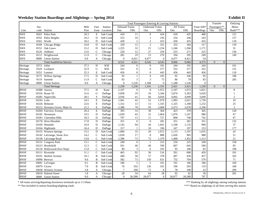|             |             |                                |         |               |          | Total Passengers Entering & Leaving Stations |                |                        |                  |                 |                  |                  | Transfer     |                | Outlying       |
|-------------|-------------|--------------------------------|---------|---------------|----------|----------------------------------------------|----------------|------------------------|------------------|-----------------|------------------|------------------|--------------|----------------|----------------|
|             | Sta-        |                                | Mile    | Fare          | Station  | <b>Inbound Trains</b>                        |                | <b>Outbound Trains</b> |                  | All Trains      |                  | Total AM*        | Passengers** |                | Metra          |
| Line        |             | code Station                   | Post    | Zone          | Location | Ons                                          | Offs           | Ons                    | Offs             | Ons             | Offs             | <b>Boardings</b> | Ons<br>Offs  |                | Rank***        |
| <b>SWS</b>  | 8203        | Palos Park                     | 20.3    | E             | Sub Cook | 418                                          | 11             | $\mathbf{0}$           | 424              | 418             | 435              | 408              |              |                | 121            |
| <b>SWS</b>  |             | 8192 Palos Heights             | 19.2    | $\mathbf D$   | Sub Cook | 253                                          | 10             | $\mathbf{1}$           | 236              | 254             | 246              | 243              |              |                | 157            |
| <b>SWS</b>  |             | 8182 Worth                     | 18.2    | D             | Sub Cook | 428                                          | 2              | $\overline{2}$         | 433              | 430             | 435              | 416              |              |                | 118            |
| <b>SWS</b>  | 8168        | Chicago Ridge                  | 16.8    | D             | Sub Cook | 330                                          | 12             | 2                      | 352              | 332             | 364              | 317              |              |                | 139            |
| <b>SWS</b>  |             | 8152 Oak Lawn                  | 15.2    | $\mathbf D$   | Sub Cook | 1,225                                        | 32             | 21                     | 1,234            | 1,246           | 1,266            | 1,171            |              |                | 31             |
| <b>SWS</b>  |             | 8126 Ashburn                   | 12.6    | $\mathcal{C}$ | Chicago  | 228                                          | 12             | 27                     | 259              | 255             | 271              | 225              |              |                | 156            |
| <b>SWS</b>  | 8112        | Wrightwood                     | 11.9    | $\mathbf C$   | Chicago  | 281                                          | 19             | 13                     | 276              | 294             | 295              | 249              |              |                | 149            |
| <b>SWS</b>  |             | 8000 Union Station             | 0.0     | A             | Chicago  | $\overline{0}$                               | 4,421          | 4,477                  | $\overline{0}$   | 4,477           | 4,421            | 54               |              |                |                |
|             |             | <b>Total SouthWest Service</b> |         |               |          | 4,521                                        | 4,521          | 4,545                  | 4,545            | 9,066           | 9,066            | 4,375            | $\Omega$     | $\overline{0}$ |                |
| Heritage    | 9372        | Joliet                         | 37.2    | $\, {\rm H}$  | Will     | 244                                          | $\mathbf{0}$   | $\mathbf{0}$           | 191              | 244             | 191              | 244              |              |                | 161            |
| Heritage    |             | 9329 Lockport                  | 32.9    | G             | Will     | 352                                          | $\overline{0}$ | $\mathbf{0}$           | 377              | 352             | 377              | 352              |              |                | 131            |
| Heritage    |             | 9253 Lemont                    | 25.3    | E             | Sub Cook | 456                                          | $\mathbf{0}$   | $\mathbf{0}$           | 443              | 456             | 443              | 456              |              |                | 110            |
| Heritage    | 9175        | <b>Willow Springs</b>          | 17.5    | $\mathbf D$   | Sub Cook | 95                                           | $\mathbf{1}$   | $\mathbf{0}$           | 105              | 95              | 106              | 95               |              |                | 198            |
| Heritage    | 9119        | Summit                         | 11.9    | $\mathbf C$   | Sub Cook | 83                                           | 3              | 3                      | 75               | 86              | 78               | 83               |              |                | 205            |
| Heritage    |             | 8000 Union Station             | $0.0\,$ | A             | Chicago  | $\overline{0}$                               | 1,226          | 1,188                  | $\overline{0}$   | 1,188           | 1,226            | $\overline{0}$   |              |                |                |
|             |             | <b>Total Heritage</b>          |         |               |          | 1,230                                        | 1,230          | 1.191                  | 1,191            | 2,421           | 2,421            | 1,230            | $\Omega$     | $\overline{0}$ |                |
| <b>BNSF</b> |             | 10380 Aurora                   | 37.5    | H             | Kane     | 2,107                                        | $\overline{0}$ | $\overline{0}$         | 1,972            | 2.107           | 1,972            | 1,821            |              |                | 8              |
| <b>BNSF</b> |             | 10316 Route 59                 | 31.6    | G             | DuPage   | 5,858                                        | 19             | 16                     | 5,344            | 5,874           | 5,363            | 5,620            |              |                | $\mathbf{1}$   |
| <b>BNSF</b> |             | 10285 Naperville               | 28.5    | $\mathbf{F}$  | DuPage   | 3,936                                        | 41             | 66                     | 4,058            | 4,002           | 4,099            | 3,609            |              |                | $\overline{c}$ |
| <b>BNSF</b> | 10245 Lisle |                                | 24.5    | E             | DuPage   | 1,941                                        | 42             | $\overline{52}$        | 1,979            | 1,993           | 2,021            | 1,730            |              |                | $10\,$         |
| <b>BNSF</b> |             | 10226 Belmont                  | 22.6    | $\mathbf E$   | DuPage   | 1,312                                        | 13             | 13                     | 1,335            | 1,325           | 1,348            | 1,232            |              |                | 25             |
| <b>BNSF</b> |             | 10212 Downers Grove, Main St.  | 21.2    | $\mathbf E$   | DuPage   | 2,380                                        | 70             | 93                     | 2,608            | 2,473           | 2,678            | 2,268            |              |                | 3              |
| <b>BNSF</b> |             | 10204 Fairview Avenue          | 20.4    | ${\bf E}$     | DuPage   | 395                                          | 14             | 30                     | 364              | 425             | 378              | 365              |              |                | 120            |
| <b>BNSF</b> |             | 10195 Westmont                 | 19.5    | D             | DuPage   | 1,039                                        | 43             | 31                     | 1,064            | 1,070           | 1,107            | 980              |              |                | 47             |
| <b>BNSF</b> |             | 10183 Clarendon Hills          | 18.3    | D             | DuPage   | 797                                          | 13             | 11                     | 727              | 808             | 740              | 742              |              |                | 67             |
| <b>BNSF</b> |             | 10178 West Hinsdale            | 17.8    | $\mathbf D$   | DuPage   | 351                                          | $\theta$       | $\mathbf{0}$           | 281              | 351             | 281              | 351              |              |                | 132            |
| <b>BNSF</b> |             | 10169 Hinsdale                 | 16.9    | D             | DuPage   | 1,142                                        | 94             | 26                     | 1,041            | 1,168           | 1,135            | 999              |              |                | 37             |
| <b>BNSF</b> |             | 10164 Highlands                | 16.4    | D             | DuPage   | 157                                          | 1              | 10                     | 196              | 167             | 197              | 153              |              |                | 177            |
| <b>BNSF</b> |             | 10155 Western Springs          | 15.5    | $\mathbf D$   | Sub Cook | 1,084                                        | 35             | $\overline{29}$        | 1.072            | 1.113           | 1,107            | 1,035            |              |                | 42             |
| <b>BNSF</b> |             | 10142 LaGrange, Stone Ave.     | 14.2    | $\mathsf C$   | Sub Cook | 1,018                                        | 17             | 8                      | 888              | 1,026           | 905              | 988              |              |                | 51             |
| <b>BNSF</b> |             | 10138 LaGrange Road            | 13.8    | $\mathsf{C}$  | Sub Cook | 1,396                                        | 73             | $72\,$                 | 1,379            | 1,468           | 1,452            | 1,313            |              |                | 21             |
| <b>BNSF</b> |             | 10131 Congress Park            | 13.1    | $\mathbf C$   | Sub Cook | 249                                          | $\theta$       | $\overline{1}$         | $\overline{225}$ | 250             | $\overline{225}$ | 249              |              |                | 158            |
| <b>BNSF</b> |             | 10123 Brookfield               | 12.3    | $\mathsf C$   | Sub Cook | 561                                          | 46             | 46                     | 599              | 607             | 645              | 560              |              |                | 85             |
| <b>BNSF</b> |             | 10118 Hollywood (Zoo Stop)     | 11.8    | $\mathcal{C}$ | Sub Cook | 89                                           | 3              | 6                      | 105              | 95              | 108              | 82               |              |                | 198            |
| <b>BNSF</b> |             | 10111 Riverside                | 11.1    | $\mathbf C$   | Sub Cook | 465                                          | 92             | 36                     | 516              | 501             | 608              | 459              |              |                | 101            |
| <b>BNSF</b> |             | 10101 Harlem Avenue            | 10.1    | $\, {\bf B}$  | Sub Cook | 440                                          | 58             | 57                     | 378              | 497             | 436              | 457              |              |                | 102            |
| <b>BNSF</b> |             | 10096 Berwyn                   | 9.6     | $\bf{B}$      | Sub Cook | 582                                          | 73             | 150                    | 631              | 732             | 704              | 570              |              |                | 71             |
| <b>BNSF</b> |             | 10091 LaVergne                 | 9.1     | $\bf{B}$      | Sub Cook | 186                                          | 5              | 5                      | 191              | 191             | 196              | 186              |              |                | 169            |
| <b>BNSF</b> |             | 10070 Cicero                   | 7.0     | $\, {\bf B}$  | Sub Cook | 76                                           | 102            | 120                    | 101              | 196             | 203              | 119              |              |                | 168            |
| <b>BNSF</b> |             | 10038 Western Avenue           | 3.8     | A             | Chicago  | $\overline{7}$                               | 100            | 71                     | 8                | 78              | 108              | 43               |              |                | 209            |
| <b>BNSF</b> |             | 10018 Halsted Street           | 1.8     | A             | Chicago  | 28                                           | 54             | 64                     | 28               | $\overline{92}$ | 82               | 30               |              |                | 201            |
| <b>BNSF</b> |             | 8000 Union Station             | 0.0     | A             | Chicago  | $\overline{0}$                               | 26,588         | 26,077                 | $\overline{0}$   | 26,077          | 26,588           | 797              |              |                |                |

\* All trains arriving/departing downtown terminals up to 11:59am

\*\* Not included in station boarding/alighting totals

\*\*\* Ranking by all alightings among outlying stations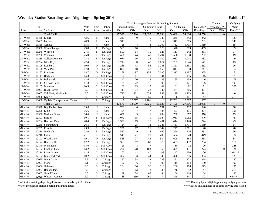|                |                       |                                     |      |                           |               | Total Passengers Entering & Leaving Stations |                 |                        |                |            |        |                       | Transfer       |                | Outlying |
|----------------|-----------------------|-------------------------------------|------|---------------------------|---------------|----------------------------------------------|-----------------|------------------------|----------------|------------|--------|-----------------------|----------------|----------------|----------|
|                | Sta-                  |                                     | Mile | Fare                      | Station       | <b>Inbound Trains</b>                        |                 | <b>Outbound Trains</b> |                | All Trains |        | Total AM <sup>*</sup> | Passengers**   |                | Metra    |
| Line           | code Station          |                                     | Post |                           | Zone Location | Ons                                          | Offs            | Ons                    | Offs           | Ons        | Offs   | Boardings             | Ons            | Offs           | Rank***  |
|                |                       | <b>Total BNSF</b>                   |      |                           |               | 27,596                                       | 27,596          | 27,090                 | 27,090         | 54,686     | 54,686 | 26,758                | $\mathbf{0}$   | $\overline{0}$ |          |
| UP-West        | 11436 Elburn          |                                     | 43.6 | $\bf{I}$                  | Kane          | 345                                          | $\overline{0}$  | $\mathbf{0}$           | 343            | 345        | 343    | 242                   |                |                | 135      |
| <b>UP-West</b> | 11409 La Fox          |                                     | 40.9 | $\mathbf I$               | Kane          | 313                                          | $\mathbf{1}$    | $\boldsymbol{0}$       | 314            | 313        | 315    | 291                   |                |                | 145      |
| UP-West        | 11355 Geneva          |                                     | 35.5 | H                         | Kane          | 1,728                                        | $\overline{4}$  | $\overline{4}$         | 1,709          | 1,732      | 1,713  | 1,519                 |                |                | 15       |
| UP-West        | 11300 West Chicago    |                                     | 29.8 | $\boldsymbol{\mathrm{F}}$ | DuPage        | 569                                          | 10              | $\overline{7}$         | 573            | 576        | 583    | 459                   |                |                | 89       |
| UP-West        | 11275 Winfield        |                                     | 27.5 | $\boldsymbol{\mathrm{F}}$ | DuPage        | 507                                          | 14              | 10                     | 528            | 517        | 542    | 431                   |                |                | 97       |
| UP-West        | 11250 Wheaton         |                                     | 25.0 | E                         | DuPage        | 1,466                                        | 44              | 40                     | 1,494          | 1,506      | 1,538  | 1,282                 |                |                | 19       |
| UP-West        | 11238 College Avenue  |                                     | 23.8 | E                         | DuPage        | 1,034                                        | 16              | 23                     | 1,032          | 1,057      | 1,048  | 932                   |                |                | 49       |
| UP-West        | 11224 Glen Ellyn      |                                     | 22.4 | E                         | DuPage        | 1,717                                        | 50              | 48                     | 1,674          | 1,765      | 1,724  | 1,541                 |                |                | 13       |
| UP-West        | 11199 Lombard         |                                     | 19.9 | D                         | DuPage        | 1,265                                        | 43              | 56                     | 1,288          | 1,321      | 1,331  | 1,212                 |                |                | 26       |
| UP-West        | 11178 Villa Park      |                                     | 17.8 | D                         | DuPage        | 804                                          | 48              | 37                     | 850            | 841        | 898    | 741                   |                |                | 64       |
| UP-West        | 11157 Elmhurst        |                                     | 15.7 | $\mathbf D$               | DuPage        | 2,158                                        | 97              | 155                    | 2,090          | 2,313      | 2,187  | 1,925                 |                |                | $\tau$   |
| UP-West        | 11143 Berkeley        |                                     | 14.3 | $\mathcal{C}$             | Sub Cook      | 150                                          | 11              | 11                     | 144            | 161        | 155    | 145                   |                |                | 179      |
| UP-West        | 11126 Bellwood        |                                     | 12.6 | $\mathbf C$               | Sub Cook      | 147                                          | 20              | 18                     | 139            | 165        | 159    | 146                   |                |                | 178      |
| UP-West        | 11113 Melrose Park    |                                     | 11.3 | $\mathbf C$               | Sub Cook      | 88                                           | 22              | 15                     | 99             | 103        | 121    | 85                    |                |                | 195      |
| UP-West        | 11105 Maywood         |                                     | 10.5 | $\mathcal{C}$             | Sub Cook      | 66                                           | 13              | 15                     | 69             | 81         | 82     | 71                    |                |                | 207      |
| UP-West        | 11097 River Forest    |                                     | 9.7  | $\bf{B}$                  | Sub Cook      | 411                                          | 24              | $\overline{23}$        | 342            | 434        | 366    | 421                   |                |                | 115      |
| UP-West        |                       | 11085 Oak Park, Marion St.          | 8.5  | $\, {\bf B}$              | Sub Cook      | 796                                          | 321             | 333                    | 892            | 1,129      | 1,213  | 891                   |                |                | $40\,$   |
| UP-West        | 11036 Kedzie          |                                     | 3.6  | A                         | Chicago       | 6                                            | 55              | 50                     | 46             | 56         | 101    | 44                    |                |                | 213      |
| UP-West        |                       | 13000 Ogilvie Transportation Center | 0.0  | A                         | Chicago       | $\overline{0}$                               | 12,777          | 12,781                 | $\mathbf{0}$   | 12,781     | 12,777 | 557                   |                |                |          |
|                |                       | <b>Total UP West</b>                |      |                           |               | 13,570                                       | 13,570          | 13,626                 | 13,626         | 27,196     | 27,196 | 12,935                | $\overline{0}$ | $\overline{0}$ |          |
| Milw-W         |                       | 12398 Big Timber Road               | 39.8 | H                         | Kane          | 782                                          | $\overline{0}$  | $\mathbf{0}$           | 737            | 782        | 737    | 648                   |                |                | 68       |
| Milw-W         | 12366 Elgin           |                                     | 36.6 | H                         | Kane          | 454                                          | $\tau$          | $\overline{7}$         | 484            | 461        | 491    | 334                   |                |                | 108      |
| Milw-W         | 12360 National Street |                                     | 36.0 | H                         | Kane          | 689                                          | $\mathfrak{Z}$  | 11                     | 654            | 700        | 657    | 578                   |                |                | 73       |
| Milw-W         | 12301 Bartlett        |                                     | 30.1 | $\mathbf F$               | Sub Cook      | 1,072                                        | $\overline{15}$ | 9                      | 1,047          | 1,081      | 1,062  | 976                   |                |                | 45       |
| Milw-W         | 12284 Hanover Park    |                                     | 28.4 | $\boldsymbol{\mathrm{F}}$ | DuPage        | 1,397                                        | 19              | 17                     | 1,401          | 1,414      | 1,420  | 1,274                 |                |                | 23       |
| Milw-W         | 12265 Schaumburg      |                                     | 26.5 | $\mathbf F$               | DuPage        | 1,724                                        | $25\,$          | 13                     | 1,746          | 1,737      | 1,771  | 1,589                 |                |                | 14       |
| Milw-W         | 12239 Roselle         |                                     | 23.9 | $\mathbf E$               | DuPage        | 1,256                                        | 17              | 21                     | 1,344          | 1,277      | 1,361  | 1,120                 |                |                | 28       |
| Milw-W         | 12230 Medinah         |                                     | 23.0 | $\mathbf E$               | DuPage        | 512                                          | 9               | $\,8\,$                | 467            | 520        | 476    | 451                   |                |                | 96       |
| Milw-W         | 12210 Itasca          |                                     | 21.1 | E                         | DuPage        | 543                                          | 21              | 21                     | 499            | 564        | 520    | 449                   |                |                | 93       |
| Milw-W         | 12191 Wood Dale       |                                     | 19.1 | $\mathbf D$               | DuPage        | 565                                          | 27              | 43                     | 537            | 608        | 564    | 454                   |                |                | 84       |
| Milw-W         | 12172 Bensenville     |                                     | 17.2 | D                         | DuPage        | 373                                          | 62              | 60                     | 375            | 433        | 437    | 294                   |                |                | 116      |
| Milw-W         | 12140 Mannheim        |                                     | 14.0 | $\mathsf{C}$              | Sub Cook      | 23                                           | 8               | $\overline{7}$         | $\overline{4}$ | 30         | 12     | 26                    |                |                | 228      |
| Milw-W         | 12132 Franklin Park   |                                     | 13.2 | $\mathsf{C}$              | Sub Cook      | 296                                          | 78              | 103                    | 353            | 399        | 431    | 274                   | $\Omega$       | $\overline{0}$ | 124      |
| Milw-W         | 12114 River Grove     |                                     | 11.4 | $\mathbf C$               | Sub Cook      | 102                                          | 41              | 40                     | 109            | 142        | 150    | 106                   |                |                | 146****  |
| Milw-W         | 12102 Elmwood Park    |                                     | 10.2 | $\mathcal{C}$             | Sub Cook      | 352                                          | 53              | 44                     | 343            | 396        | 396    | 364                   |                |                | 125      |
| Milw-W         | 12095 Mont Clare      |                                     | 9.5  | $\, {\bf B}$              | Chicago       | 257                                          | 34              | 34                     | 288            | 291        | 322    | 268                   |                |                | 150      |
| Milw-W         | 12091 Mars            |                                     | 9.1  | B                         | Chicago       | 107                                          | 6               | 8                      | 98             | 115        | 104    | 109                   |                |                | 190      |
| Milw-W         | 12086 Galewood        |                                     | 8.6  | $\bf{B}$                  | Chicago       | 204                                          | 66              | 56                     | 210            | 260        | 276    | 213                   |                |                | 155      |
| Milw-W         | 12077 Hanson Park     |                                     | 7.7  | $\, {\bf B}$              | Chicago       | 33                                           | 13              | 13                     | 39             | 46         | 52     | 44                    |                |                | 218      |
| Milw-W         | 12065 Grand/Cicero    |                                     | 6.5  | $\bf{B}$                  | Chicago       | 39                                           | 74              | 67                     | 44             | 106        | 118    | 84                    |                |                | 193      |
| Milw-W         |                       | 12029 Western Avenue                | 2.9  | A                         | Chicago       | 88                                           | 269             | 260                    | 74             | 348        | 343    | 172                   |                |                | 63****   |

\* All trains arriving/departing downtown terminals up to 11:59am

\*\* Not included in station boarding/alighting totals

\*\*\* Ranking by all alightings among outlying stations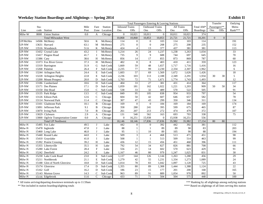|              |            |                                     |         |                |          | Total Passengers Entering & Leaving Stations |                  |                        |                  |            |                  |                       | Transfer       |                | Outlying        |
|--------------|------------|-------------------------------------|---------|----------------|----------|----------------------------------------------|------------------|------------------------|------------------|------------|------------------|-----------------------|----------------|----------------|-----------------|
|              | Sta-       |                                     | Mile    | Fare           | Station  | <b>Inbound Trains</b>                        |                  | <b>Outbound Trains</b> |                  | All Trains |                  | Total AM <sup>*</sup> | Passengers**   |                | Metra           |
| Line         |            | code Station                        | Post    | Zone           | Location | Ons                                          | Offs             | Ons                    | Offs             | Ons        | Offs             | <b>Boardings</b>      | Ons            | Offs           | Rank***         |
| Milw-W       | 8000       | <b>Union Station</b>                | 0.0     | A              | Chicago  | $\Omega$                                     | 10.021           | 10,011                 | $\Omega$         | 10,011     | 10,021           | 374                   |                |                |                 |
|              |            | <b>Total Milwaukee West</b>         |         |                |          | 10,868                                       | 10,868           | 10,853                 | 10,853           | 21,721     | 21,721           | 10,201                | $\overline{0}$ | $\overline{0}$ |                 |
| UP/McHrn     |            | 14506 McHenry                       | 50.6    | K              | McHenry  | 114                                          | $\overline{0}$   | $\mathbf{0}$           | 103              | 114        | 103              | 114                   |                |                | 191             |
| UP-NW        |            | 13631 Harvard                       | 63.1    | M              | McHenry  | 275                                          | $\boldsymbol{0}$ | $\boldsymbol{0}$       | 208              | 275        | 208              | 235                   |                |                | 152             |
| UP-NW        |            | 13516 Woodstock                     | 51.6    | K              | McHenry  | 424                                          | $\overline{4}$   | 13                     | 377              | 437        | 381              | 381                   |                |                | 113             |
| UP-NW        |            | 13432 Crystal Lake                  | 43.2    | <sup>1</sup>   | McHenry  | 1,214                                        | $\overline{26}$  | 24                     | 1,237            | 1,238      | 1,263            | 1,034                 |                |                | 33              |
| UP-NW        |            | 13417 Pingree Road                  | 41.7    | I              | McHenry  | 735                                          | 9                | 9                      | 688              | 744        | 697              | 645                   |                |                | $70\,$          |
| UP-NW        | 13386 Cary |                                     | 38.6    | H              | McHenry  | 856                                          | 14               | 17                     | 855              | 873        | 869              | 787                   |                |                | 60              |
| <b>JP-NW</b> |            | 13373 Fox River Grove               | 37.3    | H              | McHenry  | 402                                          | 8                | 8                      | 403              | 410        | 411              | 359                   |                |                | 123             |
| UP-NW        |            | 13319 Barrington                    | 31.9    | G              | Sub Cook | 1,669                                        | 59               | 48                     | 1,657            | 1,717      | 1,716            | 1,416                 |                |                | 16              |
| UP-NW        |            | 13268 Palatine                      | 26.4    | $\mathbf{F}$   | Sub Cook | 2,235                                        | $77\,$           | 99                     | 2,230            | 2,334      | 2,307            | 1,962                 |                |                | 6               |
| UP-NW        |            | 13244 Arlington Park                | 24.4    | E              | Sub Cook | 1,603                                        | $\overline{57}$  | 69                     | 1,569            | 1,672      | 1,626            | 1,426                 |                |                | 18              |
| UP-NW        |            | 13228 Arlington Heights             | 22.8    | E              | Sub Cook | 2,236                                        | 103              | 113                    | 2,188            | 2,349      | 2,291            | 1,934                 | 30             | 30             | 5               |
| UP-NW        |            | 13200 Mount Prospect                | 20.0    | D              | Sub Cook | 1,703                                        | 72               | 71                     | 1,671            | 1,774      | 1,743            | 1,493                 |                |                | 12              |
| UP-NW        |            | 13186 Cumberland                    | 18.6    | $\mathbf D$    | Sub Cook | 404                                          | 33               | 27                     | 381              | 431        | 414              | 364                   |                |                | 117             |
| UP-NW        |            | 13171 Des Plaines                   | 17.1    | D              | Sub Cook | 1,059                                        | 181              | 162                    | 1,022            | 1,221      | 1,203            | 909                   | 50             | 50             | 34              |
| <b>JP-NW</b> |            | 13150 Dee Road                      | 15.0    | $\mathcal{C}$  | Sub Cook | 538                                          | 33               | 32                     | 489              | 570        | 522              | 505                   |                |                | 91              |
| UP-NW        |            | 13135 Park Ridge                    | 13.5    | $\mathsf{C}$   | Sub Cook | 849                                          | 95               | 105                    | 838              | 954        | 933              | 797                   |                |                | 54              |
| UP-NW        |            | 13126 Edison Park                   | 12.6    | $\mathsf{C}$   | Chicago  | 604                                          | 50               | 42                     | 607              | 646        | 657              | 582                   |                |                | 78              |
| UP-NW        |            | 13114 Norwood Park                  | 11.4    | $\mathbf C$    | Chicago  | 307                                          | 47               | 43                     | 299              | 350        | 346              | 311                   |                |                | 134             |
| UP-NW        |            | 13101 Gladstone Park                | 10.1    | $\, {\bf B}$   | Chicago  | 169                                          | $\mathbf{0}$     | $\theta$               | 184              | 169        | 184              | 169                   |                |                | 174             |
| UP-NW        |            | 13091 Jefferson Park                | 9.1     | B              | Chicago  | 358                                          | 280              | 241                    | 395              | 599        | 675              | 465                   |                |                | 87              |
| UP-NW        |            | 13070 Irving Park                   | 7.0     | B              | Chicago  | 261                                          | 207              | 213                    | 272              | 474        | 479              | 372                   |                |                | 107             |
| UP-NW        |            | 13029 Clybourn                      | 2.9     | A              | Chicago  | 131                                          | 540              | 562                    | 163              | 693        | 703              | 338                   |                |                | 75              |
| UP-NW        |            | 13000 Ogilvie Transportation Center | $0.0\,$ | A              | Chicago  | $\boldsymbol{0}$                             | 16,251           | 15,938                 | $\boldsymbol{0}$ | 15,938     | 16,251           | 556                   |                |                |                 |
|              |            | <b>Total UP Northwest</b>           |         |                |          | 18,146                                       | 18,146           | 17,836                 | 17,836           | 35,982     | 35,982           | 17,154                | 80             | 80             |                 |
| Milw-N       |            | 15495 Fox Lake                      | 49.5    | $\bf{J}$       | Lake     | 442                                          | $\Omega$         | $\boldsymbol{0}$       | 392              | 442        | 392              | 381                   |                |                | 112             |
| Milw-N       |            | 15478 Ingleside                     | 47.8    | J              | Lake     | 88                                           | 1                | $\mathbf{1}$           | 89               | 89         | 90               | 83                    |                |                | 203             |
| Milw-N       |            | 15460 Long Lake                     | 46.0    | $\bf{J}$       | Lake     | 95                                           | 1                | 10                     | 89               | 105        | 90               | 88                    |                |                | 194             |
| Milw-N       |            | 15440 Round Lake                    | 44.0    | $\bf{I}$       | Lake     | 509                                          | 3                | $\overline{4}$         | 468              | 513        | 471              | 451                   |                |                | 98              |
| Milw-N       |            | 15410 Grayslake                     | 41.0    | $\bf{I}$       | Lake     | 508                                          | 1                | $\mathbf{1}$           | 513              | 509        | 514              | 463                   |                |                | 99              |
| Milw-N       |            | 15392 Prairie Crossing              | 39.2    | H              | Lake     | 436                                          | 12               | 15                     | 456              | 451        | 468              | 396                   |                |                | 111             |
| Milw-N       |            | 15355 Libertyville                  | 35.5    | H              | Lake     | 792                                          | 54               | 34                     | 827              | 826        | 881              | 708                   |                |                | 66              |
| Milw-N       |            | 15280 Lake Forest                   | 28.4    | ${\bf F}$      | Lake     | 556                                          | 21               | 14                     | 602              | 570        | 623              | 429                   |                |                | 91              |
| Milw-N       |            | 15242 Deerfield                     | 24.2    | E              | Lake     | 1,167                                        | 46               | 80                     | 979              | 1,247      | 1,025            | 831                   |                |                | 30              |
| Milw-N       |            | 15230 Lake Cook Road                | 23.0    | E              | Sub Cook | 1,137                                        | 144              | 126                    | 1,144            | 1,263      | 1,288            | 456                   |                |                | 29              |
| Milw-N       |            | 15211 Northbrook                    | 21.1    | E              | Sub Cook | 1,279                                        | 42               | 55                     | 1,231            | 1,334      | 1,273            | 1,089                 |                |                | 24              |
| Milw-N       |            | 15188 Glen of North Glenview        | 18.8    | D              | Sub Cook | 1,014                                        | 78               | 83                     | 1,042            | 1,097      | 1,120            | 725                   |                |                | 43              |
| Milw-N       |            | 15174 Glenview                      | 17.4    | D              | Sub Cook | 1,355                                        | 80               | 89                     | 1,308            | 1,444      | 1,388            | 1,124                 |                |                | $\overline{22}$ |
| Milw-N       | 15162 Golf |                                     | 16.2    | D              | Sub Cook | 186                                          | 23               | 15                     | 177              | 201        | 200              | 168                   |                |                | 165             |
| Milw-N       |            | 15143 Morton Grove                  | 14.3    | $\mathcal{C}$  | Sub Cook | 963                                          | 89               | 91                     | 889              | 1,054      | 978              | 892                   |                |                | 50              |
| Milw-N       |            | 15116 Edgebrook                     | 11.6    | $\overline{C}$ | Chicago  | 433                                          | 71               | 71                     | 504              | 504        | $\overline{575}$ | 448                   |                |                | 100             |

\* All trains arriving/departing downtown terminals up to 11:59am

\*\* Not included in station boarding/alighting totals

\*\*\* Ranking by all alightings among outlying stations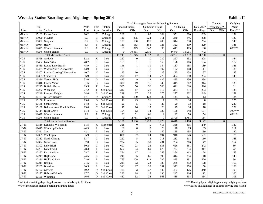|                         |                                     |      |                           |           | Total Passengers Entering & Leaving Stations |                  |                        |                  |                  |        |                  | Transfer                           | Outlying         |
|-------------------------|-------------------------------------|------|---------------------------|-----------|----------------------------------------------|------------------|------------------------|------------------|------------------|--------|------------------|------------------------------------|------------------|
|                         | Sta-                                | Mile | Fare                      | Station   | <b>Inbound Trains</b>                        |                  | <b>Outbound Trains</b> |                  | All Trains       |        | Total AM*        | Passengers**                       | Metra            |
| Line                    | code Station                        | Post | Zone                      | Location  | Ons                                          | Offs             | Ons                    | Offs             | Ons              | Offs   | <b>Boardings</b> | Ons<br>Offs                        | Rank***          |
| Milw-N                  | 15102 Forest Glen                   | 10.2 | $\mathbf C$               | Chicago   | 268                                          | 91               | 83                     | 269              | 351              | 360    | 289              |                                    | 132              |
| Milw-N                  | 15090 Mayfair                       | 9.0  | $\, {\bf B}$              | Chicago   | 116                                          | 235              | 224                    | 111              | 340              | 346    | 258              |                                    | 137              |
| Milw-N                  | 15082 Grayland                      | 8.2  | $\bf{B}$                  | Chicago   | 193                                          | 130              | 121                    | 200              | 314              | 330    | 254              |                                    | 143              |
| Milw-N                  | 15064 Healy                         | 6.4  | B                         | Chicago   | 139                                          | 183              | 183                    | 126              | 322              | 309    | 229              |                                    | 141              |
| Milw-N                  | 12029 Western Avenue                | 2.9  | A                         | Chicago   | 69                                           | 379              | 342                    | 96               | 411              | 475    | 196              |                                    | $63***$          |
| Milw-N                  | 8000 Union Station                  | 0.0  | A                         | Chicago   | $\mathbf{0}$                                 | 10,061           | 9,870                  | $\theta$         | 9,870            | 10.061 | 772              |                                    |                  |
|                         | Total Milwaukee North               |      |                           |           | 11,745                                       | 11,745           | 11,512                 | 11,512           | 23,257           | 23,257 | 10,730           | $\overline{0}$<br>$\mathbf{0}$     |                  |
| <b>NCS</b>              | 16528 Antioch                       | 52.8 | K                         | Lake      | 227                                          | $\mathbf{0}$     | $\theta$               | 232              | 227              | 232    | 208              |                                    | 164              |
| <b>NCS</b>              | 16482 Lake Villa                    | 48.2 | J                         | Lake      | 169                                          |                  | $7\phantom{.0}$        | 165              | 176              | 166    | 164              |                                    | 172              |
| <b>NCS</b>              | 16459 Round Lake Beach              | 45.9 | J                         | Lake      | 146                                          | -1               | 11                     | 154              | 157              | 155    | 139              |                                    | 181              |
| <b>NCS</b>              | 16439 Washington St./Grayslake      | 43.9 | $\mathbf I$               | Lake      | 121                                          | $\mathbf{1}$     | $\mathbf{1}$           | 107              | $\overline{122}$ | 108    | 111              |                                    | 188              |
| <b>NCS</b>              | 16407 Prairie Crossing/Libertyville | 40.7 | H                         | Lake      | 115                                          | 10               | 10                     | 128              | 125              | 138    | 87               |                                    | 185              |
| <b>NCS</b>              | 16369 Mundelein                     | 36.9 | H                         | Lake      | 290                                          | 17               | 14                     | 273              | 304              | 290    | 264              |                                    | 148              |
| $\overline{\text{NCS}}$ | 16330 Vernon Hills                  | 33.0 | G                         | Lake      | 423                                          | 9                | 12                     | 427              | 435              | 436    | 388              |                                    | 114              |
| <b>NCS</b>              | 16316 Prairie View                  | 31.6 | ${\bf G}$                 | Lake      | 330                                          | 19               | 15                     | 343              | 345              | 362    | 314              |                                    | 135              |
| <b>NCS</b>              | 16295 Buffalo Grove                 | 29.5 | $\mathbf F$               | Lake      | 565                                          | 50               | 56                     | 568              | 621              | 618    | 526              |                                    | $81\,$           |
| <b>NCS</b>              | 16272 Wheeling                      | 27.2 | $\mathbf F$               | Sub Cook  | $\overline{312}$                             | $\overline{17}$  | 21                     | $\overline{317}$ | 333              | 334    | 293              |                                    | 138              |
| <b>NCS</b>              | 16240 Prospect Heights              | 24.0 | E                         | Sub Cook  | 249                                          | 27               | 28                     | 275              | 277              | 302    | 249              |                                    | 151              |
| <b>NCS</b>              | 16171 O'Hare Transfer               | 17.1 | D                         | Chicago   | 16                                           | 139              | 128                    | 32               | 144              | 171    | 13               |                                    | 184              |
| <b>NCS</b>              | 16156 Rosemont                      | 15.6 | $\mathbf D$               | Sub Cook  | 12                                           | 29               | 21                     | $\overline{7}$   | $\overline{33}$  | 36     | 8                |                                    | 225              |
| <b>NCS</b>              | 16148 Schiller Park                 | 14.8 | $\mathsf C$               | Sub Cook  | 20                                           | 5                | 9                      | 28               | 29               | 33     | 18               |                                    | 229              |
| <b>NCS</b>              | 16130 Belmont Ave./Franklin Park    | 13.0 | $\mathcal{C}$             | Sub Cook  | 16                                           | 16               | 13                     | 20               | 29               | 36     | 18               |                                    | 229              |
| $\overline{\text{NCS}}$ | 12114 River Grove                   | 11.4 | $\mathbf C$               | Sub Cook  | 154                                          | 13               | 14                     | 135              | 168              | 148    | 154              |                                    | 146****          |
| <b>NCS</b>              | 12029 Western Avenue                | 2.9  | $\mathbf{A}$              | Chicago   | 31                                           | 61               | 61                     | 9                | 92               | 70     | 54               |                                    | $63***$          |
| <b>NCS</b>              | 8000 Union Station                  | 0.0  | A                         | Chicago   | $\mathbf{0}$                                 | 2,781            | 2,799                  | $\boldsymbol{0}$ | 2,799            | 2,781  | 114              |                                    |                  |
|                         | <b>Total North Central Service</b>  |      |                           |           | 3,196                                        | 3,196            | 3,220                  | 3,220            | 6,416            | 6,416  | 3,122            | $\boldsymbol{0}$<br>$\overline{0}$ |                  |
| UP-N                    | 17516 Kenosha, Wisconsin            | 51.5 | K                         | Wisconsin | 358                                          | $\Omega$         | $\overline{0}$         | 415              | 358              | 415    | 279              |                                    | 130              |
| UP-N                    | 17445 Winthrop Harbor               | 44.5 | $\bf{I}$                  | Lake      | 68                                           | $\boldsymbol{0}$ | $\sqrt{2}$             | 73               | 70               | 73     | 65               |                                    | 211              |
| $UP-N$                  | 17421 Zion                          | 42.1 | $\mathbf I$               | Lake      | 152                                          | $\mathfrak{Z}$   | 3                      | 152              | 155              | 155    | 139              |                                    | 182              |
| UP-N                    | 17359 Waukegan                      | 35.9 | H                         | Lake      | 886                                          | 32               | 24                     | 894              | 910              | 926    | 581              |                                    | 57               |
| JP-N                    | 17332 North Chicago                 | 33.7 | G                         | Lake      | 227                                          | 5                | 5                      | 213              | 232              | 218    | 110              |                                    | 163              |
| $UP-N$                  | 17322 Great Lakes                   | 32.0 | G                         | Lake      | 234                                          | 35               | 30                     | 231              | 264              | 266    | 47               |                                    | 154              |
| UP-N                    | 17302 Lake Bluff                    | 30.2 | ${\bf G}$                 | Lake      | 601                                          | 23               | $\overline{25}$        | 638              | 626              | 661    | 272              |                                    | 80               |
| $UP-N$                  | 17283 Lake Forest                   | 28.3 | $\mathbf F$               | Lake      | 667                                          | 64               | 60                     | 670              | 727              | 734    | 317              |                                    | 72               |
| $UP-N$                  | 17257 Fort Sheridan                 | 25.7 | $\boldsymbol{\mathrm{F}}$ | Lake      | 256                                          | 17               | 10                     | 246              | 266              | 263    | 178              |                                    | 153              |
| UP-N                    | 17245 Highwood                      | 24.5 | $\overline{\mathrm{E}}$   | Lake      | 248                                          | 55               | 66                     | 199              | 314              | 254    | 148              |                                    | 143              |
| UP-N                    | 17230 Highland Park                 | 23.0 | ${\bf E}$                 | Lake      | 763                                          | 109              | 112                    | 782              | 875              | 891    | 570              |                                    | 59               |
| UP-N                    | 17215 Ravinia                       | 21.5 | ${\bf E}$                 | Lake      | 215                                          | $23\,$           | 23                     | 189              | 238              | 212    | 178              |                                    | 162              |
| $UP-N$                  | 17205 Braeside                      | 20.5 | $\overline{E}$            | Lake      | 341                                          | $\overline{27}$  | $\overline{32}$        | 351              | 373              | 378    | 158              |                                    | 128              |
| UP-N                    | 17192 Glencoe                       | 19.2 | D                         | Sub Cook  | 420                                          | 33               | 37                     | 442              | 457              | 475    | 340              |                                    | 109              |
| UP-N                    | 17177 Hubbard Woods                 | 17.7 | D                         | Sub Cook  | 230                                          | 18               | 15                     | 198              | 245              | 216    | 192              |                                    | 160              |
| $UP-N$                  | 17166 Winnetka                      | 16.6 | $\overline{D}$            | Sub Cook  | 457                                          | $\overline{32}$  | 28                     | 566              | 485              | 598    | 354              |                                    | $\overline{105}$ |

\* All trains arriving/departing downtown terminals up to 11:59am

\*\* Not included in station boarding/alighting totals

\*\*\* Ranking by all alightings among outlying stations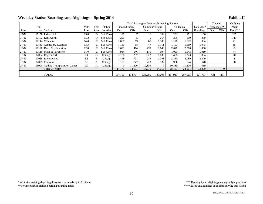|        |                                     |      |      |                       |                       |         | Total Passengers Entering & Leaving Stations |             |            |             |                  | Transfer     |                | Outlying |
|--------|-------------------------------------|------|------|-----------------------|-----------------------|---------|----------------------------------------------|-------------|------------|-------------|------------------|--------------|----------------|----------|
|        | Sta-                                | Mile | Fare | Station               | <b>Inbound Trains</b> |         | <b>Outbound Trains</b>                       |             | All Trains |             | Total AM*        | Passengers** |                | Metra    |
| Line   | Station<br>code                     | Post |      | Zone Location         | Ons                   | Offs    | Ons                                          | <b>Offs</b> | Ons        | <b>Offs</b> | <b>Boardings</b> | Ons.         | Offs           | Rank***  |
| $UP-N$ | 17158 Indian Hill                   | 15.8 | D    | Sub Cook              | 190                   |         |                                              | 164         | 201        | 171         | 160              |              |                | 165      |
| $UP-N$ | 17152 Kenilworth                    | 15.2 | D    | Sub Cook              | 296                   |         |                                              | 264         | 305        | 269         | 269              |              |                | 147      |
| $UP-N$ | 17144 Wilmette                      | 14.4 | C    | Sub Cook              | 1,060                 | 69      | 60                                           | 1,103       | 1,120      | 1,172       | 904              |              |                | 41       |
| $UP-N$ | 17133 Central St., Evanston         | 13.3 | C    | Sub Cook              | 1,150                 | 58      | 47                                           | 1.111       | 1.197      | 1.169       | 1.073            |              |                | 35       |
| $UP-N$ | 17120 Davis St., Evanston           | 12.0 | C    | Sub Cook              | 1,631                 | 414     | 439                                          | 1.646       | 2.070      | 2,060       | 1,056            |              |                |          |
| $UP-N$ | 17110 Main St., Evanston            | 11.0 | C    | Sub Cook              | 914                   | 146     | 179                                          | 997         | 1,093      | 1,143       | 1,010            |              |                | 44       |
| $UP-N$ | 17094 Rogers Park                   | 9.4  | B    | Chicago <sup>1</sup>  | 1,176                 | 237     | 322                                          | 1,036       | 1.498      | 1,273       | 1,304            |              |                | 20       |
| $UP-N$ | 17065 Ravenswood                    | 6.5  | B    | Chicago <sup>11</sup> | 1,448                 | 791     | 915                                          | 1.298       | 2.363      | 2.089       | 2.079            |              |                |          |
| $UP-N$ | 17029 Clybourn                      | 2.9  | A    | Chicago               | 183                   | 742     | 723                                          | 132         | 906        | 874         | 648              |              |                | 58       |
| $UP-N$ | 13000 Ogilvie Transportation Center | 0.0  | A    | Chicago               | $\Omega$              | 11,226  | 10,833                                       | $\Omega$    | 10,833     | 11,226      | 919              |              |                |          |
|        | <b>Total UP North</b>               |      |      |                       | 14,171                | 14,171  | 14,010                                       | 14,010      | 28,181     | 28,181      | 13,350           | $\Omega$     | $\overline{0}$ |          |
|        | <b>TOTAL</b>                        |      |      |                       | 134.707               | 134.707 | 133.206                                      | 133,206     | 267.913    | 267.913     | 127.787          | 431          | 431            |          |

<sup>\*\*</sup> Not included in station boarding/alighting totals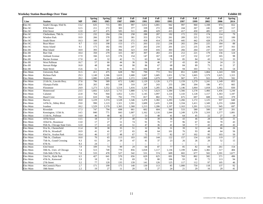|           |                               |           | <b>Spring</b> | <b>Spring</b> | Fall            | Fall         | Fall          | Fall  | Fall  | Fall  | Fall            | Fall         | Fall  | <b>Spring</b>   |
|-----------|-------------------------------|-----------|---------------|---------------|-----------------|--------------|---------------|-------|-------|-------|-----------------|--------------|-------|-----------------|
| Line      | <b>Station</b>                | <b>MP</b> | 1983          | 1985          | 1987            | 1989         | 1991          | 1993  | 1995  | 1997  | 1999            | 2002         | 2006  | 2014            |
| Elec-SC   | South Chicago, 93rd St.       | 13.2      | 635           | 715           | 881             | 997          | 1,012         | 1,001 | 942   | 997   | 960             | 1,108        | 974   | 652             |
| Elec-SC   | 87th Street                   | 12.5      | 211           | 272           | 303             | 377          | 339           | 272   | 260   | 244   | 267             | 245          | 189   | 117             |
| Elec-SC   | 83rd Street                   | 12.0      | 417           | 475           | 505             | 511          | 486           | 429   | 415   | 417   | 450             | 405          | 217   | 113             |
| Elec-SC   | Cheltenham, 79th St.          | 11.5      | 232           | 284           | 236             | 258          | 288           | 207   | 192   | 172   | 232             | 174          | 114   | 79              |
| Elec-SC   | <b>Windsor Park</b>           | 10.9      | 266           | 378           | 293             | 381          | 353           | 274   | 261   | 289   | 325             | 313          | 192   | 100             |
| Elec-SC   | South Shore                   | 10.3      | 349           | 387           | 338             | 372          | 458           | 414   | 395   | 445   | 442             | 428          | 278   | 179             |
| Elec-SC   | Bryn Mawr                     | 9.7       | 153           | 190           | 153             | 171          | 203           | 232   | 236   | 265   | 294             | 225          | 184   | 88              |
| Elec-SC   | Stony Island                  | 9.1       | 175           | 182           | 192             | 247          | 263           | 210   | 201   | 221   | 235             | 236          | 197   | 161             |
| Elec-BI   | <b>Blue Island</b>            | 18.9      | 393           | 336           | 366             | 323          | 359           | 416   | 303   | 266   | 264             | 237          | 324   | 169             |
| Elec-BI   | <b>Burr Oak</b>               | 18.4      | 350           | 279           | 325             | 367          | 307           | 283   | 251   | 212   | 221             | 179          | 156   | 124             |
| Elec-BI   | <b>Ashland Avenue</b>         | 17.9      | 166           | 123           | 176             | 154          | 147           | 167   | 138   | 137   | 132             | 137          | 165   | 98              |
| Elec-BI   | Racine Avenue                 | 17.0      | 41            | 32            | 42              | 71           | 63            | 64    | 76    | 85    | 84              | 43           | 53    | 33              |
| Elec-BI   | West Pullman                  | 16.7      | 57            | 66            | 44              | 36           | 56            | 46    | 57    | 43    | 69              | 34           | 24    | 21              |
| Elec-BI   | <b>Stewart Ridge</b>          | 16.0      | 48            | 68            | 64              | 90           | 86            | 67    | 68    | 84    | 89              | 75           | 61    | 37              |
| Elec-BI   | <b>State Street</b>           | 15.6      | 51            | 81            | 91              | 81           | 104           | 87    | 86    | 94    | 103             | 72           | 85    | 54              |
| Elec-Main | <b>University Park</b>        | 31.5      | 411           | 475           | 628             | 782          | 790           | 772   | 912   | 851   | 1,009           | 1,004        | 1,243 | 939             |
| Elec-Main | <b>Richton Park</b>           | 29.3      | 1.140         | 1,586         | 1,619           | 1,680        | 1,607         | 1,685 | 1,651 | 1,716 | 1,665           | 1,579        | 1,625 | 1,315           |
| Elec-Main | Matteson                      | 28.2      | 1,080         | 1,295         | 1,492           | 1,372        | 1,068         | 1,079 | 937   | 907   | 975             | 922          | 879   | 592             |
| Elec-Main | 211th St., Lincoln Hwy.       | 27.6      | 796           | 589           | 672             | 1,082        | 1.129         | 1.126 | 1.173 | 1.159 | 1,279           | 1.241        | 1.149 | 855             |
| Elec-Main | Olympia Fields                | 26.6      | 265           | 405           | 338             | 310          | 247           | 243   | 255   | 206   | 204             | 186          | 473   | 665             |
| Elec-Main | Flossmoor                     | 24.9      | 1,273         | 1,552         | 1,514           | 1,416        | 1,328         | 1,285 | 1,286 | 1,146 | 1,064           | 1,018        | 1,002 | 830             |
| Elec-Main | Homewood                      | 23.5      | 1,602         | 1,625         | 1,715           | 1,880        | 1,715         | 1,623 | 1,584 | 1,566 | 1,578           | 1,466        | 1,456 | 1,244           |
| Elec-Main | Calumet                       | 22.8      | 764           | 944           | 1,052           | 1,351        | 1,145         | 1,097 | 1,124 | 1,143 | 1,128           | 1,117        | 1,363 | 1,187           |
| Elec-Main | <b>Hazel Crest</b>            | 22.3      | 610           | 740           | 792             | 779          | 817           | 802   | 772   | 675   | 697             | 608          | 518   | 379             |
| Elec-Main | Harvey                        | 20.0      | 1,229         | 1,574         | 1,528           | 1,546        | 1,470         | 1,382 | 1,293 | 1,266 | 1,172           | 1,125        | 937   | 640             |
| Elec-Main | 147th St., Sibley Blvd.       | 19.0      | 990           | 1,123         | 1,321           | 1,591        | 1,609         | 1,435 | 1,338 | 1,334 | 1,411           | 1,349        | 1,255 | 1,060           |
| Elec-Main | Ivanhoe                       | 18.2      | 1,529         | 1,570         | 1,365           | 1,368        | 1,213         | 1,286 | 1,197 | 1,163 | 1,201           | 1,153        | 945   | 697             |
| Elec-Main | Riverdale                     | 17.3      | 747           | 794           | 698             | 661          | 602           | 604   | 568   | 533   | 580             | 500          | 397   | 201             |
| Elec-Main | Kensington, 115th St.         | 14.5      | 840           | 771           | 843             | 1,007        | 1,162         | 1,116 | 1,044 | 1,249 | 1,378           | 1,310        | 1,577 | 1,081           |
| Elec-Main | 111th St., Pullman            | 14.0      | 46            | 48            | 42              | 57           | 53            | 48    | 41    | 64    | 45              | 22           | 27    | 19              |
| Elec-Main | 107th Street                  | 13.5      | 18            | 32            | 37              | 48           | 54            | 39    | 36    | 43    | 46              | 28           | 34    | 31              |
| Elec-Main | 103rd St., Rosemoor           | 13.0      | 17            | 27            | 51              | 74           | 91            | 76    | 77    | 96    | 67              | 82           | 70    | 43              |
| Elec-Main | 95th St., Chicago State Univ. | 12.0      | 17            | 24            | 43              | 51           | 47            | 36    | 41    | 58    | 77              | 43           | 49    | 43              |
| Elec-Main | 91st St., Chesterfield        | 11.4      | 30            | 38            | $\overline{35}$ | 51           | 32            | 36    | 31    | 39    | $\overline{32}$ | 44           | 66    | $\overline{26}$ |
| Elec-Main | 87th St., Woodruff            | 10.9      | 41            | 41            | 57              | 65           | 48            | 64    | 101   | 76    | 93              | 48           | 64    | 56              |
| Elec-Main | 83rd St., Avalon Park         | 10.4      | 46            | 57            | 48              | 67           | 72            | 77    | 82    | 97    | 102             | 95           | 103   | 50              |
| Elec-Main | 79th St., Chatham             | 10.0      | 70            | 65            | 113             | 103          | 105           | 144   | 122   | 157   | 134             | 120          | 119   | 57              |
| Elec-Main | 75th St., Grand Crossing      | 9.3       | 61            | 24            | 29              | 47           | 41            | 37    | 23    | 26    | 26              | 20           | 52    | 15              |
| Elec-Main | 67th St.                      | 8.3       | 24            | $\ddotsc$     | Ξ.              | $\mathbf{u}$ | $\sim$ $\sim$ | Ξ.    | ω,    | 44    | $-$             | $\mathbf{u}$ |       | $\sim$          |
| Elec-Main | 63rd Street                   | 7.9       | 109           | 74            | 99              | 29           | 64            | 87    | 77    | 85    | 82              | 84           | 261   | 154             |
| Elec-Main | 59th St., Univ. of Chicago    | 7.4       | 513           | 749           | 770             | 856          | 1,018         | 1,117 | 1,136 | 1,199 | 1,484           | 1,382        | 517   | 484             |
| Elec-Main | 55th-56th-57th St.            | 7.0       | 533           | 478           | 527             | 542          | 531           | 574   | 609   | 602   | 677             | 502          | 1,591 | 1,677           |
| Elec-Main | 53rd St., Hyde Park           | 6.5       | 427           | 641           | 570             | 656          | 629           | 625   | 691   | 769   | 802             | 582          | 571   | 496             |
| Elec-Main | 47th St., Kenwood             | 5.9       | 18            | 31            | 35              | 69           | 55            | 80    | 106   | 93    | 81              | 72           | 113   | 94              |
| Elec-Main | 27th Street                   | 3.2       | 77            | 120           | 135             | 139          | 141           | 126   | 125   | 117   | 112             | 97           | 105   | 46              |
| Elec-Main | McCormick Place               | 2.7       | 171           | 199           | 175             | 140          | 139           | 113   | 85    | 1,000 | 750             | 118          | 137   | 92              |
| Elec-Main | 18th Street                   | 2.2       | 19            | 27            | 11              | 20           | 12            | 27    | 24    | 21    | 29              | 16           | 29    | 41              |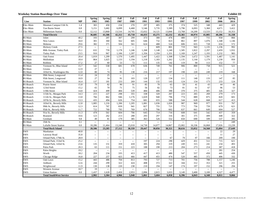|            |                                        |              | <b>Spring</b>                            | Spring                         | Fall                                       | Fall                                                  | Fall                            | Fall           | Fall                                          | Fall                 | Fall           | Fall                             | Fall          | <b>Spring</b>             |
|------------|----------------------------------------|--------------|------------------------------------------|--------------------------------|--------------------------------------------|-------------------------------------------------------|---------------------------------|----------------|-----------------------------------------------|----------------------|----------------|----------------------------------|---------------|---------------------------|
| Line       | <b>Station</b>                         | <b>MP</b>    | 1983                                     | 1985                           | 1987                                       | 1989                                                  | 1991                            | 1993           | 1995                                          | 1997                 | 1999           | 2002                             | 2006          | 2014                      |
| Elec-Main  | Museum Campus/11th St.                 | 1.4          | 365                                      | 450                            | 234                                        | 270                                                   | 297                             | 405            | 375                                           | 374                  | 525            | 348                              | 443           | 429                       |
| Elec-Main  | Van Buren Street                       | 0.8          | 5,151                                    | 5,682                          | 6.099                                      | 6,468                                                 | 5,546                           | 5,735          | 5,589                                         | 5,796                | 6,093          | 5,360                            | 4,671         | 3,422                     |
| Elec-Main  | <b>Millennium Station</b>              | 0.0          | 12,112                                   | 13,868                         | 13,516                                     | 14,705                                                | 15,032                          | 14,121         | 13,846                                        | 13,768               | 14,209         | 13,533                           | 13,152        | 10,353                    |
|            | <b>Total Electric</b>                  |              | 36,685                                   | 41,586                         | 42.212                                     | 45,718                                                | 44,433                          | 43,271         | 42,232                                        | 43,365               | 44.974         | 41,085                           | 40,206        | 31,338                    |
| RI-Main    | Joliet                                 | 40.2         | 193                                      | 207                            | 307                                        | 299                                                   | 373                             | 380            | 476                                           | 480                  | 577            | 715                              | 958           | 866                       |
| RI-Main    | New Lenox                              | 34.0         | 301                                      | 360                            | 562                                        | 605                                                   | 646                             | 732            | 823                                           | 861                  | 897            | 1,076                            | 1,348         | 1,146                     |
| RI-Main    | Mokena                                 | 29.6         | 382                                      | 371                            | 504                                        | 561                                                   | 624                             | 488            | 524                                           | 606                  | 655            | 728                              | 634           | 572                       |
| RI-Main    | <b>Hickory Creek</b>                   | 27.5         | ω,                                       | $\mathbb{Z}^2$                 | ω.                                         | ω,                                                    | $\mathbb{Z}^2$                  | 609            | 801                                           | 719                  | 943            | 1,135                            | 1,236         | 992                       |
| RI-Main    | 80th Avenue, Tinley Park               | 25.1         | 632                                      | 759                            | 1,178                                      | 1,246                                                 | 1,268                           | 1,148          | 1,240                                         | 1,585                | 1,822          | 2,297                            | 2,459         | 1,932                     |
| RI-Main    | <b>Tinley Park</b>                     | 23.5         | 910                                      | 967                            | 1,106                                      | 1,397                                                 | 1,356                           | 1,350          | 1,331                                         | 1,169                | 1,247          | 1,193                            | 1,232         | 983                       |
| RI-Main    | <b>Oak Forest</b>                      | 20.4         | 1.019                                    | 1.299                          | 1.570                                      | 1,495                                                 | 1,447                           | 1.422          | 1,508                                         | 1.594                | 1,672          | 1,591                            | 1,487         | 1.141                     |
| RI-Main    | Midlothian                             | 18.4         | 864                                      | 1,025                          | 1,133                                      | 1,194                                                 | 1,218                           | 1,183          | 1,262                                         | 1,135                | 1,144          | 1,179                            | 1,230         | 950                       |
| RI-Main    | Robbins                                | 17.2         | 27                                       | 60                             | 53                                         | 72                                                    | 111                             | 135            | 142                                           | 119                  | 94             | 113                              | 152           | 77                        |
| RI-Main    | Vermont St., Blue Island               | 15.7         | 542                                      | 558                            | 681                                        | 678                                                   | 636                             | 749            | 761                                           | 906                  | 800            | 758                              | 915           | 521                       |
| RI-Main    | Givens                                 | 12.9         | 27                                       | $\overline{\phantom{a}}$       | Щ,                                         | $\overline{\phantom{a}}$                              | $\sim$ $\sim$                   | Ξ.             | $\omega_{\rm m}$                              | $\sim$               | Ξ.             | $\overline{\phantom{a}}$         | $\sim$        | $\mathbb{Z}^2$            |
| RI-Main    | 103rd St., Washington Hts              | 12.0         | $80\,$                                   | 74                             | 95                                         | 138                                                   | 216                             | 217            | 197                                           | 198                  | 220            | 249                              | 219           | 168                       |
| RI-Main    | 99th Street, Longwood                  | 11.4         | $\overline{24}$                          | 25                             | LL.                                        | L.                                                    | $\mathbb{Z}^2$                  | u.             | $\mathbb{Z}^2$                                | $\mathbb{Z}^2$       | L.             | u.                               | $\sim$ $\sim$ | $\mathbb{Z}^{\mathbb{Z}}$ |
| RI-Main    | 95th Street, Longwood                  | 10.9         | 27                                       | 54                             | 91                                         | 103                                                   | 120                             | 127            | 134                                           | 111                  | 140            | 133                              | 147           | 85                        |
| RI-Branch  | Vermont St., Blue Island               | 16.4         | 137                                      | 181                            | 233                                        | 269                                                   | 144                             | 132            | 143                                           | 124                  | 154            | 173                              | 233           | 124                       |
| RI-Branch  | Prairie Street                         | 15.8         | 79                                       | 82                             | 90                                         | 91                                                    | 85                              | 70             | 65                                            | 59                   | 41             | 43                               | 44            | 46                        |
| RI-Branch  | 123rd Street                           | 15.2         | 65                                       | 70                             | 71                                         | 75                                                    | 56                              | 82             | 73                                            | 81                   | 61             | 67                               | 96            | 53                        |
| RI-Branch  | 119th Street                           | 14.8         | 424                                      | 499                            | 484                                        | 539                                                   | 484                             | 406            | 390                                           | 370                  | 375            | 405                              | 326           | 327                       |
| RI-Branch  | 115th St., Morgan Park                 | 14.3         | 215                                      | 227                            | 298                                        | 355                                                   | 338                             | 320            | 267                                           | 223                  | 265            | 269                              | 279           | 173                       |
| RI-Branch  | 111th St., Morgan Park                 | 13.8         | 766                                      | 862                            | 946                                        | 1,176                                                 | 1,029                           | 940            | 796                                           | 774                  | 889            | 875                              | 820           | 601                       |
| RI-Branch  | 107th St., Beverly Hills               | 13.3         | 435                                      | 494                            | 626                                        | 754                                                   | 681                             | 655            | 588                                           | 544                  | 628            | 668                              | 617           | 413                       |
| RI-Branch  | 103rd St., Beverly Hills               | 12.8         | 1,085                                    | 1,216                          | 1,206                                      | 1,205                                                 | 1,081                           | 1,036          | 1.026                                         | 987                  | 969            | 977                              | 931           | 767                       |
| RI-Branch  | 99th St., Beverly Hills                | 12.3         | 614                                      | 767                            | 839                                        | 941                                                   | 827                             | 755            | 721                                           | 773                  | 756            | 759                              | 679           | 621                       |
| RI-Branch  | 95th St., Beverly Hills                | 11.7         | 722                                      | 760                            | 795                                        | 769                                                   | 676                             | 706            | 602                                           | 637                  | 661            | 649                              | 604           | 527                       |
| RI-Branch  | 91st St., Beverly Hills                | 11.3         | 478                                      | 561                            | 604                                        | 706                                                   | 645                             | 714            | 716                                           | 608                  | 641            | 542                              | 437           | 359                       |
| RI-Branch  | <b>Brainerd</b>                        | 10.6         | 123                                      | 262                            | 213                                        | 288                                                   | 293                             | 297            | 316                                           | 301                  | 375            | 499                              | 448           | 322                       |
| RI-Main    | Gresham                                | 9.8          | 49                                       | 81                             | 179                                        | 385                                                   | 363                             | 526            | 552                                           | 650                  | 690            | 599                              | 537           | 395                       |
| RI-Main    | 35th St.                               | 3.1          | $\sim$                                   | $\sim$                         | $\overline{a}$                             | $\bar{\phantom{a}}$                                   | $\sim$ $\sim$                   | ω.             | $\omega_{\rm m}$                              | $\sim$               | $\overline{a}$ | $\bar{\omega}$                   | $\ddotsc$     | 249                       |
| RI-Main    | LaSalle Street Station                 | 0.0          | 10,286                                   | 11,464                         | 13,248                                     | 15,018                                                | 14,730                          | 14,877         | 14,867                                        | 15,002               | 16,336         | 16,868                           | 17,026        | 13,239                    |
|            | <b>Total Rock Island</b>               |              | 20,506                                   | 23,285                         | 27,112                                     | 30,359                                                | 29,447                          | 30,056         | 30,321                                        | 30,616<br>$\sim$     | 33,052         | 34,560                           | 35,094<br>22  | 27,649<br>29              |
| SWS<br>SWS | Manhattan                              | 40.8<br>35.8 | $\overline{\phantom{a}}$                 | $\sim$ $\sim$                  | $\overline{\phantom{a}}$                   | $\overline{\phantom{a}}$                              | $\sim$ $\sim$                   | $\overline{a}$ | $\mathord{\hspace{1pt}\text{--}\hspace{1pt}}$ |                      | $\overline{a}$ | $\sim$                           | 11            |                           |
| <b>SWS</b> | Laraway Road<br>Orland Park, 179th St. | 28.9         | $\overline{\phantom{a}}$<br>$\mathbf{u}$ | $\sim$ $\sim$<br>$\sim$ $\sim$ | Ξ.                                         | $\overline{\phantom{a}}$<br>$\mathbb{L}^{\mathbb{L}}$ | $\overline{a}$<br>$\sim$ $\sim$ | ÷.<br>÷.       | $\overline{\phantom{a}}$<br>67                | $\overline{a}$<br>79 | ÷.<br>97       | $\mathbb{L}^{\mathbb{L}}$<br>166 | 209           | 27<br>190                 |
| <b>SWS</b> | Orland Park, 153rd St.                 | 25.2         | ω,                                       | $\sim$                         | $\overline{\phantom{a}}$<br>$\overline{a}$ | $\bar{\phantom{a}}$                                   | 197                             | 224            | 290                                           | 429                  | 451            | 512                              | 715           | 621                       |
| SWS        | Orland Park, 143rd St.                 | 23.6         | 135                                      | 151                            | 359                                        | 418                                                   | 305                             | 294            | 319                                           | 249                  | 315            | 241                              | 234           | 493                       |
| <b>SWS</b> | Palos Park                             | 20.3         | 63                                       | 111                            | 151                                        | 223                                                   | 188                             | 190            | 213                                           | 204                  | 273            | 214                              | 387           | 418                       |
| <b>SWS</b> | Palos Heights                          | 19.2         |                                          | $\omega_{\rm m}$               | $\mathbb{L}^2$                             | ц.                                                    | $\omega_{\rm m}$                | L.             | $\mathbb{Z}^2$                                | $\mathbb{Z}^2$       | μ.             | $\Box$                           | 281           | 254                       |
| SWS        | Worth                                  | 18.2         | 204                                      | 234                            | 335                                        | 413                                                   | 417                             | 413            | 480                                           | 547                  | 557            | 450                              | 445           | 430                       |
| <b>SWS</b> | Chicago Ridge                          | 16.8         | 227                                      | 257                            | 425                                        | 466                                                   | 447                             | 455            | 474                                           | 520                  | 485            | 372                              | 406           | 332                       |
| SWS        | Oak Lawn                               | 15.2         | 443                                      | 486                            | 704                                        | 813                                                   | 793                             | 727            | 713                                           | 701                  | 756            | 788                              | 1,157         | 1,246                     |
| sws        | Ashburn                                | 12.6         | 244                                      | 299                            | 322                                        | 424                                                   | 408                             | 372            | 322                                           | 344                  | 312            | 353                              | 321           | 255                       |
| <b>SWS</b> | Wrightwood                             | 11.9         | 130                                      | 138                            | 220                                        | 238                                                   | 210                             | 194            | 147                                           | 174                  | 197            | 152                              | 296           | 294                       |
| <b>SWS</b> | Western Avenue                         | 10.7         | 19                                       |                                | <u></u>                                    | $\sim$                                                |                                 | LL.            | $\sim$                                        |                      | $\mathbb{L}$   | $\mathbb{Z}^2$                   |               | $\mathbb{Z}^2$            |
| SWS        | <b>Union Station</b>                   | 0.0          | 1,437                                    | 1,628                          | 2,450                                      | 2,953                                                 | 2,896                           | 2,815          | 3,033                                         | 3,149                | 3,400          | 3,100                            | 4,327         | 4,477                     |
|            | <b>Total SouthWest Service</b>         |              | 2,902                                    | 3,304                          | 4,966                                      | 5,948                                                 | 5,861                           | 5,684          | 6,058                                         | 6,396                | 6,843          | 6,348                            | 8,811         | 9,066                     |
|            |                                        |              |                                          |                                |                                            |                                                       |                                 |                |                                               |                      |                |                                  |               |                           |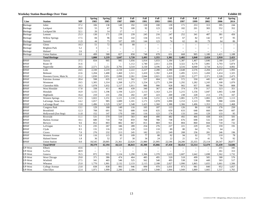| 37.2<br>138<br>149<br>192<br>139<br>171<br>313<br>395<br>Joliet<br>106<br>130<br>100<br>253<br>Heritage<br>32.9<br>55<br>67<br>79<br>92<br>303<br>552<br>Lockport<br>100<br>123<br>128<br>182<br>201<br>Heritage<br>32.1<br>17<br>Lockport/5th<br>26<br>14<br>Heritage<br>L.<br>$\mathbb{Z}^{\mathbb{Z}}$<br>$\sim$<br>$\sim$<br>$\sim$<br>$\overline{\phantom{a}}$<br>239<br>247<br>252<br>341<br>25.3<br>130<br>171<br>239<br>245<br>216<br>407<br>381<br>Lemont<br>Heritage<br>67<br>82<br>97<br>Heritage<br><b>Willow Springs</b><br>17.5<br>84<br>96<br>136<br>142<br>134<br>115<br>82<br>142<br>73<br>44<br>107<br>109<br>123<br>74<br>62<br>79<br>11.9<br>144<br>66<br>64<br>Heritage<br>Summit<br>72<br>51<br>93<br>Glenn<br>10.3<br>80<br>Heritage<br>Ξ.<br>$\mathbf{u}$<br>$\overline{\phantom{a}}$<br>$\mathbf{u}$<br>$\sim$<br>$\sim$<br>$\equiv$<br><b>Brighton Park</b><br>5.2<br>3<br>Heritage<br>$\overline{a}$<br>Ξ.<br>$\overline{a}$<br>$\sim$ $\sim$<br>$\sim$ $\sim$<br>$\sim$<br>$\sim$<br>$\overline{a}$<br>$\overline{a}$<br>$\overline{a}$<br>2.6<br>$\overline{2}$<br>Heritage<br>Halsted<br>$\overline{a}$<br>$\sim$ $\sim$<br>$\sim$<br>Ξ.<br>$\sim$<br>$\sim$<br>$\sim$<br>$\sim$<br>$\sim$<br>$\sim$<br>0.0<br>499<br>588<br>827<br>678<br>905<br><b>Union Station</b><br>858<br>748<br>631<br>668<br>1,180<br>1,421<br>Heritage<br>1,720<br>1,355<br><b>Total Heritage</b><br>1,000<br>1,219<br>1,647<br>1,493<br>1,301<br>1,402<br>1,848<br>2,424<br>2,910<br><b>BNSF</b><br>37.5<br>834<br>905<br>985<br>1,056<br>1,014<br>1,033<br>1,184<br>1,387<br>1,467<br>1,646<br>2,180<br>Aurora<br><b>BNSF</b><br>2,556<br>3,322<br>4,178<br>Route 59<br>31.6<br>1,112<br>1,740<br>2,011<br>5,001<br>5,793<br>$\overline{\phantom{a}}$<br>$\sim$ $\sim$<br>$\ddotsc$<br><b>BNSF</b><br>28.5<br>3,791<br>3,271<br>3,734<br>Naperville<br>2,571<br>3,251<br>3,510<br>3,150<br>3,196<br>3,516<br>4,040<br>4,112<br><b>BNSF</b><br>Lisle<br>24.5<br>2,330<br>2,219<br>2,150<br>2,222<br>2,227<br>2,390<br>2,648<br>2,576<br>2,204<br>2,472<br>2,280<br><b>BNSF</b><br>22.6<br>1,204<br>1,400<br>1,460<br>1,511<br>1,410<br>1,392<br>1,418<br>1,495<br>1,515<br>1,450<br>1,414<br>Belmont<br><b>BNSF</b><br>1,830<br>2,090<br>2,023<br>2,328<br>Downers Grove, Main St.<br>21.2<br>2,051<br>2,261<br>2,044<br>2,021<br>2,205<br>2,277<br>2,371<br>562<br><b>BNSF</b><br>20.4<br>598<br>635<br>612<br>537<br>604<br>553<br>572<br>550<br>445<br>403<br>Fairview Avenue<br><b>BNSF</b><br>Westmont<br>19.5<br>1,305<br>1,314<br>1,268<br>1,273<br>1,254<br>1,275<br>1,290<br>1,292<br>1,282<br>1,243<br>1,168<br><b>BNSF</b><br>990<br>928<br>902<br>957<br>885<br>18.3<br>1,078<br>1,032<br>1,117<br>1,011<br>986<br>799<br>Clarendon Hills<br><b>BNSF</b><br>West Hinsdale<br>338<br>411<br>439<br>367<br>409<br>374<br>378<br>317<br>323<br>17.8<br>468<br>340<br><b>BNSF</b><br>Hinsdale<br>16.9<br>1,155<br>1,194<br>1,223<br>1,113<br>1,231<br>1,215<br>1,156<br>1,047<br>1,065<br>1,196<br>1,163<br><b>BNSF</b><br>210<br>202<br>207<br>269<br>238<br>228<br>213<br>Highlands<br>231<br>256<br>223<br>176<br>16.4<br><b>BNSF</b><br>15.5<br>1.022<br>1,151<br>1.121<br>1,138<br>1,081<br>1.179<br><b>Western Springs</b><br>1,118<br>1,166<br>1.151<br>1,065<br>1.093<br><b>BNSF</b><br>985<br>1,089<br>999<br>988<br>LaGrange, Stone Ave.<br>14.2<br>1.017<br>1,101<br>1.171<br>1.078<br>1.090<br>1.153<br>1,123<br><b>BNSF</b><br>1,496<br>1.529<br>1,388<br>1,496<br>LaGrange Road<br>13.8<br>1,567<br>1,548<br>1,423<br>1,360<br>1,366<br>1,353<br>1,352<br><b>BNSF</b><br>13.1<br>129<br>168<br>149<br>116<br>105<br>107<br>113<br>126<br>86<br>118<br><b>Congress Park</b><br>176<br><b>BNSF</b><br>708<br>Brookfield<br>12.3<br>691<br>705<br>688<br>618<br>635<br>659<br>633<br>648<br>660<br>604<br><b>BNSF</b><br>11.8<br>152<br>147<br>170<br>160<br>116<br>123<br>174<br>133<br>144<br>129<br>133<br>Hollywood (Zoo Stop)<br><b>BNSF</b><br>531<br>570<br>510<br>583<br>490<br>482<br>492<br>466<br>438<br>416<br>Riverside<br>11.1<br>468<br><b>BNSF</b><br>680<br>532<br>10.1<br>718<br>758<br>859<br>768<br>788<br>738<br>676<br>698<br>530<br>Harlem Avenue<br><b>BNSF</b><br>882<br>9.6<br>852<br>803<br>867<br>811<br>869<br>921<br>804<br>860<br>844<br>718<br>Berwyn<br><b>BNSF</b><br>235<br>267<br>346<br>289<br>254<br>276<br>227<br>221<br>229<br>201<br>159<br>LaVergne<br>9.1<br><b>BNSF</b><br>8.5<br>131<br>129<br>128<br>89<br>80<br>64<br>71<br>Clyde<br>116<br>113<br>110<br>64<br>7.0<br>276<br><b>BNSF</b><br>Cicero<br>232<br>213<br>245<br>182<br>225<br>249<br>208<br>256<br>281<br>246<br>95<br>92<br><b>BNSF</b><br>3.8<br>116<br>115<br>109<br>77<br>80<br>92<br>94<br>77<br>110<br><b>Western Avenue</b><br><b>BNSF</b><br>37<br>22<br>70<br>1.8<br>36<br>52<br>30<br>34<br>24<br>21<br>14<br>41<br><b>Halsted Street</b><br><b>BNSF</b><br>0.0<br><b>Union Station</b><br>20,005<br>21,361<br>22,620<br>21,980<br>21,995<br>24,200<br>25,355<br>26,547<br>18,545<br>22,546<br>25,114<br><b>Total BNSF</b><br>39,379<br>42.194<br>44.523<br>46,843<br>47.450<br>50,454<br>53,314<br>52,479<br>55,439<br>45,308<br>45,866<br>UP-West<br>Elburn<br>43.6<br>255<br>Ξ.<br>$\overline{\phantom{a}}$<br>$\sim$<br>$\sim$ $\sim$<br>$\sim$ $\sim$<br>$\sim$ $\sim$<br>$\sim$<br>$\sim$<br>$\sim$ $\sim$<br>$\sim$<br>UP-West<br>40.9<br>261<br>La Fox<br>$\overline{\phantom{a}}$<br>$\sim$<br>Ξ.<br>$\mathbb{L} \mathbb{L}$<br>÷.<br>$\mathbb{L} \mathbb{L}$<br>$\overline{\phantom{a}}$<br>$\sim$<br>$\sim$<br>$\sim$<br>UP-West<br>35.5<br>872<br>955<br>1,124<br>1,290<br>1,370<br>1,607<br>1,642<br>1,698<br>1,562<br>Geneva<br>1,366<br>1,623<br>371<br>474<br>495<br>499<br>585<br>UP-West<br>West Chicago<br>29.8<br>386<br>464<br>485<br>520<br>518<br>588 |         |                |           | <b>Spring</b> | <b>Spring</b> | Fall | Fall | Fall | Fall | Fall<br>1995 | Fall | Fall<br>1999 | Fall | Fall | <b>Spring</b>            |
|-------------------------------------------------------------------------------------------------------------------------------------------------------------------------------------------------------------------------------------------------------------------------------------------------------------------------------------------------------------------------------------------------------------------------------------------------------------------------------------------------------------------------------------------------------------------------------------------------------------------------------------------------------------------------------------------------------------------------------------------------------------------------------------------------------------------------------------------------------------------------------------------------------------------------------------------------------------------------------------------------------------------------------------------------------------------------------------------------------------------------------------------------------------------------------------------------------------------------------------------------------------------------------------------------------------------------------------------------------------------------------------------------------------------------------------------------------------------------------------------------------------------------------------------------------------------------------------------------------------------------------------------------------------------------------------------------------------------------------------------------------------------------------------------------------------------------------------------------------------------------------------------------------------------------------------------------------------------------------------------------------------------------------------------------------------------------------------------------------------------------------------------------------------------------------------------------------------------------------------------------------------------------------------------------------------------------------------------------------------------------------------------------------------------------------------------------------------------------------------------------------------------------------------------------------------------------------------------------------------------------------------------------------------------------------------------------------------------------------------------------------------------------------------------------------------------------------------------------------------------------------------------------------------------------------------------------------------------------------------------------------------------------------------------------------------------------------------------------------------------------------------------------------------------------------------------------------------------------------------------------------------------------------------------------------------------------------------------------------------------------------------------------------------------------------------------------------------------------------------------------------------------------------------------------------------------------------------------------------------------------------------------------------------------------------------------------------------------------------------------------------------------------------------------------------------------------------------------------------------------------------------------------------------------------------------------------------------------------------------------------------------------------------------------------------------------------------------------------------------------------------------------------------------------------------------------------------------------------------------------------------------------------------------------------------------------------------------------------------------------------------------------------------------------------------------------------------------------------------------------------------------------------------------------------------------------------------------------------------------------------------------------------------------------------------------------------------------------------------------------------------------------------------------------------------------------------------------------------------------------------------------------------------------------------------------------------------------------------------------------------------------------------------------------------------------------------------------------------------------------------------------------------------------------------------------------------------------------------------------------------------------------------------------------------------------------------------------------------------------------------------------------------------------------------------------------------------------------------------------------------------------------------------------------------------------------------------------------------------------------------------------------------------------------------------------------------------------------------------------------------------------------------------------------------------------------------------|---------|----------------|-----------|---------------|---------------|------|------|------|------|--------------|------|--------------|------|------|--------------------------|
|                                                                                                                                                                                                                                                                                                                                                                                                                                                                                                                                                                                                                                                                                                                                                                                                                                                                                                                                                                                                                                                                                                                                                                                                                                                                                                                                                                                                                                                                                                                                                                                                                                                                                                                                                                                                                                                                                                                                                                                                                                                                                                                                                                                                                                                                                                                                                                                                                                                                                                                                                                                                                                                                                                                                                                                                                                                                                                                                                                                                                                                                                                                                                                                                                                                                                                                                                                                                                                                                                                                                                                                                                                                                                                                                                                                                                                                                                                                                                                                                                                                                                                                                                                                                                                                                                                                                                                                                                                                                                                                                                                                                                                                                                                                                                                                                                                                                                                                                                                                                                                                                                                                                                                                                                                                                                                                                                                                                                                                                                                                                                                                                                                                                                                                                                                                                                               | Line    | <b>Station</b> | <b>MP</b> | 1983          | 1985          | 1987 | 1989 | 1991 | 1993 |              | 1997 |              | 2002 | 2006 | 2014                     |
|                                                                                                                                                                                                                                                                                                                                                                                                                                                                                                                                                                                                                                                                                                                                                                                                                                                                                                                                                                                                                                                                                                                                                                                                                                                                                                                                                                                                                                                                                                                                                                                                                                                                                                                                                                                                                                                                                                                                                                                                                                                                                                                                                                                                                                                                                                                                                                                                                                                                                                                                                                                                                                                                                                                                                                                                                                                                                                                                                                                                                                                                                                                                                                                                                                                                                                                                                                                                                                                                                                                                                                                                                                                                                                                                                                                                                                                                                                                                                                                                                                                                                                                                                                                                                                                                                                                                                                                                                                                                                                                                                                                                                                                                                                                                                                                                                                                                                                                                                                                                                                                                                                                                                                                                                                                                                                                                                                                                                                                                                                                                                                                                                                                                                                                                                                                                                               |         |                |           |               |               |      |      |      |      |              |      |              |      |      | 244                      |
|                                                                                                                                                                                                                                                                                                                                                                                                                                                                                                                                                                                                                                                                                                                                                                                                                                                                                                                                                                                                                                                                                                                                                                                                                                                                                                                                                                                                                                                                                                                                                                                                                                                                                                                                                                                                                                                                                                                                                                                                                                                                                                                                                                                                                                                                                                                                                                                                                                                                                                                                                                                                                                                                                                                                                                                                                                                                                                                                                                                                                                                                                                                                                                                                                                                                                                                                                                                                                                                                                                                                                                                                                                                                                                                                                                                                                                                                                                                                                                                                                                                                                                                                                                                                                                                                                                                                                                                                                                                                                                                                                                                                                                                                                                                                                                                                                                                                                                                                                                                                                                                                                                                                                                                                                                                                                                                                                                                                                                                                                                                                                                                                                                                                                                                                                                                                                               |         |                |           |               |               |      |      |      |      |              |      |              |      |      | 352                      |
|                                                                                                                                                                                                                                                                                                                                                                                                                                                                                                                                                                                                                                                                                                                                                                                                                                                                                                                                                                                                                                                                                                                                                                                                                                                                                                                                                                                                                                                                                                                                                                                                                                                                                                                                                                                                                                                                                                                                                                                                                                                                                                                                                                                                                                                                                                                                                                                                                                                                                                                                                                                                                                                                                                                                                                                                                                                                                                                                                                                                                                                                                                                                                                                                                                                                                                                                                                                                                                                                                                                                                                                                                                                                                                                                                                                                                                                                                                                                                                                                                                                                                                                                                                                                                                                                                                                                                                                                                                                                                                                                                                                                                                                                                                                                                                                                                                                                                                                                                                                                                                                                                                                                                                                                                                                                                                                                                                                                                                                                                                                                                                                                                                                                                                                                                                                                                               |         |                |           |               |               |      |      |      |      |              |      |              |      |      | $\sim$                   |
|                                                                                                                                                                                                                                                                                                                                                                                                                                                                                                                                                                                                                                                                                                                                                                                                                                                                                                                                                                                                                                                                                                                                                                                                                                                                                                                                                                                                                                                                                                                                                                                                                                                                                                                                                                                                                                                                                                                                                                                                                                                                                                                                                                                                                                                                                                                                                                                                                                                                                                                                                                                                                                                                                                                                                                                                                                                                                                                                                                                                                                                                                                                                                                                                                                                                                                                                                                                                                                                                                                                                                                                                                                                                                                                                                                                                                                                                                                                                                                                                                                                                                                                                                                                                                                                                                                                                                                                                                                                                                                                                                                                                                                                                                                                                                                                                                                                                                                                                                                                                                                                                                                                                                                                                                                                                                                                                                                                                                                                                                                                                                                                                                                                                                                                                                                                                                               |         |                |           |               |               |      |      |      |      |              |      |              |      |      | 456                      |
|                                                                                                                                                                                                                                                                                                                                                                                                                                                                                                                                                                                                                                                                                                                                                                                                                                                                                                                                                                                                                                                                                                                                                                                                                                                                                                                                                                                                                                                                                                                                                                                                                                                                                                                                                                                                                                                                                                                                                                                                                                                                                                                                                                                                                                                                                                                                                                                                                                                                                                                                                                                                                                                                                                                                                                                                                                                                                                                                                                                                                                                                                                                                                                                                                                                                                                                                                                                                                                                                                                                                                                                                                                                                                                                                                                                                                                                                                                                                                                                                                                                                                                                                                                                                                                                                                                                                                                                                                                                                                                                                                                                                                                                                                                                                                                                                                                                                                                                                                                                                                                                                                                                                                                                                                                                                                                                                                                                                                                                                                                                                                                                                                                                                                                                                                                                                                               |         |                |           |               |               |      |      |      |      |              |      |              |      |      | 95                       |
|                                                                                                                                                                                                                                                                                                                                                                                                                                                                                                                                                                                                                                                                                                                                                                                                                                                                                                                                                                                                                                                                                                                                                                                                                                                                                                                                                                                                                                                                                                                                                                                                                                                                                                                                                                                                                                                                                                                                                                                                                                                                                                                                                                                                                                                                                                                                                                                                                                                                                                                                                                                                                                                                                                                                                                                                                                                                                                                                                                                                                                                                                                                                                                                                                                                                                                                                                                                                                                                                                                                                                                                                                                                                                                                                                                                                                                                                                                                                                                                                                                                                                                                                                                                                                                                                                                                                                                                                                                                                                                                                                                                                                                                                                                                                                                                                                                                                                                                                                                                                                                                                                                                                                                                                                                                                                                                                                                                                                                                                                                                                                                                                                                                                                                                                                                                                                               |         |                |           |               |               |      |      |      |      |              |      |              |      |      | 86                       |
|                                                                                                                                                                                                                                                                                                                                                                                                                                                                                                                                                                                                                                                                                                                                                                                                                                                                                                                                                                                                                                                                                                                                                                                                                                                                                                                                                                                                                                                                                                                                                                                                                                                                                                                                                                                                                                                                                                                                                                                                                                                                                                                                                                                                                                                                                                                                                                                                                                                                                                                                                                                                                                                                                                                                                                                                                                                                                                                                                                                                                                                                                                                                                                                                                                                                                                                                                                                                                                                                                                                                                                                                                                                                                                                                                                                                                                                                                                                                                                                                                                                                                                                                                                                                                                                                                                                                                                                                                                                                                                                                                                                                                                                                                                                                                                                                                                                                                                                                                                                                                                                                                                                                                                                                                                                                                                                                                                                                                                                                                                                                                                                                                                                                                                                                                                                                                               |         |                |           |               |               |      |      |      |      |              |      |              |      |      | $\sim$                   |
|                                                                                                                                                                                                                                                                                                                                                                                                                                                                                                                                                                                                                                                                                                                                                                                                                                                                                                                                                                                                                                                                                                                                                                                                                                                                                                                                                                                                                                                                                                                                                                                                                                                                                                                                                                                                                                                                                                                                                                                                                                                                                                                                                                                                                                                                                                                                                                                                                                                                                                                                                                                                                                                                                                                                                                                                                                                                                                                                                                                                                                                                                                                                                                                                                                                                                                                                                                                                                                                                                                                                                                                                                                                                                                                                                                                                                                                                                                                                                                                                                                                                                                                                                                                                                                                                                                                                                                                                                                                                                                                                                                                                                                                                                                                                                                                                                                                                                                                                                                                                                                                                                                                                                                                                                                                                                                                                                                                                                                                                                                                                                                                                                                                                                                                                                                                                                               |         |                |           |               |               |      |      |      |      |              |      |              |      |      | Ξ.                       |
|                                                                                                                                                                                                                                                                                                                                                                                                                                                                                                                                                                                                                                                                                                                                                                                                                                                                                                                                                                                                                                                                                                                                                                                                                                                                                                                                                                                                                                                                                                                                                                                                                                                                                                                                                                                                                                                                                                                                                                                                                                                                                                                                                                                                                                                                                                                                                                                                                                                                                                                                                                                                                                                                                                                                                                                                                                                                                                                                                                                                                                                                                                                                                                                                                                                                                                                                                                                                                                                                                                                                                                                                                                                                                                                                                                                                                                                                                                                                                                                                                                                                                                                                                                                                                                                                                                                                                                                                                                                                                                                                                                                                                                                                                                                                                                                                                                                                                                                                                                                                                                                                                                                                                                                                                                                                                                                                                                                                                                                                                                                                                                                                                                                                                                                                                                                                                               |         |                |           |               |               |      |      |      |      |              |      |              |      |      | $\sim$                   |
|                                                                                                                                                                                                                                                                                                                                                                                                                                                                                                                                                                                                                                                                                                                                                                                                                                                                                                                                                                                                                                                                                                                                                                                                                                                                                                                                                                                                                                                                                                                                                                                                                                                                                                                                                                                                                                                                                                                                                                                                                                                                                                                                                                                                                                                                                                                                                                                                                                                                                                                                                                                                                                                                                                                                                                                                                                                                                                                                                                                                                                                                                                                                                                                                                                                                                                                                                                                                                                                                                                                                                                                                                                                                                                                                                                                                                                                                                                                                                                                                                                                                                                                                                                                                                                                                                                                                                                                                                                                                                                                                                                                                                                                                                                                                                                                                                                                                                                                                                                                                                                                                                                                                                                                                                                                                                                                                                                                                                                                                                                                                                                                                                                                                                                                                                                                                                               |         |                |           |               |               |      |      |      |      |              |      |              |      |      | 1,188                    |
|                                                                                                                                                                                                                                                                                                                                                                                                                                                                                                                                                                                                                                                                                                                                                                                                                                                                                                                                                                                                                                                                                                                                                                                                                                                                                                                                                                                                                                                                                                                                                                                                                                                                                                                                                                                                                                                                                                                                                                                                                                                                                                                                                                                                                                                                                                                                                                                                                                                                                                                                                                                                                                                                                                                                                                                                                                                                                                                                                                                                                                                                                                                                                                                                                                                                                                                                                                                                                                                                                                                                                                                                                                                                                                                                                                                                                                                                                                                                                                                                                                                                                                                                                                                                                                                                                                                                                                                                                                                                                                                                                                                                                                                                                                                                                                                                                                                                                                                                                                                                                                                                                                                                                                                                                                                                                                                                                                                                                                                                                                                                                                                                                                                                                                                                                                                                                               |         |                |           |               |               |      |      |      |      |              |      |              |      |      | 2,421                    |
|                                                                                                                                                                                                                                                                                                                                                                                                                                                                                                                                                                                                                                                                                                                                                                                                                                                                                                                                                                                                                                                                                                                                                                                                                                                                                                                                                                                                                                                                                                                                                                                                                                                                                                                                                                                                                                                                                                                                                                                                                                                                                                                                                                                                                                                                                                                                                                                                                                                                                                                                                                                                                                                                                                                                                                                                                                                                                                                                                                                                                                                                                                                                                                                                                                                                                                                                                                                                                                                                                                                                                                                                                                                                                                                                                                                                                                                                                                                                                                                                                                                                                                                                                                                                                                                                                                                                                                                                                                                                                                                                                                                                                                                                                                                                                                                                                                                                                                                                                                                                                                                                                                                                                                                                                                                                                                                                                                                                                                                                                                                                                                                                                                                                                                                                                                                                                               |         |                |           |               |               |      |      |      |      |              |      |              |      |      | 2,107                    |
|                                                                                                                                                                                                                                                                                                                                                                                                                                                                                                                                                                                                                                                                                                                                                                                                                                                                                                                                                                                                                                                                                                                                                                                                                                                                                                                                                                                                                                                                                                                                                                                                                                                                                                                                                                                                                                                                                                                                                                                                                                                                                                                                                                                                                                                                                                                                                                                                                                                                                                                                                                                                                                                                                                                                                                                                                                                                                                                                                                                                                                                                                                                                                                                                                                                                                                                                                                                                                                                                                                                                                                                                                                                                                                                                                                                                                                                                                                                                                                                                                                                                                                                                                                                                                                                                                                                                                                                                                                                                                                                                                                                                                                                                                                                                                                                                                                                                                                                                                                                                                                                                                                                                                                                                                                                                                                                                                                                                                                                                                                                                                                                                                                                                                                                                                                                                                               |         |                |           |               |               |      |      |      |      |              |      |              |      |      | 5,874                    |
|                                                                                                                                                                                                                                                                                                                                                                                                                                                                                                                                                                                                                                                                                                                                                                                                                                                                                                                                                                                                                                                                                                                                                                                                                                                                                                                                                                                                                                                                                                                                                                                                                                                                                                                                                                                                                                                                                                                                                                                                                                                                                                                                                                                                                                                                                                                                                                                                                                                                                                                                                                                                                                                                                                                                                                                                                                                                                                                                                                                                                                                                                                                                                                                                                                                                                                                                                                                                                                                                                                                                                                                                                                                                                                                                                                                                                                                                                                                                                                                                                                                                                                                                                                                                                                                                                                                                                                                                                                                                                                                                                                                                                                                                                                                                                                                                                                                                                                                                                                                                                                                                                                                                                                                                                                                                                                                                                                                                                                                                                                                                                                                                                                                                                                                                                                                                                               |         |                |           |               |               |      |      |      |      |              |      |              |      |      | 4,002                    |
|                                                                                                                                                                                                                                                                                                                                                                                                                                                                                                                                                                                                                                                                                                                                                                                                                                                                                                                                                                                                                                                                                                                                                                                                                                                                                                                                                                                                                                                                                                                                                                                                                                                                                                                                                                                                                                                                                                                                                                                                                                                                                                                                                                                                                                                                                                                                                                                                                                                                                                                                                                                                                                                                                                                                                                                                                                                                                                                                                                                                                                                                                                                                                                                                                                                                                                                                                                                                                                                                                                                                                                                                                                                                                                                                                                                                                                                                                                                                                                                                                                                                                                                                                                                                                                                                                                                                                                                                                                                                                                                                                                                                                                                                                                                                                                                                                                                                                                                                                                                                                                                                                                                                                                                                                                                                                                                                                                                                                                                                                                                                                                                                                                                                                                                                                                                                                               |         |                |           |               |               |      |      |      |      |              |      |              |      |      | 1,993                    |
|                                                                                                                                                                                                                                                                                                                                                                                                                                                                                                                                                                                                                                                                                                                                                                                                                                                                                                                                                                                                                                                                                                                                                                                                                                                                                                                                                                                                                                                                                                                                                                                                                                                                                                                                                                                                                                                                                                                                                                                                                                                                                                                                                                                                                                                                                                                                                                                                                                                                                                                                                                                                                                                                                                                                                                                                                                                                                                                                                                                                                                                                                                                                                                                                                                                                                                                                                                                                                                                                                                                                                                                                                                                                                                                                                                                                                                                                                                                                                                                                                                                                                                                                                                                                                                                                                                                                                                                                                                                                                                                                                                                                                                                                                                                                                                                                                                                                                                                                                                                                                                                                                                                                                                                                                                                                                                                                                                                                                                                                                                                                                                                                                                                                                                                                                                                                                               |         |                |           |               |               |      |      |      |      |              |      |              |      |      | 1,325                    |
|                                                                                                                                                                                                                                                                                                                                                                                                                                                                                                                                                                                                                                                                                                                                                                                                                                                                                                                                                                                                                                                                                                                                                                                                                                                                                                                                                                                                                                                                                                                                                                                                                                                                                                                                                                                                                                                                                                                                                                                                                                                                                                                                                                                                                                                                                                                                                                                                                                                                                                                                                                                                                                                                                                                                                                                                                                                                                                                                                                                                                                                                                                                                                                                                                                                                                                                                                                                                                                                                                                                                                                                                                                                                                                                                                                                                                                                                                                                                                                                                                                                                                                                                                                                                                                                                                                                                                                                                                                                                                                                                                                                                                                                                                                                                                                                                                                                                                                                                                                                                                                                                                                                                                                                                                                                                                                                                                                                                                                                                                                                                                                                                                                                                                                                                                                                                                               |         |                |           |               |               |      |      |      |      |              |      |              |      |      | 2,473                    |
|                                                                                                                                                                                                                                                                                                                                                                                                                                                                                                                                                                                                                                                                                                                                                                                                                                                                                                                                                                                                                                                                                                                                                                                                                                                                                                                                                                                                                                                                                                                                                                                                                                                                                                                                                                                                                                                                                                                                                                                                                                                                                                                                                                                                                                                                                                                                                                                                                                                                                                                                                                                                                                                                                                                                                                                                                                                                                                                                                                                                                                                                                                                                                                                                                                                                                                                                                                                                                                                                                                                                                                                                                                                                                                                                                                                                                                                                                                                                                                                                                                                                                                                                                                                                                                                                                                                                                                                                                                                                                                                                                                                                                                                                                                                                                                                                                                                                                                                                                                                                                                                                                                                                                                                                                                                                                                                                                                                                                                                                                                                                                                                                                                                                                                                                                                                                                               |         |                |           |               |               |      |      |      |      |              |      |              |      |      | 425                      |
|                                                                                                                                                                                                                                                                                                                                                                                                                                                                                                                                                                                                                                                                                                                                                                                                                                                                                                                                                                                                                                                                                                                                                                                                                                                                                                                                                                                                                                                                                                                                                                                                                                                                                                                                                                                                                                                                                                                                                                                                                                                                                                                                                                                                                                                                                                                                                                                                                                                                                                                                                                                                                                                                                                                                                                                                                                                                                                                                                                                                                                                                                                                                                                                                                                                                                                                                                                                                                                                                                                                                                                                                                                                                                                                                                                                                                                                                                                                                                                                                                                                                                                                                                                                                                                                                                                                                                                                                                                                                                                                                                                                                                                                                                                                                                                                                                                                                                                                                                                                                                                                                                                                                                                                                                                                                                                                                                                                                                                                                                                                                                                                                                                                                                                                                                                                                                               |         |                |           |               |               |      |      |      |      |              |      |              |      |      | 1,070                    |
|                                                                                                                                                                                                                                                                                                                                                                                                                                                                                                                                                                                                                                                                                                                                                                                                                                                                                                                                                                                                                                                                                                                                                                                                                                                                                                                                                                                                                                                                                                                                                                                                                                                                                                                                                                                                                                                                                                                                                                                                                                                                                                                                                                                                                                                                                                                                                                                                                                                                                                                                                                                                                                                                                                                                                                                                                                                                                                                                                                                                                                                                                                                                                                                                                                                                                                                                                                                                                                                                                                                                                                                                                                                                                                                                                                                                                                                                                                                                                                                                                                                                                                                                                                                                                                                                                                                                                                                                                                                                                                                                                                                                                                                                                                                                                                                                                                                                                                                                                                                                                                                                                                                                                                                                                                                                                                                                                                                                                                                                                                                                                                                                                                                                                                                                                                                                                               |         |                |           |               |               |      |      |      |      |              |      |              |      |      | 808                      |
|                                                                                                                                                                                                                                                                                                                                                                                                                                                                                                                                                                                                                                                                                                                                                                                                                                                                                                                                                                                                                                                                                                                                                                                                                                                                                                                                                                                                                                                                                                                                                                                                                                                                                                                                                                                                                                                                                                                                                                                                                                                                                                                                                                                                                                                                                                                                                                                                                                                                                                                                                                                                                                                                                                                                                                                                                                                                                                                                                                                                                                                                                                                                                                                                                                                                                                                                                                                                                                                                                                                                                                                                                                                                                                                                                                                                                                                                                                                                                                                                                                                                                                                                                                                                                                                                                                                                                                                                                                                                                                                                                                                                                                                                                                                                                                                                                                                                                                                                                                                                                                                                                                                                                                                                                                                                                                                                                                                                                                                                                                                                                                                                                                                                                                                                                                                                                               |         |                |           |               |               |      |      |      |      |              |      |              |      |      | 351                      |
|                                                                                                                                                                                                                                                                                                                                                                                                                                                                                                                                                                                                                                                                                                                                                                                                                                                                                                                                                                                                                                                                                                                                                                                                                                                                                                                                                                                                                                                                                                                                                                                                                                                                                                                                                                                                                                                                                                                                                                                                                                                                                                                                                                                                                                                                                                                                                                                                                                                                                                                                                                                                                                                                                                                                                                                                                                                                                                                                                                                                                                                                                                                                                                                                                                                                                                                                                                                                                                                                                                                                                                                                                                                                                                                                                                                                                                                                                                                                                                                                                                                                                                                                                                                                                                                                                                                                                                                                                                                                                                                                                                                                                                                                                                                                                                                                                                                                                                                                                                                                                                                                                                                                                                                                                                                                                                                                                                                                                                                                                                                                                                                                                                                                                                                                                                                                                               |         |                |           |               |               |      |      |      |      |              |      |              |      |      | 1,168                    |
|                                                                                                                                                                                                                                                                                                                                                                                                                                                                                                                                                                                                                                                                                                                                                                                                                                                                                                                                                                                                                                                                                                                                                                                                                                                                                                                                                                                                                                                                                                                                                                                                                                                                                                                                                                                                                                                                                                                                                                                                                                                                                                                                                                                                                                                                                                                                                                                                                                                                                                                                                                                                                                                                                                                                                                                                                                                                                                                                                                                                                                                                                                                                                                                                                                                                                                                                                                                                                                                                                                                                                                                                                                                                                                                                                                                                                                                                                                                                                                                                                                                                                                                                                                                                                                                                                                                                                                                                                                                                                                                                                                                                                                                                                                                                                                                                                                                                                                                                                                                                                                                                                                                                                                                                                                                                                                                                                                                                                                                                                                                                                                                                                                                                                                                                                                                                                               |         |                |           |               |               |      |      |      |      |              |      |              |      |      | 167                      |
|                                                                                                                                                                                                                                                                                                                                                                                                                                                                                                                                                                                                                                                                                                                                                                                                                                                                                                                                                                                                                                                                                                                                                                                                                                                                                                                                                                                                                                                                                                                                                                                                                                                                                                                                                                                                                                                                                                                                                                                                                                                                                                                                                                                                                                                                                                                                                                                                                                                                                                                                                                                                                                                                                                                                                                                                                                                                                                                                                                                                                                                                                                                                                                                                                                                                                                                                                                                                                                                                                                                                                                                                                                                                                                                                                                                                                                                                                                                                                                                                                                                                                                                                                                                                                                                                                                                                                                                                                                                                                                                                                                                                                                                                                                                                                                                                                                                                                                                                                                                                                                                                                                                                                                                                                                                                                                                                                                                                                                                                                                                                                                                                                                                                                                                                                                                                                               |         |                |           |               |               |      |      |      |      |              |      |              |      |      | 1.113                    |
|                                                                                                                                                                                                                                                                                                                                                                                                                                                                                                                                                                                                                                                                                                                                                                                                                                                                                                                                                                                                                                                                                                                                                                                                                                                                                                                                                                                                                                                                                                                                                                                                                                                                                                                                                                                                                                                                                                                                                                                                                                                                                                                                                                                                                                                                                                                                                                                                                                                                                                                                                                                                                                                                                                                                                                                                                                                                                                                                                                                                                                                                                                                                                                                                                                                                                                                                                                                                                                                                                                                                                                                                                                                                                                                                                                                                                                                                                                                                                                                                                                                                                                                                                                                                                                                                                                                                                                                                                                                                                                                                                                                                                                                                                                                                                                                                                                                                                                                                                                                                                                                                                                                                                                                                                                                                                                                                                                                                                                                                                                                                                                                                                                                                                                                                                                                                                               |         |                |           |               |               |      |      |      |      |              |      |              |      |      | 1.026                    |
|                                                                                                                                                                                                                                                                                                                                                                                                                                                                                                                                                                                                                                                                                                                                                                                                                                                                                                                                                                                                                                                                                                                                                                                                                                                                                                                                                                                                                                                                                                                                                                                                                                                                                                                                                                                                                                                                                                                                                                                                                                                                                                                                                                                                                                                                                                                                                                                                                                                                                                                                                                                                                                                                                                                                                                                                                                                                                                                                                                                                                                                                                                                                                                                                                                                                                                                                                                                                                                                                                                                                                                                                                                                                                                                                                                                                                                                                                                                                                                                                                                                                                                                                                                                                                                                                                                                                                                                                                                                                                                                                                                                                                                                                                                                                                                                                                                                                                                                                                                                                                                                                                                                                                                                                                                                                                                                                                                                                                                                                                                                                                                                                                                                                                                                                                                                                                               |         |                |           |               |               |      |      |      |      |              |      |              |      |      | 1,468                    |
|                                                                                                                                                                                                                                                                                                                                                                                                                                                                                                                                                                                                                                                                                                                                                                                                                                                                                                                                                                                                                                                                                                                                                                                                                                                                                                                                                                                                                                                                                                                                                                                                                                                                                                                                                                                                                                                                                                                                                                                                                                                                                                                                                                                                                                                                                                                                                                                                                                                                                                                                                                                                                                                                                                                                                                                                                                                                                                                                                                                                                                                                                                                                                                                                                                                                                                                                                                                                                                                                                                                                                                                                                                                                                                                                                                                                                                                                                                                                                                                                                                                                                                                                                                                                                                                                                                                                                                                                                                                                                                                                                                                                                                                                                                                                                                                                                                                                                                                                                                                                                                                                                                                                                                                                                                                                                                                                                                                                                                                                                                                                                                                                                                                                                                                                                                                                                               |         |                |           |               |               |      |      |      |      |              |      |              |      |      | 250                      |
|                                                                                                                                                                                                                                                                                                                                                                                                                                                                                                                                                                                                                                                                                                                                                                                                                                                                                                                                                                                                                                                                                                                                                                                                                                                                                                                                                                                                                                                                                                                                                                                                                                                                                                                                                                                                                                                                                                                                                                                                                                                                                                                                                                                                                                                                                                                                                                                                                                                                                                                                                                                                                                                                                                                                                                                                                                                                                                                                                                                                                                                                                                                                                                                                                                                                                                                                                                                                                                                                                                                                                                                                                                                                                                                                                                                                                                                                                                                                                                                                                                                                                                                                                                                                                                                                                                                                                                                                                                                                                                                                                                                                                                                                                                                                                                                                                                                                                                                                                                                                                                                                                                                                                                                                                                                                                                                                                                                                                                                                                                                                                                                                                                                                                                                                                                                                                               |         |                |           |               |               |      |      |      |      |              |      |              |      |      | 607                      |
|                                                                                                                                                                                                                                                                                                                                                                                                                                                                                                                                                                                                                                                                                                                                                                                                                                                                                                                                                                                                                                                                                                                                                                                                                                                                                                                                                                                                                                                                                                                                                                                                                                                                                                                                                                                                                                                                                                                                                                                                                                                                                                                                                                                                                                                                                                                                                                                                                                                                                                                                                                                                                                                                                                                                                                                                                                                                                                                                                                                                                                                                                                                                                                                                                                                                                                                                                                                                                                                                                                                                                                                                                                                                                                                                                                                                                                                                                                                                                                                                                                                                                                                                                                                                                                                                                                                                                                                                                                                                                                                                                                                                                                                                                                                                                                                                                                                                                                                                                                                                                                                                                                                                                                                                                                                                                                                                                                                                                                                                                                                                                                                                                                                                                                                                                                                                                               |         |                |           |               |               |      |      |      |      |              |      |              |      |      | 95<br>501                |
|                                                                                                                                                                                                                                                                                                                                                                                                                                                                                                                                                                                                                                                                                                                                                                                                                                                                                                                                                                                                                                                                                                                                                                                                                                                                                                                                                                                                                                                                                                                                                                                                                                                                                                                                                                                                                                                                                                                                                                                                                                                                                                                                                                                                                                                                                                                                                                                                                                                                                                                                                                                                                                                                                                                                                                                                                                                                                                                                                                                                                                                                                                                                                                                                                                                                                                                                                                                                                                                                                                                                                                                                                                                                                                                                                                                                                                                                                                                                                                                                                                                                                                                                                                                                                                                                                                                                                                                                                                                                                                                                                                                                                                                                                                                                                                                                                                                                                                                                                                                                                                                                                                                                                                                                                                                                                                                                                                                                                                                                                                                                                                                                                                                                                                                                                                                                                               |         |                |           |               |               |      |      |      |      |              |      |              |      |      | 497                      |
|                                                                                                                                                                                                                                                                                                                                                                                                                                                                                                                                                                                                                                                                                                                                                                                                                                                                                                                                                                                                                                                                                                                                                                                                                                                                                                                                                                                                                                                                                                                                                                                                                                                                                                                                                                                                                                                                                                                                                                                                                                                                                                                                                                                                                                                                                                                                                                                                                                                                                                                                                                                                                                                                                                                                                                                                                                                                                                                                                                                                                                                                                                                                                                                                                                                                                                                                                                                                                                                                                                                                                                                                                                                                                                                                                                                                                                                                                                                                                                                                                                                                                                                                                                                                                                                                                                                                                                                                                                                                                                                                                                                                                                                                                                                                                                                                                                                                                                                                                                                                                                                                                                                                                                                                                                                                                                                                                                                                                                                                                                                                                                                                                                                                                                                                                                                                                               |         |                |           |               |               |      |      |      |      |              |      |              |      |      | 732                      |
|                                                                                                                                                                                                                                                                                                                                                                                                                                                                                                                                                                                                                                                                                                                                                                                                                                                                                                                                                                                                                                                                                                                                                                                                                                                                                                                                                                                                                                                                                                                                                                                                                                                                                                                                                                                                                                                                                                                                                                                                                                                                                                                                                                                                                                                                                                                                                                                                                                                                                                                                                                                                                                                                                                                                                                                                                                                                                                                                                                                                                                                                                                                                                                                                                                                                                                                                                                                                                                                                                                                                                                                                                                                                                                                                                                                                                                                                                                                                                                                                                                                                                                                                                                                                                                                                                                                                                                                                                                                                                                                                                                                                                                                                                                                                                                                                                                                                                                                                                                                                                                                                                                                                                                                                                                                                                                                                                                                                                                                                                                                                                                                                                                                                                                                                                                                                                               |         |                |           |               |               |      |      |      |      |              |      |              |      |      | 191                      |
|                                                                                                                                                                                                                                                                                                                                                                                                                                                                                                                                                                                                                                                                                                                                                                                                                                                                                                                                                                                                                                                                                                                                                                                                                                                                                                                                                                                                                                                                                                                                                                                                                                                                                                                                                                                                                                                                                                                                                                                                                                                                                                                                                                                                                                                                                                                                                                                                                                                                                                                                                                                                                                                                                                                                                                                                                                                                                                                                                                                                                                                                                                                                                                                                                                                                                                                                                                                                                                                                                                                                                                                                                                                                                                                                                                                                                                                                                                                                                                                                                                                                                                                                                                                                                                                                                                                                                                                                                                                                                                                                                                                                                                                                                                                                                                                                                                                                                                                                                                                                                                                                                                                                                                                                                                                                                                                                                                                                                                                                                                                                                                                                                                                                                                                                                                                                                               |         |                |           |               |               |      |      |      |      |              |      |              |      |      | $\overline{\phantom{a}}$ |
|                                                                                                                                                                                                                                                                                                                                                                                                                                                                                                                                                                                                                                                                                                                                                                                                                                                                                                                                                                                                                                                                                                                                                                                                                                                                                                                                                                                                                                                                                                                                                                                                                                                                                                                                                                                                                                                                                                                                                                                                                                                                                                                                                                                                                                                                                                                                                                                                                                                                                                                                                                                                                                                                                                                                                                                                                                                                                                                                                                                                                                                                                                                                                                                                                                                                                                                                                                                                                                                                                                                                                                                                                                                                                                                                                                                                                                                                                                                                                                                                                                                                                                                                                                                                                                                                                                                                                                                                                                                                                                                                                                                                                                                                                                                                                                                                                                                                                                                                                                                                                                                                                                                                                                                                                                                                                                                                                                                                                                                                                                                                                                                                                                                                                                                                                                                                                               |         |                |           |               |               |      |      |      |      |              |      |              |      |      | 196                      |
|                                                                                                                                                                                                                                                                                                                                                                                                                                                                                                                                                                                                                                                                                                                                                                                                                                                                                                                                                                                                                                                                                                                                                                                                                                                                                                                                                                                                                                                                                                                                                                                                                                                                                                                                                                                                                                                                                                                                                                                                                                                                                                                                                                                                                                                                                                                                                                                                                                                                                                                                                                                                                                                                                                                                                                                                                                                                                                                                                                                                                                                                                                                                                                                                                                                                                                                                                                                                                                                                                                                                                                                                                                                                                                                                                                                                                                                                                                                                                                                                                                                                                                                                                                                                                                                                                                                                                                                                                                                                                                                                                                                                                                                                                                                                                                                                                                                                                                                                                                                                                                                                                                                                                                                                                                                                                                                                                                                                                                                                                                                                                                                                                                                                                                                                                                                                                               |         |                |           |               |               |      |      |      |      |              |      |              |      |      | 78                       |
|                                                                                                                                                                                                                                                                                                                                                                                                                                                                                                                                                                                                                                                                                                                                                                                                                                                                                                                                                                                                                                                                                                                                                                                                                                                                                                                                                                                                                                                                                                                                                                                                                                                                                                                                                                                                                                                                                                                                                                                                                                                                                                                                                                                                                                                                                                                                                                                                                                                                                                                                                                                                                                                                                                                                                                                                                                                                                                                                                                                                                                                                                                                                                                                                                                                                                                                                                                                                                                                                                                                                                                                                                                                                                                                                                                                                                                                                                                                                                                                                                                                                                                                                                                                                                                                                                                                                                                                                                                                                                                                                                                                                                                                                                                                                                                                                                                                                                                                                                                                                                                                                                                                                                                                                                                                                                                                                                                                                                                                                                                                                                                                                                                                                                                                                                                                                                               |         |                |           |               |               |      |      |      |      |              |      |              |      |      | 92                       |
|                                                                                                                                                                                                                                                                                                                                                                                                                                                                                                                                                                                                                                                                                                                                                                                                                                                                                                                                                                                                                                                                                                                                                                                                                                                                                                                                                                                                                                                                                                                                                                                                                                                                                                                                                                                                                                                                                                                                                                                                                                                                                                                                                                                                                                                                                                                                                                                                                                                                                                                                                                                                                                                                                                                                                                                                                                                                                                                                                                                                                                                                                                                                                                                                                                                                                                                                                                                                                                                                                                                                                                                                                                                                                                                                                                                                                                                                                                                                                                                                                                                                                                                                                                                                                                                                                                                                                                                                                                                                                                                                                                                                                                                                                                                                                                                                                                                                                                                                                                                                                                                                                                                                                                                                                                                                                                                                                                                                                                                                                                                                                                                                                                                                                                                                                                                                                               |         |                |           |               |               |      |      |      |      |              |      |              |      |      | 26,077                   |
|                                                                                                                                                                                                                                                                                                                                                                                                                                                                                                                                                                                                                                                                                                                                                                                                                                                                                                                                                                                                                                                                                                                                                                                                                                                                                                                                                                                                                                                                                                                                                                                                                                                                                                                                                                                                                                                                                                                                                                                                                                                                                                                                                                                                                                                                                                                                                                                                                                                                                                                                                                                                                                                                                                                                                                                                                                                                                                                                                                                                                                                                                                                                                                                                                                                                                                                                                                                                                                                                                                                                                                                                                                                                                                                                                                                                                                                                                                                                                                                                                                                                                                                                                                                                                                                                                                                                                                                                                                                                                                                                                                                                                                                                                                                                                                                                                                                                                                                                                                                                                                                                                                                                                                                                                                                                                                                                                                                                                                                                                                                                                                                                                                                                                                                                                                                                                               |         |                |           |               |               |      |      |      |      |              |      |              |      |      | 54.686                   |
|                                                                                                                                                                                                                                                                                                                                                                                                                                                                                                                                                                                                                                                                                                                                                                                                                                                                                                                                                                                                                                                                                                                                                                                                                                                                                                                                                                                                                                                                                                                                                                                                                                                                                                                                                                                                                                                                                                                                                                                                                                                                                                                                                                                                                                                                                                                                                                                                                                                                                                                                                                                                                                                                                                                                                                                                                                                                                                                                                                                                                                                                                                                                                                                                                                                                                                                                                                                                                                                                                                                                                                                                                                                                                                                                                                                                                                                                                                                                                                                                                                                                                                                                                                                                                                                                                                                                                                                                                                                                                                                                                                                                                                                                                                                                                                                                                                                                                                                                                                                                                                                                                                                                                                                                                                                                                                                                                                                                                                                                                                                                                                                                                                                                                                                                                                                                                               |         |                |           |               |               |      |      |      |      |              |      |              |      |      | 345                      |
|                                                                                                                                                                                                                                                                                                                                                                                                                                                                                                                                                                                                                                                                                                                                                                                                                                                                                                                                                                                                                                                                                                                                                                                                                                                                                                                                                                                                                                                                                                                                                                                                                                                                                                                                                                                                                                                                                                                                                                                                                                                                                                                                                                                                                                                                                                                                                                                                                                                                                                                                                                                                                                                                                                                                                                                                                                                                                                                                                                                                                                                                                                                                                                                                                                                                                                                                                                                                                                                                                                                                                                                                                                                                                                                                                                                                                                                                                                                                                                                                                                                                                                                                                                                                                                                                                                                                                                                                                                                                                                                                                                                                                                                                                                                                                                                                                                                                                                                                                                                                                                                                                                                                                                                                                                                                                                                                                                                                                                                                                                                                                                                                                                                                                                                                                                                                                               |         |                |           |               |               |      |      |      |      |              |      |              |      |      | 313                      |
|                                                                                                                                                                                                                                                                                                                                                                                                                                                                                                                                                                                                                                                                                                                                                                                                                                                                                                                                                                                                                                                                                                                                                                                                                                                                                                                                                                                                                                                                                                                                                                                                                                                                                                                                                                                                                                                                                                                                                                                                                                                                                                                                                                                                                                                                                                                                                                                                                                                                                                                                                                                                                                                                                                                                                                                                                                                                                                                                                                                                                                                                                                                                                                                                                                                                                                                                                                                                                                                                                                                                                                                                                                                                                                                                                                                                                                                                                                                                                                                                                                                                                                                                                                                                                                                                                                                                                                                                                                                                                                                                                                                                                                                                                                                                                                                                                                                                                                                                                                                                                                                                                                                                                                                                                                                                                                                                                                                                                                                                                                                                                                                                                                                                                                                                                                                                                               |         |                |           |               |               |      |      |      |      |              |      |              |      |      | 1,732                    |
|                                                                                                                                                                                                                                                                                                                                                                                                                                                                                                                                                                                                                                                                                                                                                                                                                                                                                                                                                                                                                                                                                                                                                                                                                                                                                                                                                                                                                                                                                                                                                                                                                                                                                                                                                                                                                                                                                                                                                                                                                                                                                                                                                                                                                                                                                                                                                                                                                                                                                                                                                                                                                                                                                                                                                                                                                                                                                                                                                                                                                                                                                                                                                                                                                                                                                                                                                                                                                                                                                                                                                                                                                                                                                                                                                                                                                                                                                                                                                                                                                                                                                                                                                                                                                                                                                                                                                                                                                                                                                                                                                                                                                                                                                                                                                                                                                                                                                                                                                                                                                                                                                                                                                                                                                                                                                                                                                                                                                                                                                                                                                                                                                                                                                                                                                                                                                               |         |                |           |               |               |      |      |      |      |              |      |              |      |      | 576                      |
|                                                                                                                                                                                                                                                                                                                                                                                                                                                                                                                                                                                                                                                                                                                                                                                                                                                                                                                                                                                                                                                                                                                                                                                                                                                                                                                                                                                                                                                                                                                                                                                                                                                                                                                                                                                                                                                                                                                                                                                                                                                                                                                                                                                                                                                                                                                                                                                                                                                                                                                                                                                                                                                                                                                                                                                                                                                                                                                                                                                                                                                                                                                                                                                                                                                                                                                                                                                                                                                                                                                                                                                                                                                                                                                                                                                                                                                                                                                                                                                                                                                                                                                                                                                                                                                                                                                                                                                                                                                                                                                                                                                                                                                                                                                                                                                                                                                                                                                                                                                                                                                                                                                                                                                                                                                                                                                                                                                                                                                                                                                                                                                                                                                                                                                                                                                                                               | UP-West | Winfield       | 27.5      | 341           | 465           | 546  | 525  | 562  | 540  | 495          | 538  | 538          | 449  | 503  | 517                      |
| UP-West<br>25.0<br>1.770<br>1.901<br>2,132<br>2,133<br>2,115<br>2,188<br>2.027<br>1.990<br>Wheaton<br>1,865<br>1,655<br>1,661                                                                                                                                                                                                                                                                                                                                                                                                                                                                                                                                                                                                                                                                                                                                                                                                                                                                                                                                                                                                                                                                                                                                                                                                                                                                                                                                                                                                                                                                                                                                                                                                                                                                                                                                                                                                                                                                                                                                                                                                                                                                                                                                                                                                                                                                                                                                                                                                                                                                                                                                                                                                                                                                                                                                                                                                                                                                                                                                                                                                                                                                                                                                                                                                                                                                                                                                                                                                                                                                                                                                                                                                                                                                                                                                                                                                                                                                                                                                                                                                                                                                                                                                                                                                                                                                                                                                                                                                                                                                                                                                                                                                                                                                                                                                                                                                                                                                                                                                                                                                                                                                                                                                                                                                                                                                                                                                                                                                                                                                                                                                                                                                                                                                                                 |         |                |           |               |               |      |      |      |      |              |      |              |      |      | 1,506                    |
| 838<br>993<br>970<br>973<br>981<br>840<br>UP-West<br>23.8<br>838<br>946<br>999<br>1,031<br>952<br>College Avenue                                                                                                                                                                                                                                                                                                                                                                                                                                                                                                                                                                                                                                                                                                                                                                                                                                                                                                                                                                                                                                                                                                                                                                                                                                                                                                                                                                                                                                                                                                                                                                                                                                                                                                                                                                                                                                                                                                                                                                                                                                                                                                                                                                                                                                                                                                                                                                                                                                                                                                                                                                                                                                                                                                                                                                                                                                                                                                                                                                                                                                                                                                                                                                                                                                                                                                                                                                                                                                                                                                                                                                                                                                                                                                                                                                                                                                                                                                                                                                                                                                                                                                                                                                                                                                                                                                                                                                                                                                                                                                                                                                                                                                                                                                                                                                                                                                                                                                                                                                                                                                                                                                                                                                                                                                                                                                                                                                                                                                                                                                                                                                                                                                                                                                              |         |                |           |               |               |      |      |      |      |              |      |              |      |      | 1,057                    |
| Glen Ellyn<br>22.4<br>1,971<br>1.999<br>2,280<br>2,186<br>2,070<br>1,948<br>1.844<br>1,949<br>1,889<br>1,537<br>UP-West<br>1,665                                                                                                                                                                                                                                                                                                                                                                                                                                                                                                                                                                                                                                                                                                                                                                                                                                                                                                                                                                                                                                                                                                                                                                                                                                                                                                                                                                                                                                                                                                                                                                                                                                                                                                                                                                                                                                                                                                                                                                                                                                                                                                                                                                                                                                                                                                                                                                                                                                                                                                                                                                                                                                                                                                                                                                                                                                                                                                                                                                                                                                                                                                                                                                                                                                                                                                                                                                                                                                                                                                                                                                                                                                                                                                                                                                                                                                                                                                                                                                                                                                                                                                                                                                                                                                                                                                                                                                                                                                                                                                                                                                                                                                                                                                                                                                                                                                                                                                                                                                                                                                                                                                                                                                                                                                                                                                                                                                                                                                                                                                                                                                                                                                                                                              |         |                |           |               |               |      |      |      |      |              |      |              |      |      | 1,765                    |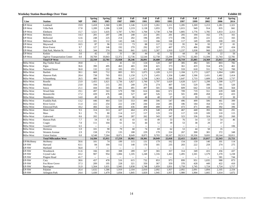|              |                                        |           | <b>Spring</b>        | <b>Spring</b>            | Fall          | Fall          | Fall                     | Fall            | Fall          | Fall          | Fall                                          | Fall           | Fall             | <b>Spring</b>  |
|--------------|----------------------------------------|-----------|----------------------|--------------------------|---------------|---------------|--------------------------|-----------------|---------------|---------------|-----------------------------------------------|----------------|------------------|----------------|
| Line         | <b>Station</b>                         | <b>MP</b> | 1983                 | 1985                     | 1987          | 1989          | 1991                     | 1993            | 1995          | 1997          | 1999                                          | 2002           | 2006             | 2014           |
| JP-West      | Lombard                                | 19.9      | 1,418                | 1,360                    | 1,385         | 1,146         | 1,123                    | 1,261           | 1,211         | 1,285         | 1,269                                         | 1,213          | 1,281            | 1,321          |
| UP-West      | Villa Park                             | 17.8      | 1,289                | 1,206                    | 1,328         | 1,219         | 1,138                    | 1,055           | 973           | 1,015         | 949                                           | 914            | 835              | 841            |
| JP-West      | Elmhurst                               | 15.7      | 1,521                | 1,635                    | 1,787         | 1,783         | 1,704                    | 1,730           | 1,768         | 1,805         | 1,776                                         | 1,785          | 1,833            | 2,313          |
| JP-West      | Berkeley                               | 14.3      | 201                  | 207                      | 246           | 248           | 221                      | 201             | 201           | 205           | 194                                           | 162            | 176              | 161            |
| UP-West      | Bellwood                               | 12.6      | 248                  | 225                      | 214           | 202           | 196                      | 205             | 173           | 196           | 205                                           | 221            | 215              | 165            |
| JP-West      | Melrose Park                           | 11.3      | 101                  | 112                      | 143           | 146           | 112                      | 166             | 168           | 117           | 149                                           | 109            | 100              | 103            |
| JP-West      | Maywood                                | 10.5      | 87                   | 96                       | 115           | 73            | 88                       | 117             | 132           | 95            | 84                                            | 93             | 97               | 81             |
| UP-West      | <b>River Forest</b>                    | 9.7       | 127                  | 146                      | 192           | 270           | 292                      | 327             | 407           | 375           | 406                                           | 390            | 367              | 434            |
| JP-West      | Oak Park, Marion St.                   | 8.5       | 344                  | 374                      | 566           | 841           | 1,032                    | 1,307           | 1,910         | 1,237         | 1,038                                         | 960            | 1,025            | 1,129          |
| UP-West      | Kedzie                                 | 3.6       | 42                   | 33                       | 31            | 38            | 44                       | 42              | 32            | 44            | 18                                            | 36             | 22               | 56             |
| JP-West      | Ogilvie Transportation Center          | 0.0       | 10,769               | 10,843                   | 12,372        | 12,736        | 12,544                   | 12,758          | 13,299        | 12,770        | 12,383                                        | 11,594         | 11,743           | 12,781         |
|              | <b>Total UP West</b>                   |           | 22,310               | 22,781                   | 25,928        | 26,246        | 26,091                   | 26,680          | 27,814        | 26,719        | 25,885                                        | 24,369         | 25,013           | 27,196         |
| Milw-West    | <b>Big Timber Road</b>                 | 39.8      | $\sim$               | $\sim$ $\sim$            | 41            | 33            | 124                      | 128             | 347           | 385           | 482                                           | 581            | 803              | 782            |
| Milw-West    | Elgin                                  | 36.6      | 390                  | 495                      | 463           | 465           | 358                      | 421             | 373           | 361           | 419                                           | 554            | 476              | 461            |
| Milw-West    | National Street                        | 36.0      | 132                  | 222                      | 183           | 255           | 421                      | 439             | 562           | 559           | 618                                           | 551            | 742              | 700            |
| Milw-West    | <b>Bartlett</b>                        | 30.1      | 669                  | 712                      | 805           | 915           | 1,075                    | 1,109           | 1,213         | 1,184         | 1,173                                         | 1,027          | 1,064            | 1,081          |
| Milw-West    | Hanover Park                           | 28.4      | 738                  | 765                      | 855           | 1,150         | 1,171                    | 1,455           | 1,356         | 1,460         | 1,506                                         | 1,431          | 1,482            | 1,414          |
| Milw-West    | Schaumburg                             | 26.5      | 480                  | 693                      | 961           | 1,147         | 1,238                    | 1,363           | 1,569         | 1,647         | 1,733                                         | 1,609          | 1,698            | 1,737          |
| Milw-West    | Roselle                                | 23.9      | 1.455                | 1,621                    | 1,736         | 1,827         | 1,760                    | 1,797           | 1,620         | 1,628         | 1,617                                         | 1,298          | 1,500            | 1,277          |
| Milw-West    | Medinah                                | 23.0      | 194                  | 215                      | 265           | 249           | 276                      | 274             | 407           | 516           | 529                                           | 399            | 501              | 520            |
| Milw-West    | Itasca                                 | 21.1      | 444                  | 565                      | 481           | 491           | 497                      | 501             | 546           | 609           | 642                                           | 518            | 546              | 564            |
| Milw-West    | Wood Dale                              | 19.1      | 497                  | 563                      | 579           | 708           | 614                      | 666             | 672           | 709           | 719                                           | 551            | 639              | 608            |
| Milw-West    | Bensenville                            | 17.2      | 439                  | 476                      | 448           | 527           | 447                      | 526             | 521           | 501           | 498                                           | 458            | 450              | 433            |
| Milw-West    | Mannheim                               | 14.0      | 49                   | 45                       | 31            | 38            | 48                       | 48              | 27            | 32            | 39                                            | 13             | 37               | 30             |
| Milw-West    | Franklin Park                          | 13.2      | 446                  | 464                      | 533           | 553           | 490                      | 506             | 547           | 496           | 499                                           | 506            | 461              | 399            |
| Milw-West    | <b>River Grove</b>                     | 11.4      | 222                  | 254                      | 222           | 238           | 244                      | 244             | 285           | 186           | 184                                           | 164            | 174              | 142            |
| Milw-West    | <b>Elmwood Park</b>                    | 10.2      | 466                  | 521                      | 483           | 436           | 400                      | 408             | 471           | 473           | 471                                           | 405            | 392              | 396            |
| Milw-West    | Mont Clare                             | 9.5       | 314                  | 313                      | 427           | 464           | 474                      | 548             | 478           | 467           | 440                                           | 393            | 361              | 291            |
| Milw-West    | Mars                                   | 9.1       | 75                   | 80                       | 114           | 117           | 117                      | 129             | 132           | 117           | 128                                           | 109            | 110              | 115            |
| Milw-West    | Galewood                               | 8.6       | 202                  | 212                      | 244           | 287           | 262                      | 343             | 347           | 323           | 336                                           | 324            | 265              | 260            |
| Milw-West    | Hanson Park                            | 7.7       | 54                   | 63                       | 42            | 43            | 63                       | 49              | 53            | 76            | 54                                            | 53             | 54               | 46             |
| Milw-West    | Cragin                                 | 7.0       | 111                  | 104                      | 61            | 54            | 44                       | 53              | 39            | 53            | 38                                            | 29             | 37               | $\sim$         |
| Milw-West    | Grand/Cicero                           | 6.5       | $\ddot{\phantom{a}}$ | $\sim$                   | $\sim$        | $\sim$        | $-$                      | $\sim$          | $\sim$        | $\sim$        | $\mathord{\hspace{1pt}\text{--}\hspace{1pt}}$ | $\overline{a}$ | $\sim$           | 106            |
| Milw-West    | Hermosa                                | 5.9       | 101                  | 90                       | 79            | 68            | 74                       | 69              | 62            | 53            | 44                                            | 50             | 35               | $\mathbb{Z}^2$ |
| Milw-West    | <b>Western Avenue</b>                  | 2.9       | 158                  | 174                      | 135           | 188           | 229                      | 170             | 224           | 267           | 300                                           | 301            | 372              | 348            |
| Milw-West    | <b>Union Station</b>                   | 0.0       | 6,548<br>14,184      | 7,264<br>15,911          | 8,071         | 8,649         | 8,875                    | 9,703<br>20.949 | 10,167        | 10,313        | 10,356                                        | 9,693          | 10,144<br>22,343 | 10,011         |
| UP/McHenry   | <b>Total Milwaukee West</b><br>McHenry | 50.6      | 101                  | 74                       | 17,259<br>199 | 18,902<br>115 | 19,301<br>131            | 179             | 22,018<br>162 | 22,415<br>154 | 22,825<br>159                                 | 21,017<br>140  | 101              | 21,721<br>114  |
| UP-NW        | Harvard                                | 63.1      | 84                   | 104                      | 112           | 140           | 170                      | 181             | 235           | 203           | 222                                           | 259            | 274              | 275            |
| <b>JP-NW</b> | Hartland                               | 56.0      | $\overline{7}$       | $\sim$                   | $\sim$        | $\sim$        |                          | $\sim$          | ÷.            |               | $\sim$                                        | ω,             |                  | $\sim$         |
| UP-NW        | Woodstock                              | 51.6      | 166                  | 183                      | 308           | 289           | 327                      | 365             | 357           | 314           | 349                                           | 415            | 456              | 437            |
| UP-NW        | Crystal Lake                           | 43.2      | 907                  | 954                      | 1,084         | 1,105         | 1,248                    | 1,316           | 1,463         | 1,495         | 1,501                                         | 1,579          | 1,370            | 1,238          |
| <b>JP-NW</b> | Pingree Road                           | 41.7      | $\bar{\mathbb{Z}}$   | $\overline{\phantom{a}}$ | $\mathbf{L}$  | $\mathbf{u}$  | $\overline{\phantom{a}}$ | Ξ.              | $\mathbf{u}$  | $\sim$        | ÷.                                            | $\mathbf{u}$   | 581              | 744            |
| JP-NW        | Cary                                   | 38.6      | 457                  | 478                      | 516           | 615           | 732                      | 853             | 973           | 899           | 951                                           | 1,035          | 988              | 873            |
| UP-NW        | Fox River Grove                        | 37.3      | 209                  | 195                      | 228           | 321           | 350                      | 367             | 359           | 370           | 428                                           | 449            | 422              | 410            |
| JP-NW        | Barrington                             | 31.9      | 1,564                | 1,631                    | 1,945         | 1,838         | 1,748                    | 1,859           | 1,831         | 1,758         | 1,745                                         | 1,724          | 1,724            | 1,717          |
| UP-NW        | Palatine                               | 26.4      | 1,632                | 1,586                    | 1,919         | 2,104         | 2,010                    | 2,092           | 1,957         | 2,092         | 2,091                                         | 1,894          | 2,105            | 2,334          |
| UP-NW        | <b>Arlington Park</b>                  | 24.4      | 1,430                | 1,479                    | 1,834         | 1,845         | 1,829                    | 1,945           | 1,957         | 1,980         | 1,904                                         | 1,665          | 1,614            | 1,672          |
|              |                                        |           |                      |                          |               |               |                          |                 |               |               |                                               |                |                  |                |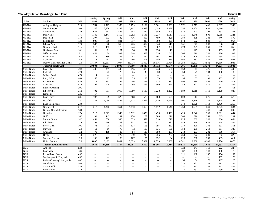|              |                               |           | <b>Spring</b>            | <b>Spring</b>             | Fall                     | Fall                                          | Fall                                          | Fall   | Fall                        | Fall           | Fall           | Fall                      | Fall          | <b>Spring</b> |
|--------------|-------------------------------|-----------|--------------------------|---------------------------|--------------------------|-----------------------------------------------|-----------------------------------------------|--------|-----------------------------|----------------|----------------|---------------------------|---------------|---------------|
| Line         | <b>Station</b>                | <b>MP</b> | 1983                     | 1985                      | 1987                     | 1989                                          | 1991                                          | 1993   | 1995                        | 1997           | 1999           | 2002                      | 2006          | 2014          |
| <b>JP-NW</b> | Arlington Heights             | 22.8      | 2,764                    | 2,727                     | 2,953                    | 3,179                                         | 3,129                                         | 3,001  | 2,833                       | 2,572          | 2,579          | 2,496                     | 2,317         | 2,349         |
| JP-NW        | <b>Mount Prospect</b>         | 20.0      | 2,146                    | 2,220                     | 2,253                    | 2,147                                         | 2,073                                         | 2,055  | 1.899                       | 1,754          | 1,804          | 1,655                     | 1,590         | 1,774         |
| <b>JP-NW</b> | Cumberland                    | 18.6      | 685                      | 567                       | 546                      | 604                                           | 537                                           | 559    | 543                         | 520            | 523            | 393                       | 393           | 431           |
| JP-NW        | Des Plaines                   | 17.1      | 1,145                    | 1,141                     | 1,159                    | 1,252                                         | 1,146                                         | 1,237  | 1,117                       | 1,111          | 1,148          | 991                       | 1,085         | 1,221         |
| UP-NW        | Dee Road                      | 15.0      | 397                      | 373                       | 432                      | 416                                           | 403                                           | 489    | 428                         | 389            | 438            | 388                       | 446           | 570           |
| JP-NW        | Park Ridge                    | 13.5      | 908                      | 850                       | 801                      | 917                                           | 818                                           | 900    | 820                         | 874            | 922            | 932                       | 897           | 954           |
| <b>JP-NW</b> | <b>Edison Park</b>            | 12.6      | 383                      | 328                       | 360                      | 425                                           | 402                                           | 544    | 518                         | 541            | 547            | 593                       | 536           | 646           |
| <b>JP-NW</b> | Norwood Park                  | 11.4      | 218                      | 195                       | 170                      | 244                                           | 239                                           | 307    | 320                         | 273            | 329            | 269                       | 289           | 350           |
| JP-NW        | Gladstone Park                | 10.1      | 81                       | 81                        | 67                       | 94                                            | 97                                            | 138    | 119                         | 111            | 129            | 124                       | 103           | 169           |
| <b>JP-NW</b> | Jefferson Park                | 9.1       | 441                      | 434                       | 537                      | 548                                           | 583                                           | 736    | 740                         | 706            | 719            | 749                       | 786           | 599           |
| <b>JP-NW</b> | <b>Irving Park</b>            | 7.0       | 175                      | 196                       | 225                      | 248                                           | 257                                           | 407    | 414                         | 376            | 408            | 451                       | 495           | 474           |
| JP-NW        | Clybourn                      | 2.9       | 272                      | 261                       | 305                      | 466                                           | 408                                           | 486    | 575                         | 460            | 531            | 529                       | 769           | 693           |
| JP-NW        | Ogilvie Transportation Center | 0.0       | 13,737                   | 13,517                    | 15,037                   | 15,778                                        | 15,809                                        | 16,516 | 15,954                      | 15,253         | 15,603         | 14,542                    | 14,886        | 15,938        |
|              | <b>Total UP Northwest</b>     |           | 29,909                   | 29,574                    | 32,990                   | 34,690                                        | 34,446                                        | 36,532 | 35,574                      | 34,205         | 35,030         | 33,272                    | 34,227        | 35,982        |
| Milw-North   | Fox Lake                      | 49.5      | 405                      | 457                       | 445                      | 495                                           | 433                                           | 443    | 500                         | 558            | 547            | 475                       | 632           | 442           |
| Milw-North   | Ingleside                     | 47.8      | 15                       | 22                        | 23                       | 25                                            | 48                                            | 39     | 27                          | 50             | 75             | 104                       | 150           | 89            |
| Milw-North   | Wilson Road                   | 47.0      | 14                       | $\mathbf{r}$              | $\mathbf{u}$             | $\sim$ $\sim$                                 | $\sim$ $\sim$                                 | 44     | $\mathbf{u}$                | $\sim$         | Ξ.             | $\mathbb{L}^{\mathbb{L}}$ | $\sim$        | $\sim$        |
| Milw-North   | Long Lake                     | 46.0      | 45                       | 62                        | 59                       | 75                                            | 93                                            | 73     | 58                          | 95             | 83             | 102                       | 133           | 105           |
| Milw-North   | Round Lake                    | 44.0      | 317                      | 333                       | 356                      | 406                                           | 371                                           | 428    | 487                         | 498            | 534            | 566                       | 710           | 513           |
| Milw-North   | Grayslake                     | 41.0      | 196                      | 229                       | 294                      | 269                                           | 369                                           | 509    | 691                         | 745            | 827            | 871                       | 772           | 509           |
| Milw-North   | Prairie Crossing              | 39.2      | ÷.                       | $\mathbb{Z}^2$            | L.                       | L.                                            | $\omega_{\rm m}$                              | L.     | $\mathbb{Z}^2$              | $\mathbb{Z}^2$ | $\mathbb{Z}^2$ | $\Box$                    | 344           | 451           |
| Milw-North   | Libertyville                  | 35.5      | 702                      | 817                       | 1,010                    | 1,080                                         | 1,139                                         | 1,228  | 1.222                       | 1,089          | 1,118          | 1,119                     | 1,169         | 826           |
| Milw-North   | Rondout                       | 32.3      | 17                       | $\sim$                    | $\overline{\phantom{a}}$ | $\overline{\phantom{a}}$                      | $\sim$ $\sim$                                 | Щ.     | $\mathbb{H}^{\mathbb{H}}$   | $\sim$ $\sim$  | Ш,             | $\sim$                    | $\sim$ $\sim$ | $\sim$        |
| Milw-North   | <b>Lake Forest</b>            | 28.4      | 193                      | 249                       | 325                      | 408                                           | 522                                           | 680    | 674                         | 608            | 717            | 576                       | 578           | 570           |
| Milw-North   | Deerfield                     | 24.2      | 1,185                    | 1,439                     | 1,447                    | 1,528                                         | 1,669                                         | 1,676  | 1,765                       | 1,307          | 1,279          | 1,286                     | 1,315         | 1,247         |
| Milw-North   | Lake Cook Road                | 23.0      | ω.                       | $\mathbb{L}^{\mathbb{L}}$ | ÷.                       | $\mathbf{u}$                                  | $\sim$ $\sim$                                 | Ξ.     | $\mathcal{L}_{\mathcal{F}}$ | 740            | 1,128          | 1,154                     | 1,406         | 1,263         |
| Milw-North   | Northbrook                    | 21.1      | 1,213                    | 1,406                     | 1,361                    | 1,430                                         | 1,458                                         | 1,612  | 1,546                       | 1,459          | 1,505          | 1,349                     | 1,323         | 1,334         |
| Milw-North   | Glen of North Glenview        | 18.8      | $\overline{\phantom{a}}$ | $\omega_{\rm m}$          | $\Box$                   | $\overline{\phantom{a}}$                      | $\mathord{\hspace{1pt}\text{--}\hspace{1pt}}$ | Ξ.     | $\omega_{\rm m}$            | $\sim$         | Ξ.             | 448                       | 770           | 1,097         |
| Milw-North   | Glenview                      | 17.4      | 1,218                    | 1,329                     | 1,546                    | 1,512                                         | 1,450                                         | 1,425  | 1,423                       | 1,423          | 1,646          | 1,390                     | 1,611         | 1,444         |
| Milw-North   | Golf                          | 16.2      | 131                      | 143                       | 181                      | 158                                           | 267                                           | 288    | 271                         | 309            | 326            | 264                       | 315           | 201           |
| Milw-North   | <b>Morton Grove</b>           | 14.3      | 451                      | 538                       | 583                      | 539                                           | 672                                           | 710    | 772                         | 825            | 989            | 943                       | 966           | 1,054         |
| Milw-North   | Edgebrook                     | 11.6      | 197                      | 266                       | 328                      | 337                                           | 385                                           | 527    | 587                         | 586            | 578            | 624                       | 544           | 504           |
| Milw-North   | <b>Forest Glen</b>            | 10.2      | 73                       | 75                        | 102                      | 124                                           | 155                                           | 197    | 232                         | 239            | 320            | 332                       | 331           | 351           |
| Milw-North   | Mayfair                       | 9.0       | 53                       | 66                        | 78                       | 72                                            | 109                                           | 136    | 136                         | 154            | 239            | 254                       | 317           | 340           |
| Milw-North   | Grayland                      | 8.2       | 78                       | 109                       | 83                       | 94                                            | 119                                           | 198    | 207                         | 213            | 263            | 282                       | 318           | 314           |
| Milw-North   | Healy                         | 6.4       | 226                      | 244                       | 227                      | 239                                           | 216                                           | 256    | 252                         | 259            | 272            | 309                       | 342           | 322           |
| Milw-North   | Western Avenue                | 2.9       | 136                      | 122                       | 88                       | 167                                           | 175                                           | 152    | 134                         | 228            | 288            | 289                       | 435           | 411           |
| Milw-North   | <b>Union Station</b>          | 0.0       | 5,805                    | 6,483                     | 6,801                    | 7,329                                         | 7,802                                         | 8,729  | 8.930                       | 8,541          | 9,300          | 8.903                     | 9,776         | 9,870         |
|              | <b>Total Milwaukee North</b>  |           | 12,670                   | 14,389                    | 15,337                   | 16.287                                        | 17,452                                        | 19.306 | 19.914                      | 19,926         | 22,034         | 21,640                    | 24,257        | 23,257        |
| <b>NCS</b>   | Antioch                       | 52.8      | ц.                       |                           | $\overline{\phantom{a}}$ | $\mathbb{L}^2$                                | $\overline{\phantom{a}}$                      | Ξ.     | $\mathbf{u}$                | 124            | 141            | 169                       | 262           | 227           |
| <b>NCS</b>   | Lake Villa                    | 48.2      | $\overline{\phantom{a}}$ | $\sim$                    | $\sim$                   | $\sim$                                        | $\sim$ $\sim$                                 | Ξ.     | $\overline{\phantom{a}}$    | 87             | 108            | 143                       | 150           | 176           |
| <b>NCS</b>   | Round Lake Beach              | 45.9      | $\overline{\phantom{a}}$ | $\sim$                    | Ξ.                       | $\sim$                                        | $\sim$ $\sim$                                 | Ξ.     | $\overline{\phantom{a}}$    | 111            | 130            | 157                       | 154           | 157           |
| <b>NCS</b>   | Washington St./Grayslake      | 43.9      | u.                       | $\sim$ $\sim$             | $\overline{\phantom{a}}$ | $\mathbb{L}^{\mathbb{L}}$                     | $\sim$ $\sim$                                 | 44     | $\mathbf{u}$                | $\sim$         | Ξ.             | $\omega_{\rm m}$          | 109           | 122           |
| <b>NCS</b>   | Prairie Crossing/Libertyville | 40.7      | Ξ.                       | $\mathbb{L}^{\mathbb{L}}$ | Ξ.                       | $\mathord{\hspace{1pt}\text{--}\hspace{1pt}}$ | $\sim$ $\sim$                                 | Ξ.     | $\sim$ $\sim$               | 38             | 54             | 76                        | 117           | 125           |
| <b>NCS</b>   | Mundelein                     | 36.9      | Ξ.                       | $\sim$                    | $\overline{a}$           | $\overline{\phantom{a}}$                      | $\sim$                                        | $=$    | $\sim$ $\sim$               | 223            | 227            | 235                       | 283           | 304           |
| <b>NCS</b>   | Vernon Hills                  | 33.0      | $\overline{\phantom{a}}$ | $\overline{\phantom{a}}$  | ш,                       | $\overline{\phantom{a}}$                      | $\overline{\phantom{a}}$                      | Щ.     | $\overline{\phantom{a}}$    | 231            | 272            | 284                       | 353           | 435           |
| <b>NCS</b>   | Prairie View                  | 31.6      | $\overline{\phantom{a}}$ | $\overline{\phantom{a}}$  | Ξ.                       | $\overline{\phantom{a}}$                      | $\sim$ $\sim$                                 | $-$    | $\mathbb{L}^{\mathbb{L}}$   | 217            | 232            | 255                       | 299           | 345           |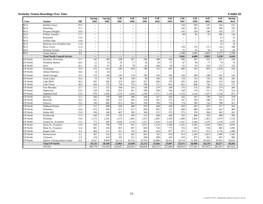|                 |                                    |           | <b>Spring</b>            | <b>Spring</b>             | Fall                     | Fall                     | Fall                                          | Fall                     | Fall                      | Fall                       | Fall           | Fall                      | Fall    | <b>Spring</b> |
|-----------------|------------------------------------|-----------|--------------------------|---------------------------|--------------------------|--------------------------|-----------------------------------------------|--------------------------|---------------------------|----------------------------|----------------|---------------------------|---------|---------------|
| Line            | <b>Station</b>                     | <b>MP</b> | 1983                     | 1985                      | 1987                     | 1989                     | 1991                                          | 1993                     | 1995                      | 1997                       | 1999           | 2002                      | 2006    | 2014          |
| <b>NCS</b>      | <b>Buffalo Grove</b>               | 29.5      | $\overline{\phantom{a}}$ | $\overline{\phantom{a}}$  | $\overline{\phantom{a}}$ | $\overline{\phantom{a}}$ | $\mathord{\hspace{1pt}\text{--}\hspace{1pt}}$ | $\overline{\phantom{a}}$ | $\overline{\phantom{a}}$  | 534                        | 599            | 547                       | 545     | 621           |
| <b>NCS</b>      | Wheeling                           | 27.2      | $\mathbf{u}$             | $\sim$                    | $\overline{a}$           | $\overline{a}$           | $\sim$ $\sim$                                 | --                       | $\mathbb{L} \mathbb{L}$   | 245                        | 282            | 235                       | 306     | 333           |
| <b>NCS</b>      | Prospect Heights                   | 24.0      | $\mathbf{u}$             | $\sim$ $\sim$             | $\sim$ $\sim$            | $\sim$ $\sim$            | $\sim$ $\sim$                                 | $\sim$                   | $\sim$ $\sim$             | 192                        | 228            | 240                       | 245     | 277           |
| <b>NCS</b>      | O'Hare Transfer                    | 17.1      | $\overline{\phantom{a}}$ | $\mathbb{L} \mathbb{L}$   | $\overline{\phantom{a}}$ | $\overline{\phantom{a}}$ | $\sim$ $\sim$                                 | $\overline{\phantom{a}}$ | $\overline{\phantom{a}}$  | 68                         | 83             | 55                        | 106     | 144           |
| <b>NCS</b>      | Rosemont                           | 15.6      | $\mathbf{u}$             | $\sim$ $\sim$             | $-$                      | $\sim$                   | $\sim$                                        | --                       | $\sim$ $\sim$             | $\sim$                     | $\overline{a}$ | $\overline{\phantom{a}}$  | 23      | 33            |
| <b>NCS</b>      | Schiller Park                      | 14.8      | $\mathbf{u}$             | $\sim$ $\sim$             | $\overline{a}$           | $\overline{a}$           | $\sim$                                        | $\overline{\phantom{a}}$ | $\sim$                    | $\sim$ $\sim$              | $\overline{a}$ | $\overline{\phantom{a}}$  | 29      | 29            |
| <b>NCS</b>      | Belmont Ave./Franklin Park         | 13.0      | $\mathbf{u}$             | $\sim$ $\sim$             | $-$                      | $\sim$                   | $\sim$                                        | $\sim$ $\sim$            | $\sim$ $\sim$             | $\sim$ $\sim$              | $\overline{a}$ | $\mathbb{L}^{\mathbb{L}}$ | 25      | 29            |
| <b>NCS</b>      | <b>River Grove</b>                 | 11.4      | $\overline{\phantom{a}}$ | $\mathbb{L} \mathbb{L}$   | $\overline{\phantom{a}}$ | $\overline{\phantom{a}}$ | $\sim$ $\sim$                                 | --                       | $\mathbb{L} \mathbb{L}$   | 138                        | 176            | 172                       | 124     | 168           |
| <b>NCS</b>      | Western Avenue                     | 2.9       | $\mathbf{u}$             |                           | $-1$                     | $\overline{a}$           | $\overline{a}$                                | --                       | $\sim$ $\sim$             | 25                         | 43             | 42                        | 35      | 92            |
| <b>NCS</b>      | <b>Union Station</b>               | 0.0       | $\overline{\phantom{a}}$ | $\mathbb{L}^{\mathbb{L}}$ | Ξ.                       | $\overline{\phantom{a}}$ | $\overline{\phantom{a}}$                      | ÷.                       | $\mathbf{u}$              | 1.708                      | 1,905          | 1,893                     | 2,173   | 2,799         |
|                 | <b>Total North Central Service</b> |           | ш.                       | $\overline{\phantom{a}}$  | --                       | --                       | $\overline{\phantom{a}}$                      | --                       | $\overline{\phantom{a}}$  | 3.941                      | 4,480          | 4,503                     | 5,338   | 6,416         |
| <b>UP-North</b> | Kenosha, Wisconsin                 | 51.5      | 142                      | 169                       | 208                      | 207                      | 296                                           | 308                      | 264                       | 306                        | 301            | 341                       | 431     | 358           |
| <b>UP-North</b> | Winthrop Harbor                    | 44.5      | 21                       | 18                        | 24                       | 17                       | 28                                            | 34                       | 57                        | 47                         | 49             | 77                        | 79      | 70            |
| <b>UP-North</b> | Zion                               | 42.1      | 81                       | 67                        | 85                       | 78                       | 92                                            | 100                      | 94                        | 91                         | 93             | 103                       | 152     | 155           |
| <b>UP-North</b> | Waukegan                           | 35.9      | 553                      | 614                       | 644                      | 694                      | 780                                           | 752                      | 841                       | 806                        | 925            | 893                       | 1.030   | 910           |
| UP-North        | <b>Abbott Platform</b>             | 34.0      | 14                       | 20                        | $\overline{a}$           | $\overline{\phantom{a}}$ | $\sim$ $\sim$                                 | $\mathbf{u}$             | $\mathbb{Z}^{\mathbb{Z}}$ | $\mathcal{L}(\mathcal{L})$ | $\overline{a}$ | $\mathbb{L}^{\mathbb{L}}$ | $-$     | $\sim$ $\sim$ |
| UP-North        | North Chicago                      | 33.7      | 175                      | 158                       | 145                      | 179                      | 165                                           | 139                      | 192                       | 220                        | 200            | 190                       | 191     | 232           |
| <b>UP-North</b> | <b>Great Lakes</b>                 | 32.0      | 76                       | 93                        | 96                       | 109                      | 98                                            | 186                      | 110                       | 118                        | 153            | 156                       | 306     | 264           |
| UP-North        | Lake Bluff                         | 30.2      | 307                      | 302                       | 374                      | 328                      | 357                                           | 390                      | 379                       | 425                        | 420            | 504                       | 519     | 626           |
| UP-North        | <b>Lake Forest</b>                 | 28.3      | 644                      | 715                       | 729                      | 753                      | 700                                           | 721                      | 652                       | 661                        | 689            | 726                       | 725     | 727           |
| <b>UP-North</b> | Fort Sheridan                      | 25.7      | 311                      | 313                       | 394                      | 354                      | 338                                           | 279                      | 296                       | 276                        | 276            | 285                       | 279     | 266           |
| <b>UP-North</b> | Highwood                           | 24.5      | 230                      | 236                       | 261                      | 267                      | 290                                           | 290                      | 246                       | 258                        | 270            | 311                       | 279     | 314           |
| UP-North        | <b>Highland Park</b>               | 23.0      | 970                      | 1,204                     | 1,155                    | 1,166                    | 1,240                                         | 1,171                    | 1,118                     | 1,133                      | 1,124          | 1,107                     | 1,118   | 875           |
| <b>UP-North</b> | Ravinia                            | 21.5      | 366                      | 339                       | 366                      | 386                      | 346                                           | 327                      | 416                       | 362                        | 347            | 330                       | 332     | 238           |
| UP-North        | <b>Braeside</b>                    | 20.5      | 301                      | 286                       | 313                      | 295                      | 324                                           | 292                      | 275                       | 247                        | 330            | 340                       | 341     | 373           |
| <b>UP-North</b> | Glencoe                            | 19.2      | 748                      | 809                       | 873                      | 841                      | 784                                           | 789                      | 770                       | 774                        | 786            | 724                       | 708     | 457           |
| <b>UP-North</b> | <b>Hubbard Woods</b>               | 17.7      | 511                      | 480                       | 502                      | 480                      | 470                                           | 444                      | 428                       | 456                        | 441            | 397                       | 371     | 245           |
| UP-North        | Winnetka                           | 16.6      | 673                      | 656                       | 671                      | 672                      | 689                                           | 695                      | 721                       | 668                        | 660            | 630                       | 562     | 485           |
| UP-North        | <b>Indian Hill</b>                 | 15.8      | 356                      | 349                       | 407                      | 395                      | 396                                           | 372                      | 372                       | 375                        | 378            | 368                       | 362     | 201           |
| <b>UP-North</b> | Kenilworth                         | 15.2      | 444                      | 470                       | 532                      | 456                      | 533                                           | 468                      | 446                       | 505                        | 480            | 435                       | 408     | 305           |
| UP-North        | Wilmette                           | 14.4      | 1,175                    | 1,245                     | 1,375                    | 1,465                    | 1,473                                         | 1,465                    | 1,505                     | 1,484                      | 1,494          | 1,363                     | 1,379   | 1,120         |
| UP-North        | Central St., Evanston              | 13.3      | 771                      | 845                       | 1,039                    | 1,118                    | 1,317                                         | 1,226                    | 1,210                     | 1,161                      | 1,246          | 1,276                     | 1,234   | 1,197         |
| <b>UP-North</b> | Davis St., Evanston                | 12.0      | 565                      | 709                       | 787                      | 951                      | 1.073                                         | 1.124                    | 1,208                     | 1.322                      | 1.395          | 1.439                     | 1.854   | 2,070         |
| <b>UP-North</b> | Main St., Evanston                 | 11.0      | 481                      | 556                       | 667                      | 697                      | 820                                           | 726                      | 773                       | 756                        | 933            | 769                       | 869     | 1,093         |
| <b>UP-North</b> | <b>Rogers Park</b>                 | 9.4       | 464                      | 511                       | 611                      | 742                      | 881                                           | 924                      | 877                       | 977                        | 1,072          | 973                       | 1,176   | 1,498         |
| <b>UP-North</b> | Ravenswood                         | 6.5       | 307                      | 353                       | 511                      | 562                      | 663                                           | 747                      | 878                       | 914                        | 1,246          | 1,455                     | 1,940   | 2,363         |
| UP-North        | Clybourn                           | 2.9       | 110                      | 124                       | 181                      | 221                      | 268                                           | 368                      | 424                       | 419                        | 479            | 491                       | 697     | 906           |
| UP-North        | Ogilvie Transportation Center      | 0.0       | 8.437                    | 8,899                     | 10,113                   | 10.216                   | 10,792                                        | 10.689                   | 10,455                    | 10,714                     | 11,209         | 10,595                    | 10,935  | 10,833        |
|                 | <b>Total UP North</b>              |           | 19,233                   | 20,540                    | 23,063                   | 23,649                   | 25,213                                        | 25,026                   | 25,007                    | 25,475                     | 26,996         | 26,278                    | 28,277  | 28,181        |
|                 | <b>TOTAL</b>                       |           | 198,778                  | 214,783                   | 235,037                  | 250,362                  | 249,045                                       | 254,725                  | 257.689                   | 264,914                    | 277,281        | 267,975                   | 281,915 | 267,913       |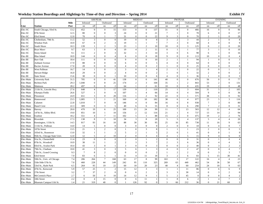### Weekday Station Boardings and Alightings by Time-of-Day and Direction -- Spring 2014 **EXHIMELY** Exhibit IV

|           |                               |             |                | <b>AM PEAK</b>   |                  |                  |                  | <b>MIDDAY</b>    |                  |                |                  | PM PEAK          |                  |                |                  | <b>EVENING</b>           |                  |                 |
|-----------|-------------------------------|-------------|----------------|------------------|------------------|------------------|------------------|------------------|------------------|----------------|------------------|------------------|------------------|----------------|------------------|--------------------------|------------------|-----------------|
|           |                               | <b>Mile</b> | Inbound        |                  | Outbound         |                  | Inbound          |                  | Outbound         |                | Inbound          |                  | Outbound         |                | Inbound          |                          | Outbound         |                 |
| Line      | <b>Station</b>                | Post        | on             | off              | on               | off              | on               | off              | on               | off            | on               | off              | on               | off            | on               | off                      | on               | off             |
| Elec-SC   | South Chicago, 93rd St.       | 13.2        | 452            | $\boldsymbol{0}$ | $\boldsymbol{0}$ | 15               | 153              | $\boldsymbol{0}$ | $\boldsymbol{0}$ | 137            | 31               | $\boldsymbol{0}$ | $\boldsymbol{0}$ | 466            | 16               | $\mathbf{0}$             | $\boldsymbol{0}$ | 96              |
| Elec-SC   | 87th Street                   | 12.5        | 80             | $\mathbf{0}$     | $\mathbf{0}$     | 3                | 24               | $\overline{0}$   | $\mathbf{0}$     | 21             | $7\phantom{.0}$  | 1                | $\mathbf{0}$     | 78             | 6                | $\Omega$                 | $\Omega$         | 17              |
| Elec-SC   | 83rd Street                   | 12.0        | 70             | $\theta$         |                  | $\overline{7}$   | 31               | $\Omega$         | $\Omega$         | 22             | $\overline{Q}$   | 3                | $\mathbf{0}$     | 70             | $\overline{c}$   | -1                       | $\mathbf{0}$     | 20              |
| Elec-SC   | Cheltenham, 79th St.          | 11.5        | 52             | 3                | $\mathbf{0}$     | $\mathbf 0$      | 19               | $\theta$         | $\mathbf{0}$     | $\,8\,$        | 3                | $\sqrt{2}$       | 3                | 44             | $\overline{c}$   |                          | $\theta$         | $\,8\,$         |
| Elec-SC   | <b>Windsor Park</b>           | 10.9        | 67             | $\boldsymbol{0}$ | $\overline{2}$   | $\mathfrak{Z}$   | 19               | $\mathbf{1}$     | $\mathbf{1}$     | $\overline{7}$ | $7\phantom{.0}$  | 3                | $\boldsymbol{0}$ | 68             | 4                | $\theta$                 | $\boldsymbol{0}$ | 9               |
| Elec-SC   | South Shore                   | 10.3        | 139            | $\mathbf{1}$     | $\overline{2}$   | 5                | 23               | $\mathbf{1}$     | $\overline{c}$   | 10             | 10               | $\boldsymbol{0}$ | 3                | 125            | $\Omega$         | $\overline{2}$           | $\boldsymbol{0}$ | 20              |
| Elec-SC   | <b>Bryn Mawr</b>              | 9.7         | 63             | $\mathbf{1}$     | $\mathbf{0}$     | $\overline{4}$   | 19               | $\overline{4}$   | 2                | 11             | $\boldsymbol{0}$ | 1                | $\mathbf{1}$     | 77             | 3                | $\mathbf{1}$             | $\overline{0}$   | $10\,$          |
| Elec-SC   | <b>Stony Island</b>           | 9.1         | 111            | $\boldsymbol{2}$ | $\mathbf{0}$     | 3                | 32               | $\mathbf{1}$     | 3                | 14             | 3                | $\boldsymbol{0}$ | 6                | 98             | 6                | $\mathbf{1}$             | $\mathbf{0}$     | 16              |
| Elec-BI   | <b>Blue Island</b>            | 18.9        | 144            | $\boldsymbol{0}$ | $\theta$         | 4                | 6                | $\overline{0}$   | $\overline{0}$   | 18             | 9                | $\overline{0}$   | $\boldsymbol{0}$ | 113            | 10               | $\theta$                 | $\boldsymbol{0}$ | $\overline{4}$  |
| Elec-BI   | <b>Burr Oak</b>               | 18.4        | 111            | $\boldsymbol{0}$ | $\boldsymbol{0}$ | $\boldsymbol{0}$ | 9                | $\boldsymbol{0}$ | $\boldsymbol{0}$ | 10             | 2                |                  | $\mathbf{1}$     | 94             | $\mathbf{1}$     | $\mathbf{0}$             | $\boldsymbol{0}$ | $\mathfrak{Z}$  |
| Elec-BI   | <b>Ashland Avenue</b>         | 17.9        | 88             | $\boldsymbol{0}$ | $\boldsymbol{0}$ | $\boldsymbol{0}$ | 6                | $\overline{0}$   | $\overline{0}$   | 5              | $\overline{4}$   | $\mathbf{0}$     | $\boldsymbol{0}$ | 64             | $\mathbf{0}$     | $\overline{0}$           | $\boldsymbol{0}$ | 3               |
| Elec-BI   | Racine Avenue                 | 17.0        | 28             | $\overline{0}$   | $\theta$         | $\boldsymbol{0}$ | $\overline{4}$   | $\mathbf{0}$     | $\boldsymbol{0}$ | $\overline{2}$ |                  | $\mathbf{0}$     | $\mathbf{0}$     | 25             | $\Omega$         | $\theta$                 | $\mathbf{0}$     | $\mathbf{0}$    |
| Elec-BI   | West Pullman                  | 16.7        | 14             | $\mathbf{1}$     | $\boldsymbol{0}$ | $\mathbf{1}$     | 3                | $\overline{0}$   | $\mathbf{1}$     | $\overline{4}$ | 2                | 1                | $\boldsymbol{0}$ | 22             | $\mathbf{0}$     | $\theta$                 | 1                | $\mathbf{3}$    |
| Elec-BI   | <b>Stewart Ridge</b>          | 16.0        | 29             | $\boldsymbol{0}$ | $\overline{0}$   | $\sqrt{2}$       | $\overline{4}$   | $\mathbf{0}$     | $\boldsymbol{0}$ | 2              |                  | $\mathbf{0}$     | -1               | 32             | $\overline{2}$   | $\theta$                 | $\mathbf{0}$     | $\overline{c}$  |
| Elec-BI   | <b>State Street</b>           | 15.6        | 38             | $\overline{0}$   | $\theta$         | $\mathbf{1}$     | 10               | $\mathbf{0}$     | $\boldsymbol{0}$ | 6              | $\Delta$         | $\mathbf{0}$     | $\blacksquare$   | 36             | $\mathbf{1}$     | $\overline{0}$           | $\boldsymbol{0}$ | 3               |
| Elec-Main | <b>University Park</b>        | 31.5        | 705            | $\boldsymbol{0}$ | $\theta$         | 41               | 138              | $\overline{0}$   | $\boldsymbol{0}$ | 141            | 40               | $\boldsymbol{0}$ | $\boldsymbol{0}$ | 676            | 56               | $\theta$                 | $\boldsymbol{0}$ | 77              |
| Elec-Main | <b>Richton Park</b>           | 29.3        | 1,040          | $\boldsymbol{0}$ | $\,8\,$          | 25               | 174              | $\overline{c}$   | $\mathfrak{Z}$   | 168            | 35               | 1                | $\overline{2}$   | 843            | 53               | $\overline{2}$           | $\mathbf{0}$     | 131             |
| Elec-Main | Matteson                      | 28.2        | 497            | $\theta$         | $\theta$         | $\sqrt{2}$       | 64               | $\mathbf{1}$     | $\overline{c}$   | 61             | 10               | $\boldsymbol{0}$ | $\mathbf{0}$     | 435            | 19               | $\overline{c}$           | $\overline{0}$   | 48              |
| Elec-Main | 211th St., Lincoln Hwy.       | 27.6        | 648            | $\overline{4}$   | $\sqrt{5}$       | 17               | 139              | 9                | $\overline{c}$   | 110            | 25               | 1                | $\mathfrak{Z}$   | 604            | 31               | 5                        | $\overline{c}$   | 105             |
| Elec-Main | Olympia Fields                | 26.6        | 527            | $\mathbf{1}$     | $\boldsymbol{0}$ | 6                | 107              | $\mathbf{1}$     | $\overline{4}$   | 66             | 14               | $\boldsymbol{0}$ | $\overline{4}$   | 504            | 9                | $\theta$                 | $\mathbf{0}$     | 36              |
| Elec-Main | Flossmoor                     | 24.9        | 651            | 3                | $\mathbf{0}$     | 28               | 116              | 1                | 2                | 92             | 22               | $\mathbf{0}$     | -1               | 571            | 38               | $\mathbf{1}$             | $\mathbf{0}$     | 92              |
| Elec-Main | Homewood                      | 23.5        | 1,005          | 5                | $\mathbf{1}$     | 21               | 160              | $\overline{4}$   | 10               | 182            | 38               | 6                | $\overline{4}$   | 977            | 23               | 5                        | 3                | 116             |
| Elec-Main | Calumet                       | 22.8        | 1,010          | $\overline{7}$   | $\boldsymbol{0}$ | 8                | 146              | $\overline{4}$   | $\mathbf{0}$     | 84             | 16               | $\mathbf{0}$     | $\,8\,$          | 938            | $7\phantom{.0}$  | 3                        | $\mathbf{0}$     | $80\,$          |
| Elec-Main | <b>Hazel Crest</b>            | 22.3        | 309            | $\boldsymbol{0}$ | 3                | $\mathfrak s$    | 40               | 6                | 6                | 55             | 8                | $\boldsymbol{0}$ | 6                | 290            | $\boldsymbol{7}$ | $\overline{2}$           | $\boldsymbol{0}$ | 31              |
| Elec-Main | Harvey                        | 20.0        | 470            | 19               | $\sqrt{6}$       | 25               | 100              | 15               | 24               | 99             | 11               | $\overline{7}$   | 13               | 503            | 12               | 12                       | $\overline{4}$   | 64              |
| Elec-Main | 147th St., Sibley Blvd.       | 19.0        | 851            | 10               | $\mathbf{1}$     | 10               | 156              | $\overline{c}$   | 12               | 116            | 21               | $\mathbf{1}$     | $\overline{4}$   | 737            | 13               | 14                       | $\overline{c}$   | 94              |
| Elec-Main | Ivanhoe                       | 18.2        | 551            | $\overline{4}$   | $\tau$           | 11               | 102              | 5                | $\overline{1}$   | 88             | 15               | 2                | $\mathbf{0}$     | 475            | 19               | 2                        | $\overline{2}$   | 76              |
| Elec-Main | Riverdale                     | 17.3        | 138            | $\,8\,$          | 3                | 10               | 34               | $\overline{3}$   | $\,8\,$          | 28             | 5                | 5                | $\overline{4}$   | 137            | 5                | $\overline{4}$           | $\overline{4}$   | 20              |
| Elec-Main | Kensington, 115th St.         | 14.5        | 817            | 93               | 16               | 10               | 88               | 30               | 30               | 95             | 25               | 16               | 85               | 738            | 11               | 16                       | 9                | 63              |
| Elec-Main | 111th St., Pullman            | 14.0        | 14             | 5                | $\boldsymbol{0}$ | $\boldsymbol{0}$ | 3                | $\mathbf{0}$     | $\mathbf{0}$     | $\mathbf{0}$   | $\overline{2}$   | $\mathbf{0}$     | $\boldsymbol{0}$ | 18             | $\boldsymbol{0}$ | $\overline{\mathcal{L}}$ | $\boldsymbol{0}$ | $7\phantom{.0}$ |
| Elec-Main | 107th Street                  | 13.5        | 21             | $\mathbf{1}$     | $\sqrt{2}$       | $\boldsymbol{0}$ | $\mathbf{1}$     | $\overline{0}$   | $\overline{3}$   | $\,8\,$        | -1               |                  | $\mathbf{1}$     | 23             | 2                | $\theta$                 | $\mathbf{0}$     | $\sqrt{5}$      |
| Elec-Main | 103rd St., Rosemoor           | 13.0        | 32             | $\mathbf{1}$     | $\mathbf{1}$     | $\sqrt{2}$       | 5                | $\overline{c}$   | $\mathbf{1}$     | 5              | 2                | $\mathbf{0}$     | 1                | 41             | $\Omega$         | $\mathbf{0}$             | 1                | 9               |
| Elec-Main | 95th St., Chicago State Univ. | 12.0        | 12             | 5                | $\overline{2}$   | 10               | $\overline{c}$   | 8                | 3                | 4              | $\overline{4}$   |                  | 5                | 15             | $\bf{Q}$         | $\Delta$                 | 6                | $\mathbf{0}$    |
| Elec-Main | 91st St., Chesterfield        | 11.4        | 23             | $\boldsymbol{0}$ | $\boldsymbol{0}$ | $\boldsymbol{0}$ | $\overline{c}$   | $\overline{0}$   | $\mathbf{1}$     | $\sqrt{2}$     | $\mathbf{0}$     | $\boldsymbol{0}$ | $\boldsymbol{0}$ | 31             | $\theta$         | $\mathbf{1}$             | $\boldsymbol{0}$ | $\overline{4}$  |
| Elec-Main | 87th St., Woodruff            | 10.9        | 38             | 11               | $\mathbf{1}$     | $\sqrt{2}$       | $\overline{c}$   | 3                | 3                | $\overline{7}$ | $\overline{2}$   | 3                | 6                | 36             | $\Omega$         | $\Delta$                 | $\overline{4}$   | 3               |
| Elec-Main | 83rd St., Avalon Park         | 10.4        | 43             | 3                | $\Omega$         | $\mathbf{1}$     | 3                | $\overline{0}$   | $\mathbf{0}$     | 3              | $\Omega$         | $\mathbf{0}$     | $\boldsymbol{2}$ | 40             | $\Omega$         | 3                        | $\mathbf{2}$     | $\mathfrak{Z}$  |
| Elec-Main | 79th St., Chatham             | 10.0        | 41             | 3                | $\overline{0}$   | $\overline{3}$   | 5                | 6                | $\mathbf{1}$     | $\overline{3}$ | $\overline{4}$   | $\mathbf{0}$     | $\overline{c}$   | 47             | $\Omega$         | 8                        | $\overline{4}$   | $\overline{7}$  |
| Elec-Main | 75th St., Grand Crossing      | 9.3         | $\overline{7}$ | 8                | $\sqrt{2}$       | $\boldsymbol{0}$ | $\overline{0}$   | $\overline{0}$   | $\mathbf{0}$     | $\overline{2}$ | -1               | $\overline{c}$   | $\overline{2}$   | 8              | $\mathbf{0}$     | $\overline{3}$           | 3                | $7\phantom{.0}$ |
| Elec-Main | 63rd Street                   | 7.9         | 83             | 6                | 5                | $\mathbf{1}$     | 11               | $\overline{4}$   | 11               | 18             | 3                | $\sqrt{2}$       | 6                | 83             | 5                | 15                       | 30               | 41              |
| Elec-Main | 59th St., Univ. of Chicago    | 7.4         | 206            | 264              | $\overline{7}$   | 168              | 63               | 17               | 8                | 99             | 163              | $\sqrt{3}$       | 17               | 122            | 16               | $\overline{4}$           | $\overline{4}$   | 23              |
| Elec-Main | 55th-56th-57th St.            | 7.0         | 460            | 228              | 44               | 149              | 242              | 95               | 110              | 325            | 269              | 63               | 440              | 462            | 54               | 36                       | 58               | 67              |
| Elec-Main | 53rd St., Hyde Park           | 6.5         | 264            | 95               | 19               | 22               | 60               | 18               | 20               | 23             | 40               | $\overline{4}$   | 60               | 254            | 24               | 18                       | 9                | 63              |
| Elec-Main | 47th St., Kenwood             | 5.9         | 57             | 25               | $\mathbf{1}$     | $\overline{c}$   | 15               | 12               | $\overline{3}$   | $\overline{3}$ | $\overline{1}$   | $\mathbf{1}$     | 11               | 86             | $\mathbf{0}$     | 6                        | 6                | 9               |
| Elec-Main | 27th Street                   | 3.2         | $\overline{7}$ | 37               | 2                | $\boldsymbol{0}$ | $\mathbf{0}$     | 6                | 2                | $\mathbf{1}$   | 3                | 3                | 30               | 14             | $\theta$         | 3                        | $\overline{c}$   | $\overline{0}$  |
| Elec-Main | McCormick Place               | 2.7         | 6              | 50               | 9                | $10\,$           | 14               | 12               | 9                |                | 5                | $\overline{c}$   | 45               | $\theta$       | $\Omega$         | 8                        | $\overline{4}$   | $\overline{c}$  |
| Elec-Main | 18th Street                   | 2.2         | $\theta$       | $\sqrt{4}$       | 15               | $\boldsymbol{0}$ | $\boldsymbol{0}$ | 6                | 11               |                | $\overline{1}$   | $\,8\,$          | 6                | $\overline{c}$ | $\mathbf{1}$     | $\overline{A}$           | $7\phantom{.0}$  | $\mathfrak{Z}$  |
| Elec-Main | Museum Campus/11th St.        | 1.4         | 21             | 319              | 40               | $\boldsymbol{0}$ | $\mathbf{1}$     | 126              | 92               | $\overline{0}$ | 3                | 66               | 212              | 36             | $\mathbf{0}$     | 21                       | 60               | $\mathfrak{Z}$  |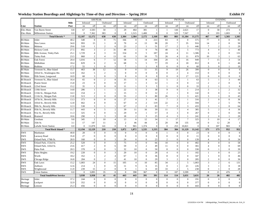### Weekday Station Boardings and Alightings by Time-of-Day and Direction -- Spring 2014 **EXHIMELY** Exhibit IV

| <b>Mile</b><br>Inbound<br>Outbound<br>Inbound<br>Outbound<br>Inbound<br>Outbound<br>Inbound<br>Outbound<br>Post<br>off<br>off<br>off<br><b>Station</b><br>off<br>off<br>on<br>off<br>on<br>off<br>on<br>off<br>on<br>on<br>on<br>on<br>on<br>0.8<br>3,583<br>$\mathbf{1}$<br>464<br>$\mathbf{1}$<br>144<br>2,621<br>17<br>58<br>273<br>Van Buren Street<br>67<br>50<br>29<br>381<br>$\mathbf{0}$<br>$\mathbf{0}$<br>1<br>0.0<br>$\mathbf{0}$<br>7,362<br>383<br>$\boldsymbol{0}$<br>$\boldsymbol{0}$<br>1,515<br>1,400<br>$\boldsymbol{0}$<br>$\mathbf{0}$<br>529<br>7,567<br>$\mathbf{0}$<br>$\mathbf{0}$<br>193<br>1,003<br>$\boldsymbol{0}$<br><b>Millennium Station</b><br>467<br><b>Total Electric*</b><br>12,107<br>12,172<br>638<br>638<br>2,384<br>2,384<br>2,172<br>2,168<br>883<br>883<br>11,184<br>11,175<br>467<br>1,503<br>1,503<br>95<br>71<br>166<br>$\overline{0}$<br>83<br>77<br>Joliet<br>40.2<br>540<br>$\mathbf{0}$<br>$\boldsymbol{0}$<br>$\boldsymbol{0}$<br>213<br>$\boldsymbol{0}$<br>$\boldsymbol{0}$<br>575<br>$\mathbf{0}$<br>$\mathbf{0}$<br>$\boldsymbol{7}$<br>993<br>15<br>$\mathbf{1}$<br>$20\,$<br>35<br>14<br>50<br>New Lenox<br>34.0<br>8<br>70<br>$\overline{4}$<br>13<br>98<br>916<br>$\overline{c}$<br>$\boldsymbol{0}$<br>$\overline{2}$<br>$\overline{c}$<br>$\overline{c}$<br>3<br>$7\phantom{.0}$<br>$\overline{c}$<br>Mokena<br>29.6<br>518<br>6<br>23<br>51<br>17<br>29<br>-1<br>-1<br>446<br>$\mathbf{1}$<br>27.5<br>892<br>3<br>$\sqrt{2}$<br>31<br>48<br>$\boldsymbol{0}$<br>76<br>40<br>6<br>5<br>773<br>40<br><b>Hickory Creek</b><br>$\overline{4}$<br>$\boldsymbol{0}$<br>$\mathbf{1}$<br>$\overline{1}$<br>1,729<br>$\overline{4}$<br>3<br>15<br>$\boldsymbol{0}$<br>5<br>187<br>$\overline{4}$<br>11<br>$\overline{2}$<br>$\boldsymbol{0}$<br>131<br>80th Avenue, Tinley Park<br>25.1<br>154<br>24<br>1,586<br>6<br>860<br>$\overline{4}$<br>10<br>RI-Main<br><b>Tinley Park</b><br>23.5<br>$\overline{2}$<br>13<br>61<br>3<br>75<br>26<br>$\overline{4}$<br>11<br>879<br>10<br>3<br>63<br>1<br>6<br>$\overline{7}$<br>$\sqrt{5}$<br>54<br>RI-Main<br>12<br>58<br>14<br>104<br>20<br>6<br>16<br>$\overline{7}$<br>15<br>$\mathfrak z$<br><b>Oak Forest</b><br>20.4<br>1,016<br>949<br>$\overline{c}$<br>5<br>5<br>77<br>RI-Main<br>Midlothian<br>829<br>6<br>$\overline{4}$<br>18<br>8<br>8<br>46<br>18.4<br>6<br>68<br>19<br>812<br>1<br>RI-Main<br>$\mathbf{0}$<br>$\overline{7}$<br>10<br>Robbins<br>17.2<br>55<br>$\mathbf{1}$<br>$\overline{1}$<br>$\theta$<br>$\overline{4}$<br>68<br>3<br>$\theta$<br>$\overline{1}$<br>8<br>6<br>$\mathbf{1}$<br>38<br>12<br>6<br>$\theta$<br>35<br>19<br>$\mathbf{0}$<br>RI Main<br>15.7<br>463<br>$\theta$<br>11<br>9<br>26<br>399<br>$\mathbf{0}$<br>$\Omega$<br>$\mathbf{0}$<br>Vermont St., Blue Island<br>$\overline{2}$<br>RI-Main<br>12.0<br>162<br>$\sqrt{5}$<br>$\theta$<br>$\mathbf{0}$<br>$\boldsymbol{0}$<br>$\boldsymbol{0}$<br>$\overline{0}$<br>$\sqrt{2}$<br>153<br>$\mathbf{0}$<br>$\Omega$<br>$\mathbf{0}$<br>103rd St., Washington Hts<br>$\mathbf{1}$<br>$\overline{4}$<br>$\Omega$<br>3<br>$\boldsymbol{0}$<br>RI-Main<br>10.9<br>68<br>$\boldsymbol{0}$<br>$\sqrt{5}$<br>$\overline{0}$<br>$\overline{0}$<br>$\boldsymbol{0}$<br>$\boldsymbol{0}$<br>$\boldsymbol{0}$<br>17<br>121<br>$\boldsymbol{0}$<br>$\boldsymbol{0}$<br>$\mathbf{0}$<br>95th Street, Longwood<br>$\mathbf{0}$<br>$\overline{c}$<br>$\,8\,$<br>35<br>63<br>$\overline{c}$<br>RI Branch<br>65<br>$\boldsymbol{0}$<br>5<br>$\,$ 8 $\,$<br>5<br>$\sqrt{5}$<br>$\overline{3}$<br>44<br>Vermont St., Blue Island<br>16.4<br>$\mathbf{1}$<br>63<br>$\boldsymbol{0}$<br>$\mathbf{0}$<br>$\mathfrak{Z}$<br>$\boldsymbol{0}$<br>$\mathbf{0}$<br>$\mathbf{2}$<br>RI-Branch<br>Prairie Street<br>15.8<br>23<br>$\overline{0}$<br>17<br>$\mathbf{1}$<br>12<br>13<br>2<br>$\mathbf{0}$<br>1<br>6<br>$\overline{3}$<br>RI-Branch<br>35<br>$\mathbf{0}$<br>$\mathbf{0}$<br>$\mathbf{0}$<br>33<br>2<br>123rd Street<br>15.2<br>11<br>5<br>$\overline{0}$<br>8<br>$\mathbf{1}$<br>1<br>1<br>38<br>32<br>RI-Branch<br>286<br>22<br>5<br>$\overline{3}$<br>9<br>$\overline{0}$<br>214<br>3<br>$\sqrt{2}$<br>119th Street<br>14.8<br>$\overline{1}$<br>$\overline{1}$<br>$\overline{1}$<br>$\mathbf{2}$<br>RI-Branch<br>115th St., Morgan Park<br>14.3<br>154<br>$\overline{2}$<br>15<br>$\boldsymbol{0}$<br>12<br>$\mathbf{0}$<br>142<br>$\boldsymbol{0}$<br>14<br>$\mathbf{1}$<br>$\mathbf{1}$<br>$\mathbf{1}$<br>$\Omega$<br>1<br>$\mathbf{1}$<br>$\overline{2}$<br>$\mathfrak{2}$<br>80<br>RI-Branch<br>111th St., Morgan Park<br>13.8<br>513<br>$\mathbf{0}$<br>8<br>55<br>26<br>3<br>421<br>3<br>$\mathbf{0}$<br>43<br>$\mathbf{1}$<br>$\mathbf{1}$<br>$\overline{0}$<br>$\mathbf{0}$<br>27<br>$\theta$<br>41<br>$\overline{c}$<br>107th St., Beverly Hills<br>13.3<br>373<br>$\mathbf{0}$<br>$\overline{3}$<br>$7\phantom{.0}$<br>$\mathbf{1}$<br>316<br>2<br>$\mathbf{0}$<br>36<br>RI-Branch<br>$\mathbf{0}$<br>$\sqrt{2}$<br>$22\,$<br>$\overline{\mathbf{3}}$<br>RI-Branch<br>662<br>$\mathbf{0}$<br>$\overline{c}$<br>$\tau$<br>5<br>79<br>103rd St., Beverly Hills<br>12.8<br>$\overline{4}$<br>67<br>$\overline{4}$<br>119<br>594<br>$\overline{c}$<br>$\mathbf{1}$<br>12.3<br>$\overline{c}$<br>$\sqrt{2}$<br>83<br>$7\phantom{.0}$<br>$\overline{3}$<br>RI-Branch<br>538<br>3<br>$\mathbf{0}$<br>433<br>3<br>$\mathbf{0}$<br>99th St., Beverly Hills<br>67<br>64<br>$\mathbf{1}$<br>RI-Branch<br>11.7<br>443<br>$\overline{4}$<br>5<br>$\overline{c}$<br>39<br>11<br>16<br>39<br>11<br>$\overline{7}$<br>$\overline{4}$<br>385<br>5<br>36<br>95th St., Beverly Hills<br>$\overline{2}$<br>$\overline{4}$<br>5<br>$\overline{3}$<br>RI-Branch<br>325<br>$\overline{0}$<br>$\boldsymbol{0}$<br>29<br>$\boldsymbol{0}$<br>$\mathbf{1}$<br>57<br>$\boldsymbol{0}$<br>$\mathbf{0}$<br>$\mathbf{0}$<br>34<br>91st St., Beverly Hills<br>11.3<br>$\overline{4}$<br>267<br>$\mathbf{1}$<br>290<br>3<br>$\overline{3}$<br>$\mathfrak{2}$<br>$\overline{3}$<br>$\mathfrak{Z}$<br>20<br>RI-Branch<br><b>Brainerd</b><br>10.6<br>$\overline{1}$<br>18<br>25<br>$\overline{4}$<br>$\mathbf{1}$<br>241<br>2<br>$\boldsymbol{0}$<br>34<br>$\overline{2}$<br>10<br>$\overline{4}$<br>6<br>12<br>17<br>$\overline{7}$<br>$17\,$<br>RI-Main<br>9.8<br>345<br>13<br>325<br>$\overline{3}$<br>10<br>$\overline{4}$<br>Gresham<br>$\overline{1}$<br>147<br>$\overline{c}$<br>46<br>44<br>$20\,$<br>38<br>20<br>RI-Main<br>35th St.<br>3.1<br>17<br>11<br>3<br>135<br>18<br>$\mathbf{0}$<br>12<br>$\mathbf{1}$<br>$\mathbf{1}$<br>0.0<br>141<br>$\mathbf{0}$<br>$\theta$<br>1,374<br>$\mathbf{0}$<br>253<br>$\mathbf{0}$<br>$\mathbf{0}$<br>903<br>$\mathbf{0}$<br>RI-Main<br><b>LaSalle Street Station</b><br>$\overline{0}$<br>11,878<br>965<br>$\overline{0}$<br>10,821<br>107<br>12,129<br>210<br>210<br>1.072<br>1,072<br>1,535<br>1,535<br>384<br>173<br>952<br>952<br><b>Total Rock Island*</b><br>12,194<br>384<br>11,129<br>11,142<br>173<br><b>SWS</b><br>$\boldsymbol{0}$<br>Manhattan<br>40.8<br>28<br>$\boldsymbol{0}$<br>$\boldsymbol{0}$<br>$\boldsymbol{0}$<br>$\mathbf{0}$<br>$\mathbf{0}$<br>$\boldsymbol{0}$<br>$\mathbf{0}$<br>23<br>$\boldsymbol{0}$<br>$\boldsymbol{0}$<br>$\boldsymbol{0}$<br>$\mathbf{0}$<br>$\boldsymbol{0}$<br>$\mathbf{1}$<br><b>SWS</b><br>27<br>$\mathbf{0}$<br>35.8<br>$\boldsymbol{0}$<br>$\boldsymbol{0}$<br>$\boldsymbol{0}$<br>$\boldsymbol{0}$<br>$\boldsymbol{0}$<br>$\boldsymbol{0}$<br>$\mathbf{0}$<br>$\boldsymbol{0}$<br>$\mathbf{0}$<br>$\mathbf{0}$<br>11<br>$\mathbf{0}$<br>$\mathbf{0}$<br>$\boldsymbol{0}$<br>Laraway Road<br><b>SWS</b><br>Orland Park, 179th St.<br>28.9<br>160<br>$\overline{0}$<br>$\mathbf{0}$<br>$\mathfrak{Z}$<br>24<br>$\theta$<br>$\mathbf{0}$<br>23<br>$\overline{c}$<br>$\overline{0}$<br>$\mathbf{0}$<br>139<br>$\mathbf{0}$<br>$\mathbf{0}$<br>34<br>$\overline{4}$<br>$\mathbf{0}$<br>$\mathfrak{Z}$<br>75<br>$\overline{0}$<br>$\mathbf{0}$<br>$\mathbf{0}$<br>482<br>58<br><b>SWS</b><br>25.2<br>528<br>$\mathbf{0}$<br>66<br>10<br>$\overline{0}$<br>8<br>$\overline{0}$<br>Orland Park, 153rd St.<br>$\Omega$<br>$\overline{c}$<br>$\mathbf{0}$<br>$\theta$<br>$\sqrt{2}$<br><b>SWS</b><br>417<br>6<br>59<br>49<br>11<br>$\overline{0}$<br>$\mathbf{0}$<br>$\boldsymbol{0}$<br>69<br>Orland Park, 143rd St.<br>23.6<br>365<br>$\overline{A}$<br>$\Omega$<br>$\boldsymbol{0}$<br>5<br>10<br>$\boldsymbol{0}$<br>50<br><b>SWS</b><br>20.3<br>378<br>$\boldsymbol{0}$<br>32<br>8<br>$\overline{0}$<br>$\mathbf{0}$<br>330<br>$\boldsymbol{0}$<br>$\boldsymbol{0}$<br>39<br>Palos Park<br>$\overline{3}$<br>23<br><b>SWS</b><br>Palos Heights<br>228<br>$\boldsymbol{0}$<br>$\boldsymbol{0}$<br>20<br>10<br>$\boldsymbol{0}$<br>28<br>$\overline{4}$<br>$\overline{0}$<br>$\overline{1}$<br>182<br>$\overline{0}$<br>19.2<br>$\overline{1}$<br>$\theta$<br>352<br>$\mathbf{2}$<br>$\overline{4}$<br>$\boldsymbol{0}$<br>8<br>$\mathbf{0}$<br>46<br><b>SWS</b><br>Worth<br>18.2<br>$\mathbf{1}$<br>67<br>$\mathbf{1}$<br>36<br>$\mathbf{0}$<br>347<br>$\mathbf{1}$<br>$\mathbf{0}$<br>$\mathbf{0}$<br>$\overline{2}$<br><b>SWS</b><br>16.8<br>284<br>$\boldsymbol{0}$<br>$\sqrt{2}$<br>10<br>$\mathbf{0}$<br>29<br>3<br>$\overline{c}$<br>$\mathbf{0}$<br>285<br>$\overline{2}$<br>$\overline{0}$<br>36<br>Chicago Ridge<br>41<br>$\mathbf{0}$<br>15<br>15.2<br>1,083<br>24<br>105<br>85<br>34<br>$\overline{c}$<br>5<br>1,003<br>$\overline{3}$<br>131<br><b>SWS</b><br>Oak Lawn<br>$\boldsymbol{0}$<br>$\overline{4}$<br>10<br>$\overline{c}$<br>6<br>$\boldsymbol{0}$<br>9<br>21<br><b>SWS</b><br>214<br>$\boldsymbol{0}$<br>11<br>$\sqrt{6}$<br>15<br>$\boldsymbol{0}$<br>$\mathbf{1}$<br>226<br>3<br>18<br>Ashburn<br>12.6<br>$\overline{1}$<br>$\mathbf{0}$<br>-1<br><b>SWS</b><br>239<br>15<br>$\overline{2}$<br>$\boldsymbol{0}$<br>10<br>33<br>$\overline{2}$<br>5<br>238<br>$\mathbf{0}$<br>28<br>Wrightwood<br>11.9<br>9<br>$\blacksquare$<br>6<br>$\Omega$<br>35<br>$\overline{0}$<br>398<br>107<br>21<br>476<br><b>SWS</b><br>0.0<br>3,895<br>$\theta$<br>367<br>$\mathbf{0}$<br>3,599<br>$\theta$<br>$\mathbf{0}$<br>$\Omega$<br>$\Omega$<br>$\theta$<br><b>Union Station</b><br>41<br>41<br>443<br>26<br>482<br>482<br>3,938<br>3,938<br>443<br>391<br>391<br>114<br>114<br>3,631<br>3,631<br>26<br><b>Total SouthWest Service</b><br>$\boldsymbol{0}$<br>244<br>$\boldsymbol{0}$<br>$\boldsymbol{0}$<br>$\mathbf{0}$<br>$\overline{0}$<br>$\mathbf{0}$<br>Heritage<br>Joliet<br>37.2<br>$\mathbf{0}$<br>$\mathbf{0}$<br>$\overline{0}$<br>$\boldsymbol{0}$<br>$\boldsymbol{0}$<br>$\mathbf{0}$<br>191<br>$\mathbf{0}$<br>$\mathbf{0}$<br>$\mathbf{0}$<br>352<br>$\boldsymbol{0}$<br>$\overline{0}$<br>$\boldsymbol{0}$<br>$\boldsymbol{0}$<br>$\boldsymbol{0}$<br>32.9<br>$\mathbf{0}$<br>$\theta$<br>$\mathbf{0}$<br>$\overline{0}$<br>$\overline{0}$<br>377<br>$\mathbf{0}$<br>$\mathbf{0}$<br>$\mathbf{0}$<br>Heritage<br>Lockport<br>25.3<br>$\mathbf{0}$<br>$\mathbf{0}$<br>$\mathbf{0}$<br>$\theta$<br>$\overline{0}$<br>$\Omega$<br>$\theta$<br>$\mathbf{0}$<br>443<br>$\Omega$<br>$\mathbf{0}$<br>456<br>$\overline{0}$<br>$\overline{0}$<br>$\overline{0}$<br>Lemont |           |  | AM PEAK |  | <b>MIDDAY</b> |  |  | <b>PM PEAK</b> |  | <b>EVENING</b> |                |
|-------------------------------------------------------------------------------------------------------------------------------------------------------------------------------------------------------------------------------------------------------------------------------------------------------------------------------------------------------------------------------------------------------------------------------------------------------------------------------------------------------------------------------------------------------------------------------------------------------------------------------------------------------------------------------------------------------------------------------------------------------------------------------------------------------------------------------------------------------------------------------------------------------------------------------------------------------------------------------------------------------------------------------------------------------------------------------------------------------------------------------------------------------------------------------------------------------------------------------------------------------------------------------------------------------------------------------------------------------------------------------------------------------------------------------------------------------------------------------------------------------------------------------------------------------------------------------------------------------------------------------------------------------------------------------------------------------------------------------------------------------------------------------------------------------------------------------------------------------------------------------------------------------------------------------------------------------------------------------------------------------------------------------------------------------------------------------------------------------------------------------------------------------------------------------------------------------------------------------------------------------------------------------------------------------------------------------------------------------------------------------------------------------------------------------------------------------------------------------------------------------------------------------------------------------------------------------------------------------------------------------------------------------------------------------------------------------------------------------------------------------------------------------------------------------------------------------------------------------------------------------------------------------------------------------------------------------------------------------------------------------------------------------------------------------------------------------------------------------------------------------------------------------------------------------------------------------------------------------------------------------------------------------------------------------------------------------------------------------------------------------------------------------------------------------------------------------------------------------------------------------------------------------------------------------------------------------------------------------------------------------------------------------------------------------------------------------------------------------------------------------------------------------------------------------------------------------------------------------------------------------------------------------------------------------------------------------------------------------------------------------------------------------------------------------------------------------------------------------------------------------------------------------------------------------------------------------------------------------------------------------------------------------------------------------------------------------------------------------------------------------------------------------------------------------------------------------------------------------------------------------------------------------------------------------------------------------------------------------------------------------------------------------------------------------------------------------------------------------------------------------------------------------------------------------------------------------------------------------------------------------------------------------------------------------------------------------------------------------------------------------------------------------------------------------------------------------------------------------------------------------------------------------------------------------------------------------------------------------------------------------------------------------------------------------------------------------------------------------------------------------------------------------------------------------------------------------------------------------------------------------------------------------------------------------------------------------------------------------------------------------------------------------------------------------------------------------------------------------------------------------------------------------------------------------------------------------------------------------------------------------------------------------------------------------------------------------------------------------------------------------------------------------------------------------------------------------------------------------------------------------------------------------------------------------------------------------------------------------------------------------------------------------------------------------------------------------------------------------------------------------------------------------------------------------------------------------------------------------------------------------------------------------------------------------------------------------------------------------------------------------------------------------------------------------------------------------------------------------------------------------------------------------------------------------------------------------------------------------------------------------------------------------------------------------------------------------------------------------------------------------------------------------------------------------------------------------------------------------------------------------------------------------------------------------------------------------------------------------------------------------------------------------------------------------------------------------------------------------------------------------------------------------------------------------------------------------------------------------------------------------------------------------------------------------------------------------------------------------------------------------------------------------------------------------------------------------------------------------------------------------------------------------------------------------------------------------------------------------------------------------------------------------------------------------------------------------------------------------------------------------------------------------------------------------------------------------------------------------------------------------------------------------------------------------------------------------------------------------------------------------------------------------------------------------------------------------------------------------------------------------------------------------------------------------------------------------------------------------------------------------------------------------------------------------------------------------------------------------------------------------------------------------------------------------------------------------------------------------------------------------------------------------------------------------------------------------------------------------------------------------------------------------------------------------------------------------------------------------------------------------------------------------------------------------------------------------------------------------------------------------------------------------------------------------------------------------------------------------------------------------------------------------------------------------------------------------------------------------------------------------------------------------------------------------------------------------------------------------------------------------------------------------------------------------------------------------------------------------------------------------------------------------------------------------------------------------------------------------------------------------------------------------------------------------------------------------------------------------------------------------------------------------------------------------------------------------------------------------------------------------------------------------------------------------------------------------------------------------------------------------------------------------------------------------------------------------------------------------------------------------------------------------------------------------------------------------------------------------------------------------------------------------------------------------------------------------------------------------------------------------------------------------------------------------------------------------------------------------------------------------------------------------------------------------------------------------------------------------------------------------------------------------------------------------------------------------------------------------------------------------------------------------------------------------------------------------------------------------------------------------------------------------------------------------------------------------------------------------------------------------------------------------------------------------------------------------------------------------------------------------|-----------|--|---------|--|---------------|--|--|----------------|--|----------------|----------------|
|                                                                                                                                                                                                                                                                                                                                                                                                                                                                                                                                                                                                                                                                                                                                                                                                                                                                                                                                                                                                                                                                                                                                                                                                                                                                                                                                                                                                                                                                                                                                                                                                                                                                                                                                                                                                                                                                                                                                                                                                                                                                                                                                                                                                                                                                                                                                                                                                                                                                                                                                                                                                                                                                                                                                                                                                                                                                                                                                                                                                                                                                                                                                                                                                                                                                                                                                                                                                                                                                                                                                                                                                                                                                                                                                                                                                                                                                                                                                                                                                                                                                                                                                                                                                                                                                                                                                                                                                                                                                                                                                                                                                                                                                                                                                                                                                                                                                                                                                                                                                                                                                                                                                                                                                                                                                                                                                                                                                                                                                                                                                                                                                                                                                                                                                                                                                                                                                                                                                                                                                                                                                                                                                                                                                                                                                                                                                                                                                                                                                                                                                                                                                                                                                                                                                                                                                                                                                                                                                                                                                                                                                                                                                                                                                                                                                                                                                                                                                                                                                                                                                                                                                                                                                                                                                                                                                                                                                                                                                                                                                                                                                                                                                                                                                                                                                                                                                                                                                                                                                                                                                                                                                                                                                                                                                                                                                                                                                                                                                                                                                                                                                                                                                                                                                                                                                                                                                                                                                                                                                                                                                                                                                                                                                                                                                                                                                                                                                                                                                                                                                                                                                                                                                                                                                                                                                                                                                                                                                                                                                                                                                                                                                                                                                                                                                                                                                                                                                                                                                                                                                                                                                                                                                                                                                                                                       |           |  |         |  |               |  |  |                |  |                |                |
|                                                                                                                                                                                                                                                                                                                                                                                                                                                                                                                                                                                                                                                                                                                                                                                                                                                                                                                                                                                                                                                                                                                                                                                                                                                                                                                                                                                                                                                                                                                                                                                                                                                                                                                                                                                                                                                                                                                                                                                                                                                                                                                                                                                                                                                                                                                                                                                                                                                                                                                                                                                                                                                                                                                                                                                                                                                                                                                                                                                                                                                                                                                                                                                                                                                                                                                                                                                                                                                                                                                                                                                                                                                                                                                                                                                                                                                                                                                                                                                                                                                                                                                                                                                                                                                                                                                                                                                                                                                                                                                                                                                                                                                                                                                                                                                                                                                                                                                                                                                                                                                                                                                                                                                                                                                                                                                                                                                                                                                                                                                                                                                                                                                                                                                                                                                                                                                                                                                                                                                                                                                                                                                                                                                                                                                                                                                                                                                                                                                                                                                                                                                                                                                                                                                                                                                                                                                                                                                                                                                                                                                                                                                                                                                                                                                                                                                                                                                                                                                                                                                                                                                                                                                                                                                                                                                                                                                                                                                                                                                                                                                                                                                                                                                                                                                                                                                                                                                                                                                                                                                                                                                                                                                                                                                                                                                                                                                                                                                                                                                                                                                                                                                                                                                                                                                                                                                                                                                                                                                                                                                                                                                                                                                                                                                                                                                                                                                                                                                                                                                                                                                                                                                                                                                                                                                                                                                                                                                                                                                                                                                                                                                                                                                                                                                                                                                                                                                                                                                                                                                                                                                                                                                                                                                                                                                       | Line      |  |         |  |               |  |  |                |  |                |                |
|                                                                                                                                                                                                                                                                                                                                                                                                                                                                                                                                                                                                                                                                                                                                                                                                                                                                                                                                                                                                                                                                                                                                                                                                                                                                                                                                                                                                                                                                                                                                                                                                                                                                                                                                                                                                                                                                                                                                                                                                                                                                                                                                                                                                                                                                                                                                                                                                                                                                                                                                                                                                                                                                                                                                                                                                                                                                                                                                                                                                                                                                                                                                                                                                                                                                                                                                                                                                                                                                                                                                                                                                                                                                                                                                                                                                                                                                                                                                                                                                                                                                                                                                                                                                                                                                                                                                                                                                                                                                                                                                                                                                                                                                                                                                                                                                                                                                                                                                                                                                                                                                                                                                                                                                                                                                                                                                                                                                                                                                                                                                                                                                                                                                                                                                                                                                                                                                                                                                                                                                                                                                                                                                                                                                                                                                                                                                                                                                                                                                                                                                                                                                                                                                                                                                                                                                                                                                                                                                                                                                                                                                                                                                                                                                                                                                                                                                                                                                                                                                                                                                                                                                                                                                                                                                                                                                                                                                                                                                                                                                                                                                                                                                                                                                                                                                                                                                                                                                                                                                                                                                                                                                                                                                                                                                                                                                                                                                                                                                                                                                                                                                                                                                                                                                                                                                                                                                                                                                                                                                                                                                                                                                                                                                                                                                                                                                                                                                                                                                                                                                                                                                                                                                                                                                                                                                                                                                                                                                                                                                                                                                                                                                                                                                                                                                                                                                                                                                                                                                                                                                                                                                                                                                                                                                                                                       | Elec-Main |  |         |  |               |  |  |                |  |                |                |
|                                                                                                                                                                                                                                                                                                                                                                                                                                                                                                                                                                                                                                                                                                                                                                                                                                                                                                                                                                                                                                                                                                                                                                                                                                                                                                                                                                                                                                                                                                                                                                                                                                                                                                                                                                                                                                                                                                                                                                                                                                                                                                                                                                                                                                                                                                                                                                                                                                                                                                                                                                                                                                                                                                                                                                                                                                                                                                                                                                                                                                                                                                                                                                                                                                                                                                                                                                                                                                                                                                                                                                                                                                                                                                                                                                                                                                                                                                                                                                                                                                                                                                                                                                                                                                                                                                                                                                                                                                                                                                                                                                                                                                                                                                                                                                                                                                                                                                                                                                                                                                                                                                                                                                                                                                                                                                                                                                                                                                                                                                                                                                                                                                                                                                                                                                                                                                                                                                                                                                                                                                                                                                                                                                                                                                                                                                                                                                                                                                                                                                                                                                                                                                                                                                                                                                                                                                                                                                                                                                                                                                                                                                                                                                                                                                                                                                                                                                                                                                                                                                                                                                                                                                                                                                                                                                                                                                                                                                                                                                                                                                                                                                                                                                                                                                                                                                                                                                                                                                                                                                                                                                                                                                                                                                                                                                                                                                                                                                                                                                                                                                                                                                                                                                                                                                                                                                                                                                                                                                                                                                                                                                                                                                                                                                                                                                                                                                                                                                                                                                                                                                                                                                                                                                                                                                                                                                                                                                                                                                                                                                                                                                                                                                                                                                                                                                                                                                                                                                                                                                                                                                                                                                                                                                                                                                                       | Elec-Main |  |         |  |               |  |  |                |  |                |                |
|                                                                                                                                                                                                                                                                                                                                                                                                                                                                                                                                                                                                                                                                                                                                                                                                                                                                                                                                                                                                                                                                                                                                                                                                                                                                                                                                                                                                                                                                                                                                                                                                                                                                                                                                                                                                                                                                                                                                                                                                                                                                                                                                                                                                                                                                                                                                                                                                                                                                                                                                                                                                                                                                                                                                                                                                                                                                                                                                                                                                                                                                                                                                                                                                                                                                                                                                                                                                                                                                                                                                                                                                                                                                                                                                                                                                                                                                                                                                                                                                                                                                                                                                                                                                                                                                                                                                                                                                                                                                                                                                                                                                                                                                                                                                                                                                                                                                                                                                                                                                                                                                                                                                                                                                                                                                                                                                                                                                                                                                                                                                                                                                                                                                                                                                                                                                                                                                                                                                                                                                                                                                                                                                                                                                                                                                                                                                                                                                                                                                                                                                                                                                                                                                                                                                                                                                                                                                                                                                                                                                                                                                                                                                                                                                                                                                                                                                                                                                                                                                                                                                                                                                                                                                                                                                                                                                                                                                                                                                                                                                                                                                                                                                                                                                                                                                                                                                                                                                                                                                                                                                                                                                                                                                                                                                                                                                                                                                                                                                                                                                                                                                                                                                                                                                                                                                                                                                                                                                                                                                                                                                                                                                                                                                                                                                                                                                                                                                                                                                                                                                                                                                                                                                                                                                                                                                                                                                                                                                                                                                                                                                                                                                                                                                                                                                                                                                                                                                                                                                                                                                                                                                                                                                                                                                                                                       |           |  |         |  |               |  |  |                |  |                |                |
|                                                                                                                                                                                                                                                                                                                                                                                                                                                                                                                                                                                                                                                                                                                                                                                                                                                                                                                                                                                                                                                                                                                                                                                                                                                                                                                                                                                                                                                                                                                                                                                                                                                                                                                                                                                                                                                                                                                                                                                                                                                                                                                                                                                                                                                                                                                                                                                                                                                                                                                                                                                                                                                                                                                                                                                                                                                                                                                                                                                                                                                                                                                                                                                                                                                                                                                                                                                                                                                                                                                                                                                                                                                                                                                                                                                                                                                                                                                                                                                                                                                                                                                                                                                                                                                                                                                                                                                                                                                                                                                                                                                                                                                                                                                                                                                                                                                                                                                                                                                                                                                                                                                                                                                                                                                                                                                                                                                                                                                                                                                                                                                                                                                                                                                                                                                                                                                                                                                                                                                                                                                                                                                                                                                                                                                                                                                                                                                                                                                                                                                                                                                                                                                                                                                                                                                                                                                                                                                                                                                                                                                                                                                                                                                                                                                                                                                                                                                                                                                                                                                                                                                                                                                                                                                                                                                                                                                                                                                                                                                                                                                                                                                                                                                                                                                                                                                                                                                                                                                                                                                                                                                                                                                                                                                                                                                                                                                                                                                                                                                                                                                                                                                                                                                                                                                                                                                                                                                                                                                                                                                                                                                                                                                                                                                                                                                                                                                                                                                                                                                                                                                                                                                                                                                                                                                                                                                                                                                                                                                                                                                                                                                                                                                                                                                                                                                                                                                                                                                                                                                                                                                                                                                                                                                                                                                       | RI-Main   |  |         |  |               |  |  |                |  |                |                |
|                                                                                                                                                                                                                                                                                                                                                                                                                                                                                                                                                                                                                                                                                                                                                                                                                                                                                                                                                                                                                                                                                                                                                                                                                                                                                                                                                                                                                                                                                                                                                                                                                                                                                                                                                                                                                                                                                                                                                                                                                                                                                                                                                                                                                                                                                                                                                                                                                                                                                                                                                                                                                                                                                                                                                                                                                                                                                                                                                                                                                                                                                                                                                                                                                                                                                                                                                                                                                                                                                                                                                                                                                                                                                                                                                                                                                                                                                                                                                                                                                                                                                                                                                                                                                                                                                                                                                                                                                                                                                                                                                                                                                                                                                                                                                                                                                                                                                                                                                                                                                                                                                                                                                                                                                                                                                                                                                                                                                                                                                                                                                                                                                                                                                                                                                                                                                                                                                                                                                                                                                                                                                                                                                                                                                                                                                                                                                                                                                                                                                                                                                                                                                                                                                                                                                                                                                                                                                                                                                                                                                                                                                                                                                                                                                                                                                                                                                                                                                                                                                                                                                                                                                                                                                                                                                                                                                                                                                                                                                                                                                                                                                                                                                                                                                                                                                                                                                                                                                                                                                                                                                                                                                                                                                                                                                                                                                                                                                                                                                                                                                                                                                                                                                                                                                                                                                                                                                                                                                                                                                                                                                                                                                                                                                                                                                                                                                                                                                                                                                                                                                                                                                                                                                                                                                                                                                                                                                                                                                                                                                                                                                                                                                                                                                                                                                                                                                                                                                                                                                                                                                                                                                                                                                                                                                                                       | RI-Main   |  |         |  |               |  |  |                |  |                |                |
|                                                                                                                                                                                                                                                                                                                                                                                                                                                                                                                                                                                                                                                                                                                                                                                                                                                                                                                                                                                                                                                                                                                                                                                                                                                                                                                                                                                                                                                                                                                                                                                                                                                                                                                                                                                                                                                                                                                                                                                                                                                                                                                                                                                                                                                                                                                                                                                                                                                                                                                                                                                                                                                                                                                                                                                                                                                                                                                                                                                                                                                                                                                                                                                                                                                                                                                                                                                                                                                                                                                                                                                                                                                                                                                                                                                                                                                                                                                                                                                                                                                                                                                                                                                                                                                                                                                                                                                                                                                                                                                                                                                                                                                                                                                                                                                                                                                                                                                                                                                                                                                                                                                                                                                                                                                                                                                                                                                                                                                                                                                                                                                                                                                                                                                                                                                                                                                                                                                                                                                                                                                                                                                                                                                                                                                                                                                                                                                                                                                                                                                                                                                                                                                                                                                                                                                                                                                                                                                                                                                                                                                                                                                                                                                                                                                                                                                                                                                                                                                                                                                                                                                                                                                                                                                                                                                                                                                                                                                                                                                                                                                                                                                                                                                                                                                                                                                                                                                                                                                                                                                                                                                                                                                                                                                                                                                                                                                                                                                                                                                                                                                                                                                                                                                                                                                                                                                                                                                                                                                                                                                                                                                                                                                                                                                                                                                                                                                                                                                                                                                                                                                                                                                                                                                                                                                                                                                                                                                                                                                                                                                                                                                                                                                                                                                                                                                                                                                                                                                                                                                                                                                                                                                                                                                                                                                       | RI-Main   |  |         |  |               |  |  |                |  |                |                |
|                                                                                                                                                                                                                                                                                                                                                                                                                                                                                                                                                                                                                                                                                                                                                                                                                                                                                                                                                                                                                                                                                                                                                                                                                                                                                                                                                                                                                                                                                                                                                                                                                                                                                                                                                                                                                                                                                                                                                                                                                                                                                                                                                                                                                                                                                                                                                                                                                                                                                                                                                                                                                                                                                                                                                                                                                                                                                                                                                                                                                                                                                                                                                                                                                                                                                                                                                                                                                                                                                                                                                                                                                                                                                                                                                                                                                                                                                                                                                                                                                                                                                                                                                                                                                                                                                                                                                                                                                                                                                                                                                                                                                                                                                                                                                                                                                                                                                                                                                                                                                                                                                                                                                                                                                                                                                                                                                                                                                                                                                                                                                                                                                                                                                                                                                                                                                                                                                                                                                                                                                                                                                                                                                                                                                                                                                                                                                                                                                                                                                                                                                                                                                                                                                                                                                                                                                                                                                                                                                                                                                                                                                                                                                                                                                                                                                                                                                                                                                                                                                                                                                                                                                                                                                                                                                                                                                                                                                                                                                                                                                                                                                                                                                                                                                                                                                                                                                                                                                                                                                                                                                                                                                                                                                                                                                                                                                                                                                                                                                                                                                                                                                                                                                                                                                                                                                                                                                                                                                                                                                                                                                                                                                                                                                                                                                                                                                                                                                                                                                                                                                                                                                                                                                                                                                                                                                                                                                                                                                                                                                                                                                                                                                                                                                                                                                                                                                                                                                                                                                                                                                                                                                                                                                                                                                                                       | RI-Main   |  |         |  |               |  |  |                |  |                |                |
|                                                                                                                                                                                                                                                                                                                                                                                                                                                                                                                                                                                                                                                                                                                                                                                                                                                                                                                                                                                                                                                                                                                                                                                                                                                                                                                                                                                                                                                                                                                                                                                                                                                                                                                                                                                                                                                                                                                                                                                                                                                                                                                                                                                                                                                                                                                                                                                                                                                                                                                                                                                                                                                                                                                                                                                                                                                                                                                                                                                                                                                                                                                                                                                                                                                                                                                                                                                                                                                                                                                                                                                                                                                                                                                                                                                                                                                                                                                                                                                                                                                                                                                                                                                                                                                                                                                                                                                                                                                                                                                                                                                                                                                                                                                                                                                                                                                                                                                                                                                                                                                                                                                                                                                                                                                                                                                                                                                                                                                                                                                                                                                                                                                                                                                                                                                                                                                                                                                                                                                                                                                                                                                                                                                                                                                                                                                                                                                                                                                                                                                                                                                                                                                                                                                                                                                                                                                                                                                                                                                                                                                                                                                                                                                                                                                                                                                                                                                                                                                                                                                                                                                                                                                                                                                                                                                                                                                                                                                                                                                                                                                                                                                                                                                                                                                                                                                                                                                                                                                                                                                                                                                                                                                                                                                                                                                                                                                                                                                                                                                                                                                                                                                                                                                                                                                                                                                                                                                                                                                                                                                                                                                                                                                                                                                                                                                                                                                                                                                                                                                                                                                                                                                                                                                                                                                                                                                                                                                                                                                                                                                                                                                                                                                                                                                                                                                                                                                                                                                                                                                                                                                                                                                                                                                                                                                       | RI-Main   |  |         |  |               |  |  |                |  |                |                |
|                                                                                                                                                                                                                                                                                                                                                                                                                                                                                                                                                                                                                                                                                                                                                                                                                                                                                                                                                                                                                                                                                                                                                                                                                                                                                                                                                                                                                                                                                                                                                                                                                                                                                                                                                                                                                                                                                                                                                                                                                                                                                                                                                                                                                                                                                                                                                                                                                                                                                                                                                                                                                                                                                                                                                                                                                                                                                                                                                                                                                                                                                                                                                                                                                                                                                                                                                                                                                                                                                                                                                                                                                                                                                                                                                                                                                                                                                                                                                                                                                                                                                                                                                                                                                                                                                                                                                                                                                                                                                                                                                                                                                                                                                                                                                                                                                                                                                                                                                                                                                                                                                                                                                                                                                                                                                                                                                                                                                                                                                                                                                                                                                                                                                                                                                                                                                                                                                                                                                                                                                                                                                                                                                                                                                                                                                                                                                                                                                                                                                                                                                                                                                                                                                                                                                                                                                                                                                                                                                                                                                                                                                                                                                                                                                                                                                                                                                                                                                                                                                                                                                                                                                                                                                                                                                                                                                                                                                                                                                                                                                                                                                                                                                                                                                                                                                                                                                                                                                                                                                                                                                                                                                                                                                                                                                                                                                                                                                                                                                                                                                                                                                                                                                                                                                                                                                                                                                                                                                                                                                                                                                                                                                                                                                                                                                                                                                                                                                                                                                                                                                                                                                                                                                                                                                                                                                                                                                                                                                                                                                                                                                                                                                                                                                                                                                                                                                                                                                                                                                                                                                                                                                                                                                                                                                                                       |           |  |         |  |               |  |  |                |  |                |                |
|                                                                                                                                                                                                                                                                                                                                                                                                                                                                                                                                                                                                                                                                                                                                                                                                                                                                                                                                                                                                                                                                                                                                                                                                                                                                                                                                                                                                                                                                                                                                                                                                                                                                                                                                                                                                                                                                                                                                                                                                                                                                                                                                                                                                                                                                                                                                                                                                                                                                                                                                                                                                                                                                                                                                                                                                                                                                                                                                                                                                                                                                                                                                                                                                                                                                                                                                                                                                                                                                                                                                                                                                                                                                                                                                                                                                                                                                                                                                                                                                                                                                                                                                                                                                                                                                                                                                                                                                                                                                                                                                                                                                                                                                                                                                                                                                                                                                                                                                                                                                                                                                                                                                                                                                                                                                                                                                                                                                                                                                                                                                                                                                                                                                                                                                                                                                                                                                                                                                                                                                                                                                                                                                                                                                                                                                                                                                                                                                                                                                                                                                                                                                                                                                                                                                                                                                                                                                                                                                                                                                                                                                                                                                                                                                                                                                                                                                                                                                                                                                                                                                                                                                                                                                                                                                                                                                                                                                                                                                                                                                                                                                                                                                                                                                                                                                                                                                                                                                                                                                                                                                                                                                                                                                                                                                                                                                                                                                                                                                                                                                                                                                                                                                                                                                                                                                                                                                                                                                                                                                                                                                                                                                                                                                                                                                                                                                                                                                                                                                                                                                                                                                                                                                                                                                                                                                                                                                                                                                                                                                                                                                                                                                                                                                                                                                                                                                                                                                                                                                                                                                                                                                                                                                                                                                                                                       |           |  |         |  |               |  |  |                |  |                |                |
|                                                                                                                                                                                                                                                                                                                                                                                                                                                                                                                                                                                                                                                                                                                                                                                                                                                                                                                                                                                                                                                                                                                                                                                                                                                                                                                                                                                                                                                                                                                                                                                                                                                                                                                                                                                                                                                                                                                                                                                                                                                                                                                                                                                                                                                                                                                                                                                                                                                                                                                                                                                                                                                                                                                                                                                                                                                                                                                                                                                                                                                                                                                                                                                                                                                                                                                                                                                                                                                                                                                                                                                                                                                                                                                                                                                                                                                                                                                                                                                                                                                                                                                                                                                                                                                                                                                                                                                                                                                                                                                                                                                                                                                                                                                                                                                                                                                                                                                                                                                                                                                                                                                                                                                                                                                                                                                                                                                                                                                                                                                                                                                                                                                                                                                                                                                                                                                                                                                                                                                                                                                                                                                                                                                                                                                                                                                                                                                                                                                                                                                                                                                                                                                                                                                                                                                                                                                                                                                                                                                                                                                                                                                                                                                                                                                                                                                                                                                                                                                                                                                                                                                                                                                                                                                                                                                                                                                                                                                                                                                                                                                                                                                                                                                                                                                                                                                                                                                                                                                                                                                                                                                                                                                                                                                                                                                                                                                                                                                                                                                                                                                                                                                                                                                                                                                                                                                                                                                                                                                                                                                                                                                                                                                                                                                                                                                                                                                                                                                                                                                                                                                                                                                                                                                                                                                                                                                                                                                                                                                                                                                                                                                                                                                                                                                                                                                                                                                                                                                                                                                                                                                                                                                                                                                                                                                       |           |  |         |  |               |  |  |                |  |                |                |
|                                                                                                                                                                                                                                                                                                                                                                                                                                                                                                                                                                                                                                                                                                                                                                                                                                                                                                                                                                                                                                                                                                                                                                                                                                                                                                                                                                                                                                                                                                                                                                                                                                                                                                                                                                                                                                                                                                                                                                                                                                                                                                                                                                                                                                                                                                                                                                                                                                                                                                                                                                                                                                                                                                                                                                                                                                                                                                                                                                                                                                                                                                                                                                                                                                                                                                                                                                                                                                                                                                                                                                                                                                                                                                                                                                                                                                                                                                                                                                                                                                                                                                                                                                                                                                                                                                                                                                                                                                                                                                                                                                                                                                                                                                                                                                                                                                                                                                                                                                                                                                                                                                                                                                                                                                                                                                                                                                                                                                                                                                                                                                                                                                                                                                                                                                                                                                                                                                                                                                                                                                                                                                                                                                                                                                                                                                                                                                                                                                                                                                                                                                                                                                                                                                                                                                                                                                                                                                                                                                                                                                                                                                                                                                                                                                                                                                                                                                                                                                                                                                                                                                                                                                                                                                                                                                                                                                                                                                                                                                                                                                                                                                                                                                                                                                                                                                                                                                                                                                                                                                                                                                                                                                                                                                                                                                                                                                                                                                                                                                                                                                                                                                                                                                                                                                                                                                                                                                                                                                                                                                                                                                                                                                                                                                                                                                                                                                                                                                                                                                                                                                                                                                                                                                                                                                                                                                                                                                                                                                                                                                                                                                                                                                                                                                                                                                                                                                                                                                                                                                                                                                                                                                                                                                                                                                                       |           |  |         |  |               |  |  |                |  |                |                |
|                                                                                                                                                                                                                                                                                                                                                                                                                                                                                                                                                                                                                                                                                                                                                                                                                                                                                                                                                                                                                                                                                                                                                                                                                                                                                                                                                                                                                                                                                                                                                                                                                                                                                                                                                                                                                                                                                                                                                                                                                                                                                                                                                                                                                                                                                                                                                                                                                                                                                                                                                                                                                                                                                                                                                                                                                                                                                                                                                                                                                                                                                                                                                                                                                                                                                                                                                                                                                                                                                                                                                                                                                                                                                                                                                                                                                                                                                                                                                                                                                                                                                                                                                                                                                                                                                                                                                                                                                                                                                                                                                                                                                                                                                                                                                                                                                                                                                                                                                                                                                                                                                                                                                                                                                                                                                                                                                                                                                                                                                                                                                                                                                                                                                                                                                                                                                                                                                                                                                                                                                                                                                                                                                                                                                                                                                                                                                                                                                                                                                                                                                                                                                                                                                                                                                                                                                                                                                                                                                                                                                                                                                                                                                                                                                                                                                                                                                                                                                                                                                                                                                                                                                                                                                                                                                                                                                                                                                                                                                                                                                                                                                                                                                                                                                                                                                                                                                                                                                                                                                                                                                                                                                                                                                                                                                                                                                                                                                                                                                                                                                                                                                                                                                                                                                                                                                                                                                                                                                                                                                                                                                                                                                                                                                                                                                                                                                                                                                                                                                                                                                                                                                                                                                                                                                                                                                                                                                                                                                                                                                                                                                                                                                                                                                                                                                                                                                                                                                                                                                                                                                                                                                                                                                                                                                                                       |           |  |         |  |               |  |  |                |  |                |                |
|                                                                                                                                                                                                                                                                                                                                                                                                                                                                                                                                                                                                                                                                                                                                                                                                                                                                                                                                                                                                                                                                                                                                                                                                                                                                                                                                                                                                                                                                                                                                                                                                                                                                                                                                                                                                                                                                                                                                                                                                                                                                                                                                                                                                                                                                                                                                                                                                                                                                                                                                                                                                                                                                                                                                                                                                                                                                                                                                                                                                                                                                                                                                                                                                                                                                                                                                                                                                                                                                                                                                                                                                                                                                                                                                                                                                                                                                                                                                                                                                                                                                                                                                                                                                                                                                                                                                                                                                                                                                                                                                                                                                                                                                                                                                                                                                                                                                                                                                                                                                                                                                                                                                                                                                                                                                                                                                                                                                                                                                                                                                                                                                                                                                                                                                                                                                                                                                                                                                                                                                                                                                                                                                                                                                                                                                                                                                                                                                                                                                                                                                                                                                                                                                                                                                                                                                                                                                                                                                                                                                                                                                                                                                                                                                                                                                                                                                                                                                                                                                                                                                                                                                                                                                                                                                                                                                                                                                                                                                                                                                                                                                                                                                                                                                                                                                                                                                                                                                                                                                                                                                                                                                                                                                                                                                                                                                                                                                                                                                                                                                                                                                                                                                                                                                                                                                                                                                                                                                                                                                                                                                                                                                                                                                                                                                                                                                                                                                                                                                                                                                                                                                                                                                                                                                                                                                                                                                                                                                                                                                                                                                                                                                                                                                                                                                                                                                                                                                                                                                                                                                                                                                                                                                                                                                                                                       |           |  |         |  |               |  |  |                |  |                |                |
|                                                                                                                                                                                                                                                                                                                                                                                                                                                                                                                                                                                                                                                                                                                                                                                                                                                                                                                                                                                                                                                                                                                                                                                                                                                                                                                                                                                                                                                                                                                                                                                                                                                                                                                                                                                                                                                                                                                                                                                                                                                                                                                                                                                                                                                                                                                                                                                                                                                                                                                                                                                                                                                                                                                                                                                                                                                                                                                                                                                                                                                                                                                                                                                                                                                                                                                                                                                                                                                                                                                                                                                                                                                                                                                                                                                                                                                                                                                                                                                                                                                                                                                                                                                                                                                                                                                                                                                                                                                                                                                                                                                                                                                                                                                                                                                                                                                                                                                                                                                                                                                                                                                                                                                                                                                                                                                                                                                                                                                                                                                                                                                                                                                                                                                                                                                                                                                                                                                                                                                                                                                                                                                                                                                                                                                                                                                                                                                                                                                                                                                                                                                                                                                                                                                                                                                                                                                                                                                                                                                                                                                                                                                                                                                                                                                                                                                                                                                                                                                                                                                                                                                                                                                                                                                                                                                                                                                                                                                                                                                                                                                                                                                                                                                                                                                                                                                                                                                                                                                                                                                                                                                                                                                                                                                                                                                                                                                                                                                                                                                                                                                                                                                                                                                                                                                                                                                                                                                                                                                                                                                                                                                                                                                                                                                                                                                                                                                                                                                                                                                                                                                                                                                                                                                                                                                                                                                                                                                                                                                                                                                                                                                                                                                                                                                                                                                                                                                                                                                                                                                                                                                                                                                                                                                                                                                       |           |  |         |  |               |  |  |                |  |                |                |
|                                                                                                                                                                                                                                                                                                                                                                                                                                                                                                                                                                                                                                                                                                                                                                                                                                                                                                                                                                                                                                                                                                                                                                                                                                                                                                                                                                                                                                                                                                                                                                                                                                                                                                                                                                                                                                                                                                                                                                                                                                                                                                                                                                                                                                                                                                                                                                                                                                                                                                                                                                                                                                                                                                                                                                                                                                                                                                                                                                                                                                                                                                                                                                                                                                                                                                                                                                                                                                                                                                                                                                                                                                                                                                                                                                                                                                                                                                                                                                                                                                                                                                                                                                                                                                                                                                                                                                                                                                                                                                                                                                                                                                                                                                                                                                                                                                                                                                                                                                                                                                                                                                                                                                                                                                                                                                                                                                                                                                                                                                                                                                                                                                                                                                                                                                                                                                                                                                                                                                                                                                                                                                                                                                                                                                                                                                                                                                                                                                                                                                                                                                                                                                                                                                                                                                                                                                                                                                                                                                                                                                                                                                                                                                                                                                                                                                                                                                                                                                                                                                                                                                                                                                                                                                                                                                                                                                                                                                                                                                                                                                                                                                                                                                                                                                                                                                                                                                                                                                                                                                                                                                                                                                                                                                                                                                                                                                                                                                                                                                                                                                                                                                                                                                                                                                                                                                                                                                                                                                                                                                                                                                                                                                                                                                                                                                                                                                                                                                                                                                                                                                                                                                                                                                                                                                                                                                                                                                                                                                                                                                                                                                                                                                                                                                                                                                                                                                                                                                                                                                                                                                                                                                                                                                                                                                                       |           |  |         |  |               |  |  |                |  |                |                |
|                                                                                                                                                                                                                                                                                                                                                                                                                                                                                                                                                                                                                                                                                                                                                                                                                                                                                                                                                                                                                                                                                                                                                                                                                                                                                                                                                                                                                                                                                                                                                                                                                                                                                                                                                                                                                                                                                                                                                                                                                                                                                                                                                                                                                                                                                                                                                                                                                                                                                                                                                                                                                                                                                                                                                                                                                                                                                                                                                                                                                                                                                                                                                                                                                                                                                                                                                                                                                                                                                                                                                                                                                                                                                                                                                                                                                                                                                                                                                                                                                                                                                                                                                                                                                                                                                                                                                                                                                                                                                                                                                                                                                                                                                                                                                                                                                                                                                                                                                                                                                                                                                                                                                                                                                                                                                                                                                                                                                                                                                                                                                                                                                                                                                                                                                                                                                                                                                                                                                                                                                                                                                                                                                                                                                                                                                                                                                                                                                                                                                                                                                                                                                                                                                                                                                                                                                                                                                                                                                                                                                                                                                                                                                                                                                                                                                                                                                                                                                                                                                                                                                                                                                                                                                                                                                                                                                                                                                                                                                                                                                                                                                                                                                                                                                                                                                                                                                                                                                                                                                                                                                                                                                                                                                                                                                                                                                                                                                                                                                                                                                                                                                                                                                                                                                                                                                                                                                                                                                                                                                                                                                                                                                                                                                                                                                                                                                                                                                                                                                                                                                                                                                                                                                                                                                                                                                                                                                                                                                                                                                                                                                                                                                                                                                                                                                                                                                                                                                                                                                                                                                                                                                                                                                                                                                                                       |           |  |         |  |               |  |  |                |  |                |                |
|                                                                                                                                                                                                                                                                                                                                                                                                                                                                                                                                                                                                                                                                                                                                                                                                                                                                                                                                                                                                                                                                                                                                                                                                                                                                                                                                                                                                                                                                                                                                                                                                                                                                                                                                                                                                                                                                                                                                                                                                                                                                                                                                                                                                                                                                                                                                                                                                                                                                                                                                                                                                                                                                                                                                                                                                                                                                                                                                                                                                                                                                                                                                                                                                                                                                                                                                                                                                                                                                                                                                                                                                                                                                                                                                                                                                                                                                                                                                                                                                                                                                                                                                                                                                                                                                                                                                                                                                                                                                                                                                                                                                                                                                                                                                                                                                                                                                                                                                                                                                                                                                                                                                                                                                                                                                                                                                                                                                                                                                                                                                                                                                                                                                                                                                                                                                                                                                                                                                                                                                                                                                                                                                                                                                                                                                                                                                                                                                                                                                                                                                                                                                                                                                                                                                                                                                                                                                                                                                                                                                                                                                                                                                                                                                                                                                                                                                                                                                                                                                                                                                                                                                                                                                                                                                                                                                                                                                                                                                                                                                                                                                                                                                                                                                                                                                                                                                                                                                                                                                                                                                                                                                                                                                                                                                                                                                                                                                                                                                                                                                                                                                                                                                                                                                                                                                                                                                                                                                                                                                                                                                                                                                                                                                                                                                                                                                                                                                                                                                                                                                                                                                                                                                                                                                                                                                                                                                                                                                                                                                                                                                                                                                                                                                                                                                                                                                                                                                                                                                                                                                                                                                                                                                                                                                                                                       |           |  |         |  |               |  |  |                |  |                |                |
|                                                                                                                                                                                                                                                                                                                                                                                                                                                                                                                                                                                                                                                                                                                                                                                                                                                                                                                                                                                                                                                                                                                                                                                                                                                                                                                                                                                                                                                                                                                                                                                                                                                                                                                                                                                                                                                                                                                                                                                                                                                                                                                                                                                                                                                                                                                                                                                                                                                                                                                                                                                                                                                                                                                                                                                                                                                                                                                                                                                                                                                                                                                                                                                                                                                                                                                                                                                                                                                                                                                                                                                                                                                                                                                                                                                                                                                                                                                                                                                                                                                                                                                                                                                                                                                                                                                                                                                                                                                                                                                                                                                                                                                                                                                                                                                                                                                                                                                                                                                                                                                                                                                                                                                                                                                                                                                                                                                                                                                                                                                                                                                                                                                                                                                                                                                                                                                                                                                                                                                                                                                                                                                                                                                                                                                                                                                                                                                                                                                                                                                                                                                                                                                                                                                                                                                                                                                                                                                                                                                                                                                                                                                                                                                                                                                                                                                                                                                                                                                                                                                                                                                                                                                                                                                                                                                                                                                                                                                                                                                                                                                                                                                                                                                                                                                                                                                                                                                                                                                                                                                                                                                                                                                                                                                                                                                                                                                                                                                                                                                                                                                                                                                                                                                                                                                                                                                                                                                                                                                                                                                                                                                                                                                                                                                                                                                                                                                                                                                                                                                                                                                                                                                                                                                                                                                                                                                                                                                                                                                                                                                                                                                                                                                                                                                                                                                                                                                                                                                                                                                                                                                                                                                                                                                                                                                       |           |  |         |  |               |  |  |                |  |                |                |
|                                                                                                                                                                                                                                                                                                                                                                                                                                                                                                                                                                                                                                                                                                                                                                                                                                                                                                                                                                                                                                                                                                                                                                                                                                                                                                                                                                                                                                                                                                                                                                                                                                                                                                                                                                                                                                                                                                                                                                                                                                                                                                                                                                                                                                                                                                                                                                                                                                                                                                                                                                                                                                                                                                                                                                                                                                                                                                                                                                                                                                                                                                                                                                                                                                                                                                                                                                                                                                                                                                                                                                                                                                                                                                                                                                                                                                                                                                                                                                                                                                                                                                                                                                                                                                                                                                                                                                                                                                                                                                                                                                                                                                                                                                                                                                                                                                                                                                                                                                                                                                                                                                                                                                                                                                                                                                                                                                                                                                                                                                                                                                                                                                                                                                                                                                                                                                                                                                                                                                                                                                                                                                                                                                                                                                                                                                                                                                                                                                                                                                                                                                                                                                                                                                                                                                                                                                                                                                                                                                                                                                                                                                                                                                                                                                                                                                                                                                                                                                                                                                                                                                                                                                                                                                                                                                                                                                                                                                                                                                                                                                                                                                                                                                                                                                                                                                                                                                                                                                                                                                                                                                                                                                                                                                                                                                                                                                                                                                                                                                                                                                                                                                                                                                                                                                                                                                                                                                                                                                                                                                                                                                                                                                                                                                                                                                                                                                                                                                                                                                                                                                                                                                                                                                                                                                                                                                                                                                                                                                                                                                                                                                                                                                                                                                                                                                                                                                                                                                                                                                                                                                                                                                                                                                                                                                                       |           |  |         |  |               |  |  |                |  |                |                |
|                                                                                                                                                                                                                                                                                                                                                                                                                                                                                                                                                                                                                                                                                                                                                                                                                                                                                                                                                                                                                                                                                                                                                                                                                                                                                                                                                                                                                                                                                                                                                                                                                                                                                                                                                                                                                                                                                                                                                                                                                                                                                                                                                                                                                                                                                                                                                                                                                                                                                                                                                                                                                                                                                                                                                                                                                                                                                                                                                                                                                                                                                                                                                                                                                                                                                                                                                                                                                                                                                                                                                                                                                                                                                                                                                                                                                                                                                                                                                                                                                                                                                                                                                                                                                                                                                                                                                                                                                                                                                                                                                                                                                                                                                                                                                                                                                                                                                                                                                                                                                                                                                                                                                                                                                                                                                                                                                                                                                                                                                                                                                                                                                                                                                                                                                                                                                                                                                                                                                                                                                                                                                                                                                                                                                                                                                                                                                                                                                                                                                                                                                                                                                                                                                                                                                                                                                                                                                                                                                                                                                                                                                                                                                                                                                                                                                                                                                                                                                                                                                                                                                                                                                                                                                                                                                                                                                                                                                                                                                                                                                                                                                                                                                                                                                                                                                                                                                                                                                                                                                                                                                                                                                                                                                                                                                                                                                                                                                                                                                                                                                                                                                                                                                                                                                                                                                                                                                                                                                                                                                                                                                                                                                                                                                                                                                                                                                                                                                                                                                                                                                                                                                                                                                                                                                                                                                                                                                                                                                                                                                                                                                                                                                                                                                                                                                                                                                                                                                                                                                                                                                                                                                                                                                                                                                                                       |           |  |         |  |               |  |  |                |  |                |                |
|                                                                                                                                                                                                                                                                                                                                                                                                                                                                                                                                                                                                                                                                                                                                                                                                                                                                                                                                                                                                                                                                                                                                                                                                                                                                                                                                                                                                                                                                                                                                                                                                                                                                                                                                                                                                                                                                                                                                                                                                                                                                                                                                                                                                                                                                                                                                                                                                                                                                                                                                                                                                                                                                                                                                                                                                                                                                                                                                                                                                                                                                                                                                                                                                                                                                                                                                                                                                                                                                                                                                                                                                                                                                                                                                                                                                                                                                                                                                                                                                                                                                                                                                                                                                                                                                                                                                                                                                                                                                                                                                                                                                                                                                                                                                                                                                                                                                                                                                                                                                                                                                                                                                                                                                                                                                                                                                                                                                                                                                                                                                                                                                                                                                                                                                                                                                                                                                                                                                                                                                                                                                                                                                                                                                                                                                                                                                                                                                                                                                                                                                                                                                                                                                                                                                                                                                                                                                                                                                                                                                                                                                                                                                                                                                                                                                                                                                                                                                                                                                                                                                                                                                                                                                                                                                                                                                                                                                                                                                                                                                                                                                                                                                                                                                                                                                                                                                                                                                                                                                                                                                                                                                                                                                                                                                                                                                                                                                                                                                                                                                                                                                                                                                                                                                                                                                                                                                                                                                                                                                                                                                                                                                                                                                                                                                                                                                                                                                                                                                                                                                                                                                                                                                                                                                                                                                                                                                                                                                                                                                                                                                                                                                                                                                                                                                                                                                                                                                                                                                                                                                                                                                                                                                                                                                                                                       |           |  |         |  |               |  |  |                |  |                |                |
|                                                                                                                                                                                                                                                                                                                                                                                                                                                                                                                                                                                                                                                                                                                                                                                                                                                                                                                                                                                                                                                                                                                                                                                                                                                                                                                                                                                                                                                                                                                                                                                                                                                                                                                                                                                                                                                                                                                                                                                                                                                                                                                                                                                                                                                                                                                                                                                                                                                                                                                                                                                                                                                                                                                                                                                                                                                                                                                                                                                                                                                                                                                                                                                                                                                                                                                                                                                                                                                                                                                                                                                                                                                                                                                                                                                                                                                                                                                                                                                                                                                                                                                                                                                                                                                                                                                                                                                                                                                                                                                                                                                                                                                                                                                                                                                                                                                                                                                                                                                                                                                                                                                                                                                                                                                                                                                                                                                                                                                                                                                                                                                                                                                                                                                                                                                                                                                                                                                                                                                                                                                                                                                                                                                                                                                                                                                                                                                                                                                                                                                                                                                                                                                                                                                                                                                                                                                                                                                                                                                                                                                                                                                                                                                                                                                                                                                                                                                                                                                                                                                                                                                                                                                                                                                                                                                                                                                                                                                                                                                                                                                                                                                                                                                                                                                                                                                                                                                                                                                                                                                                                                                                                                                                                                                                                                                                                                                                                                                                                                                                                                                                                                                                                                                                                                                                                                                                                                                                                                                                                                                                                                                                                                                                                                                                                                                                                                                                                                                                                                                                                                                                                                                                                                                                                                                                                                                                                                                                                                                                                                                                                                                                                                                                                                                                                                                                                                                                                                                                                                                                                                                                                                                                                                                                                                                       |           |  |         |  |               |  |  |                |  |                |                |
|                                                                                                                                                                                                                                                                                                                                                                                                                                                                                                                                                                                                                                                                                                                                                                                                                                                                                                                                                                                                                                                                                                                                                                                                                                                                                                                                                                                                                                                                                                                                                                                                                                                                                                                                                                                                                                                                                                                                                                                                                                                                                                                                                                                                                                                                                                                                                                                                                                                                                                                                                                                                                                                                                                                                                                                                                                                                                                                                                                                                                                                                                                                                                                                                                                                                                                                                                                                                                                                                                                                                                                                                                                                                                                                                                                                                                                                                                                                                                                                                                                                                                                                                                                                                                                                                                                                                                                                                                                                                                                                                                                                                                                                                                                                                                                                                                                                                                                                                                                                                                                                                                                                                                                                                                                                                                                                                                                                                                                                                                                                                                                                                                                                                                                                                                                                                                                                                                                                                                                                                                                                                                                                                                                                                                                                                                                                                                                                                                                                                                                                                                                                                                                                                                                                                                                                                                                                                                                                                                                                                                                                                                                                                                                                                                                                                                                                                                                                                                                                                                                                                                                                                                                                                                                                                                                                                                                                                                                                                                                                                                                                                                                                                                                                                                                                                                                                                                                                                                                                                                                                                                                                                                                                                                                                                                                                                                                                                                                                                                                                                                                                                                                                                                                                                                                                                                                                                                                                                                                                                                                                                                                                                                                                                                                                                                                                                                                                                                                                                                                                                                                                                                                                                                                                                                                                                                                                                                                                                                                                                                                                                                                                                                                                                                                                                                                                                                                                                                                                                                                                                                                                                                                                                                                                                                                                       |           |  |         |  |               |  |  |                |  |                |                |
|                                                                                                                                                                                                                                                                                                                                                                                                                                                                                                                                                                                                                                                                                                                                                                                                                                                                                                                                                                                                                                                                                                                                                                                                                                                                                                                                                                                                                                                                                                                                                                                                                                                                                                                                                                                                                                                                                                                                                                                                                                                                                                                                                                                                                                                                                                                                                                                                                                                                                                                                                                                                                                                                                                                                                                                                                                                                                                                                                                                                                                                                                                                                                                                                                                                                                                                                                                                                                                                                                                                                                                                                                                                                                                                                                                                                                                                                                                                                                                                                                                                                                                                                                                                                                                                                                                                                                                                                                                                                                                                                                                                                                                                                                                                                                                                                                                                                                                                                                                                                                                                                                                                                                                                                                                                                                                                                                                                                                                                                                                                                                                                                                                                                                                                                                                                                                                                                                                                                                                                                                                                                                                                                                                                                                                                                                                                                                                                                                                                                                                                                                                                                                                                                                                                                                                                                                                                                                                                                                                                                                                                                                                                                                                                                                                                                                                                                                                                                                                                                                                                                                                                                                                                                                                                                                                                                                                                                                                                                                                                                                                                                                                                                                                                                                                                                                                                                                                                                                                                                                                                                                                                                                                                                                                                                                                                                                                                                                                                                                                                                                                                                                                                                                                                                                                                                                                                                                                                                                                                                                                                                                                                                                                                                                                                                                                                                                                                                                                                                                                                                                                                                                                                                                                                                                                                                                                                                                                                                                                                                                                                                                                                                                                                                                                                                                                                                                                                                                                                                                                                                                                                                                                                                                                                                                                                       |           |  |         |  |               |  |  |                |  |                |                |
|                                                                                                                                                                                                                                                                                                                                                                                                                                                                                                                                                                                                                                                                                                                                                                                                                                                                                                                                                                                                                                                                                                                                                                                                                                                                                                                                                                                                                                                                                                                                                                                                                                                                                                                                                                                                                                                                                                                                                                                                                                                                                                                                                                                                                                                                                                                                                                                                                                                                                                                                                                                                                                                                                                                                                                                                                                                                                                                                                                                                                                                                                                                                                                                                                                                                                                                                                                                                                                                                                                                                                                                                                                                                                                                                                                                                                                                                                                                                                                                                                                                                                                                                                                                                                                                                                                                                                                                                                                                                                                                                                                                                                                                                                                                                                                                                                                                                                                                                                                                                                                                                                                                                                                                                                                                                                                                                                                                                                                                                                                                                                                                                                                                                                                                                                                                                                                                                                                                                                                                                                                                                                                                                                                                                                                                                                                                                                                                                                                                                                                                                                                                                                                                                                                                                                                                                                                                                                                                                                                                                                                                                                                                                                                                                                                                                                                                                                                                                                                                                                                                                                                                                                                                                                                                                                                                                                                                                                                                                                                                                                                                                                                                                                                                                                                                                                                                                                                                                                                                                                                                                                                                                                                                                                                                                                                                                                                                                                                                                                                                                                                                                                                                                                                                                                                                                                                                                                                                                                                                                                                                                                                                                                                                                                                                                                                                                                                                                                                                                                                                                                                                                                                                                                                                                                                                                                                                                                                                                                                                                                                                                                                                                                                                                                                                                                                                                                                                                                                                                                                                                                                                                                                                                                                                                                                                       |           |  |         |  |               |  |  |                |  |                |                |
|                                                                                                                                                                                                                                                                                                                                                                                                                                                                                                                                                                                                                                                                                                                                                                                                                                                                                                                                                                                                                                                                                                                                                                                                                                                                                                                                                                                                                                                                                                                                                                                                                                                                                                                                                                                                                                                                                                                                                                                                                                                                                                                                                                                                                                                                                                                                                                                                                                                                                                                                                                                                                                                                                                                                                                                                                                                                                                                                                                                                                                                                                                                                                                                                                                                                                                                                                                                                                                                                                                                                                                                                                                                                                                                                                                                                                                                                                                                                                                                                                                                                                                                                                                                                                                                                                                                                                                                                                                                                                                                                                                                                                                                                                                                                                                                                                                                                                                                                                                                                                                                                                                                                                                                                                                                                                                                                                                                                                                                                                                                                                                                                                                                                                                                                                                                                                                                                                                                                                                                                                                                                                                                                                                                                                                                                                                                                                                                                                                                                                                                                                                                                                                                                                                                                                                                                                                                                                                                                                                                                                                                                                                                                                                                                                                                                                                                                                                                                                                                                                                                                                                                                                                                                                                                                                                                                                                                                                                                                                                                                                                                                                                                                                                                                                                                                                                                                                                                                                                                                                                                                                                                                                                                                                                                                                                                                                                                                                                                                                                                                                                                                                                                                                                                                                                                                                                                                                                                                                                                                                                                                                                                                                                                                                                                                                                                                                                                                                                                                                                                                                                                                                                                                                                                                                                                                                                                                                                                                                                                                                                                                                                                                                                                                                                                                                                                                                                                                                                                                                                                                                                                                                                                                                                                                                                                       |           |  |         |  |               |  |  |                |  |                |                |
|                                                                                                                                                                                                                                                                                                                                                                                                                                                                                                                                                                                                                                                                                                                                                                                                                                                                                                                                                                                                                                                                                                                                                                                                                                                                                                                                                                                                                                                                                                                                                                                                                                                                                                                                                                                                                                                                                                                                                                                                                                                                                                                                                                                                                                                                                                                                                                                                                                                                                                                                                                                                                                                                                                                                                                                                                                                                                                                                                                                                                                                                                                                                                                                                                                                                                                                                                                                                                                                                                                                                                                                                                                                                                                                                                                                                                                                                                                                                                                                                                                                                                                                                                                                                                                                                                                                                                                                                                                                                                                                                                                                                                                                                                                                                                                                                                                                                                                                                                                                                                                                                                                                                                                                                                                                                                                                                                                                                                                                                                                                                                                                                                                                                                                                                                                                                                                                                                                                                                                                                                                                                                                                                                                                                                                                                                                                                                                                                                                                                                                                                                                                                                                                                                                                                                                                                                                                                                                                                                                                                                                                                                                                                                                                                                                                                                                                                                                                                                                                                                                                                                                                                                                                                                                                                                                                                                                                                                                                                                                                                                                                                                                                                                                                                                                                                                                                                                                                                                                                                                                                                                                                                                                                                                                                                                                                                                                                                                                                                                                                                                                                                                                                                                                                                                                                                                                                                                                                                                                                                                                                                                                                                                                                                                                                                                                                                                                                                                                                                                                                                                                                                                                                                                                                                                                                                                                                                                                                                                                                                                                                                                                                                                                                                                                                                                                                                                                                                                                                                                                                                                                                                                                                                                                                                                                                       |           |  |         |  |               |  |  |                |  |                |                |
|                                                                                                                                                                                                                                                                                                                                                                                                                                                                                                                                                                                                                                                                                                                                                                                                                                                                                                                                                                                                                                                                                                                                                                                                                                                                                                                                                                                                                                                                                                                                                                                                                                                                                                                                                                                                                                                                                                                                                                                                                                                                                                                                                                                                                                                                                                                                                                                                                                                                                                                                                                                                                                                                                                                                                                                                                                                                                                                                                                                                                                                                                                                                                                                                                                                                                                                                                                                                                                                                                                                                                                                                                                                                                                                                                                                                                                                                                                                                                                                                                                                                                                                                                                                                                                                                                                                                                                                                                                                                                                                                                                                                                                                                                                                                                                                                                                                                                                                                                                                                                                                                                                                                                                                                                                                                                                                                                                                                                                                                                                                                                                                                                                                                                                                                                                                                                                                                                                                                                                                                                                                                                                                                                                                                                                                                                                                                                                                                                                                                                                                                                                                                                                                                                                                                                                                                                                                                                                                                                                                                                                                                                                                                                                                                                                                                                                                                                                                                                                                                                                                                                                                                                                                                                                                                                                                                                                                                                                                                                                                                                                                                                                                                                                                                                                                                                                                                                                                                                                                                                                                                                                                                                                                                                                                                                                                                                                                                                                                                                                                                                                                                                                                                                                                                                                                                                                                                                                                                                                                                                                                                                                                                                                                                                                                                                                                                                                                                                                                                                                                                                                                                                                                                                                                                                                                                                                                                                                                                                                                                                                                                                                                                                                                                                                                                                                                                                                                                                                                                                                                                                                                                                                                                                                                                                                                       |           |  |         |  |               |  |  |                |  |                |                |
|                                                                                                                                                                                                                                                                                                                                                                                                                                                                                                                                                                                                                                                                                                                                                                                                                                                                                                                                                                                                                                                                                                                                                                                                                                                                                                                                                                                                                                                                                                                                                                                                                                                                                                                                                                                                                                                                                                                                                                                                                                                                                                                                                                                                                                                                                                                                                                                                                                                                                                                                                                                                                                                                                                                                                                                                                                                                                                                                                                                                                                                                                                                                                                                                                                                                                                                                                                                                                                                                                                                                                                                                                                                                                                                                                                                                                                                                                                                                                                                                                                                                                                                                                                                                                                                                                                                                                                                                                                                                                                                                                                                                                                                                                                                                                                                                                                                                                                                                                                                                                                                                                                                                                                                                                                                                                                                                                                                                                                                                                                                                                                                                                                                                                                                                                                                                                                                                                                                                                                                                                                                                                                                                                                                                                                                                                                                                                                                                                                                                                                                                                                                                                                                                                                                                                                                                                                                                                                                                                                                                                                                                                                                                                                                                                                                                                                                                                                                                                                                                                                                                                                                                                                                                                                                                                                                                                                                                                                                                                                                                                                                                                                                                                                                                                                                                                                                                                                                                                                                                                                                                                                                                                                                                                                                                                                                                                                                                                                                                                                                                                                                                                                                                                                                                                                                                                                                                                                                                                                                                                                                                                                                                                                                                                                                                                                                                                                                                                                                                                                                                                                                                                                                                                                                                                                                                                                                                                                                                                                                                                                                                                                                                                                                                                                                                                                                                                                                                                                                                                                                                                                                                                                                                                                                                                                                       |           |  |         |  |               |  |  |                |  |                |                |
|                                                                                                                                                                                                                                                                                                                                                                                                                                                                                                                                                                                                                                                                                                                                                                                                                                                                                                                                                                                                                                                                                                                                                                                                                                                                                                                                                                                                                                                                                                                                                                                                                                                                                                                                                                                                                                                                                                                                                                                                                                                                                                                                                                                                                                                                                                                                                                                                                                                                                                                                                                                                                                                                                                                                                                                                                                                                                                                                                                                                                                                                                                                                                                                                                                                                                                                                                                                                                                                                                                                                                                                                                                                                                                                                                                                                                                                                                                                                                                                                                                                                                                                                                                                                                                                                                                                                                                                                                                                                                                                                                                                                                                                                                                                                                                                                                                                                                                                                                                                                                                                                                                                                                                                                                                                                                                                                                                                                                                                                                                                                                                                                                                                                                                                                                                                                                                                                                                                                                                                                                                                                                                                                                                                                                                                                                                                                                                                                                                                                                                                                                                                                                                                                                                                                                                                                                                                                                                                                                                                                                                                                                                                                                                                                                                                                                                                                                                                                                                                                                                                                                                                                                                                                                                                                                                                                                                                                                                                                                                                                                                                                                                                                                                                                                                                                                                                                                                                                                                                                                                                                                                                                                                                                                                                                                                                                                                                                                                                                                                                                                                                                                                                                                                                                                                                                                                                                                                                                                                                                                                                                                                                                                                                                                                                                                                                                                                                                                                                                                                                                                                                                                                                                                                                                                                                                                                                                                                                                                                                                                                                                                                                                                                                                                                                                                                                                                                                                                                                                                                                                                                                                                                                                                                                                                                                       |           |  |         |  |               |  |  |                |  |                |                |
|                                                                                                                                                                                                                                                                                                                                                                                                                                                                                                                                                                                                                                                                                                                                                                                                                                                                                                                                                                                                                                                                                                                                                                                                                                                                                                                                                                                                                                                                                                                                                                                                                                                                                                                                                                                                                                                                                                                                                                                                                                                                                                                                                                                                                                                                                                                                                                                                                                                                                                                                                                                                                                                                                                                                                                                                                                                                                                                                                                                                                                                                                                                                                                                                                                                                                                                                                                                                                                                                                                                                                                                                                                                                                                                                                                                                                                                                                                                                                                                                                                                                                                                                                                                                                                                                                                                                                                                                                                                                                                                                                                                                                                                                                                                                                                                                                                                                                                                                                                                                                                                                                                                                                                                                                                                                                                                                                                                                                                                                                                                                                                                                                                                                                                                                                                                                                                                                                                                                                                                                                                                                                                                                                                                                                                                                                                                                                                                                                                                                                                                                                                                                                                                                                                                                                                                                                                                                                                                                                                                                                                                                                                                                                                                                                                                                                                                                                                                                                                                                                                                                                                                                                                                                                                                                                                                                                                                                                                                                                                                                                                                                                                                                                                                                                                                                                                                                                                                                                                                                                                                                                                                                                                                                                                                                                                                                                                                                                                                                                                                                                                                                                                                                                                                                                                                                                                                                                                                                                                                                                                                                                                                                                                                                                                                                                                                                                                                                                                                                                                                                                                                                                                                                                                                                                                                                                                                                                                                                                                                                                                                                                                                                                                                                                                                                                                                                                                                                                                                                                                                                                                                                                                                                                                                                                                                       |           |  |         |  |               |  |  |                |  |                |                |
|                                                                                                                                                                                                                                                                                                                                                                                                                                                                                                                                                                                                                                                                                                                                                                                                                                                                                                                                                                                                                                                                                                                                                                                                                                                                                                                                                                                                                                                                                                                                                                                                                                                                                                                                                                                                                                                                                                                                                                                                                                                                                                                                                                                                                                                                                                                                                                                                                                                                                                                                                                                                                                                                                                                                                                                                                                                                                                                                                                                                                                                                                                                                                                                                                                                                                                                                                                                                                                                                                                                                                                                                                                                                                                                                                                                                                                                                                                                                                                                                                                                                                                                                                                                                                                                                                                                                                                                                                                                                                                                                                                                                                                                                                                                                                                                                                                                                                                                                                                                                                                                                                                                                                                                                                                                                                                                                                                                                                                                                                                                                                                                                                                                                                                                                                                                                                                                                                                                                                                                                                                                                                                                                                                                                                                                                                                                                                                                                                                                                                                                                                                                                                                                                                                                                                                                                                                                                                                                                                                                                                                                                                                                                                                                                                                                                                                                                                                                                                                                                                                                                                                                                                                                                                                                                                                                                                                                                                                                                                                                                                                                                                                                                                                                                                                                                                                                                                                                                                                                                                                                                                                                                                                                                                                                                                                                                                                                                                                                                                                                                                                                                                                                                                                                                                                                                                                                                                                                                                                                                                                                                                                                                                                                                                                                                                                                                                                                                                                                                                                                                                                                                                                                                                                                                                                                                                                                                                                                                                                                                                                                                                                                                                                                                                                                                                                                                                                                                                                                                                                                                                                                                                                                                                                                                                                                       |           |  |         |  |               |  |  |                |  |                |                |
|                                                                                                                                                                                                                                                                                                                                                                                                                                                                                                                                                                                                                                                                                                                                                                                                                                                                                                                                                                                                                                                                                                                                                                                                                                                                                                                                                                                                                                                                                                                                                                                                                                                                                                                                                                                                                                                                                                                                                                                                                                                                                                                                                                                                                                                                                                                                                                                                                                                                                                                                                                                                                                                                                                                                                                                                                                                                                                                                                                                                                                                                                                                                                                                                                                                                                                                                                                                                                                                                                                                                                                                                                                                                                                                                                                                                                                                                                                                                                                                                                                                                                                                                                                                                                                                                                                                                                                                                                                                                                                                                                                                                                                                                                                                                                                                                                                                                                                                                                                                                                                                                                                                                                                                                                                                                                                                                                                                                                                                                                                                                                                                                                                                                                                                                                                                                                                                                                                                                                                                                                                                                                                                                                                                                                                                                                                                                                                                                                                                                                                                                                                                                                                                                                                                                                                                                                                                                                                                                                                                                                                                                                                                                                                                                                                                                                                                                                                                                                                                                                                                                                                                                                                                                                                                                                                                                                                                                                                                                                                                                                                                                                                                                                                                                                                                                                                                                                                                                                                                                                                                                                                                                                                                                                                                                                                                                                                                                                                                                                                                                                                                                                                                                                                                                                                                                                                                                                                                                                                                                                                                                                                                                                                                                                                                                                                                                                                                                                                                                                                                                                                                                                                                                                                                                                                                                                                                                                                                                                                                                                                                                                                                                                                                                                                                                                                                                                                                                                                                                                                                                                                                                                                                                                                                                                                                       |           |  |         |  |               |  |  |                |  |                |                |
|                                                                                                                                                                                                                                                                                                                                                                                                                                                                                                                                                                                                                                                                                                                                                                                                                                                                                                                                                                                                                                                                                                                                                                                                                                                                                                                                                                                                                                                                                                                                                                                                                                                                                                                                                                                                                                                                                                                                                                                                                                                                                                                                                                                                                                                                                                                                                                                                                                                                                                                                                                                                                                                                                                                                                                                                                                                                                                                                                                                                                                                                                                                                                                                                                                                                                                                                                                                                                                                                                                                                                                                                                                                                                                                                                                                                                                                                                                                                                                                                                                                                                                                                                                                                                                                                                                                                                                                                                                                                                                                                                                                                                                                                                                                                                                                                                                                                                                                                                                                                                                                                                                                                                                                                                                                                                                                                                                                                                                                                                                                                                                                                                                                                                                                                                                                                                                                                                                                                                                                                                                                                                                                                                                                                                                                                                                                                                                                                                                                                                                                                                                                                                                                                                                                                                                                                                                                                                                                                                                                                                                                                                                                                                                                                                                                                                                                                                                                                                                                                                                                                                                                                                                                                                                                                                                                                                                                                                                                                                                                                                                                                                                                                                                                                                                                                                                                                                                                                                                                                                                                                                                                                                                                                                                                                                                                                                                                                                                                                                                                                                                                                                                                                                                                                                                                                                                                                                                                                                                                                                                                                                                                                                                                                                                                                                                                                                                                                                                                                                                                                                                                                                                                                                                                                                                                                                                                                                                                                                                                                                                                                                                                                                                                                                                                                                                                                                                                                                                                                                                                                                                                                                                                                                                                                                                                       |           |  |         |  |               |  |  |                |  |                |                |
|                                                                                                                                                                                                                                                                                                                                                                                                                                                                                                                                                                                                                                                                                                                                                                                                                                                                                                                                                                                                                                                                                                                                                                                                                                                                                                                                                                                                                                                                                                                                                                                                                                                                                                                                                                                                                                                                                                                                                                                                                                                                                                                                                                                                                                                                                                                                                                                                                                                                                                                                                                                                                                                                                                                                                                                                                                                                                                                                                                                                                                                                                                                                                                                                                                                                                                                                                                                                                                                                                                                                                                                                                                                                                                                                                                                                                                                                                                                                                                                                                                                                                                                                                                                                                                                                                                                                                                                                                                                                                                                                                                                                                                                                                                                                                                                                                                                                                                                                                                                                                                                                                                                                                                                                                                                                                                                                                                                                                                                                                                                                                                                                                                                                                                                                                                                                                                                                                                                                                                                                                                                                                                                                                                                                                                                                                                                                                                                                                                                                                                                                                                                                                                                                                                                                                                                                                                                                                                                                                                                                                                                                                                                                                                                                                                                                                                                                                                                                                                                                                                                                                                                                                                                                                                                                                                                                                                                                                                                                                                                                                                                                                                                                                                                                                                                                                                                                                                                                                                                                                                                                                                                                                                                                                                                                                                                                                                                                                                                                                                                                                                                                                                                                                                                                                                                                                                                                                                                                                                                                                                                                                                                                                                                                                                                                                                                                                                                                                                                                                                                                                                                                                                                                                                                                                                                                                                                                                                                                                                                                                                                                                                                                                                                                                                                                                                                                                                                                                                                                                                                                                                                                                                                                                                                                                                                       |           |  |         |  |               |  |  |                |  |                |                |
|                                                                                                                                                                                                                                                                                                                                                                                                                                                                                                                                                                                                                                                                                                                                                                                                                                                                                                                                                                                                                                                                                                                                                                                                                                                                                                                                                                                                                                                                                                                                                                                                                                                                                                                                                                                                                                                                                                                                                                                                                                                                                                                                                                                                                                                                                                                                                                                                                                                                                                                                                                                                                                                                                                                                                                                                                                                                                                                                                                                                                                                                                                                                                                                                                                                                                                                                                                                                                                                                                                                                                                                                                                                                                                                                                                                                                                                                                                                                                                                                                                                                                                                                                                                                                                                                                                                                                                                                                                                                                                                                                                                                                                                                                                                                                                                                                                                                                                                                                                                                                                                                                                                                                                                                                                                                                                                                                                                                                                                                                                                                                                                                                                                                                                                                                                                                                                                                                                                                                                                                                                                                                                                                                                                                                                                                                                                                                                                                                                                                                                                                                                                                                                                                                                                                                                                                                                                                                                                                                                                                                                                                                                                                                                                                                                                                                                                                                                                                                                                                                                                                                                                                                                                                                                                                                                                                                                                                                                                                                                                                                                                                                                                                                                                                                                                                                                                                                                                                                                                                                                                                                                                                                                                                                                                                                                                                                                                                                                                                                                                                                                                                                                                                                                                                                                                                                                                                                                                                                                                                                                                                                                                                                                                                                                                                                                                                                                                                                                                                                                                                                                                                                                                                                                                                                                                                                                                                                                                                                                                                                                                                                                                                                                                                                                                                                                                                                                                                                                                                                                                                                                                                                                                                                                                                                                                       |           |  |         |  |               |  |  |                |  |                |                |
|                                                                                                                                                                                                                                                                                                                                                                                                                                                                                                                                                                                                                                                                                                                                                                                                                                                                                                                                                                                                                                                                                                                                                                                                                                                                                                                                                                                                                                                                                                                                                                                                                                                                                                                                                                                                                                                                                                                                                                                                                                                                                                                                                                                                                                                                                                                                                                                                                                                                                                                                                                                                                                                                                                                                                                                                                                                                                                                                                                                                                                                                                                                                                                                                                                                                                                                                                                                                                                                                                                                                                                                                                                                                                                                                                                                                                                                                                                                                                                                                                                                                                                                                                                                                                                                                                                                                                                                                                                                                                                                                                                                                                                                                                                                                                                                                                                                                                                                                                                                                                                                                                                                                                                                                                                                                                                                                                                                                                                                                                                                                                                                                                                                                                                                                                                                                                                                                                                                                                                                                                                                                                                                                                                                                                                                                                                                                                                                                                                                                                                                                                                                                                                                                                                                                                                                                                                                                                                                                                                                                                                                                                                                                                                                                                                                                                                                                                                                                                                                                                                                                                                                                                                                                                                                                                                                                                                                                                                                                                                                                                                                                                                                                                                                                                                                                                                                                                                                                                                                                                                                                                                                                                                                                                                                                                                                                                                                                                                                                                                                                                                                                                                                                                                                                                                                                                                                                                                                                                                                                                                                                                                                                                                                                                                                                                                                                                                                                                                                                                                                                                                                                                                                                                                                                                                                                                                                                                                                                                                                                                                                                                                                                                                                                                                                                                                                                                                                                                                                                                                                                                                                                                                                                                                                                                                                       |           |  |         |  |               |  |  |                |  |                |                |
|                                                                                                                                                                                                                                                                                                                                                                                                                                                                                                                                                                                                                                                                                                                                                                                                                                                                                                                                                                                                                                                                                                                                                                                                                                                                                                                                                                                                                                                                                                                                                                                                                                                                                                                                                                                                                                                                                                                                                                                                                                                                                                                                                                                                                                                                                                                                                                                                                                                                                                                                                                                                                                                                                                                                                                                                                                                                                                                                                                                                                                                                                                                                                                                                                                                                                                                                                                                                                                                                                                                                                                                                                                                                                                                                                                                                                                                                                                                                                                                                                                                                                                                                                                                                                                                                                                                                                                                                                                                                                                                                                                                                                                                                                                                                                                                                                                                                                                                                                                                                                                                                                                                                                                                                                                                                                                                                                                                                                                                                                                                                                                                                                                                                                                                                                                                                                                                                                                                                                                                                                                                                                                                                                                                                                                                                                                                                                                                                                                                                                                                                                                                                                                                                                                                                                                                                                                                                                                                                                                                                                                                                                                                                                                                                                                                                                                                                                                                                                                                                                                                                                                                                                                                                                                                                                                                                                                                                                                                                                                                                                                                                                                                                                                                                                                                                                                                                                                                                                                                                                                                                                                                                                                                                                                                                                                                                                                                                                                                                                                                                                                                                                                                                                                                                                                                                                                                                                                                                                                                                                                                                                                                                                                                                                                                                                                                                                                                                                                                                                                                                                                                                                                                                                                                                                                                                                                                                                                                                                                                                                                                                                                                                                                                                                                                                                                                                                                                                                                                                                                                                                                                                                                                                                                                                                                                       |           |  |         |  |               |  |  |                |  |                |                |
|                                                                                                                                                                                                                                                                                                                                                                                                                                                                                                                                                                                                                                                                                                                                                                                                                                                                                                                                                                                                                                                                                                                                                                                                                                                                                                                                                                                                                                                                                                                                                                                                                                                                                                                                                                                                                                                                                                                                                                                                                                                                                                                                                                                                                                                                                                                                                                                                                                                                                                                                                                                                                                                                                                                                                                                                                                                                                                                                                                                                                                                                                                                                                                                                                                                                                                                                                                                                                                                                                                                                                                                                                                                                                                                                                                                                                                                                                                                                                                                                                                                                                                                                                                                                                                                                                                                                                                                                                                                                                                                                                                                                                                                                                                                                                                                                                                                                                                                                                                                                                                                                                                                                                                                                                                                                                                                                                                                                                                                                                                                                                                                                                                                                                                                                                                                                                                                                                                                                                                                                                                                                                                                                                                                                                                                                                                                                                                                                                                                                                                                                                                                                                                                                                                                                                                                                                                                                                                                                                                                                                                                                                                                                                                                                                                                                                                                                                                                                                                                                                                                                                                                                                                                                                                                                                                                                                                                                                                                                                                                                                                                                                                                                                                                                                                                                                                                                                                                                                                                                                                                                                                                                                                                                                                                                                                                                                                                                                                                                                                                                                                                                                                                                                                                                                                                                                                                                                                                                                                                                                                                                                                                                                                                                                                                                                                                                                                                                                                                                                                                                                                                                                                                                                                                                                                                                                                                                                                                                                                                                                                                                                                                                                                                                                                                                                                                                                                                                                                                                                                                                                                                                                                                                                                                                                                                       |           |  |         |  |               |  |  |                |  |                |                |
|                                                                                                                                                                                                                                                                                                                                                                                                                                                                                                                                                                                                                                                                                                                                                                                                                                                                                                                                                                                                                                                                                                                                                                                                                                                                                                                                                                                                                                                                                                                                                                                                                                                                                                                                                                                                                                                                                                                                                                                                                                                                                                                                                                                                                                                                                                                                                                                                                                                                                                                                                                                                                                                                                                                                                                                                                                                                                                                                                                                                                                                                                                                                                                                                                                                                                                                                                                                                                                                                                                                                                                                                                                                                                                                                                                                                                                                                                                                                                                                                                                                                                                                                                                                                                                                                                                                                                                                                                                                                                                                                                                                                                                                                                                                                                                                                                                                                                                                                                                                                                                                                                                                                                                                                                                                                                                                                                                                                                                                                                                                                                                                                                                                                                                                                                                                                                                                                                                                                                                                                                                                                                                                                                                                                                                                                                                                                                                                                                                                                                                                                                                                                                                                                                                                                                                                                                                                                                                                                                                                                                                                                                                                                                                                                                                                                                                                                                                                                                                                                                                                                                                                                                                                                                                                                                                                                                                                                                                                                                                                                                                                                                                                                                                                                                                                                                                                                                                                                                                                                                                                                                                                                                                                                                                                                                                                                                                                                                                                                                                                                                                                                                                                                                                                                                                                                                                                                                                                                                                                                                                                                                                                                                                                                                                                                                                                                                                                                                                                                                                                                                                                                                                                                                                                                                                                                                                                                                                                                                                                                                                                                                                                                                                                                                                                                                                                                                                                                                                                                                                                                                                                                                                                                                                                                                                                       |           |  |         |  |               |  |  |                |  |                |                |
|                                                                                                                                                                                                                                                                                                                                                                                                                                                                                                                                                                                                                                                                                                                                                                                                                                                                                                                                                                                                                                                                                                                                                                                                                                                                                                                                                                                                                                                                                                                                                                                                                                                                                                                                                                                                                                                                                                                                                                                                                                                                                                                                                                                                                                                                                                                                                                                                                                                                                                                                                                                                                                                                                                                                                                                                                                                                                                                                                                                                                                                                                                                                                                                                                                                                                                                                                                                                                                                                                                                                                                                                                                                                                                                                                                                                                                                                                                                                                                                                                                                                                                                                                                                                                                                                                                                                                                                                                                                                                                                                                                                                                                                                                                                                                                                                                                                                                                                                                                                                                                                                                                                                                                                                                                                                                                                                                                                                                                                                                                                                                                                                                                                                                                                                                                                                                                                                                                                                                                                                                                                                                                                                                                                                                                                                                                                                                                                                                                                                                                                                                                                                                                                                                                                                                                                                                                                                                                                                                                                                                                                                                                                                                                                                                                                                                                                                                                                                                                                                                                                                                                                                                                                                                                                                                                                                                                                                                                                                                                                                                                                                                                                                                                                                                                                                                                                                                                                                                                                                                                                                                                                                                                                                                                                                                                                                                                                                                                                                                                                                                                                                                                                                                                                                                                                                                                                                                                                                                                                                                                                                                                                                                                                                                                                                                                                                                                                                                                                                                                                                                                                                                                                                                                                                                                                                                                                                                                                                                                                                                                                                                                                                                                                                                                                                                                                                                                                                                                                                                                                                                                                                                                                                                                                                                                                       |           |  |         |  |               |  |  |                |  |                |                |
|                                                                                                                                                                                                                                                                                                                                                                                                                                                                                                                                                                                                                                                                                                                                                                                                                                                                                                                                                                                                                                                                                                                                                                                                                                                                                                                                                                                                                                                                                                                                                                                                                                                                                                                                                                                                                                                                                                                                                                                                                                                                                                                                                                                                                                                                                                                                                                                                                                                                                                                                                                                                                                                                                                                                                                                                                                                                                                                                                                                                                                                                                                                                                                                                                                                                                                                                                                                                                                                                                                                                                                                                                                                                                                                                                                                                                                                                                                                                                                                                                                                                                                                                                                                                                                                                                                                                                                                                                                                                                                                                                                                                                                                                                                                                                                                                                                                                                                                                                                                                                                                                                                                                                                                                                                                                                                                                                                                                                                                                                                                                                                                                                                                                                                                                                                                                                                                                                                                                                                                                                                                                                                                                                                                                                                                                                                                                                                                                                                                                                                                                                                                                                                                                                                                                                                                                                                                                                                                                                                                                                                                                                                                                                                                                                                                                                                                                                                                                                                                                                                                                                                                                                                                                                                                                                                                                                                                                                                                                                                                                                                                                                                                                                                                                                                                                                                                                                                                                                                                                                                                                                                                                                                                                                                                                                                                                                                                                                                                                                                                                                                                                                                                                                                                                                                                                                                                                                                                                                                                                                                                                                                                                                                                                                                                                                                                                                                                                                                                                                                                                                                                                                                                                                                                                                                                                                                                                                                                                                                                                                                                                                                                                                                                                                                                                                                                                                                                                                                                                                                                                                                                                                                                                                                                                                                                       |           |  |         |  |               |  |  |                |  |                |                |
|                                                                                                                                                                                                                                                                                                                                                                                                                                                                                                                                                                                                                                                                                                                                                                                                                                                                                                                                                                                                                                                                                                                                                                                                                                                                                                                                                                                                                                                                                                                                                                                                                                                                                                                                                                                                                                                                                                                                                                                                                                                                                                                                                                                                                                                                                                                                                                                                                                                                                                                                                                                                                                                                                                                                                                                                                                                                                                                                                                                                                                                                                                                                                                                                                                                                                                                                                                                                                                                                                                                                                                                                                                                                                                                                                                                                                                                                                                                                                                                                                                                                                                                                                                                                                                                                                                                                                                                                                                                                                                                                                                                                                                                                                                                                                                                                                                                                                                                                                                                                                                                                                                                                                                                                                                                                                                                                                                                                                                                                                                                                                                                                                                                                                                                                                                                                                                                                                                                                                                                                                                                                                                                                                                                                                                                                                                                                                                                                                                                                                                                                                                                                                                                                                                                                                                                                                                                                                                                                                                                                                                                                                                                                                                                                                                                                                                                                                                                                                                                                                                                                                                                                                                                                                                                                                                                                                                                                                                                                                                                                                                                                                                                                                                                                                                                                                                                                                                                                                                                                                                                                                                                                                                                                                                                                                                                                                                                                                                                                                                                                                                                                                                                                                                                                                                                                                                                                                                                                                                                                                                                                                                                                                                                                                                                                                                                                                                                                                                                                                                                                                                                                                                                                                                                                                                                                                                                                                                                                                                                                                                                                                                                                                                                                                                                                                                                                                                                                                                                                                                                                                                                                                                                                                                                                                                                       |           |  |         |  |               |  |  |                |  |                |                |
|                                                                                                                                                                                                                                                                                                                                                                                                                                                                                                                                                                                                                                                                                                                                                                                                                                                                                                                                                                                                                                                                                                                                                                                                                                                                                                                                                                                                                                                                                                                                                                                                                                                                                                                                                                                                                                                                                                                                                                                                                                                                                                                                                                                                                                                                                                                                                                                                                                                                                                                                                                                                                                                                                                                                                                                                                                                                                                                                                                                                                                                                                                                                                                                                                                                                                                                                                                                                                                                                                                                                                                                                                                                                                                                                                                                                                                                                                                                                                                                                                                                                                                                                                                                                                                                                                                                                                                                                                                                                                                                                                                                                                                                                                                                                                                                                                                                                                                                                                                                                                                                                                                                                                                                                                                                                                                                                                                                                                                                                                                                                                                                                                                                                                                                                                                                                                                                                                                                                                                                                                                                                                                                                                                                                                                                                                                                                                                                                                                                                                                                                                                                                                                                                                                                                                                                                                                                                                                                                                                                                                                                                                                                                                                                                                                                                                                                                                                                                                                                                                                                                                                                                                                                                                                                                                                                                                                                                                                                                                                                                                                                                                                                                                                                                                                                                                                                                                                                                                                                                                                                                                                                                                                                                                                                                                                                                                                                                                                                                                                                                                                                                                                                                                                                                                                                                                                                                                                                                                                                                                                                                                                                                                                                                                                                                                                                                                                                                                                                                                                                                                                                                                                                                                                                                                                                                                                                                                                                                                                                                                                                                                                                                                                                                                                                                                                                                                                                                                                                                                                                                                                                                                                                                                                                                                                                       |           |  |         |  |               |  |  |                |  |                |                |
|                                                                                                                                                                                                                                                                                                                                                                                                                                                                                                                                                                                                                                                                                                                                                                                                                                                                                                                                                                                                                                                                                                                                                                                                                                                                                                                                                                                                                                                                                                                                                                                                                                                                                                                                                                                                                                                                                                                                                                                                                                                                                                                                                                                                                                                                                                                                                                                                                                                                                                                                                                                                                                                                                                                                                                                                                                                                                                                                                                                                                                                                                                                                                                                                                                                                                                                                                                                                                                                                                                                                                                                                                                                                                                                                                                                                                                                                                                                                                                                                                                                                                                                                                                                                                                                                                                                                                                                                                                                                                                                                                                                                                                                                                                                                                                                                                                                                                                                                                                                                                                                                                                                                                                                                                                                                                                                                                                                                                                                                                                                                                                                                                                                                                                                                                                                                                                                                                                                                                                                                                                                                                                                                                                                                                                                                                                                                                                                                                                                                                                                                                                                                                                                                                                                                                                                                                                                                                                                                                                                                                                                                                                                                                                                                                                                                                                                                                                                                                                                                                                                                                                                                                                                                                                                                                                                                                                                                                                                                                                                                                                                                                                                                                                                                                                                                                                                                                                                                                                                                                                                                                                                                                                                                                                                                                                                                                                                                                                                                                                                                                                                                                                                                                                                                                                                                                                                                                                                                                                                                                                                                                                                                                                                                                                                                                                                                                                                                                                                                                                                                                                                                                                                                                                                                                                                                                                                                                                                                                                                                                                                                                                                                                                                                                                                                                                                                                                                                                                                                                                                                                                                                                                                                                                                                                                                       |           |  |         |  |               |  |  |                |  |                |                |
|                                                                                                                                                                                                                                                                                                                                                                                                                                                                                                                                                                                                                                                                                                                                                                                                                                                                                                                                                                                                                                                                                                                                                                                                                                                                                                                                                                                                                                                                                                                                                                                                                                                                                                                                                                                                                                                                                                                                                                                                                                                                                                                                                                                                                                                                                                                                                                                                                                                                                                                                                                                                                                                                                                                                                                                                                                                                                                                                                                                                                                                                                                                                                                                                                                                                                                                                                                                                                                                                                                                                                                                                                                                                                                                                                                                                                                                                                                                                                                                                                                                                                                                                                                                                                                                                                                                                                                                                                                                                                                                                                                                                                                                                                                                                                                                                                                                                                                                                                                                                                                                                                                                                                                                                                                                                                                                                                                                                                                                                                                                                                                                                                                                                                                                                                                                                                                                                                                                                                                                                                                                                                                                                                                                                                                                                                                                                                                                                                                                                                                                                                                                                                                                                                                                                                                                                                                                                                                                                                                                                                                                                                                                                                                                                                                                                                                                                                                                                                                                                                                                                                                                                                                                                                                                                                                                                                                                                                                                                                                                                                                                                                                                                                                                                                                                                                                                                                                                                                                                                                                                                                                                                                                                                                                                                                                                                                                                                                                                                                                                                                                                                                                                                                                                                                                                                                                                                                                                                                                                                                                                                                                                                                                                                                                                                                                                                                                                                                                                                                                                                                                                                                                                                                                                                                                                                                                                                                                                                                                                                                                                                                                                                                                                                                                                                                                                                                                                                                                                                                                                                                                                                                                                                                                                                                                                       | Heritage  |  |         |  |               |  |  |                |  |                | $\overline{0}$ |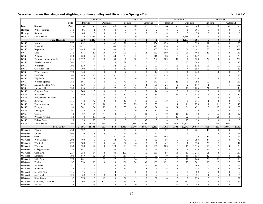### Weekday Station Boardings and Alightings by Time-of-Day and Direction -- Spring 2014 **EXHIMELY** Exhibit IV

| <b>Mile</b><br>Inbound<br>Outbound<br>Inbound<br>Outbound<br>Inbound<br>Outbound<br>Inbound<br>Outbound<br><b>Station</b><br>Post<br>off<br>off<br>off<br>off<br>off<br>off<br>off<br>on<br><b>on</b><br>on<br>on<br>on<br>on<br>on<br>on<br>$\boldsymbol{0}$<br>$\mathbf{0}$<br><b>Willow Springs</b><br>17.5<br>95<br>$\boldsymbol{0}$<br>$\boldsymbol{0}$<br>$\mathbf{0}$<br>$\mathbf{0}$<br>105<br>$\boldsymbol{0}$<br>$\mathbf{0}$<br>Heritage<br>$\mathbf{1}$<br>$\mathbf{0}$<br>$\mathbf{0}$<br>$\boldsymbol{0}$<br>$\overline{0}$<br>3<br>$\mathbf{0}$<br>$\theta$<br>$\mathbf{0}$<br>$\mathbf{0}$<br>$\boldsymbol{0}$<br>$\overline{3}$<br>75<br>11.9<br>83<br>$\theta$<br>$\mathbf{0}$<br>$\overline{0}$<br>$\mathbf{0}$<br>$\theta$<br>$\mathbf{0}$<br>Heritage<br>Summit<br>$\overline{0}$<br>$\mathbf{0}$<br>$\theta$<br>$\Omega$<br>$\theta$<br>$\mathbf{0}$<br>$\Omega$<br>$\mathbf{0}$<br>1,188<br>0.0<br>1,226<br>$\mathbf{0}$<br>$\Omega$<br>$\Omega$<br>$\theta$<br>$\Omega$<br>Heritage<br><b>Union Station</b><br>$\bf{0}$<br><b>Total Heritage</b><br>1,230<br>1,230<br>$\mathbf{0}$<br>$\bf{0}$<br>$\mathbf{0}$<br>$\mathbf{0}$<br>$\bf{0}$<br>$\bf{0}$<br>$\bf{0}$<br>1,191<br>1,191<br>$\mathbf{0}$<br>$\bf{0}$<br>$\bf{0}$<br>102<br>$\boldsymbol{0}$<br><b>BNSF</b><br>37.5<br>1,692<br>$\boldsymbol{0}$<br>$\boldsymbol{0}$<br>171<br>$\boldsymbol{0}$<br>354<br>153<br>$\mathbf{0}$<br>1,323<br>91<br>$\mathbf{0}$<br>$\boldsymbol{0}$<br>$\mathbf{0}$<br>Aurora<br>3<br><b>BNSF</b><br>5,472<br>3<br>105<br>182<br>8<br>427<br>150<br>$\overline{4}$<br>$\overline{4}$<br>4,347<br>3<br>Route 59<br>31.6<br>6<br>54<br>$\overline{4}$<br>19<br>18<br>9<br><b>BNSF</b><br>28.5<br>3,444<br>189<br>194<br>5<br>385<br>243<br>9<br>36<br>3,142<br>55<br>$7\phantom{.0}$<br>Naperville<br>$\overline{4}$<br>$\overline{c}$<br>20<br>15<br>25<br><b>BNSF</b><br>Lisle<br>24.5<br>1,641<br>16<br>169<br>95<br>12<br>162<br>180<br>20<br>1,462<br>5<br>$\overline{4}$<br><b>BNSF</b><br>1,209<br>5<br>33<br>$\overline{c}$<br>3<br>2<br>12<br>5<br>22.6<br>$\overline{7}$<br>44<br>$\mathbf{1}$<br>58<br>1,047<br>Belmont<br>116<br>-1<br>15<br>18<br>13<br>287<br><b>BNSF</b><br>21.2<br>2,172<br>36<br>69<br>81<br>100<br>31<br>38<br>27<br>6<br>Downers Grove, Main St.<br>1,968<br>6<br><b>BNSF</b><br>337<br>3<br>6<br>39<br>$\overline{c}$<br>$\overline{7}$<br>30<br>14<br>6<br>22<br>283<br>5<br>$\overline{3}$<br>$\overline{0}$<br>Fairview Avenue<br>20.4<br>$\overline{1}$<br>$\,8\,$<br><b>BNSF</b><br>19.5<br>929<br>11<br>33<br>50<br>10<br>93<br>18<br>5<br>832<br>13<br>5<br>Westmont<br>$\overline{4}$<br>44<br>16<br>78<br><b>BNSF</b><br>18.3<br>708<br>$\sqrt{5}$<br>$\mathfrak{2}$<br>10<br>43<br>36<br>3<br>$\overline{4}$<br>10<br><b>Clarendon Hills</b><br>$\mathbf{1}$<br>$\overline{4}$<br>553<br>$\overline{4}$<br>344<br>$\boldsymbol{0}$<br>$\boldsymbol{0}$<br>$\boldsymbol{0}$<br>$7\phantom{.0}$<br>$\boldsymbol{0}$<br>$\boldsymbol{0}$<br>12<br>$\mathbf{0}$<br>$\mathbf{0}$<br>249<br><b>BNSF</b><br>West Hinsdale<br>17.8<br>$\mathbf{0}$<br>$\mathbf{0}$<br>$\mathbf{0}$<br>$\boldsymbol{0}$<br><b>BNSF</b><br>946<br>$\overline{4}$<br>91<br>12<br>5<br>151<br>15<br>9<br>$\,8\,$<br>Hinsdale<br>16.9<br>66<br>65<br>115<br>671<br>16<br>1<br>22<br><b>BNSF</b><br>153<br>$\mathbf{0}$<br>3<br>$\mathbf{0}$<br>$\mathbf{0}$<br>$\mathbf{0}$<br>$\mathbf{0}$<br>9<br>$\mathbf{0}$<br>$\theta$<br>Highlands<br>16.4<br>$\overline{4}$<br>155<br>$\mathbf{1}$<br>$\mathbf{1}$<br>$\sqrt{5}$<br>22<br>$\sqrt{5}$<br>$\overline{2}$<br><b>BNSF</b><br>965<br>8<br>16<br>75<br>$\mathbf 1$<br>17<br>149<br>34<br>792<br>10<br><b>Western Springs</b><br>15.5<br>$\overline{4}$<br><b>BNSF</b><br>14.2<br>937<br>$\,8\,$<br>3<br>98<br>2<br>2<br>$\mathbf{1}$<br>LaGrange, Stone Ave.<br>$\mathbf{1}$<br>11<br>54<br>$\overline{4}$<br>26<br>677<br>$\mathbf{1}$<br>$\overline{4}$<br>25<br>32<br><b>BNSF</b><br>15<br>22<br>76<br>15<br>21<br>154<br>84<br>15<br>21<br>11<br>11<br>LaGrange Road<br>13.8<br>1,215<br>1,055<br>$\boldsymbol{0}$<br>$\mathbf{0}$<br>$\boldsymbol{0}$<br>$\boldsymbol{0}$<br>$\overline{0}$<br>$\boldsymbol{0}$<br>14<br>$\mathbf{0}$<br><b>BNSF</b><br>13.1<br>249<br>$\mathbf{0}$<br>$\mathbf{0}$<br>199<br>$\mathbf{0}$<br>$\mathbf{0}$<br><b>Congress Park</b><br>1<br><b>BNSF</b><br>18<br>5<br>83<br>$7\phantom{.0}$<br>17<br>5<br>5<br>Brookfield<br>12.3<br>499<br>14<br>13<br>50<br>6<br>21<br>6<br>416<br><b>BNSF</b><br>$\boldsymbol{0}$<br>$\mathbf{0}$<br>$\boldsymbol{0}$<br>3<br>5<br>20<br>$\mathbf{3}$<br>$\boldsymbol{0}$<br>79<br>$\mathbf{0}$<br>$\mathbf{0}$<br>Hollywood (Zoo Stop)<br>11.8<br>81<br>5<br>$\Omega$<br>$\mathbf{1}$<br>72<br>9<br>$\mathfrak{Z}$<br>414<br>9<br>40<br>6<br>19<br>61<br>10<br>6<br>5<br>371<br><b>BNSF</b><br>Riverside<br>11.1<br>8<br>$\mathbf{1}$<br>10<br>20<br>$\mathbf{1}$<br>23<br>19<br>50<br>$7\phantom{.0}$<br><b>BNSF</b><br>Harlem Avenue<br>10.1<br>398<br>30<br>11<br>14<br>11<br>278<br>11<br>$\mathbf{1}$<br>501<br>24<br>23<br>10<br>88<br>24<br>31<br>8<br><b>BNSF</b><br>Berwyn<br>9.6<br>16<br>50<br>64<br>18<br>471<br>13<br>15<br>$\sqrt{5}$<br>$\overline{3}$<br>$\mathbf{0}$<br>$\boldsymbol{0}$<br>$\boldsymbol{0}$<br>$\overline{c}$<br>$\mathbf{0}$<br><b>BNSF</b><br>9.1<br>186<br>$\boldsymbol{0}$<br>11<br>170<br>$\mathbf{0}$<br>$\boldsymbol{0}$<br>$\boldsymbol{0}$<br>LaVergne<br>$\mathbf{0}$<br>$\sqrt{3}$<br>43<br>19<br><b>BNSF</b><br>7.0<br>14<br>44<br>$\overline{0}$<br>14<br>8<br>9<br>41<br>78<br>$\boldsymbol{0}$<br>33<br>14<br>Cicero<br>67<br>30<br>10<br>22<br>20<br>$\mathbf{0}$<br>BNSF<br>Western Avenue<br>3.8<br>$\overline{4}$<br>32<br>$\Omega$<br>17<br>3<br>40<br>$\Omega$<br>$\Omega$<br>$\mathbf{1}$<br>$\mathbf{1}$<br>6<br>33<br>$\sqrt{2}$<br>$\overline{c}$<br>35<br>5<br>27<br>1.8<br>28<br>$\boldsymbol{0}$<br>$\overline{0}$<br>$\boldsymbol{0}$<br>19<br>23<br>$\boldsymbol{0}$<br>$\boldsymbol{0}$<br>$\mathbf{0}$<br><b>BNSF</b><br><b>Halsted Street</b><br>$\boldsymbol{0}$<br>$\overline{0}$<br>24,215<br>$\theta$<br>$\mathbf{0}$<br>$\overline{0}$<br>977<br><b>BNSF</b><br>0.0<br>638<br>1,186<br>2,496<br>$\mathbf{0}$<br>20,340<br>$\mathbf{0}$<br>210<br>2,603<br><b>Union Station</b><br>$\overline{0}$<br><b>Total BNSF</b><br>24,591<br>24,591<br>913<br>913<br>1,340<br>1,340<br>2,835<br>2,835<br>1,302<br>1,302<br>20,647<br>20,647<br>363<br>363<br>2,695<br>2,695<br>UP-West<br>192<br>17<br>76<br>$\boldsymbol{0}$<br>60<br>32<br>$\boldsymbol{0}$<br>201<br>45<br>65<br>Elburn<br>43.6<br>$\overline{0}$<br>$\mathbf{0}$<br>$\mathbf{0}$<br>$\mathbf{0}$<br>$\theta$<br>$\mathbf{0}$<br>259<br>$\mathbf{0}$<br>UP-West<br>La Fox<br>40.9<br>$\boldsymbol{0}$<br>36<br>$\boldsymbol{0}$<br>37<br>12<br>$\mathbf{0}$<br>$\boldsymbol{0}$<br>237<br>6<br>$\boldsymbol{0}$<br>$\boldsymbol{0}$<br>39<br>$\mathbf{1}$<br>$\mathbf{1}$<br>57<br>UP-West<br>35.5<br>1,332<br>$\sqrt{2}$<br>240<br>178<br>108<br>$\bf{0}$<br>2<br>48<br>$\mathbf{0}$<br>198<br>Geneva<br>$\mathbf{1}$<br>$\mathbf{1}$<br>1,276<br>$\mathbf{1}$<br><b>UP-West</b><br>$\sqrt{5}$<br>$\sqrt{2}$<br>44<br>76<br>$\sqrt{2}$<br>3<br>56<br>$\boldsymbol{0}$<br>$\overline{2}$<br>393<br>37<br>$\boldsymbol{0}$<br>70<br>West Chicago<br>29.8<br>400<br>66<br>3<br>$\sqrt{5}$<br>$\boldsymbol{0}$<br>$\overline{4}$<br>3<br>42<br>$\overline{2}$<br>25<br>3<br>47<br>UP-West<br>Winfield<br>27.5<br>383<br>41<br>57<br>66<br>6<br>374<br>1<br>$\,8\,$<br>8<br>UP-West<br>Wheaton<br>25.0<br>14<br>129<br>15<br>9<br>121<br>103<br>19<br>55<br>$\tau$<br>129<br>1,138<br>170<br>$\overline{4}$<br>1,115<br>$\mathfrak{Z}$<br>$\sqrt{2}$<br>UP-West<br>23.8<br>5<br>33<br>5<br>$\,8\,$<br>88<br>53<br>8<br>35<br>$\overline{4}$<br>95<br>College Avenue<br>841<br>105<br>816<br>$\overline{4}$<br>9<br>14<br>187<br>UP-West<br>Glen Ellyn<br>22.4<br>1,354<br>14<br>80<br>208<br>14<br>131<br>94<br>17<br>1,276<br>61<br>8<br>6<br>16<br>1,079<br>28<br>35<br>90<br>22<br>3<br>126<br>UP-West<br>Lombard<br>19.9<br>12<br>14<br>15<br>49<br>10<br>10<br>1,037<br>$\overline{7}$<br>115<br><b>UP-West</b><br>9<br>17<br>22<br>14<br>$\,$ 8 $\,$<br>85<br>42<br>12<br>$10\,$<br>22<br>13<br>$\sqrt{2}$<br>99<br>Villa Park<br>17.8<br>661<br>79<br>644<br>18<br>132<br>77<br>27<br>205<br>UP-West<br>1,739<br>38<br>123<br>201<br>28<br>33<br>180<br>16<br>1,582<br>86<br>15<br>Elmhurst<br>15.7<br>$\overline{7}$<br>$\boldsymbol{2}$<br>$\boldsymbol{0}$<br>UP-West<br>Berkeley<br>14.3<br>127<br>3<br>5<br>16<br>6<br>18<br>3<br>2<br>106<br>$\overline{4}$<br>15<br>$\mathbf{1}$<br>UP-West<br>$\overline{4}$<br>$\overline{7}$<br>6<br>$\overline{c}$<br>8<br>6<br>8<br>$\mathbf{1}$<br>$\overline{2}$<br>$\sqrt{2}$<br>13<br>Bellwood<br>12.6<br>125<br>14<br>6<br>114<br>6<br>$\mathfrak z$<br>$\overline{4}$<br>9<br>8<br>$\mathfrak{2}$<br>$\overline{c}$<br>5<br>5<br>9<br>UP-West<br>11.3<br>75<br>$\overline{4}$<br>6<br>80<br>2<br>Melrose Park<br>6<br>$\overline{4}$<br>59<br>3<br>$\overline{c}$<br>3<br>UP-West<br>Maywood<br>10.5<br>$\overline{4}$<br>6<br>$\overline{4}$<br>5<br>$\overline{4}$<br>$\overline{0}$<br>61<br>3<br>3<br>$\overline{4}$<br>$\mathbf{1}$<br>$\mathbf{1}$<br>376<br>$\,$ 8 $\,$<br>17<br>$\ensuremath{\mathfrak{Z}}$<br>$\sqrt{5}$<br>$\overline{3}$<br>32<br>$\sqrt{2}$<br>$29\,$<br>UP-West<br>9.7<br>31<br>9<br>278<br>$\overline{4}$<br>$\boldsymbol{0}$<br>$\overline{c}$<br><b>River Forest</b><br>$\mathbf{1}$<br>15<br>63<br>55<br>67<br>23<br>77<br>112<br>53<br>77<br>UP-West<br>8.5<br>702<br>103<br>113<br>65<br>733<br>6<br>78<br>Oak Park, Marion St.<br>2<br>3<br>25<br>Kedzie<br>3.6<br>12<br>41<br>10<br>40<br>2<br>8<br>$\mathbf{0}$<br>UP-West<br>5<br>6<br>-1<br>-1<br>-1 |      |  | AM PEAK |  | <b>MIDDAY</b> |  | PM PEAK |  | <b>EVENING</b> |                |
|---------------------------------------------------------------------------------------------------------------------------------------------------------------------------------------------------------------------------------------------------------------------------------------------------------------------------------------------------------------------------------------------------------------------------------------------------------------------------------------------------------------------------------------------------------------------------------------------------------------------------------------------------------------------------------------------------------------------------------------------------------------------------------------------------------------------------------------------------------------------------------------------------------------------------------------------------------------------------------------------------------------------------------------------------------------------------------------------------------------------------------------------------------------------------------------------------------------------------------------------------------------------------------------------------------------------------------------------------------------------------------------------------------------------------------------------------------------------------------------------------------------------------------------------------------------------------------------------------------------------------------------------------------------------------------------------------------------------------------------------------------------------------------------------------------------------------------------------------------------------------------------------------------------------------------------------------------------------------------------------------------------------------------------------------------------------------------------------------------------------------------------------------------------------------------------------------------------------------------------------------------------------------------------------------------------------------------------------------------------------------------------------------------------------------------------------------------------------------------------------------------------------------------------------------------------------------------------------------------------------------------------------------------------------------------------------------------------------------------------------------------------------------------------------------------------------------------------------------------------------------------------------------------------------------------------------------------------------------------------------------------------------------------------------------------------------------------------------------------------------------------------------------------------------------------------------------------------------------------------------------------------------------------------------------------------------------------------------------------------------------------------------------------------------------------------------------------------------------------------------------------------------------------------------------------------------------------------------------------------------------------------------------------------------------------------------------------------------------------------------------------------------------------------------------------------------------------------------------------------------------------------------------------------------------------------------------------------------------------------------------------------------------------------------------------------------------------------------------------------------------------------------------------------------------------------------------------------------------------------------------------------------------------------------------------------------------------------------------------------------------------------------------------------------------------------------------------------------------------------------------------------------------------------------------------------------------------------------------------------------------------------------------------------------------------------------------------------------------------------------------------------------------------------------------------------------------------------------------------------------------------------------------------------------------------------------------------------------------------------------------------------------------------------------------------------------------------------------------------------------------------------------------------------------------------------------------------------------------------------------------------------------------------------------------------------------------------------------------------------------------------------------------------------------------------------------------------------------------------------------------------------------------------------------------------------------------------------------------------------------------------------------------------------------------------------------------------------------------------------------------------------------------------------------------------------------------------------------------------------------------------------------------------------------------------------------------------------------------------------------------------------------------------------------------------------------------------------------------------------------------------------------------------------------------------------------------------------------------------------------------------------------------------------------------------------------------------------------------------------------------------------------------------------------------------------------------------------------------------------------------------------------------------------------------------------------------------------------------------------------------------------------------------------------------------------------------------------------------------------------------------------------------------------------------------------------------------------------------------------------------------------------------------------------------------------------------------------------------------------------------------------------------------------------------------------------------------------------------------------------------------------------------------------------------------------------------------------------------------------------------------------------------------------------------------------------------------------------------------------------------------------------------------------------------------------------------------------------------------------------------------------------------------------------------------------------------------------------------------------------------------------------------------------------------------------------------------------------------------------------------------------------------------------------------------------------------------------------------------------------------------------------------------------------------------------------------------------------------------------------------------------------------------------------------------------------------------------------------------------------------------------------------------------------------------------------------------------------------------------------------------------------------------------------------------------------------------------------------------------------------------------------------------------------------------------------------------------------------------------------------------------------------------------------------------------------------------------------------------------------------------------------------------------------------------------------------------------------------------------------------------------------------------------------------------------------------------------------------------------------------------------------------------------------------------------------------------------------------------------------------------------------------------------------------------------------------------------------------------------------------------------------------------------------------------------------------------------------------------------------------------------------------------------------------------------------------------------------------------------------------------------------------------------------------------------------------------------------------------------------------------------------------------------------------------------------------------------------------------------------------------------------------------------------------------------------------------------------------------------------------------------------------------------------------------------------------------------------|------|--|---------|--|---------------|--|---------|--|----------------|----------------|
|                                                                                                                                                                                                                                                                                                                                                                                                                                                                                                                                                                                                                                                                                                                                                                                                                                                                                                                                                                                                                                                                                                                                                                                                                                                                                                                                                                                                                                                                                                                                                                                                                                                                                                                                                                                                                                                                                                                                                                                                                                                                                                                                                                                                                                                                                                                                                                                                                                                                                                                                                                                                                                                                                                                                                                                                                                                                                                                                                                                                                                                                                                                                                                                                                                                                                                                                                                                                                                                                                                                                                                                                                                                                                                                                                                                                                                                                                                                                                                                                                                                                                                                                                                                                                                                                                                                                                                                                                                                                                                                                                                                                                                                                                                                                                                                                                                                                                                                                                                                                                                                                                                                                                                                                                                                                                                                                                                                                                                                                                                                                                                                                                                                                                                                                                                                                                                                                                                                                                                                                                                                                                                                                                                                                                                                                                                                                                                                                                                                                                                                                                                                                                                                                                                                                                                                                                                                                                                                                                                                                                                                                                                                                                                                                                                                                                                                                                                                                                                                                                                                                                                                                                                                                                                                                                                                                                                                                                                                                                                                                                                                                                                                                                                                                                                                                                                                                                                                                                                                                                                                                                                                                                                                                                                                                                                                                                                                                                                                                                                                                                                                                                                                                                                                                                                                                                                                                                                                                                                                                                                                                                                                                                                                                                                                                                                                                                                             |      |  |         |  |               |  |         |  |                |                |
|                                                                                                                                                                                                                                                                                                                                                                                                                                                                                                                                                                                                                                                                                                                                                                                                                                                                                                                                                                                                                                                                                                                                                                                                                                                                                                                                                                                                                                                                                                                                                                                                                                                                                                                                                                                                                                                                                                                                                                                                                                                                                                                                                                                                                                                                                                                                                                                                                                                                                                                                                                                                                                                                                                                                                                                                                                                                                                                                                                                                                                                                                                                                                                                                                                                                                                                                                                                                                                                                                                                                                                                                                                                                                                                                                                                                                                                                                                                                                                                                                                                                                                                                                                                                                                                                                                                                                                                                                                                                                                                                                                                                                                                                                                                                                                                                                                                                                                                                                                                                                                                                                                                                                                                                                                                                                                                                                                                                                                                                                                                                                                                                                                                                                                                                                                                                                                                                                                                                                                                                                                                                                                                                                                                                                                                                                                                                                                                                                                                                                                                                                                                                                                                                                                                                                                                                                                                                                                                                                                                                                                                                                                                                                                                                                                                                                                                                                                                                                                                                                                                                                                                                                                                                                                                                                                                                                                                                                                                                                                                                                                                                                                                                                                                                                                                                                                                                                                                                                                                                                                                                                                                                                                                                                                                                                                                                                                                                                                                                                                                                                                                                                                                                                                                                                                                                                                                                                                                                                                                                                                                                                                                                                                                                                                                                                                                                                                             | Line |  |         |  |               |  |         |  |                | off            |
|                                                                                                                                                                                                                                                                                                                                                                                                                                                                                                                                                                                                                                                                                                                                                                                                                                                                                                                                                                                                                                                                                                                                                                                                                                                                                                                                                                                                                                                                                                                                                                                                                                                                                                                                                                                                                                                                                                                                                                                                                                                                                                                                                                                                                                                                                                                                                                                                                                                                                                                                                                                                                                                                                                                                                                                                                                                                                                                                                                                                                                                                                                                                                                                                                                                                                                                                                                                                                                                                                                                                                                                                                                                                                                                                                                                                                                                                                                                                                                                                                                                                                                                                                                                                                                                                                                                                                                                                                                                                                                                                                                                                                                                                                                                                                                                                                                                                                                                                                                                                                                                                                                                                                                                                                                                                                                                                                                                                                                                                                                                                                                                                                                                                                                                                                                                                                                                                                                                                                                                                                                                                                                                                                                                                                                                                                                                                                                                                                                                                                                                                                                                                                                                                                                                                                                                                                                                                                                                                                                                                                                                                                                                                                                                                                                                                                                                                                                                                                                                                                                                                                                                                                                                                                                                                                                                                                                                                                                                                                                                                                                                                                                                                                                                                                                                                                                                                                                                                                                                                                                                                                                                                                                                                                                                                                                                                                                                                                                                                                                                                                                                                                                                                                                                                                                                                                                                                                                                                                                                                                                                                                                                                                                                                                                                                                                                                                                             |      |  |         |  |               |  |         |  |                | $\mathbf{0}$   |
|                                                                                                                                                                                                                                                                                                                                                                                                                                                                                                                                                                                                                                                                                                                                                                                                                                                                                                                                                                                                                                                                                                                                                                                                                                                                                                                                                                                                                                                                                                                                                                                                                                                                                                                                                                                                                                                                                                                                                                                                                                                                                                                                                                                                                                                                                                                                                                                                                                                                                                                                                                                                                                                                                                                                                                                                                                                                                                                                                                                                                                                                                                                                                                                                                                                                                                                                                                                                                                                                                                                                                                                                                                                                                                                                                                                                                                                                                                                                                                                                                                                                                                                                                                                                                                                                                                                                                                                                                                                                                                                                                                                                                                                                                                                                                                                                                                                                                                                                                                                                                                                                                                                                                                                                                                                                                                                                                                                                                                                                                                                                                                                                                                                                                                                                                                                                                                                                                                                                                                                                                                                                                                                                                                                                                                                                                                                                                                                                                                                                                                                                                                                                                                                                                                                                                                                                                                                                                                                                                                                                                                                                                                                                                                                                                                                                                                                                                                                                                                                                                                                                                                                                                                                                                                                                                                                                                                                                                                                                                                                                                                                                                                                                                                                                                                                                                                                                                                                                                                                                                                                                                                                                                                                                                                                                                                                                                                                                                                                                                                                                                                                                                                                                                                                                                                                                                                                                                                                                                                                                                                                                                                                                                                                                                                                                                                                                                                             |      |  |         |  |               |  |         |  |                | $\mathbf{0}$   |
|                                                                                                                                                                                                                                                                                                                                                                                                                                                                                                                                                                                                                                                                                                                                                                                                                                                                                                                                                                                                                                                                                                                                                                                                                                                                                                                                                                                                                                                                                                                                                                                                                                                                                                                                                                                                                                                                                                                                                                                                                                                                                                                                                                                                                                                                                                                                                                                                                                                                                                                                                                                                                                                                                                                                                                                                                                                                                                                                                                                                                                                                                                                                                                                                                                                                                                                                                                                                                                                                                                                                                                                                                                                                                                                                                                                                                                                                                                                                                                                                                                                                                                                                                                                                                                                                                                                                                                                                                                                                                                                                                                                                                                                                                                                                                                                                                                                                                                                                                                                                                                                                                                                                                                                                                                                                                                                                                                                                                                                                                                                                                                                                                                                                                                                                                                                                                                                                                                                                                                                                                                                                                                                                                                                                                                                                                                                                                                                                                                                                                                                                                                                                                                                                                                                                                                                                                                                                                                                                                                                                                                                                                                                                                                                                                                                                                                                                                                                                                                                                                                                                                                                                                                                                                                                                                                                                                                                                                                                                                                                                                                                                                                                                                                                                                                                                                                                                                                                                                                                                                                                                                                                                                                                                                                                                                                                                                                                                                                                                                                                                                                                                                                                                                                                                                                                                                                                                                                                                                                                                                                                                                                                                                                                                                                                                                                                                                                             |      |  |         |  |               |  |         |  |                | $\mathbf{0}$   |
|                                                                                                                                                                                                                                                                                                                                                                                                                                                                                                                                                                                                                                                                                                                                                                                                                                                                                                                                                                                                                                                                                                                                                                                                                                                                                                                                                                                                                                                                                                                                                                                                                                                                                                                                                                                                                                                                                                                                                                                                                                                                                                                                                                                                                                                                                                                                                                                                                                                                                                                                                                                                                                                                                                                                                                                                                                                                                                                                                                                                                                                                                                                                                                                                                                                                                                                                                                                                                                                                                                                                                                                                                                                                                                                                                                                                                                                                                                                                                                                                                                                                                                                                                                                                                                                                                                                                                                                                                                                                                                                                                                                                                                                                                                                                                                                                                                                                                                                                                                                                                                                                                                                                                                                                                                                                                                                                                                                                                                                                                                                                                                                                                                                                                                                                                                                                                                                                                                                                                                                                                                                                                                                                                                                                                                                                                                                                                                                                                                                                                                                                                                                                                                                                                                                                                                                                                                                                                                                                                                                                                                                                                                                                                                                                                                                                                                                                                                                                                                                                                                                                                                                                                                                                                                                                                                                                                                                                                                                                                                                                                                                                                                                                                                                                                                                                                                                                                                                                                                                                                                                                                                                                                                                                                                                                                                                                                                                                                                                                                                                                                                                                                                                                                                                                                                                                                                                                                                                                                                                                                                                                                                                                                                                                                                                                                                                                                                             |      |  |         |  |               |  |         |  |                | $\bf{0}$       |
|                                                                                                                                                                                                                                                                                                                                                                                                                                                                                                                                                                                                                                                                                                                                                                                                                                                                                                                                                                                                                                                                                                                                                                                                                                                                                                                                                                                                                                                                                                                                                                                                                                                                                                                                                                                                                                                                                                                                                                                                                                                                                                                                                                                                                                                                                                                                                                                                                                                                                                                                                                                                                                                                                                                                                                                                                                                                                                                                                                                                                                                                                                                                                                                                                                                                                                                                                                                                                                                                                                                                                                                                                                                                                                                                                                                                                                                                                                                                                                                                                                                                                                                                                                                                                                                                                                                                                                                                                                                                                                                                                                                                                                                                                                                                                                                                                                                                                                                                                                                                                                                                                                                                                                                                                                                                                                                                                                                                                                                                                                                                                                                                                                                                                                                                                                                                                                                                                                                                                                                                                                                                                                                                                                                                                                                                                                                                                                                                                                                                                                                                                                                                                                                                                                                                                                                                                                                                                                                                                                                                                                                                                                                                                                                                                                                                                                                                                                                                                                                                                                                                                                                                                                                                                                                                                                                                                                                                                                                                                                                                                                                                                                                                                                                                                                                                                                                                                                                                                                                                                                                                                                                                                                                                                                                                                                                                                                                                                                                                                                                                                                                                                                                                                                                                                                                                                                                                                                                                                                                                                                                                                                                                                                                                                                                                                                                                                                             |      |  |         |  |               |  |         |  |                | 193            |
|                                                                                                                                                                                                                                                                                                                                                                                                                                                                                                                                                                                                                                                                                                                                                                                                                                                                                                                                                                                                                                                                                                                                                                                                                                                                                                                                                                                                                                                                                                                                                                                                                                                                                                                                                                                                                                                                                                                                                                                                                                                                                                                                                                                                                                                                                                                                                                                                                                                                                                                                                                                                                                                                                                                                                                                                                                                                                                                                                                                                                                                                                                                                                                                                                                                                                                                                                                                                                                                                                                                                                                                                                                                                                                                                                                                                                                                                                                                                                                                                                                                                                                                                                                                                                                                                                                                                                                                                                                                                                                                                                                                                                                                                                                                                                                                                                                                                                                                                                                                                                                                                                                                                                                                                                                                                                                                                                                                                                                                                                                                                                                                                                                                                                                                                                                                                                                                                                                                                                                                                                                                                                                                                                                                                                                                                                                                                                                                                                                                                                                                                                                                                                                                                                                                                                                                                                                                                                                                                                                                                                                                                                                                                                                                                                                                                                                                                                                                                                                                                                                                                                                                                                                                                                                                                                                                                                                                                                                                                                                                                                                                                                                                                                                                                                                                                                                                                                                                                                                                                                                                                                                                                                                                                                                                                                                                                                                                                                                                                                                                                                                                                                                                                                                                                                                                                                                                                                                                                                                                                                                                                                                                                                                                                                                                                                                                                                                             |      |  |         |  |               |  |         |  |                | 465            |
|                                                                                                                                                                                                                                                                                                                                                                                                                                                                                                                                                                                                                                                                                                                                                                                                                                                                                                                                                                                                                                                                                                                                                                                                                                                                                                                                                                                                                                                                                                                                                                                                                                                                                                                                                                                                                                                                                                                                                                                                                                                                                                                                                                                                                                                                                                                                                                                                                                                                                                                                                                                                                                                                                                                                                                                                                                                                                                                                                                                                                                                                                                                                                                                                                                                                                                                                                                                                                                                                                                                                                                                                                                                                                                                                                                                                                                                                                                                                                                                                                                                                                                                                                                                                                                                                                                                                                                                                                                                                                                                                                                                                                                                                                                                                                                                                                                                                                                                                                                                                                                                                                                                                                                                                                                                                                                                                                                                                                                                                                                                                                                                                                                                                                                                                                                                                                                                                                                                                                                                                                                                                                                                                                                                                                                                                                                                                                                                                                                                                                                                                                                                                                                                                                                                                                                                                                                                                                                                                                                                                                                                                                                                                                                                                                                                                                                                                                                                                                                                                                                                                                                                                                                                                                                                                                                                                                                                                                                                                                                                                                                                                                                                                                                                                                                                                                                                                                                                                                                                                                                                                                                                                                                                                                                                                                                                                                                                                                                                                                                                                                                                                                                                                                                                                                                                                                                                                                                                                                                                                                                                                                                                                                                                                                                                                                                                                                                             |      |  |         |  |               |  |         |  |                | 342            |
|                                                                                                                                                                                                                                                                                                                                                                                                                                                                                                                                                                                                                                                                                                                                                                                                                                                                                                                                                                                                                                                                                                                                                                                                                                                                                                                                                                                                                                                                                                                                                                                                                                                                                                                                                                                                                                                                                                                                                                                                                                                                                                                                                                                                                                                                                                                                                                                                                                                                                                                                                                                                                                                                                                                                                                                                                                                                                                                                                                                                                                                                                                                                                                                                                                                                                                                                                                                                                                                                                                                                                                                                                                                                                                                                                                                                                                                                                                                                                                                                                                                                                                                                                                                                                                                                                                                                                                                                                                                                                                                                                                                                                                                                                                                                                                                                                                                                                                                                                                                                                                                                                                                                                                                                                                                                                                                                                                                                                                                                                                                                                                                                                                                                                                                                                                                                                                                                                                                                                                                                                                                                                                                                                                                                                                                                                                                                                                                                                                                                                                                                                                                                                                                                                                                                                                                                                                                                                                                                                                                                                                                                                                                                                                                                                                                                                                                                                                                                                                                                                                                                                                                                                                                                                                                                                                                                                                                                                                                                                                                                                                                                                                                                                                                                                                                                                                                                                                                                                                                                                                                                                                                                                                                                                                                                                                                                                                                                                                                                                                                                                                                                                                                                                                                                                                                                                                                                                                                                                                                                                                                                                                                                                                                                                                                                                                                                                                             |      |  |         |  |               |  |         |  |                | 186            |
|                                                                                                                                                                                                                                                                                                                                                                                                                                                                                                                                                                                                                                                                                                                                                                                                                                                                                                                                                                                                                                                                                                                                                                                                                                                                                                                                                                                                                                                                                                                                                                                                                                                                                                                                                                                                                                                                                                                                                                                                                                                                                                                                                                                                                                                                                                                                                                                                                                                                                                                                                                                                                                                                                                                                                                                                                                                                                                                                                                                                                                                                                                                                                                                                                                                                                                                                                                                                                                                                                                                                                                                                                                                                                                                                                                                                                                                                                                                                                                                                                                                                                                                                                                                                                                                                                                                                                                                                                                                                                                                                                                                                                                                                                                                                                                                                                                                                                                                                                                                                                                                                                                                                                                                                                                                                                                                                                                                                                                                                                                                                                                                                                                                                                                                                                                                                                                                                                                                                                                                                                                                                                                                                                                                                                                                                                                                                                                                                                                                                                                                                                                                                                                                                                                                                                                                                                                                                                                                                                                                                                                                                                                                                                                                                                                                                                                                                                                                                                                                                                                                                                                                                                                                                                                                                                                                                                                                                                                                                                                                                                                                                                                                                                                                                                                                                                                                                                                                                                                                                                                                                                                                                                                                                                                                                                                                                                                                                                                                                                                                                                                                                                                                                                                                                                                                                                                                                                                                                                                                                                                                                                                                                                                                                                                                                                                                                                                             |      |  |         |  |               |  |         |  |                | 128            |
|                                                                                                                                                                                                                                                                                                                                                                                                                                                                                                                                                                                                                                                                                                                                                                                                                                                                                                                                                                                                                                                                                                                                                                                                                                                                                                                                                                                                                                                                                                                                                                                                                                                                                                                                                                                                                                                                                                                                                                                                                                                                                                                                                                                                                                                                                                                                                                                                                                                                                                                                                                                                                                                                                                                                                                                                                                                                                                                                                                                                                                                                                                                                                                                                                                                                                                                                                                                                                                                                                                                                                                                                                                                                                                                                                                                                                                                                                                                                                                                                                                                                                                                                                                                                                                                                                                                                                                                                                                                                                                                                                                                                                                                                                                                                                                                                                                                                                                                                                                                                                                                                                                                                                                                                                                                                                                                                                                                                                                                                                                                                                                                                                                                                                                                                                                                                                                                                                                                                                                                                                                                                                                                                                                                                                                                                                                                                                                                                                                                                                                                                                                                                                                                                                                                                                                                                                                                                                                                                                                                                                                                                                                                                                                                                                                                                                                                                                                                                                                                                                                                                                                                                                                                                                                                                                                                                                                                                                                                                                                                                                                                                                                                                                                                                                                                                                                                                                                                                                                                                                                                                                                                                                                                                                                                                                                                                                                                                                                                                                                                                                                                                                                                                                                                                                                                                                                                                                                                                                                                                                                                                                                                                                                                                                                                                                                                                                                             |      |  |         |  |               |  |         |  |                | 284            |
|                                                                                                                                                                                                                                                                                                                                                                                                                                                                                                                                                                                                                                                                                                                                                                                                                                                                                                                                                                                                                                                                                                                                                                                                                                                                                                                                                                                                                                                                                                                                                                                                                                                                                                                                                                                                                                                                                                                                                                                                                                                                                                                                                                                                                                                                                                                                                                                                                                                                                                                                                                                                                                                                                                                                                                                                                                                                                                                                                                                                                                                                                                                                                                                                                                                                                                                                                                                                                                                                                                                                                                                                                                                                                                                                                                                                                                                                                                                                                                                                                                                                                                                                                                                                                                                                                                                                                                                                                                                                                                                                                                                                                                                                                                                                                                                                                                                                                                                                                                                                                                                                                                                                                                                                                                                                                                                                                                                                                                                                                                                                                                                                                                                                                                                                                                                                                                                                                                                                                                                                                                                                                                                                                                                                                                                                                                                                                                                                                                                                                                                                                                                                                                                                                                                                                                                                                                                                                                                                                                                                                                                                                                                                                                                                                                                                                                                                                                                                                                                                                                                                                                                                                                                                                                                                                                                                                                                                                                                                                                                                                                                                                                                                                                                                                                                                                                                                                                                                                                                                                                                                                                                                                                                                                                                                                                                                                                                                                                                                                                                                                                                                                                                                                                                                                                                                                                                                                                                                                                                                                                                                                                                                                                                                                                                                                                                                                                             |      |  |         |  |               |  |         |  |                | 45             |
|                                                                                                                                                                                                                                                                                                                                                                                                                                                                                                                                                                                                                                                                                                                                                                                                                                                                                                                                                                                                                                                                                                                                                                                                                                                                                                                                                                                                                                                                                                                                                                                                                                                                                                                                                                                                                                                                                                                                                                                                                                                                                                                                                                                                                                                                                                                                                                                                                                                                                                                                                                                                                                                                                                                                                                                                                                                                                                                                                                                                                                                                                                                                                                                                                                                                                                                                                                                                                                                                                                                                                                                                                                                                                                                                                                                                                                                                                                                                                                                                                                                                                                                                                                                                                                                                                                                                                                                                                                                                                                                                                                                                                                                                                                                                                                                                                                                                                                                                                                                                                                                                                                                                                                                                                                                                                                                                                                                                                                                                                                                                                                                                                                                                                                                                                                                                                                                                                                                                                                                                                                                                                                                                                                                                                                                                                                                                                                                                                                                                                                                                                                                                                                                                                                                                                                                                                                                                                                                                                                                                                                                                                                                                                                                                                                                                                                                                                                                                                                                                                                                                                                                                                                                                                                                                                                                                                                                                                                                                                                                                                                                                                                                                                                                                                                                                                                                                                                                                                                                                                                                                                                                                                                                                                                                                                                                                                                                                                                                                                                                                                                                                                                                                                                                                                                                                                                                                                                                                                                                                                                                                                                                                                                                                                                                                                                                                                                             |      |  |         |  |               |  |         |  |                | 106            |
|                                                                                                                                                                                                                                                                                                                                                                                                                                                                                                                                                                                                                                                                                                                                                                                                                                                                                                                                                                                                                                                                                                                                                                                                                                                                                                                                                                                                                                                                                                                                                                                                                                                                                                                                                                                                                                                                                                                                                                                                                                                                                                                                                                                                                                                                                                                                                                                                                                                                                                                                                                                                                                                                                                                                                                                                                                                                                                                                                                                                                                                                                                                                                                                                                                                                                                                                                                                                                                                                                                                                                                                                                                                                                                                                                                                                                                                                                                                                                                                                                                                                                                                                                                                                                                                                                                                                                                                                                                                                                                                                                                                                                                                                                                                                                                                                                                                                                                                                                                                                                                                                                                                                                                                                                                                                                                                                                                                                                                                                                                                                                                                                                                                                                                                                                                                                                                                                                                                                                                                                                                                                                                                                                                                                                                                                                                                                                                                                                                                                                                                                                                                                                                                                                                                                                                                                                                                                                                                                                                                                                                                                                                                                                                                                                                                                                                                                                                                                                                                                                                                                                                                                                                                                                                                                                                                                                                                                                                                                                                                                                                                                                                                                                                                                                                                                                                                                                                                                                                                                                                                                                                                                                                                                                                                                                                                                                                                                                                                                                                                                                                                                                                                                                                                                                                                                                                                                                                                                                                                                                                                                                                                                                                                                                                                                                                                                                                             |      |  |         |  |               |  |         |  |                | 86             |
|                                                                                                                                                                                                                                                                                                                                                                                                                                                                                                                                                                                                                                                                                                                                                                                                                                                                                                                                                                                                                                                                                                                                                                                                                                                                                                                                                                                                                                                                                                                                                                                                                                                                                                                                                                                                                                                                                                                                                                                                                                                                                                                                                                                                                                                                                                                                                                                                                                                                                                                                                                                                                                                                                                                                                                                                                                                                                                                                                                                                                                                                                                                                                                                                                                                                                                                                                                                                                                                                                                                                                                                                                                                                                                                                                                                                                                                                                                                                                                                                                                                                                                                                                                                                                                                                                                                                                                                                                                                                                                                                                                                                                                                                                                                                                                                                                                                                                                                                                                                                                                                                                                                                                                                                                                                                                                                                                                                                                                                                                                                                                                                                                                                                                                                                                                                                                                                                                                                                                                                                                                                                                                                                                                                                                                                                                                                                                                                                                                                                                                                                                                                                                                                                                                                                                                                                                                                                                                                                                                                                                                                                                                                                                                                                                                                                                                                                                                                                                                                                                                                                                                                                                                                                                                                                                                                                                                                                                                                                                                                                                                                                                                                                                                                                                                                                                                                                                                                                                                                                                                                                                                                                                                                                                                                                                                                                                                                                                                                                                                                                                                                                                                                                                                                                                                                                                                                                                                                                                                                                                                                                                                                                                                                                                                                                                                                                                                             |      |  |         |  |               |  |         |  |                | 20             |
|                                                                                                                                                                                                                                                                                                                                                                                                                                                                                                                                                                                                                                                                                                                                                                                                                                                                                                                                                                                                                                                                                                                                                                                                                                                                                                                                                                                                                                                                                                                                                                                                                                                                                                                                                                                                                                                                                                                                                                                                                                                                                                                                                                                                                                                                                                                                                                                                                                                                                                                                                                                                                                                                                                                                                                                                                                                                                                                                                                                                                                                                                                                                                                                                                                                                                                                                                                                                                                                                                                                                                                                                                                                                                                                                                                                                                                                                                                                                                                                                                                                                                                                                                                                                                                                                                                                                                                                                                                                                                                                                                                                                                                                                                                                                                                                                                                                                                                                                                                                                                                                                                                                                                                                                                                                                                                                                                                                                                                                                                                                                                                                                                                                                                                                                                                                                                                                                                                                                                                                                                                                                                                                                                                                                                                                                                                                                                                                                                                                                                                                                                                                                                                                                                                                                                                                                                                                                                                                                                                                                                                                                                                                                                                                                                                                                                                                                                                                                                                                                                                                                                                                                                                                                                                                                                                                                                                                                                                                                                                                                                                                                                                                                                                                                                                                                                                                                                                                                                                                                                                                                                                                                                                                                                                                                                                                                                                                                                                                                                                                                                                                                                                                                                                                                                                                                                                                                                                                                                                                                                                                                                                                                                                                                                                                                                                                                                                             |      |  |         |  |               |  |         |  |                | 128            |
|                                                                                                                                                                                                                                                                                                                                                                                                                                                                                                                                                                                                                                                                                                                                                                                                                                                                                                                                                                                                                                                                                                                                                                                                                                                                                                                                                                                                                                                                                                                                                                                                                                                                                                                                                                                                                                                                                                                                                                                                                                                                                                                                                                                                                                                                                                                                                                                                                                                                                                                                                                                                                                                                                                                                                                                                                                                                                                                                                                                                                                                                                                                                                                                                                                                                                                                                                                                                                                                                                                                                                                                                                                                                                                                                                                                                                                                                                                                                                                                                                                                                                                                                                                                                                                                                                                                                                                                                                                                                                                                                                                                                                                                                                                                                                                                                                                                                                                                                                                                                                                                                                                                                                                                                                                                                                                                                                                                                                                                                                                                                                                                                                                                                                                                                                                                                                                                                                                                                                                                                                                                                                                                                                                                                                                                                                                                                                                                                                                                                                                                                                                                                                                                                                                                                                                                                                                                                                                                                                                                                                                                                                                                                                                                                                                                                                                                                                                                                                                                                                                                                                                                                                                                                                                                                                                                                                                                                                                                                                                                                                                                                                                                                                                                                                                                                                                                                                                                                                                                                                                                                                                                                                                                                                                                                                                                                                                                                                                                                                                                                                                                                                                                                                                                                                                                                                                                                                                                                                                                                                                                                                                                                                                                                                                                                                                                                                                             |      |  |         |  |               |  |         |  |                | 16             |
|                                                                                                                                                                                                                                                                                                                                                                                                                                                                                                                                                                                                                                                                                                                                                                                                                                                                                                                                                                                                                                                                                                                                                                                                                                                                                                                                                                                                                                                                                                                                                                                                                                                                                                                                                                                                                                                                                                                                                                                                                                                                                                                                                                                                                                                                                                                                                                                                                                                                                                                                                                                                                                                                                                                                                                                                                                                                                                                                                                                                                                                                                                                                                                                                                                                                                                                                                                                                                                                                                                                                                                                                                                                                                                                                                                                                                                                                                                                                                                                                                                                                                                                                                                                                                                                                                                                                                                                                                                                                                                                                                                                                                                                                                                                                                                                                                                                                                                                                                                                                                                                                                                                                                                                                                                                                                                                                                                                                                                                                                                                                                                                                                                                                                                                                                                                                                                                                                                                                                                                                                                                                                                                                                                                                                                                                                                                                                                                                                                                                                                                                                                                                                                                                                                                                                                                                                                                                                                                                                                                                                                                                                                                                                                                                                                                                                                                                                                                                                                                                                                                                                                                                                                                                                                                                                                                                                                                                                                                                                                                                                                                                                                                                                                                                                                                                                                                                                                                                                                                                                                                                                                                                                                                                                                                                                                                                                                                                                                                                                                                                                                                                                                                                                                                                                                                                                                                                                                                                                                                                                                                                                                                                                                                                                                                                                                                                                                             |      |  |         |  |               |  |         |  |                | 115            |
|                                                                                                                                                                                                                                                                                                                                                                                                                                                                                                                                                                                                                                                                                                                                                                                                                                                                                                                                                                                                                                                                                                                                                                                                                                                                                                                                                                                                                                                                                                                                                                                                                                                                                                                                                                                                                                                                                                                                                                                                                                                                                                                                                                                                                                                                                                                                                                                                                                                                                                                                                                                                                                                                                                                                                                                                                                                                                                                                                                                                                                                                                                                                                                                                                                                                                                                                                                                                                                                                                                                                                                                                                                                                                                                                                                                                                                                                                                                                                                                                                                                                                                                                                                                                                                                                                                                                                                                                                                                                                                                                                                                                                                                                                                                                                                                                                                                                                                                                                                                                                                                                                                                                                                                                                                                                                                                                                                                                                                                                                                                                                                                                                                                                                                                                                                                                                                                                                                                                                                                                                                                                                                                                                                                                                                                                                                                                                                                                                                                                                                                                                                                                                                                                                                                                                                                                                                                                                                                                                                                                                                                                                                                                                                                                                                                                                                                                                                                                                                                                                                                                                                                                                                                                                                                                                                                                                                                                                                                                                                                                                                                                                                                                                                                                                                                                                                                                                                                                                                                                                                                                                                                                                                                                                                                                                                                                                                                                                                                                                                                                                                                                                                                                                                                                                                                                                                                                                                                                                                                                                                                                                                                                                                                                                                                                                                                                                                             |      |  |         |  |               |  |         |  |                | 102            |
|                                                                                                                                                                                                                                                                                                                                                                                                                                                                                                                                                                                                                                                                                                                                                                                                                                                                                                                                                                                                                                                                                                                                                                                                                                                                                                                                                                                                                                                                                                                                                                                                                                                                                                                                                                                                                                                                                                                                                                                                                                                                                                                                                                                                                                                                                                                                                                                                                                                                                                                                                                                                                                                                                                                                                                                                                                                                                                                                                                                                                                                                                                                                                                                                                                                                                                                                                                                                                                                                                                                                                                                                                                                                                                                                                                                                                                                                                                                                                                                                                                                                                                                                                                                                                                                                                                                                                                                                                                                                                                                                                                                                                                                                                                                                                                                                                                                                                                                                                                                                                                                                                                                                                                                                                                                                                                                                                                                                                                                                                                                                                                                                                                                                                                                                                                                                                                                                                                                                                                                                                                                                                                                                                                                                                                                                                                                                                                                                                                                                                                                                                                                                                                                                                                                                                                                                                                                                                                                                                                                                                                                                                                                                                                                                                                                                                                                                                                                                                                                                                                                                                                                                                                                                                                                                                                                                                                                                                                                                                                                                                                                                                                                                                                                                                                                                                                                                                                                                                                                                                                                                                                                                                                                                                                                                                                                                                                                                                                                                                                                                                                                                                                                                                                                                                                                                                                                                                                                                                                                                                                                                                                                                                                                                                                                                                                                                                                             |      |  |         |  |               |  |         |  |                | 148            |
|                                                                                                                                                                                                                                                                                                                                                                                                                                                                                                                                                                                                                                                                                                                                                                                                                                                                                                                                                                                                                                                                                                                                                                                                                                                                                                                                                                                                                                                                                                                                                                                                                                                                                                                                                                                                                                                                                                                                                                                                                                                                                                                                                                                                                                                                                                                                                                                                                                                                                                                                                                                                                                                                                                                                                                                                                                                                                                                                                                                                                                                                                                                                                                                                                                                                                                                                                                                                                                                                                                                                                                                                                                                                                                                                                                                                                                                                                                                                                                                                                                                                                                                                                                                                                                                                                                                                                                                                                                                                                                                                                                                                                                                                                                                                                                                                                                                                                                                                                                                                                                                                                                                                                                                                                                                                                                                                                                                                                                                                                                                                                                                                                                                                                                                                                                                                                                                                                                                                                                                                                                                                                                                                                                                                                                                                                                                                                                                                                                                                                                                                                                                                                                                                                                                                                                                                                                                                                                                                                                                                                                                                                                                                                                                                                                                                                                                                                                                                                                                                                                                                                                                                                                                                                                                                                                                                                                                                                                                                                                                                                                                                                                                                                                                                                                                                                                                                                                                                                                                                                                                                                                                                                                                                                                                                                                                                                                                                                                                                                                                                                                                                                                                                                                                                                                                                                                                                                                                                                                                                                                                                                                                                                                                                                                                                                                                                                                             |      |  |         |  |               |  |         |  |                | 12             |
|                                                                                                                                                                                                                                                                                                                                                                                                                                                                                                                                                                                                                                                                                                                                                                                                                                                                                                                                                                                                                                                                                                                                                                                                                                                                                                                                                                                                                                                                                                                                                                                                                                                                                                                                                                                                                                                                                                                                                                                                                                                                                                                                                                                                                                                                                                                                                                                                                                                                                                                                                                                                                                                                                                                                                                                                                                                                                                                                                                                                                                                                                                                                                                                                                                                                                                                                                                                                                                                                                                                                                                                                                                                                                                                                                                                                                                                                                                                                                                                                                                                                                                                                                                                                                                                                                                                                                                                                                                                                                                                                                                                                                                                                                                                                                                                                                                                                                                                                                                                                                                                                                                                                                                                                                                                                                                                                                                                                                                                                                                                                                                                                                                                                                                                                                                                                                                                                                                                                                                                                                                                                                                                                                                                                                                                                                                                                                                                                                                                                                                                                                                                                                                                                                                                                                                                                                                                                                                                                                                                                                                                                                                                                                                                                                                                                                                                                                                                                                                                                                                                                                                                                                                                                                                                                                                                                                                                                                                                                                                                                                                                                                                                                                                                                                                                                                                                                                                                                                                                                                                                                                                                                                                                                                                                                                                                                                                                                                                                                                                                                                                                                                                                                                                                                                                                                                                                                                                                                                                                                                                                                                                                                                                                                                                                                                                                                                                             |      |  |         |  |               |  |         |  |                | 87             |
|                                                                                                                                                                                                                                                                                                                                                                                                                                                                                                                                                                                                                                                                                                                                                                                                                                                                                                                                                                                                                                                                                                                                                                                                                                                                                                                                                                                                                                                                                                                                                                                                                                                                                                                                                                                                                                                                                                                                                                                                                                                                                                                                                                                                                                                                                                                                                                                                                                                                                                                                                                                                                                                                                                                                                                                                                                                                                                                                                                                                                                                                                                                                                                                                                                                                                                                                                                                                                                                                                                                                                                                                                                                                                                                                                                                                                                                                                                                                                                                                                                                                                                                                                                                                                                                                                                                                                                                                                                                                                                                                                                                                                                                                                                                                                                                                                                                                                                                                                                                                                                                                                                                                                                                                                                                                                                                                                                                                                                                                                                                                                                                                                                                                                                                                                                                                                                                                                                                                                                                                                                                                                                                                                                                                                                                                                                                                                                                                                                                                                                                                                                                                                                                                                                                                                                                                                                                                                                                                                                                                                                                                                                                                                                                                                                                                                                                                                                                                                                                                                                                                                                                                                                                                                                                                                                                                                                                                                                                                                                                                                                                                                                                                                                                                                                                                                                                                                                                                                                                                                                                                                                                                                                                                                                                                                                                                                                                                                                                                                                                                                                                                                                                                                                                                                                                                                                                                                                                                                                                                                                                                                                                                                                                                                                                                                                                                                                             |      |  |         |  |               |  |         |  |                | 6              |
|                                                                                                                                                                                                                                                                                                                                                                                                                                                                                                                                                                                                                                                                                                                                                                                                                                                                                                                                                                                                                                                                                                                                                                                                                                                                                                                                                                                                                                                                                                                                                                                                                                                                                                                                                                                                                                                                                                                                                                                                                                                                                                                                                                                                                                                                                                                                                                                                                                                                                                                                                                                                                                                                                                                                                                                                                                                                                                                                                                                                                                                                                                                                                                                                                                                                                                                                                                                                                                                                                                                                                                                                                                                                                                                                                                                                                                                                                                                                                                                                                                                                                                                                                                                                                                                                                                                                                                                                                                                                                                                                                                                                                                                                                                                                                                                                                                                                                                                                                                                                                                                                                                                                                                                                                                                                                                                                                                                                                                                                                                                                                                                                                                                                                                                                                                                                                                                                                                                                                                                                                                                                                                                                                                                                                                                                                                                                                                                                                                                                                                                                                                                                                                                                                                                                                                                                                                                                                                                                                                                                                                                                                                                                                                                                                                                                                                                                                                                                                                                                                                                                                                                                                                                                                                                                                                                                                                                                                                                                                                                                                                                                                                                                                                                                                                                                                                                                                                                                                                                                                                                                                                                                                                                                                                                                                                                                                                                                                                                                                                                                                                                                                                                                                                                                                                                                                                                                                                                                                                                                                                                                                                                                                                                                                                                                                                                                                                             |      |  |         |  |               |  |         |  |                | 75             |
|                                                                                                                                                                                                                                                                                                                                                                                                                                                                                                                                                                                                                                                                                                                                                                                                                                                                                                                                                                                                                                                                                                                                                                                                                                                                                                                                                                                                                                                                                                                                                                                                                                                                                                                                                                                                                                                                                                                                                                                                                                                                                                                                                                                                                                                                                                                                                                                                                                                                                                                                                                                                                                                                                                                                                                                                                                                                                                                                                                                                                                                                                                                                                                                                                                                                                                                                                                                                                                                                                                                                                                                                                                                                                                                                                                                                                                                                                                                                                                                                                                                                                                                                                                                                                                                                                                                                                                                                                                                                                                                                                                                                                                                                                                                                                                                                                                                                                                                                                                                                                                                                                                                                                                                                                                                                                                                                                                                                                                                                                                                                                                                                                                                                                                                                                                                                                                                                                                                                                                                                                                                                                                                                                                                                                                                                                                                                                                                                                                                                                                                                                                                                                                                                                                                                                                                                                                                                                                                                                                                                                                                                                                                                                                                                                                                                                                                                                                                                                                                                                                                                                                                                                                                                                                                                                                                                                                                                                                                                                                                                                                                                                                                                                                                                                                                                                                                                                                                                                                                                                                                                                                                                                                                                                                                                                                                                                                                                                                                                                                                                                                                                                                                                                                                                                                                                                                                                                                                                                                                                                                                                                                                                                                                                                                                                                                                                                                             |      |  |         |  |               |  |         |  |                | 49             |
|                                                                                                                                                                                                                                                                                                                                                                                                                                                                                                                                                                                                                                                                                                                                                                                                                                                                                                                                                                                                                                                                                                                                                                                                                                                                                                                                                                                                                                                                                                                                                                                                                                                                                                                                                                                                                                                                                                                                                                                                                                                                                                                                                                                                                                                                                                                                                                                                                                                                                                                                                                                                                                                                                                                                                                                                                                                                                                                                                                                                                                                                                                                                                                                                                                                                                                                                                                                                                                                                                                                                                                                                                                                                                                                                                                                                                                                                                                                                                                                                                                                                                                                                                                                                                                                                                                                                                                                                                                                                                                                                                                                                                                                                                                                                                                                                                                                                                                                                                                                                                                                                                                                                                                                                                                                                                                                                                                                                                                                                                                                                                                                                                                                                                                                                                                                                                                                                                                                                                                                                                                                                                                                                                                                                                                                                                                                                                                                                                                                                                                                                                                                                                                                                                                                                                                                                                                                                                                                                                                                                                                                                                                                                                                                                                                                                                                                                                                                                                                                                                                                                                                                                                                                                                                                                                                                                                                                                                                                                                                                                                                                                                                                                                                                                                                                                                                                                                                                                                                                                                                                                                                                                                                                                                                                                                                                                                                                                                                                                                                                                                                                                                                                                                                                                                                                                                                                                                                                                                                                                                                                                                                                                                                                                                                                                                                                                                                             |      |  |         |  |               |  |         |  |                | 80             |
|                                                                                                                                                                                                                                                                                                                                                                                                                                                                                                                                                                                                                                                                                                                                                                                                                                                                                                                                                                                                                                                                                                                                                                                                                                                                                                                                                                                                                                                                                                                                                                                                                                                                                                                                                                                                                                                                                                                                                                                                                                                                                                                                                                                                                                                                                                                                                                                                                                                                                                                                                                                                                                                                                                                                                                                                                                                                                                                                                                                                                                                                                                                                                                                                                                                                                                                                                                                                                                                                                                                                                                                                                                                                                                                                                                                                                                                                                                                                                                                                                                                                                                                                                                                                                                                                                                                                                                                                                                                                                                                                                                                                                                                                                                                                                                                                                                                                                                                                                                                                                                                                                                                                                                                                                                                                                                                                                                                                                                                                                                                                                                                                                                                                                                                                                                                                                                                                                                                                                                                                                                                                                                                                                                                                                                                                                                                                                                                                                                                                                                                                                                                                                                                                                                                                                                                                                                                                                                                                                                                                                                                                                                                                                                                                                                                                                                                                                                                                                                                                                                                                                                                                                                                                                                                                                                                                                                                                                                                                                                                                                                                                                                                                                                                                                                                                                                                                                                                                                                                                                                                                                                                                                                                                                                                                                                                                                                                                                                                                                                                                                                                                                                                                                                                                                                                                                                                                                                                                                                                                                                                                                                                                                                                                                                                                                                                                                                             |      |  |         |  |               |  |         |  |                | 10             |
|                                                                                                                                                                                                                                                                                                                                                                                                                                                                                                                                                                                                                                                                                                                                                                                                                                                                                                                                                                                                                                                                                                                                                                                                                                                                                                                                                                                                                                                                                                                                                                                                                                                                                                                                                                                                                                                                                                                                                                                                                                                                                                                                                                                                                                                                                                                                                                                                                                                                                                                                                                                                                                                                                                                                                                                                                                                                                                                                                                                                                                                                                                                                                                                                                                                                                                                                                                                                                                                                                                                                                                                                                                                                                                                                                                                                                                                                                                                                                                                                                                                                                                                                                                                                                                                                                                                                                                                                                                                                                                                                                                                                                                                                                                                                                                                                                                                                                                                                                                                                                                                                                                                                                                                                                                                                                                                                                                                                                                                                                                                                                                                                                                                                                                                                                                                                                                                                                                                                                                                                                                                                                                                                                                                                                                                                                                                                                                                                                                                                                                                                                                                                                                                                                                                                                                                                                                                                                                                                                                                                                                                                                                                                                                                                                                                                                                                                                                                                                                                                                                                                                                                                                                                                                                                                                                                                                                                                                                                                                                                                                                                                                                                                                                                                                                                                                                                                                                                                                                                                                                                                                                                                                                                                                                                                                                                                                                                                                                                                                                                                                                                                                                                                                                                                                                                                                                                                                                                                                                                                                                                                                                                                                                                                                                                                                                                                                                             |      |  |         |  |               |  |         |  |                | 12             |
|                                                                                                                                                                                                                                                                                                                                                                                                                                                                                                                                                                                                                                                                                                                                                                                                                                                                                                                                                                                                                                                                                                                                                                                                                                                                                                                                                                                                                                                                                                                                                                                                                                                                                                                                                                                                                                                                                                                                                                                                                                                                                                                                                                                                                                                                                                                                                                                                                                                                                                                                                                                                                                                                                                                                                                                                                                                                                                                                                                                                                                                                                                                                                                                                                                                                                                                                                                                                                                                                                                                                                                                                                                                                                                                                                                                                                                                                                                                                                                                                                                                                                                                                                                                                                                                                                                                                                                                                                                                                                                                                                                                                                                                                                                                                                                                                                                                                                                                                                                                                                                                                                                                                                                                                                                                                                                                                                                                                                                                                                                                                                                                                                                                                                                                                                                                                                                                                                                                                                                                                                                                                                                                                                                                                                                                                                                                                                                                                                                                                                                                                                                                                                                                                                                                                                                                                                                                                                                                                                                                                                                                                                                                                                                                                                                                                                                                                                                                                                                                                                                                                                                                                                                                                                                                                                                                                                                                                                                                                                                                                                                                                                                                                                                                                                                                                                                                                                                                                                                                                                                                                                                                                                                                                                                                                                                                                                                                                                                                                                                                                                                                                                                                                                                                                                                                                                                                                                                                                                                                                                                                                                                                                                                                                                                                                                                                                                                             |      |  |         |  |               |  |         |  |                |                |
|                                                                                                                                                                                                                                                                                                                                                                                                                                                                                                                                                                                                                                                                                                                                                                                                                                                                                                                                                                                                                                                                                                                                                                                                                                                                                                                                                                                                                                                                                                                                                                                                                                                                                                                                                                                                                                                                                                                                                                                                                                                                                                                                                                                                                                                                                                                                                                                                                                                                                                                                                                                                                                                                                                                                                                                                                                                                                                                                                                                                                                                                                                                                                                                                                                                                                                                                                                                                                                                                                                                                                                                                                                                                                                                                                                                                                                                                                                                                                                                                                                                                                                                                                                                                                                                                                                                                                                                                                                                                                                                                                                                                                                                                                                                                                                                                                                                                                                                                                                                                                                                                                                                                                                                                                                                                                                                                                                                                                                                                                                                                                                                                                                                                                                                                                                                                                                                                                                                                                                                                                                                                                                                                                                                                                                                                                                                                                                                                                                                                                                                                                                                                                                                                                                                                                                                                                                                                                                                                                                                                                                                                                                                                                                                                                                                                                                                                                                                                                                                                                                                                                                                                                                                                                                                                                                                                                                                                                                                                                                                                                                                                                                                                                                                                                                                                                                                                                                                                                                                                                                                                                                                                                                                                                                                                                                                                                                                                                                                                                                                                                                                                                                                                                                                                                                                                                                                                                                                                                                                                                                                                                                                                                                                                                                                                                                                                                                             |      |  |         |  |               |  |         |  |                |                |
|                                                                                                                                                                                                                                                                                                                                                                                                                                                                                                                                                                                                                                                                                                                                                                                                                                                                                                                                                                                                                                                                                                                                                                                                                                                                                                                                                                                                                                                                                                                                                                                                                                                                                                                                                                                                                                                                                                                                                                                                                                                                                                                                                                                                                                                                                                                                                                                                                                                                                                                                                                                                                                                                                                                                                                                                                                                                                                                                                                                                                                                                                                                                                                                                                                                                                                                                                                                                                                                                                                                                                                                                                                                                                                                                                                                                                                                                                                                                                                                                                                                                                                                                                                                                                                                                                                                                                                                                                                                                                                                                                                                                                                                                                                                                                                                                                                                                                                                                                                                                                                                                                                                                                                                                                                                                                                                                                                                                                                                                                                                                                                                                                                                                                                                                                                                                                                                                                                                                                                                                                                                                                                                                                                                                                                                                                                                                                                                                                                                                                                                                                                                                                                                                                                                                                                                                                                                                                                                                                                                                                                                                                                                                                                                                                                                                                                                                                                                                                                                                                                                                                                                                                                                                                                                                                                                                                                                                                                                                                                                                                                                                                                                                                                                                                                                                                                                                                                                                                                                                                                                                                                                                                                                                                                                                                                                                                                                                                                                                                                                                                                                                                                                                                                                                                                                                                                                                                                                                                                                                                                                                                                                                                                                                                                                                                                                                                                             |      |  |         |  |               |  |         |  |                | $\mathbf{0}$   |
|                                                                                                                                                                                                                                                                                                                                                                                                                                                                                                                                                                                                                                                                                                                                                                                                                                                                                                                                                                                                                                                                                                                                                                                                                                                                                                                                                                                                                                                                                                                                                                                                                                                                                                                                                                                                                                                                                                                                                                                                                                                                                                                                                                                                                                                                                                                                                                                                                                                                                                                                                                                                                                                                                                                                                                                                                                                                                                                                                                                                                                                                                                                                                                                                                                                                                                                                                                                                                                                                                                                                                                                                                                                                                                                                                                                                                                                                                                                                                                                                                                                                                                                                                                                                                                                                                                                                                                                                                                                                                                                                                                                                                                                                                                                                                                                                                                                                                                                                                                                                                                                                                                                                                                                                                                                                                                                                                                                                                                                                                                                                                                                                                                                                                                                                                                                                                                                                                                                                                                                                                                                                                                                                                                                                                                                                                                                                                                                                                                                                                                                                                                                                                                                                                                                                                                                                                                                                                                                                                                                                                                                                                                                                                                                                                                                                                                                                                                                                                                                                                                                                                                                                                                                                                                                                                                                                                                                                                                                                                                                                                                                                                                                                                                                                                                                                                                                                                                                                                                                                                                                                                                                                                                                                                                                                                                                                                                                                                                                                                                                                                                                                                                                                                                                                                                                                                                                                                                                                                                                                                                                                                                                                                                                                                                                                                                                                                                             |      |  |         |  |               |  |         |  |                |                |
|                                                                                                                                                                                                                                                                                                                                                                                                                                                                                                                                                                                                                                                                                                                                                                                                                                                                                                                                                                                                                                                                                                                                                                                                                                                                                                                                                                                                                                                                                                                                                                                                                                                                                                                                                                                                                                                                                                                                                                                                                                                                                                                                                                                                                                                                                                                                                                                                                                                                                                                                                                                                                                                                                                                                                                                                                                                                                                                                                                                                                                                                                                                                                                                                                                                                                                                                                                                                                                                                                                                                                                                                                                                                                                                                                                                                                                                                                                                                                                                                                                                                                                                                                                                                                                                                                                                                                                                                                                                                                                                                                                                                                                                                                                                                                                                                                                                                                                                                                                                                                                                                                                                                                                                                                                                                                                                                                                                                                                                                                                                                                                                                                                                                                                                                                                                                                                                                                                                                                                                                                                                                                                                                                                                                                                                                                                                                                                                                                                                                                                                                                                                                                                                                                                                                                                                                                                                                                                                                                                                                                                                                                                                                                                                                                                                                                                                                                                                                                                                                                                                                                                                                                                                                                                                                                                                                                                                                                                                                                                                                                                                                                                                                                                                                                                                                                                                                                                                                                                                                                                                                                                                                                                                                                                                                                                                                                                                                                                                                                                                                                                                                                                                                                                                                                                                                                                                                                                                                                                                                                                                                                                                                                                                                                                                                                                                                                                             |      |  |         |  |               |  |         |  |                |                |
|                                                                                                                                                                                                                                                                                                                                                                                                                                                                                                                                                                                                                                                                                                                                                                                                                                                                                                                                                                                                                                                                                                                                                                                                                                                                                                                                                                                                                                                                                                                                                                                                                                                                                                                                                                                                                                                                                                                                                                                                                                                                                                                                                                                                                                                                                                                                                                                                                                                                                                                                                                                                                                                                                                                                                                                                                                                                                                                                                                                                                                                                                                                                                                                                                                                                                                                                                                                                                                                                                                                                                                                                                                                                                                                                                                                                                                                                                                                                                                                                                                                                                                                                                                                                                                                                                                                                                                                                                                                                                                                                                                                                                                                                                                                                                                                                                                                                                                                                                                                                                                                                                                                                                                                                                                                                                                                                                                                                                                                                                                                                                                                                                                                                                                                                                                                                                                                                                                                                                                                                                                                                                                                                                                                                                                                                                                                                                                                                                                                                                                                                                                                                                                                                                                                                                                                                                                                                                                                                                                                                                                                                                                                                                                                                                                                                                                                                                                                                                                                                                                                                                                                                                                                                                                                                                                                                                                                                                                                                                                                                                                                                                                                                                                                                                                                                                                                                                                                                                                                                                                                                                                                                                                                                                                                                                                                                                                                                                                                                                                                                                                                                                                                                                                                                                                                                                                                                                                                                                                                                                                                                                                                                                                                                                                                                                                                                                                             |      |  |         |  |               |  |         |  |                |                |
|                                                                                                                                                                                                                                                                                                                                                                                                                                                                                                                                                                                                                                                                                                                                                                                                                                                                                                                                                                                                                                                                                                                                                                                                                                                                                                                                                                                                                                                                                                                                                                                                                                                                                                                                                                                                                                                                                                                                                                                                                                                                                                                                                                                                                                                                                                                                                                                                                                                                                                                                                                                                                                                                                                                                                                                                                                                                                                                                                                                                                                                                                                                                                                                                                                                                                                                                                                                                                                                                                                                                                                                                                                                                                                                                                                                                                                                                                                                                                                                                                                                                                                                                                                                                                                                                                                                                                                                                                                                                                                                                                                                                                                                                                                                                                                                                                                                                                                                                                                                                                                                                                                                                                                                                                                                                                                                                                                                                                                                                                                                                                                                                                                                                                                                                                                                                                                                                                                                                                                                                                                                                                                                                                                                                                                                                                                                                                                                                                                                                                                                                                                                                                                                                                                                                                                                                                                                                                                                                                                                                                                                                                                                                                                                                                                                                                                                                                                                                                                                                                                                                                                                                                                                                                                                                                                                                                                                                                                                                                                                                                                                                                                                                                                                                                                                                                                                                                                                                                                                                                                                                                                                                                                                                                                                                                                                                                                                                                                                                                                                                                                                                                                                                                                                                                                                                                                                                                                                                                                                                                                                                                                                                                                                                                                                                                                                                                                             |      |  |         |  |               |  |         |  |                |                |
|                                                                                                                                                                                                                                                                                                                                                                                                                                                                                                                                                                                                                                                                                                                                                                                                                                                                                                                                                                                                                                                                                                                                                                                                                                                                                                                                                                                                                                                                                                                                                                                                                                                                                                                                                                                                                                                                                                                                                                                                                                                                                                                                                                                                                                                                                                                                                                                                                                                                                                                                                                                                                                                                                                                                                                                                                                                                                                                                                                                                                                                                                                                                                                                                                                                                                                                                                                                                                                                                                                                                                                                                                                                                                                                                                                                                                                                                                                                                                                                                                                                                                                                                                                                                                                                                                                                                                                                                                                                                                                                                                                                                                                                                                                                                                                                                                                                                                                                                                                                                                                                                                                                                                                                                                                                                                                                                                                                                                                                                                                                                                                                                                                                                                                                                                                                                                                                                                                                                                                                                                                                                                                                                                                                                                                                                                                                                                                                                                                                                                                                                                                                                                                                                                                                                                                                                                                                                                                                                                                                                                                                                                                                                                                                                                                                                                                                                                                                                                                                                                                                                                                                                                                                                                                                                                                                                                                                                                                                                                                                                                                                                                                                                                                                                                                                                                                                                                                                                                                                                                                                                                                                                                                                                                                                                                                                                                                                                                                                                                                                                                                                                                                                                                                                                                                                                                                                                                                                                                                                                                                                                                                                                                                                                                                                                                                                                                                             |      |  |         |  |               |  |         |  |                |                |
|                                                                                                                                                                                                                                                                                                                                                                                                                                                                                                                                                                                                                                                                                                                                                                                                                                                                                                                                                                                                                                                                                                                                                                                                                                                                                                                                                                                                                                                                                                                                                                                                                                                                                                                                                                                                                                                                                                                                                                                                                                                                                                                                                                                                                                                                                                                                                                                                                                                                                                                                                                                                                                                                                                                                                                                                                                                                                                                                                                                                                                                                                                                                                                                                                                                                                                                                                                                                                                                                                                                                                                                                                                                                                                                                                                                                                                                                                                                                                                                                                                                                                                                                                                                                                                                                                                                                                                                                                                                                                                                                                                                                                                                                                                                                                                                                                                                                                                                                                                                                                                                                                                                                                                                                                                                                                                                                                                                                                                                                                                                                                                                                                                                                                                                                                                                                                                                                                                                                                                                                                                                                                                                                                                                                                                                                                                                                                                                                                                                                                                                                                                                                                                                                                                                                                                                                                                                                                                                                                                                                                                                                                                                                                                                                                                                                                                                                                                                                                                                                                                                                                                                                                                                                                                                                                                                                                                                                                                                                                                                                                                                                                                                                                                                                                                                                                                                                                                                                                                                                                                                                                                                                                                                                                                                                                                                                                                                                                                                                                                                                                                                                                                                                                                                                                                                                                                                                                                                                                                                                                                                                                                                                                                                                                                                                                                                                                                             |      |  |         |  |               |  |         |  |                |                |
|                                                                                                                                                                                                                                                                                                                                                                                                                                                                                                                                                                                                                                                                                                                                                                                                                                                                                                                                                                                                                                                                                                                                                                                                                                                                                                                                                                                                                                                                                                                                                                                                                                                                                                                                                                                                                                                                                                                                                                                                                                                                                                                                                                                                                                                                                                                                                                                                                                                                                                                                                                                                                                                                                                                                                                                                                                                                                                                                                                                                                                                                                                                                                                                                                                                                                                                                                                                                                                                                                                                                                                                                                                                                                                                                                                                                                                                                                                                                                                                                                                                                                                                                                                                                                                                                                                                                                                                                                                                                                                                                                                                                                                                                                                                                                                                                                                                                                                                                                                                                                                                                                                                                                                                                                                                                                                                                                                                                                                                                                                                                                                                                                                                                                                                                                                                                                                                                                                                                                                                                                                                                                                                                                                                                                                                                                                                                                                                                                                                                                                                                                                                                                                                                                                                                                                                                                                                                                                                                                                                                                                                                                                                                                                                                                                                                                                                                                                                                                                                                                                                                                                                                                                                                                                                                                                                                                                                                                                                                                                                                                                                                                                                                                                                                                                                                                                                                                                                                                                                                                                                                                                                                                                                                                                                                                                                                                                                                                                                                                                                                                                                                                                                                                                                                                                                                                                                                                                                                                                                                                                                                                                                                                                                                                                                                                                                                                                             |      |  |         |  |               |  |         |  |                |                |
|                                                                                                                                                                                                                                                                                                                                                                                                                                                                                                                                                                                                                                                                                                                                                                                                                                                                                                                                                                                                                                                                                                                                                                                                                                                                                                                                                                                                                                                                                                                                                                                                                                                                                                                                                                                                                                                                                                                                                                                                                                                                                                                                                                                                                                                                                                                                                                                                                                                                                                                                                                                                                                                                                                                                                                                                                                                                                                                                                                                                                                                                                                                                                                                                                                                                                                                                                                                                                                                                                                                                                                                                                                                                                                                                                                                                                                                                                                                                                                                                                                                                                                                                                                                                                                                                                                                                                                                                                                                                                                                                                                                                                                                                                                                                                                                                                                                                                                                                                                                                                                                                                                                                                                                                                                                                                                                                                                                                                                                                                                                                                                                                                                                                                                                                                                                                                                                                                                                                                                                                                                                                                                                                                                                                                                                                                                                                                                                                                                                                                                                                                                                                                                                                                                                                                                                                                                                                                                                                                                                                                                                                                                                                                                                                                                                                                                                                                                                                                                                                                                                                                                                                                                                                                                                                                                                                                                                                                                                                                                                                                                                                                                                                                                                                                                                                                                                                                                                                                                                                                                                                                                                                                                                                                                                                                                                                                                                                                                                                                                                                                                                                                                                                                                                                                                                                                                                                                                                                                                                                                                                                                                                                                                                                                                                                                                                                                                             |      |  |         |  |               |  |         |  |                |                |
|                                                                                                                                                                                                                                                                                                                                                                                                                                                                                                                                                                                                                                                                                                                                                                                                                                                                                                                                                                                                                                                                                                                                                                                                                                                                                                                                                                                                                                                                                                                                                                                                                                                                                                                                                                                                                                                                                                                                                                                                                                                                                                                                                                                                                                                                                                                                                                                                                                                                                                                                                                                                                                                                                                                                                                                                                                                                                                                                                                                                                                                                                                                                                                                                                                                                                                                                                                                                                                                                                                                                                                                                                                                                                                                                                                                                                                                                                                                                                                                                                                                                                                                                                                                                                                                                                                                                                                                                                                                                                                                                                                                                                                                                                                                                                                                                                                                                                                                                                                                                                                                                                                                                                                                                                                                                                                                                                                                                                                                                                                                                                                                                                                                                                                                                                                                                                                                                                                                                                                                                                                                                                                                                                                                                                                                                                                                                                                                                                                                                                                                                                                                                                                                                                                                                                                                                                                                                                                                                                                                                                                                                                                                                                                                                                                                                                                                                                                                                                                                                                                                                                                                                                                                                                                                                                                                                                                                                                                                                                                                                                                                                                                                                                                                                                                                                                                                                                                                                                                                                                                                                                                                                                                                                                                                                                                                                                                                                                                                                                                                                                                                                                                                                                                                                                                                                                                                                                                                                                                                                                                                                                                                                                                                                                                                                                                                                                                             |      |  |         |  |               |  |         |  |                |                |
|                                                                                                                                                                                                                                                                                                                                                                                                                                                                                                                                                                                                                                                                                                                                                                                                                                                                                                                                                                                                                                                                                                                                                                                                                                                                                                                                                                                                                                                                                                                                                                                                                                                                                                                                                                                                                                                                                                                                                                                                                                                                                                                                                                                                                                                                                                                                                                                                                                                                                                                                                                                                                                                                                                                                                                                                                                                                                                                                                                                                                                                                                                                                                                                                                                                                                                                                                                                                                                                                                                                                                                                                                                                                                                                                                                                                                                                                                                                                                                                                                                                                                                                                                                                                                                                                                                                                                                                                                                                                                                                                                                                                                                                                                                                                                                                                                                                                                                                                                                                                                                                                                                                                                                                                                                                                                                                                                                                                                                                                                                                                                                                                                                                                                                                                                                                                                                                                                                                                                                                                                                                                                                                                                                                                                                                                                                                                                                                                                                                                                                                                                                                                                                                                                                                                                                                                                                                                                                                                                                                                                                                                                                                                                                                                                                                                                                                                                                                                                                                                                                                                                                                                                                                                                                                                                                                                                                                                                                                                                                                                                                                                                                                                                                                                                                                                                                                                                                                                                                                                                                                                                                                                                                                                                                                                                                                                                                                                                                                                                                                                                                                                                                                                                                                                                                                                                                                                                                                                                                                                                                                                                                                                                                                                                                                                                                                                                                             |      |  |         |  |               |  |         |  |                |                |
|                                                                                                                                                                                                                                                                                                                                                                                                                                                                                                                                                                                                                                                                                                                                                                                                                                                                                                                                                                                                                                                                                                                                                                                                                                                                                                                                                                                                                                                                                                                                                                                                                                                                                                                                                                                                                                                                                                                                                                                                                                                                                                                                                                                                                                                                                                                                                                                                                                                                                                                                                                                                                                                                                                                                                                                                                                                                                                                                                                                                                                                                                                                                                                                                                                                                                                                                                                                                                                                                                                                                                                                                                                                                                                                                                                                                                                                                                                                                                                                                                                                                                                                                                                                                                                                                                                                                                                                                                                                                                                                                                                                                                                                                                                                                                                                                                                                                                                                                                                                                                                                                                                                                                                                                                                                                                                                                                                                                                                                                                                                                                                                                                                                                                                                                                                                                                                                                                                                                                                                                                                                                                                                                                                                                                                                                                                                                                                                                                                                                                                                                                                                                                                                                                                                                                                                                                                                                                                                                                                                                                                                                                                                                                                                                                                                                                                                                                                                                                                                                                                                                                                                                                                                                                                                                                                                                                                                                                                                                                                                                                                                                                                                                                                                                                                                                                                                                                                                                                                                                                                                                                                                                                                                                                                                                                                                                                                                                                                                                                                                                                                                                                                                                                                                                                                                                                                                                                                                                                                                                                                                                                                                                                                                                                                                                                                                                                                             |      |  |         |  |               |  |         |  |                |                |
|                                                                                                                                                                                                                                                                                                                                                                                                                                                                                                                                                                                                                                                                                                                                                                                                                                                                                                                                                                                                                                                                                                                                                                                                                                                                                                                                                                                                                                                                                                                                                                                                                                                                                                                                                                                                                                                                                                                                                                                                                                                                                                                                                                                                                                                                                                                                                                                                                                                                                                                                                                                                                                                                                                                                                                                                                                                                                                                                                                                                                                                                                                                                                                                                                                                                                                                                                                                                                                                                                                                                                                                                                                                                                                                                                                                                                                                                                                                                                                                                                                                                                                                                                                                                                                                                                                                                                                                                                                                                                                                                                                                                                                                                                                                                                                                                                                                                                                                                                                                                                                                                                                                                                                                                                                                                                                                                                                                                                                                                                                                                                                                                                                                                                                                                                                                                                                                                                                                                                                                                                                                                                                                                                                                                                                                                                                                                                                                                                                                                                                                                                                                                                                                                                                                                                                                                                                                                                                                                                                                                                                                                                                                                                                                                                                                                                                                                                                                                                                                                                                                                                                                                                                                                                                                                                                                                                                                                                                                                                                                                                                                                                                                                                                                                                                                                                                                                                                                                                                                                                                                                                                                                                                                                                                                                                                                                                                                                                                                                                                                                                                                                                                                                                                                                                                                                                                                                                                                                                                                                                                                                                                                                                                                                                                                                                                                                                                             |      |  |         |  |               |  |         |  |                |                |
|                                                                                                                                                                                                                                                                                                                                                                                                                                                                                                                                                                                                                                                                                                                                                                                                                                                                                                                                                                                                                                                                                                                                                                                                                                                                                                                                                                                                                                                                                                                                                                                                                                                                                                                                                                                                                                                                                                                                                                                                                                                                                                                                                                                                                                                                                                                                                                                                                                                                                                                                                                                                                                                                                                                                                                                                                                                                                                                                                                                                                                                                                                                                                                                                                                                                                                                                                                                                                                                                                                                                                                                                                                                                                                                                                                                                                                                                                                                                                                                                                                                                                                                                                                                                                                                                                                                                                                                                                                                                                                                                                                                                                                                                                                                                                                                                                                                                                                                                                                                                                                                                                                                                                                                                                                                                                                                                                                                                                                                                                                                                                                                                                                                                                                                                                                                                                                                                                                                                                                                                                                                                                                                                                                                                                                                                                                                                                                                                                                                                                                                                                                                                                                                                                                                                                                                                                                                                                                                                                                                                                                                                                                                                                                                                                                                                                                                                                                                                                                                                                                                                                                                                                                                                                                                                                                                                                                                                                                                                                                                                                                                                                                                                                                                                                                                                                                                                                                                                                                                                                                                                                                                                                                                                                                                                                                                                                                                                                                                                                                                                                                                                                                                                                                                                                                                                                                                                                                                                                                                                                                                                                                                                                                                                                                                                                                                                                                             |      |  |         |  |               |  |         |  |                |                |
|                                                                                                                                                                                                                                                                                                                                                                                                                                                                                                                                                                                                                                                                                                                                                                                                                                                                                                                                                                                                                                                                                                                                                                                                                                                                                                                                                                                                                                                                                                                                                                                                                                                                                                                                                                                                                                                                                                                                                                                                                                                                                                                                                                                                                                                                                                                                                                                                                                                                                                                                                                                                                                                                                                                                                                                                                                                                                                                                                                                                                                                                                                                                                                                                                                                                                                                                                                                                                                                                                                                                                                                                                                                                                                                                                                                                                                                                                                                                                                                                                                                                                                                                                                                                                                                                                                                                                                                                                                                                                                                                                                                                                                                                                                                                                                                                                                                                                                                                                                                                                                                                                                                                                                                                                                                                                                                                                                                                                                                                                                                                                                                                                                                                                                                                                                                                                                                                                                                                                                                                                                                                                                                                                                                                                                                                                                                                                                                                                                                                                                                                                                                                                                                                                                                                                                                                                                                                                                                                                                                                                                                                                                                                                                                                                                                                                                                                                                                                                                                                                                                                                                                                                                                                                                                                                                                                                                                                                                                                                                                                                                                                                                                                                                                                                                                                                                                                                                                                                                                                                                                                                                                                                                                                                                                                                                                                                                                                                                                                                                                                                                                                                                                                                                                                                                                                                                                                                                                                                                                                                                                                                                                                                                                                                                                                                                                                                                             |      |  |         |  |               |  |         |  |                |                |
|                                                                                                                                                                                                                                                                                                                                                                                                                                                                                                                                                                                                                                                                                                                                                                                                                                                                                                                                                                                                                                                                                                                                                                                                                                                                                                                                                                                                                                                                                                                                                                                                                                                                                                                                                                                                                                                                                                                                                                                                                                                                                                                                                                                                                                                                                                                                                                                                                                                                                                                                                                                                                                                                                                                                                                                                                                                                                                                                                                                                                                                                                                                                                                                                                                                                                                                                                                                                                                                                                                                                                                                                                                                                                                                                                                                                                                                                                                                                                                                                                                                                                                                                                                                                                                                                                                                                                                                                                                                                                                                                                                                                                                                                                                                                                                                                                                                                                                                                                                                                                                                                                                                                                                                                                                                                                                                                                                                                                                                                                                                                                                                                                                                                                                                                                                                                                                                                                                                                                                                                                                                                                                                                                                                                                                                                                                                                                                                                                                                                                                                                                                                                                                                                                                                                                                                                                                                                                                                                                                                                                                                                                                                                                                                                                                                                                                                                                                                                                                                                                                                                                                                                                                                                                                                                                                                                                                                                                                                                                                                                                                                                                                                                                                                                                                                                                                                                                                                                                                                                                                                                                                                                                                                                                                                                                                                                                                                                                                                                                                                                                                                                                                                                                                                                                                                                                                                                                                                                                                                                                                                                                                                                                                                                                                                                                                                                                                             |      |  |         |  |               |  |         |  |                |                |
|                                                                                                                                                                                                                                                                                                                                                                                                                                                                                                                                                                                                                                                                                                                                                                                                                                                                                                                                                                                                                                                                                                                                                                                                                                                                                                                                                                                                                                                                                                                                                                                                                                                                                                                                                                                                                                                                                                                                                                                                                                                                                                                                                                                                                                                                                                                                                                                                                                                                                                                                                                                                                                                                                                                                                                                                                                                                                                                                                                                                                                                                                                                                                                                                                                                                                                                                                                                                                                                                                                                                                                                                                                                                                                                                                                                                                                                                                                                                                                                                                                                                                                                                                                                                                                                                                                                                                                                                                                                                                                                                                                                                                                                                                                                                                                                                                                                                                                                                                                                                                                                                                                                                                                                                                                                                                                                                                                                                                                                                                                                                                                                                                                                                                                                                                                                                                                                                                                                                                                                                                                                                                                                                                                                                                                                                                                                                                                                                                                                                                                                                                                                                                                                                                                                                                                                                                                                                                                                                                                                                                                                                                                                                                                                                                                                                                                                                                                                                                                                                                                                                                                                                                                                                                                                                                                                                                                                                                                                                                                                                                                                                                                                                                                                                                                                                                                                                                                                                                                                                                                                                                                                                                                                                                                                                                                                                                                                                                                                                                                                                                                                                                                                                                                                                                                                                                                                                                                                                                                                                                                                                                                                                                                                                                                                                                                                                                                             |      |  |         |  |               |  |         |  |                |                |
|                                                                                                                                                                                                                                                                                                                                                                                                                                                                                                                                                                                                                                                                                                                                                                                                                                                                                                                                                                                                                                                                                                                                                                                                                                                                                                                                                                                                                                                                                                                                                                                                                                                                                                                                                                                                                                                                                                                                                                                                                                                                                                                                                                                                                                                                                                                                                                                                                                                                                                                                                                                                                                                                                                                                                                                                                                                                                                                                                                                                                                                                                                                                                                                                                                                                                                                                                                                                                                                                                                                                                                                                                                                                                                                                                                                                                                                                                                                                                                                                                                                                                                                                                                                                                                                                                                                                                                                                                                                                                                                                                                                                                                                                                                                                                                                                                                                                                                                                                                                                                                                                                                                                                                                                                                                                                                                                                                                                                                                                                                                                                                                                                                                                                                                                                                                                                                                                                                                                                                                                                                                                                                                                                                                                                                                                                                                                                                                                                                                                                                                                                                                                                                                                                                                                                                                                                                                                                                                                                                                                                                                                                                                                                                                                                                                                                                                                                                                                                                                                                                                                                                                                                                                                                                                                                                                                                                                                                                                                                                                                                                                                                                                                                                                                                                                                                                                                                                                                                                                                                                                                                                                                                                                                                                                                                                                                                                                                                                                                                                                                                                                                                                                                                                                                                                                                                                                                                                                                                                                                                                                                                                                                                                                                                                                                                                                                                                             |      |  |         |  |               |  |         |  |                |                |
|                                                                                                                                                                                                                                                                                                                                                                                                                                                                                                                                                                                                                                                                                                                                                                                                                                                                                                                                                                                                                                                                                                                                                                                                                                                                                                                                                                                                                                                                                                                                                                                                                                                                                                                                                                                                                                                                                                                                                                                                                                                                                                                                                                                                                                                                                                                                                                                                                                                                                                                                                                                                                                                                                                                                                                                                                                                                                                                                                                                                                                                                                                                                                                                                                                                                                                                                                                                                                                                                                                                                                                                                                                                                                                                                                                                                                                                                                                                                                                                                                                                                                                                                                                                                                                                                                                                                                                                                                                                                                                                                                                                                                                                                                                                                                                                                                                                                                                                                                                                                                                                                                                                                                                                                                                                                                                                                                                                                                                                                                                                                                                                                                                                                                                                                                                                                                                                                                                                                                                                                                                                                                                                                                                                                                                                                                                                                                                                                                                                                                                                                                                                                                                                                                                                                                                                                                                                                                                                                                                                                                                                                                                                                                                                                                                                                                                                                                                                                                                                                                                                                                                                                                                                                                                                                                                                                                                                                                                                                                                                                                                                                                                                                                                                                                                                                                                                                                                                                                                                                                                                                                                                                                                                                                                                                                                                                                                                                                                                                                                                                                                                                                                                                                                                                                                                                                                                                                                                                                                                                                                                                                                                                                                                                                                                                                                                                                                             |      |  |         |  |               |  |         |  |                | $\overline{0}$ |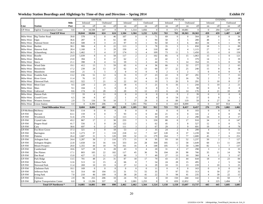### Weekday Station Boardings and Alightings by Time-of-Day and Direction -- Spring 2014

|                |                                                          |              |                | AM PEAK             |                                    |                  |                  | <b>MIDDAY</b>                    |                                |                  |                  | PM PEAK          |                  |                  |                  | <b>EVENING</b>                     |                                  |                  |
|----------------|----------------------------------------------------------|--------------|----------------|---------------------|------------------------------------|------------------|------------------|----------------------------------|--------------------------------|------------------|------------------|------------------|------------------|------------------|------------------|------------------------------------|----------------------------------|------------------|
|                |                                                          | Mile         | Inbound        |                     | Outbound                           |                  | Inbound          |                                  | Outbound                       |                  | Inbound          |                  | Outbound         |                  | Inbound          |                                    | Outbound                         |                  |
| Line           | <b>Station</b>                                           | Post         | on             | off                 | on                                 | off              | on               | off                              | on                             | off              | on               | off              | on               | off              | on               | off                                | on                               | off              |
| <b>UP-West</b> | Ogilvie Transportation Center                            | 0.0          | $\Omega$       | 10,598              | 347                                | $\boldsymbol{0}$ | $\theta$         | 1,314                            | 1,056                          | $\mathbf{0}$     | $\mathbf{0}$     | 571              | 10,081           | $\overline{0}$   | $\mathbf{0}$     | 294                                | 1,297                            | $\boldsymbol{0}$ |
|                | <b>Total UP West</b>                                     |              | 10,844         | 10,844              | 624                                | 624              | 1,504            | 1,504                            | 1,232                          | 1,232            | 763              | 763              | 10,363           | 10,363           | 459              | 459                                | 1,407                            | 1,407            |
| Milw-West      | <b>Big Timber Road</b>                                   | 39.8         | 578            | $\mathbf{0}$        | $\boldsymbol{0}$                   | 46               | 107              | $\mathbf{0}$                     | $\boldsymbol{0}$               | 71               | 69               | $\boldsymbol{0}$ | $\mathbf{0}$     | 564              | 28               | $\boldsymbol{0}$                   | $\mathbf{0}$                     | 56               |
| Milw-West      | Elgin                                                    | 36.6         | 287            | $\mathbf{0}$        | $\boldsymbol{0}$                   | 61               | 69               | $\overline{3}$                   | $\mathbf{1}$                   | 94               | 50               | 3                | 5                | 280              | 48               | 1                                  | $\mathbf{1}$                     | 49               |
| Milw-West      | <b>National Street</b>                                   | 36.0         | 508            | $\mathbf{0}$        | 3                                  | 21               | 97               | $\boldsymbol{0}$                 | $\mathbf{1}$                   | 92               | 50               | 3                | 6                | 463              | 34               | $\boldsymbol{0}$                   | $\mathbf{1}$                     | $78\,$           |
| Milw-West      | <b>Bartlett</b>                                          | 30.1         | 906            | $\overline{4}$      | $\mathbf{0}$                       | 22               | 113              | $\overline{3}$                   | 3                              | 78               | 35               | $\overline{3}$   | 5                | 858              | 18               | 5                                  | $\mathbf{1}$                     | 89               |
| Milw-West      | Hanover Park                                             | 28.4         | 1,160          | 6                   | 3                                  | 29               | 150              | $\overline{4}$                   | $\overline{4}$                 | 110              | 60               | $\sqrt{2}$       | $\overline{4}$   | 1,115            | 27               | $\boldsymbol{7}$                   | 6                                | 147              |
| Milw-West      | Schaumburg                                               | 26.5         | 1,462          | $7\phantom{.0}$     | $\overline{4}$                     | 37               | 174              | 3                                | $\overline{4}$                 | 109              | 73               | 11               | 5                | 1,450            | 15               | $\overline{4}$                     | $\overline{0}$                   | 150              |
| Milw-West      | Roselle                                                  | 23.9         | 1,039          | 8                   | $\overline{4}$                     | 58               | 117              | $\sqrt{2}$                       | $\sqrt{2}$                     | 102              | 85               | 6                | 15               | 1,063            | 15               | 1                                  | $\mathbf{0}$                     | 121              |
| Milw-West      | Medinah                                                  | 23.0         | 394            | 3                   | $\boldsymbol{0}$                   | 27               | 62               | $\sqrt{2}$                       | $\sqrt{2}$                     | 22               | 42               | $\overline{3}$   | $\mathfrak{Z}$   | 379              | 14               | $\mathbf{1}$                       | 3                                | 39               |
| Milw-West      | Itasca                                                   | 21.1         | 398            | 8                   | $\overline{4}$                     | 51               | 59               | $\sqrt{5}$                       | 3                              | 44               | 71               | $\mathfrak{Z}$   | 14               | 354              | 15               | 5                                  | $\overline{0}$                   | 50               |
| Milw-West      | Wood Dale                                                | 19.1         | 412            | 13                  | $\sqrt{5}$                         | 59               | 65               | $\sqrt{6}$                       | $\sqrt{4}$                     | 36               | 66               | $\overline{3}$   | 32               | 377              | 22               | 5                                  | $\overline{c}$                   | 65               |
| Milw-West      | Bensenville                                              | 17.2         | 239            | 24                  | 13                                 | 37               | 62               | $\,8\,$                          | 13                             | 60               | 57               | 22               | 25               | 240              | 15               | 8                                  | 9                                | 38               |
| Milw-West      | Mannheim                                                 | 14.0         | 21             | 5                   | 5                                  | 3                | $\mathbf{0}$     | $\boldsymbol{0}$                 | $\mathbf{0}$                   | $\boldsymbol{0}$ | 2                | $\mathfrak{Z}$   | 2                | $\mathbf{1}$     | $\mathbf{0}$     | $\boldsymbol{0}$                   | $\bf{0}$                         | $\mathbf{0}$     |
| Milw-West      | Franklin Park                                            | 13.2         | 236            | 51                  | 12                                 | 6                | 31               | 9                                | 17                             | 23               | 22               | 9                | 67               | 291              | $\overline{7}$   | 9                                  | $\tau$                           | 33               |
| Milw-West      | <b>River Grove</b>                                       | 11.4         | 76             | 13                  | 17                                 | $\sqrt{2}$       | 11               | 9                                | $\overline{4}$                 | 11               | 13               | 12               | 16               | 78               | $\boldsymbol{2}$ | $\overline{7}$                     | 3                                | 18               |
| Milw-West      | Elmwood Park                                             | 10.2         | 322            | $\overline{7}$      | 21                                 | 6                | 22               | 10                               | 6                              | 19               | 5                | 26               | 9                | 291              | 3                | 10                                 | 8                                | 27               |
| Milw-West      | Mont Clare                                               | 9.5          | 228            | $\overline{c}$      | 24                                 | $\overline{2}$   | 18               | 6                                | $\overline{7}$                 | 21               | 6                | 16               | $\mathbf{1}$     | 244              | 5                | 10                                 | $\overline{c}$                   | 21               |
| Milw-West      | Mars                                                     | 9.1          | 104            | $\mathfrak{Z}$      | 5                                  | $\boldsymbol{0}$ | $\mathbf{0}$     | $\boldsymbol{0}$                 | $\boldsymbol{0}$               | $\boldsymbol{0}$ | $\mathfrak{Z}$   | 3                | 3                | 98               | $\boldsymbol{0}$ | $\boldsymbol{0}$                   | $\boldsymbol{0}$                 | $\mathbf{0}$     |
| Milw-West      | Galewood                                                 | 8.6          | 174            | 12                  | 20                                 | 3                | 20               | 9                                | 12                             | 13               | 6                | 24               | 14               | 176              | $\overline{4}$   | 21                                 | 10                               | 18               |
| Milw-West      | Hanson Park                                              | 7.7          | 33             | $\overline{4}$      | 11                                 | $\boldsymbol{0}$ | $\mathbf{0}$     | $\boldsymbol{0}$                 | $\boldsymbol{0}$               | $\overline{0}$   | $\boldsymbol{0}$ | 9                | $\overline{c}$   | 39               | $\boldsymbol{0}$ | $\boldsymbol{0}$                   | $\mathbf{0}$                     | $\mathbf{0}$     |
| Milw-West      | Grand/Cicero                                             | 6.5          | 34             | $\,8\,$             | 47                                 | $\overline{2}$   | 1                | $\overline{4}$                   | 8                              | $\overline{4}$   | $\overline{4}$   | 54               | 11               | 37               | $\boldsymbol{0}$ | 8                                  | -1                               | $\mathbf{1}$     |
| Milw-West      | Western Avenue                                           | 2.9          | 73             | 116                 | 78                                 | 10               | $\overline{7}$   | 37                               | 29                             | 3                | $\overline{4}$   | 89               | 119              | 59               | $\overline{4}$   | 27                                 | 34                               | $\sqrt{2}$       |
| Milw-West      | <b>Union Station</b>                                     | 0.0          | $\Omega$       | 8,390               | 206                                | $\boldsymbol{0}$ | $\boldsymbol{0}$ | 1,065                            | 792                            | $\boldsymbol{0}$ | $\boldsymbol{0}$ | 419              | 8,099            | $\boldsymbol{0}$ | $\boldsymbol{0}$ | 147                                | 914                              | $\mathbf{0}$     |
|                | <b>Total Milwaukee West</b><br><b>UP/McHenry McHenry</b> |              | 8,684          | 8,684               | 482                                | 482              | 1,185            | 1,185                            | 912                            | 912              | 723              | 723              | 8,457            | 8,457            | 276              | 276                                | 1,002                            | 1,002            |
|                |                                                          | 50.6         | 114            | $\boldsymbol{0}$    | $\boldsymbol{0}$                   | $\boldsymbol{0}$ | $\mathbf{0}$     | $\boldsymbol{0}$                 | $\boldsymbol{0}$               | $\boldsymbol{0}$ | $\mathbf{0}$     | $\boldsymbol{0}$ | $\mathbf{0}$     | 103              | $\mathbf{0}$     | $\boldsymbol{0}$                   | $\mathbf{0}$                     | $\mathbf{0}$     |
| UP-NW          | Harvard                                                  | 63.1         | 159            | $\boldsymbol{0}$    | $\boldsymbol{0}$                   | $\tau$           | 93               | $\boldsymbol{0}$                 | $\boldsymbol{0}$               | 44               | 21               | $\boldsymbol{0}$ | $\boldsymbol{0}$ | 141              | 2                | $\boldsymbol{0}$                   | $\boldsymbol{0}$                 | 16               |
| UP-NW          | Woodstock                                                | 51.6         | 278            | $\overline{1}$      | $\mathbf{1}$                       | 12               | 113              | -1                               | 6                              | 50               | 19               | $\overline{2}$   | $\mathbf{2}$     | 298              | 14               | $\boldsymbol{0}$                   | $\overline{4}$                   | 17               |
| UP-NW          | Crystal Lake                                             | 43.2         | 867            | 17                  | $\overline{2}$                     | 30               | 233              | $\overline{7}$                   | $\sqrt{5}$                     | 150              | 80               | $\boldsymbol{0}$ | 17               | 910              | 34               | $\overline{c}$                     | $\boldsymbol{0}$                 | 147              |
| UP-NW          | Pingree Road                                             | 41.7         | 556            | $\mathfrak{Z}$      | $\boldsymbol{0}$<br>$\overline{2}$ | 28               | 122              | $\mathfrak{Z}$<br>$\mathfrak{Z}$ | $\mathbf{1}$<br>$\overline{2}$ | 62               | 45<br>29         | 3<br>$\sqrt{2}$  | 8<br>9           | 527              | 12<br>19         | $\boldsymbol{0}$                   | $\overline{0}$<br>$\overline{4}$ | 71               |
| UP-NW<br>UP-NW | Cary<br>Fox River Grove                                  | 38.6<br>37.3 | 697<br>321     | 6<br>$\mathfrak{Z}$ | $\boldsymbol{0}$                   | 19<br>18         | 111<br>53        | $\overline{c}$                   | $\overline{2}$                 | 67<br>35         | 24               | $\sqrt{2}$       | $\sqrt{6}$       | 691<br>299       | $\overline{4}$   | 3<br>$\mathbf{1}$                  | $\overline{0}$                   | 78<br>51         |
|                |                                                          |              |                |                     | $\mathbf{1}$                       |                  |                  | 12                               | $\overline{7}$                 | 147              |                  | $\,8\,$          |                  |                  |                  |                                    | $\mathfrak{Z}$                   |                  |
| UP-NW<br>UP-NW | Barrington<br>Palatine                                   | 31.9<br>26.4 | 1,273<br>1,687 | 37<br>31            | $\sqrt{5}$                         | 118<br>120       | 218<br>339       | 32                               | 11                             | 179              | 128<br>164       | $\boldsymbol{7}$ | 37<br>77         | 1,239<br>1,680   | 50<br>45         | $\overline{c}$<br>$\boldsymbol{7}$ | 6                                | 153<br>251       |
| UP-NW          | <b>Arlington Park</b>                                    | 24.4         | 1,287          | 30                  | $\sqrt{2}$                         | 110              | 173              | 15                               | $\,8\,$                        | 95               | 93               | $10\,$           | 52               | 1,237            | 50               | $\overline{c}$                     | $7\phantom{.0}$                  | 127              |
| UP-NW          | <b>Arlington Heights</b>                                 | 22.8         | 1,658          | 54                  | 16                                 | 141              | 333              | 24                               | 28                             | 168              | 185              | 12               | 58               | 1,649            | 60               | 13                                 | 11                               | 230              |
| UP-NW          | <b>Mount Prospect</b>                                    | 20.0         | 1,355          | 44                  | 10                                 | 78               | 161              | 16                               | $\overline{4}$                 | 148              | 105              | $\boldsymbol{7}$ | 50               | 1,308            | 82               | 5                                  | $7\phantom{.0}$                  | 137              |
| UP-NW          | Cumberland                                               | 18.6         | 327            | 18                  | 6                                  | 28               | 43               | 9                                | $\overline{4}$                 | 20               | 31               | $\overline{4}$   | 17               | 298              | 3                | $\overline{c}$                     | $\boldsymbol{0}$                 | 35               |
| UP-NW          | Des Plaines                                              | 17.1         | 803            | 105                 | 22                                 | 102              | 117              | 45                               | 36                             | 76               | 104              | 20               | 90               | 766              | 35               | 11                                 | 14                               | 78               |
| UP-NW          | Dee Road                                                 | 15.0         | 427            | 15                  | 12                                 | 13               | 80               | 3                                | $\overline{7}$                 | 49               | 27               | 13               | 10               | 360              | $\overline{4}$   | $\overline{2}$                     | $\mathbf{3}$                     | 67               |
| UP-NW          | Park Ridge                                               | 13.5         | 701            | 48                  | 21                                 | 31               | 87               | $18\,$                           | 17                             | 79               | 43               | 25               | 44               | 644              | 18               | $\overline{4}$                     | 23                               | 84               |
| UP-NW          | <b>Edison Park</b>                                       | 12.6         | 513            | 12                  | 15                                 | $\overline{4}$   | 66               | 8                                | $\tau$                         | 54               | 24               | 28               | 15               | 495              | $\mathbf{1}$     | $\mathbf{2}$                       | $\mathfrak{S}$                   | 54               |
| UP-NW          | Norwood Park                                             | 11.4         | 269            | 10                  | 19                                 | 6                | 27               | 12                               | 6                              | 29               | 10               | 15               | 13               | 239              | $\mathbf{1}$     | 10                                 | 5                                | $25\,$           |
| UP-NW          | <b>Gladstone Park</b>                                    | 10.1         | 169            | $\overline{0}$      | $\theta$                           | $\mathbf{0}$     | $\overline{0}$   | $\mathbf{0}$                     | $\overline{0}$                 | 11               | $\mathbf{0}$     | $\overline{0}$   | $\overline{0}$   | 163              | $\mathbf{0}$     | $\overline{0}$                     | $\mathbf{0}$                     | 10               |
| UP-NW          | Jefferson Park                                           | 9.1          | 314            | 60                  | 104                                | 15               | 31               | 73                               | 55                             | 35               | $\tau$           | 97               | 55               | 313              | 6                | 50                                 | 27                               | 32               |
| UP-NW          | <b>Irving Park</b>                                       | 7.0          | 210            | 46                  | 109                                | $\mathbf{0}$     | 38               | 28                               | 41                             | $22\,$           | $\mathbf Q$      | 94               | 41               | 235              | 4                | 39                                 | 22                               | 15               |
| UP-NW          | Clybourn                                                 | 2.9          | 96             | 255                 | 206                                | 10               | 24               | 70                               | 62                             | $\overline{4}$   | 10               | 150              | 244              | 142              | $\mathbf{1}$     | 65                                 | 50                               | $\overline{7}$   |
| UP-NW          | Ogilvie Transportation Center                            | 0.0          | $\overline{0}$ | 13,286              | 337                                | $\mathbf{0}$     | $\overline{0}$   | 2,081                            | 1,255                          | $\Omega$         | $\overline{0}$   | 659              | 12,852           | $\mathbf{0}$     | $\overline{0}$   | 225                                | 1,494                            | $\mathbf{0}$     |
|                | <b>Total UP Northwest *</b>                              |              |                | 14,081              | 890                                | 890              | 2,462            | 2,462                            | 1,564                          | 1,524            | 1,158            | 1,158            | 13,697           | 13,737           | 445              | 445                                | 1,685                            | 1,685            |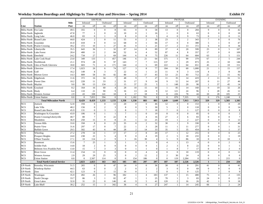### Weekday Station Boardings and Alightings by Time-of-Day and Direction -- Spring 2014

| Exhibit IV |  |
|------------|--|
|------------|--|

|                 |                                    |      | AM PEAK        |                      |                  | <b>MIDDAY</b>   |                |                  |                   | PM PEAK        |                  |                  |                  | <b>EVENING</b> |                                  |                   |                     |                |
|-----------------|------------------------------------|------|----------------|----------------------|------------------|-----------------|----------------|------------------|-------------------|----------------|------------------|------------------|------------------|----------------|----------------------------------|-------------------|---------------------|----------------|
|                 |                                    | Mile | Inbound        |                      | Outbound         |                 | Inbound        |                  | Outbound          |                | Inbound          |                  | Outbound         |                | Inbound                          |                   | Outbound            |                |
| Line            | <b>Station</b>                     | Post | on             | off                  | on               | off             | on             | off              | on                | off            | on               | off              | on               | off            | on                               | off               | on                  | off            |
| Milw-North      | Fox Lake                           | 49.5 | 355            | $\mathbf{0}$         | $\mathbf{0}$     | $\,$ 8 $\,$     | 65             | $\mathbf 0$      | $\boldsymbol{0}$  | 58             | 13               | $\boldsymbol{0}$ | $\mathbf{0}$     | 284            | 9                                | $\boldsymbol{0}$  | $\mathbf{0}$        | 42             |
| Milw-North      | Ingleside                          | 47.8 | 77             | $\overline{1}$       | $\mathbf{0}$     | $\overline{0}$  | 10             | $\boldsymbol{0}$ | $\mathbf{1}$      | 16             | <sup>1</sup>     | $\boldsymbol{0}$ | $\boldsymbol{0}$ | 63             | $\mathbf{0}$                     | $\overline{0}$    | $\overline{0}$      | 10             |
| Milw-North      | Long Lake                          | 46.0 | 83             | $\boldsymbol{0}$     |                  | $\overline{0}$  | 8              | $\boldsymbol{0}$ | $\boldsymbol{0}$  | 5              | $\overline{4}$   | $\boldsymbol{0}$ | 9                | 73             | $\boldsymbol{0}$                 | $\mathbf{1}$      | $\boldsymbol{0}$    | 11             |
| Milw-North      | Round Lake                         | 44.0 | 424            | $\overline{c}$       | $\mathbf{0}$     | 11              | 55             | $\overline{0}$   | $\overline{2}$    | 38             | 23               | $\mathbf{1}$     | $\overline{c}$   | 343            | $\overline{7}$                   | $\mathbf{0}$      | $\boldsymbol{0}$    | 76             |
| Milw-North      | Grayslake                          | 41.0 | 418            | $\boldsymbol{0}$     | $\boldsymbol{0}$ | 12              | 68             | $\boldsymbol{0}$ | $\mathbf{1}$      | 66             | 17               | $\boldsymbol{0}$ | $\boldsymbol{0}$ | 388            | 5                                | $\mathbf{1}$      | $\boldsymbol{0}$    | 47             |
| Milw-North      | Prairie Crossing                   | 39.2 | 372            | 10                   | -1               | 27              | 41             | $\mathbf{0}$     | $\mathbf{1}$      | 21             | 17               | $\boldsymbol{2}$ | 13               | 372            | 6                                | $\overline{0}$    | $\overline{0}$      | 36             |
| Milw-North      | Libertyville                       | 35.5 | 643            | 36                   | $\mathbf{1}$     | 32              | 87             | 14               | $\,8\,$           | 89             | 37               | $\overline{4}$   | $20\,$           | 599            | 25                               | $\boldsymbol{0}$  | 5                   | 107            |
| Milw-North      | <b>Lake Forest</b>                 | 28.4 | 400            | 11                   | $\sqrt{2}$       | 84              | 52             | 6                | $\overline{4}$    | 52             | 87               | $\overline{4}$   | 8                | 357            | 17                               | $\mathbf{0}$      | $\overline{0}$      | 109            |
| Milw-North      | Deerfield                          | 24.2 | 734            | 27                   | $\mathfrak{Z}$   | 69              | 144            | 6                | 8                 | 75             | 226              | 11               | 64               | 684            | 63                               | $\boldsymbol{2}$  | 5                   | 151            |
| Milw-North      | Lake Cook Road                     | 23.0 | 349            | 133                  | $\mathbf{1}$     | 457             | 146            | $\sqrt{6}$       | 21                | 64             | 575              | $\mathfrak{Z}$   | 99               | 379            | 67                               | $\sqrt{2}$        | 5                   | 244            |
| Milw-North      | Northbrook                         | 21.1 | 974            | 28                   | 9                | 97              | 143            | $\overline{7}$   | $\tau$            | 115            | 137              | 5                | 29               | 873            | 25                               | $\sqrt{2}$        | 10                  | 146            |
| Milw-North      | Glen of North Glenview             | 18.8 | 603            | 71                   | $\overline{4}$   | 171             | 144            | $\overline{4}$   | 5                 | 69             | 222              | 2                | 64               | 651            | 45                               | 1                 | 10                  | 151            |
| Milw-North      | Glenview                           | 17.4 | 1.023          | 26                   | 6                | 74              | 127            | $\overline{3}$   | $\,8\,$           | 77             | 184              | 50               | 60               | 1,000          | 21                               | $\mathbf{1}$      | 15                  | 157            |
| Milw-North      | Golf                               | 16.2 | 149            | $\,8\,$              | 3                | $7\phantom{.0}$ | 22             | $\overline{4}$   | $\mathbf{1}$      | 21             | 11               | 9                | 3                | 119            | $\overline{4}$                   | $\overline{c}$    | 8                   | 30             |
| Milw-North      | <b>Morton Grove</b>                | 14.3 | 809            | 58                   | 16               | 42              | 80             | $\overline{3}$   | 17                | 43             | 53               | 21               | 43               | 712            | 21                               | $\overline{7}$    | 15                  | 92             |
| Milw-North      | Edgebrook                          | 11.6 | 372            | 16                   | 34               | $\overline{7}$  | 48             | $\overline{9}$   | $\overline{7}$    | 27             | 11               | 35               | 14               | 419            | 2                                | 11                | 16                  | 51             |
| Milw-North      | <b>Forest Glen</b>                 | 10.2 | 228            | 11                   | 33               | $\overline{c}$  | 31             | 17               | 9                 | 14             | 9                | 52               | 14               | 207            | $\overline{0}$                   | 11                | 27                  | 46             |
| Milw-North      | Mayfair                            | 9.0  | 99             | 13                   | 134              | $\sqrt{2}$      | 15             | 37               | 25                | 5              | $\mathbf{1}$     | 148              | 20               | 90             | -1                               | 37                | 45                  | 14             |
| Milw-North      | Grayland                           | 8.2  | 164            | 16                   | 60               | $\overline{4}$  | 28             | 10               | 15                | 10             | $\overline{1}$   | 85               | 14               | 160            | $\overline{0}$                   | 19                | 32                  | 26             |
| Milw-North      | Healy                              | 6.4  | 110            | 21                   | 90               | 9               | 16             | 13               | 24                | 9              | 12               | 121              | 24               | 96             | -1                               | 28                | 45                  | 12             |
| Milw-North      | Western Avenue                     | 2.9  | 43             | 108                  | 141              | 18              | 8              | 17               | 18                | 9              | 8                | 226              | 78               | 44             | 10                               | 28                | 105                 | 25             |
| Milw-North      | <b>Union Station</b>               | 0.0  | $\theta$       | 7,833                | 594              | $\overline{0}$  | $\theta$       | 1,182            | 701               | $\mathbf{0}$   | $\overline{0}$   | 870              | 7,335            | $\mathbf{0}$   | $\mathbf{0}$                     | 176               | 1,240               | $\mathbf{0}$   |
|                 | <b>Total Milwaukee North</b>       |      | 8,429          | 8,429                | 1,133            | 1,133           | 1,338          | 1,338            | 883               | 883            | 1,649            | 1,649            | 7,913            | 7,913          | 329                              | 329               | 1,583               | 1,583          |
| <b>NCS</b>      | Antioch                            | 52.8 | 194            | $\overline{0}$       | $\overline{0}$   | 13              | 20             | $\overline{0}$   | $\mathbf{0}$      | 46             | 12               | $\boldsymbol{0}$ | $\mathbf{0}$     | 153            | $\mathbf{1}$                     | $\boldsymbol{0}$  | $\boldsymbol{0}$    | 20             |
| <b>NCS</b>      | Lake Villa                         | 48.2 | 156            | $\boldsymbol{0}$     | $\sqrt{2}$       | $\mathfrak{Z}$  | 8              | $\boldsymbol{0}$ | 5                 | 30             | 5                | $\mathbf{1}$     | $\boldsymbol{0}$ | 118            | $\boldsymbol{0}$                 | $\mathbf{0}$      | $\overline{0}$      | 14             |
| <b>NCS</b>      | Round Lake Beach                   | 45.9 | 131            | $\boldsymbol{0}$     | $\overline{3}$   | $\mathbf{1}$    | 8              | -1               | $\overline{7}$    | 18             | $7\phantom{.0}$  | $\boldsymbol{0}$ | $\mathbf{1}$     | 127            | $\boldsymbol{0}$                 | $\boldsymbol{0}$  | $\overline{0}$      | 8              |
| <b>NCS</b>      | Washington St./Grayslake           | 43.9 | 106            | $\theta$             | $\mathbf{1}$     | $\mathbf{1}$    | $\overline{7}$ | $\mathbf{1}$     | $\boldsymbol{0}$  | 19             | $\,8\,$          | $\boldsymbol{0}$ | $\boldsymbol{0}$ | 85             | $\Omega$                         | $\boldsymbol{0}$  | $\overline{0}$      | $\sqrt{2}$     |
| <b>NCS</b>      | Prairie Crossing/Libertyville      | 40.7 | 80             | $\overline{7}$       | $\boldsymbol{0}$ | 22              | 8              | $\mathbf{1}$     | $\overline{4}$    | 16             | 27               | $\boldsymbol{2}$ | 6                | 83             | $\boldsymbol{0}$                 | $\mathbf{0}$      | $\overline{0}$      | $\tau$         |
| <b>NCS</b>      | Mundelein                          | 36.9 | 250            | 15                   | $\theta$         | 8               | 21             | $\mathbf{1}$     | 12                | 25             | 19               | 1                | $\overline{c}$   | 227            | $\theta$                         | $\overline{0}$    | $\overline{0}$      | 13             |
| <b>NCS</b>      | <b>Vernon Hills</b>                | 33.0 | 358            | 8                    | $\theta$         | 25              | 35             | $\theta$         | $\overline{2}$    | 32             | 30               | $\mathbf{1}$     | 9                | 330            | $\theta$                         | $\Omega$          | $\mathbf{1}$        | 40             |
| <b>NCS</b>      | Prairie View                       | 31.6 | 297            | 17                   | $\boldsymbol{0}$ | $7\phantom{.0}$ | 22             | $\mathbf{1}$     | 3                 | 28             | 11               | $\mathbf{1}$     | 11               | 277            | $\boldsymbol{0}$                 | $\theta$          | $\mathbf{1}$        | 31             |
| <b>NCS</b>      | <b>Buffalo Grove</b>               | 29.5 | 502            | 43                   | 6                | 44              | 28             | $\overline{c}$   | 14                | 33             | 35               | 5                | 35               | 454            | $\overline{0}$                   | $\boldsymbol{0}$  | $\mathbf{1}$        | 37             |
| <b>NCS</b>      | Wheeling                           | 27.2 | 278            | 14                   | $\mathbf{1}$     | 17              | 17             | $\overline{c}$   | $\,8\,$           | 20             | 17               | $\mathbf{1}$     | 12               | 255            | $\overline{0}$                   | $\overline{0}$    | $\overline{0}$      | 25             |
| <b>NCS</b>      | <b>Prospect Heights</b>            | 24.0 | 238            | 22                   | 5                | $\overline{4}$  | 9              | $\overline{0}$   | $\overline{4}$    | 19             | $\overline{2}$   | 5                | 18               | 233            | $\overline{0}$                   | $\overline{0}$    | $\mathbf{1}$        | 19             |
| <b>NCS</b>      | O'Hare Transfer                    | 17.1 | 10             | 114                  | $\sqrt{2}$       | $\mathbf{Q}$    | $\mathbf{1}$   | 16               | 30                | $\overline{4}$ | 5                | 9                | 86               | 18             | $\overline{0}$                   | $\mathbf{0}$      | 10                  | -1             |
| <b>NCS</b>      | Rosemont                           | 15.6 | $\overline{7}$ | 25                   | $\mathbf{1}$     | $\overline{3}$  | $\mathbf{1}$   | $\overline{3}$   | 5                 | $\theta$       | $\overline{4}$   | $\mathbf{1}$     | 13               | $\overline{4}$ | $\theta$                         | $\theta$          | $\overline{c}$      | $\mathbf{0}$   |
| <b>NCS</b>      | <b>Schiller Park</b>               | 14.8 | 18             | $\overline{2}$       | $\mathbf{0}$     | $\overline{0}$  | $\theta$       | $\overline{0}$   | $\mathbf{0}$      | 1              | $\sqrt{2}$       | $\overline{3}$   | $\,8\,$          | 22             | $\overline{0}$                   | $\mathbf{0}$      | $\mathbf{1}$        | 5              |
| <b>NCS</b>      | Belmont Ave./Franklin Park         | 13.0 | 15             | $\tau$               | 3                | 3               | $\theta$       | $\mathbf{1}$     | $\mathbf{1}$      | $\mathbf{0}$   | $\mathbf{1}$     | 8                | $\overline{7}$   | 17             | $\overline{0}$                   | $\overline{0}$    | 2                   | $\mathbf{0}$   |
| <b>NCS</b>      | <b>River Grove</b>                 | 11.4 | 154            | 13                   | $\boldsymbol{0}$ | $\overline{0}$  | $\theta$       | $\overline{0}$   | $\overline{4}$    | $\overline{4}$ | $\boldsymbol{0}$ | $\boldsymbol{0}$ | 10               | 119            | $\overline{0}$                   | $\overline{0}$    | $\mathbf{0}$        | 12             |
| <b>NCS</b>      | Western Avenue                     | 2.9  | 29             | 29                   | 25               | $\sqrt{3}$      | $\theta$       | $\sqrt{2}$       | 12                | $\overline{c}$ | $\overline{c}$   | 30               | 24               | 4              | $\mathbf{0}$                     | $\overline{0}$    | $\overline{0}$      | $\mathbf{0}$   |
| <b>NCS</b>      | <b>Union Station</b>               | 0.0  | $\mathbf{0}$   | 2,507                | 114              | $\mathbf{0}$    | $\Omega$       | 154              | 186<br>297        | $\Omega$       | $\mathbf{0}$     | 119              | 2,284            | $\overline{0}$ | $\boldsymbol{0}$<br>$\mathbf{1}$ | 1                 | 215<br>234          | $\overline{0}$ |
|                 | <b>Total North Central Service</b> |      | 2,823          | 2,823                | 163              | 163             | 185            | 185              |                   | 297            | 187              | 187              | 2,526            | 2,526          |                                  | $\mathbf{1}$      |                     | 234            |
| <b>UP-North</b> | Kenosha, Wisconsin                 | 51.5 | 265            | $\boldsymbol{0}$     | $\mathbf{0}$     | 47              | 14             | $\boldsymbol{0}$ | $\boldsymbol{0}$  | 36             | 38               | $\boldsymbol{0}$ | $\mathbf{0}$     | 291            | 41                               | $\boldsymbol{0}$  | $\mathbf{0}$        | 41             |
| UP-North        | Winthrop Harbor                    | 44.5 | 63             | $\mathbf{0}$         | $\mathbf{0}$     | $\overline{2}$  | $\mathbf{2}$   | $\boldsymbol{0}$ | $\mathbf{2}$      | 2              | 3                | $\boldsymbol{0}$ | $\boldsymbol{0}$ | 69             | $\overline{0}$                   | $\boldsymbol{0}$  | $\overline{0}$      | $\mathbf{0}$   |
| UP-North        | Zion                               | 42.1 | 123            | $\theta$             | $\sqrt{2}$       | 15              | 14             | $\overline{0}$   | $\mathbf{1}$      | 3              | $\,8\,$          | $\mathbf{1}$     | $\boldsymbol{0}$ | 125            | $7\phantom{.0}$                  | $\overline{c}$    | $\overline{0}$      | 9              |
| <b>UP-North</b> | Waukegan                           | 35.9 | 492            | 26                   | $\overline{3}$   | 96              | 182            | $\mathbf{1}$     | $\overline{4}$    | 183            | 137              | $\mathbf{1}$     | 15               | 480            | 75                               | $\overline{4}$    | 2                   | 135            |
| <b>UP-North</b> | North Chicago                      | 33.7 | 86             | $\mathfrak{Z}$<br>23 | $\mathbf{1}$     | 82              | 47             | $\mathbf{1}$     | $\mathbf{1}$<br>5 | 25             | 70               | $\mathbf{1}$     | 3                | 83             | 24                               | $\mathbf{0}$<br>1 | $\overline{0}$<br>9 | 23             |
| UP-North        | <b>Great Lakes</b>                 | 32.0 | 31             |                      | $\boldsymbol{0}$ | 146             | 41             | 9                | 6                 | 41             | 120              | $\boldsymbol{2}$ | 16               | 26             | 42                               |                   |                     | 18             |
| <b>UP-North</b> | Lake Bluff                         | 30.2 | 252            | 15                   | $\overline{3}$   | 342             | 36             | $\overline{4}$   |                   | 27             | 247              | $\mathbf{1}$     | 14               | 245            | 66                               | 3                 | 2                   | 24             |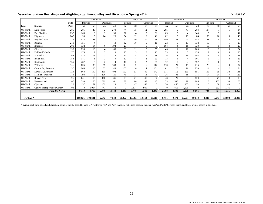### Weekday Station Boardings and Alightings by Time-of-Day and Direction -- Spring 2014

|                 |                               |             | AM PEAK  |                |                |          | <b>MIDDAY</b> |          |                |          | PM PEAK  |       |                |        | <b>EVENING</b> |          |                |          |
|-----------------|-------------------------------|-------------|----------|----------------|----------------|----------|---------------|----------|----------------|----------|----------|-------|----------------|--------|----------------|----------|----------------|----------|
|                 |                               | <b>Mile</b> | Inbound  |                | Outbound       |          | Inbound       |          | Outbound       |          | Inbound  |       | Outbound       |        | Inbound        |          | Outbound       |          |
| Line            | <b>Station</b>                | Post        | on       | off            | on             | off      | on            | off      | on             | off      | on       | off   | on             | off    | on             | off      | on             | off      |
| <b>UP-North</b> | Lake Forest                   | 28.3        | 281      | 43             | 2              | 270      | 74            | 15       | 12             | 82       | 205      | 5     | 41             | 284    | 107            |          | 5              | 34       |
| <b>UP-North</b> | Fort Sheridan                 | 25.7        | 165      | 3              | 3              | 30       | 21            |          | 2              | 31       | 65       |       | $\overline{4}$ | 143    | 5              |          |                | 42       |
| <b>UP-North</b> | Highwood                      | 24.5        | 99       | 5              | 24             | 26       | 54            | 19       | 16             | 41       | 62       | 15    | 13             | 84     | 33             | 16       | 13             | 48       |
| <b>UP-North</b> | <b>Highland Park</b>          | 23.0        | 478      | 48             | 27             | 177      | 92            | 30       | 30             | 68       | 140      | 23    | 43             | 488    | 53             | 8        | 12             | 49       |
| <b>UP-North</b> | Ravinia                       | 21.5        | 151      | $\overline{4}$ | $\overline{4}$ | 18       | 32            | 10       | 5              | 16       | 22       | 5     | 13             | 132    | 10             |          |                | 23       |
| <b>UP-North</b> | <b>Braeside</b>               | 20.5        | 132      | 14             | 6              | 194      | 29            |          | 6              | 9        | 164      |       | 16             | 128    | 16             |          |                | 20       |
| <b>UP-North</b> | Glencoe                       | 19.2        | 295      | 19             | $\overline{4}$ | 68       | 60            | 11       | 12             | 55       | 46       |       | 16             | 285    | 19             | 2        | $\overline{5}$ | 34       |
| <b>UP-North</b> | <b>Hubbard Woods</b>          | 17.7        | 178      | 9              | $\mathfrak{D}$ | 19       | 20            | 5        | 6              | 16       | 23       |       | 3              | 135    | $\mathbf Q$    | $\Omega$ |                | 28       |
| <b>UP-North</b> | Winnetka                      | 16.6        | 322      | 15             |                | 79       | 42            |          | 9              | 58       | 76       | 8     | 16             | 398    | 17             |          | $\Omega$       | 31       |
| <b>UP-North</b> | <b>Indian Hill</b>            | 15.8        | 141      |                | $\overline{2}$ | 9        | 30            |          | 2              | 29       | 13       |       | $\overline{4}$ | 101    | 6              |          | $\mathbf{3}$   | 25       |
| <b>UP-North</b> | Kenilworth                    | 15.2        | 237      | .5             | $\overline{2}$ | 14       | 44            | $\Omega$ | $\overline{2}$ | 38       | 12       |       |                | 192    | 3              |          |                | 20       |
| <b>UP-North</b> | Wilmette                      | 14.4        | 806      | 35             | 19             | 133      | 113           | 9        | 16             | 117      | 118      | 21    | 11             | 716    | 23             |          | 14             | 137      |
| <b>UP-North</b> | Central St., Evanston         | 13.3        | 969      | 16             | 25             | 43       | 106           | 10       | $\overline{4}$ | 104      | 61       | 28    | 16             | 830    | 14             | 4        | 2              | 134      |
| <b>UP-North</b> | Davis St., Evanston           | 12.0        | 863      | 190            | 105            | 492      | 152           | 53       | 45             | 172      | 511      | 112   | 255            | 851    | 105            | 59       | 34             | 131      |
| <b>UP-North</b> | Main St., Evanston            | 11.0        | 793      | 5              | 136            | 26       | 78            | 14       | 18             | 71       | 26       | 93    | 18             | 775    | 17             | 34       | $\mathcal{I}$  | 125      |
| <b>UP-North</b> | Rogers Park                   | 9.4         | 1.041    | 16             | 180            | 36       | 78            | 21       | 41             | 67       | 48       | 129   | 93             | 820    | 9              | 71       | 8              | 113      |
| <b>UP-North</b> | Ravenswood                    | 6.5         | 1.290    | 60             | 689            | 61       | 82            | 60       | 89             | 45       | 73       | 536   | 98             | 1.086  |                | 135      | 39             | 106      |
| <b>UP-North</b> | Clybourn                      | 2.9         | 157      | 151            | 459            | 23       | 6             | 47       | 66             |          | 20       | 456   | 155            | 99     |                | 88       | 43             | 5        |
| <b>UP-North</b> | Ogilvie Transportation Center | 0.0         | $\Omega$ | 9,004          | 747            | $\Omega$ | $\Omega$      | 1,114    | 941            | $\Omega$ | $\Omega$ | 856   | 7,999          |        | $\Omega$       | 252      | 1.146          | $\Omega$ |
|                 | <b>Total UP North</b>         |             |          | 9,710          | 2,448          | 2.448    | 1.449         | 1,449    | 1,341          | 1.341    | 2,308    | 2,308 | 8.866          | 8.866  | 704            | 704      | 1,355          | 1,355    |
|                 |                               |             |          |                |                |          |               |          |                |          |          |       |                |        |                |          |                |          |
|                 | TOTAL <sup>*</sup>            |             |          | 108,631        | 7,542          | 7,542    | 13,362        | 13,362   | 13,162         | 13,118   | 9,471    | 9,471 | 99.604         | 99,648 | 3,243          | 3,243    | 12,898         | 12,898   |

\* Within each time period and direction, some of the the Elec, RI, aand UP-Northwest "on" and "off" totals are not equal, because transfer "ons" and "offs" between trains, and lines, are not shown in this table.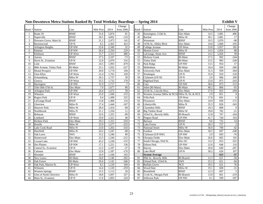### **Non-Downtown Metra Stations Ranked By Total Weekday Boardings -- Spring 2014 Exhibit V**

|                 |                          |                |           |       | Change    |                 |                             |                  |           |       | Change          |
|-----------------|--------------------------|----------------|-----------|-------|-----------|-----------------|-----------------------------|------------------|-----------|-------|-----------------|
| Rank * Station  |                          | Line           | Mile Post | 2014  | from 2006 | Rank*           | Station                     | Line             | Mile Post | 2014  | from 2006       |
| -1              | Route 59                 | <b>BNSF</b>    | 31.6      | 5,874 | 81        | 45              | Kensington, 115th St.       | Elec-Main        | 14.5      | 1,081 | $-496$          |
| $\overline{2}$  | Naperville               | <b>BNSF</b>    | 28.5      | 4.002 | $-110$    | 45              | <b>Bartlett</b>             | Milw-W           | 30.1      | 1.081 | $\overline{17}$ |
| 3               | Downers Grove, Main St.  | <b>BNSF</b>    | 21.2      | 2,473 | 145       | 47              | Westmont                    | <b>BNSF</b>      | 19.5      | 1,070 | $-98$           |
| $\overline{4}$  | Ravenswood               | $UP-N$         | 6.5       | 2,363 | 423       | 48              | 147th St., Sibley Blvd.     | Elec-Main        | 19.0      | 1,060 | $-195$          |
| 5               | Arlington Heights        | UP-NW          | 22.8      | 2,349 | 32        | 49              | College Avenue              | UP-West          | 23.8      | 1,057 | 105             |
| 6               | Palatine                 | UP-NW          | 26.4      | 2,334 | 229       | 50              | <b>Morton Grove</b>         | Milw-N           | 14.3      | 1,054 | 88              |
| $\overline{7}$  | Elmhurst                 | UP-West        | 15.7      | 2,313 | 480       | 51              | LaGrange, Stone Ave.        | <b>BNSF</b>      | 14.2      | 1,026 | 38              |
| 8               | Aurora                   | <b>BNSF</b>    | 37.5      | 2,107 | $-73$     | 52              | <b>Hickory Creek</b>        | RI-Main          | 27.5      | 992   | $-244$          |
| 9               | Davis St., Evanston      | $UP-N$         | 12.0      | 2,070 | 216       | 53              | <b>Tinley Park</b>          | RI-Main          | 23.5      | 983   | $-249$          |
| $\overline{10}$ | Lisle                    | <b>BNSF</b>    | 24.5      | 1,993 | $-479$    | 54              | Park Ridge                  | UP-NW            | 13.5      | 954   | 57              |
| 11              | 80th Avenue, Tinley Park | RI-Main        | 25.1      | 1,932 | $-527$    | $\overline{55}$ | Midlothian                  | RI-Main          | 18.4      | 950   | $-280$          |
| 12              | <b>Mount Prospect</b>    | UP-NW          | 20.0      | 1,774 | 184       | 56              | <b>University Park</b>      | Elec-Main        | 31.5      | 939   | $-304$          |
| 13              | Glen Ellyn               | <b>UP-West</b> | 22.4      | 1,765 | 228       | 57              | Waukegan                    | $UP-N$           | 35.9      | 910   | $-120$          |
| 14              | Schaumburg               | Milw-W         | 26.5      | 1,737 | 39        | 58              | Clybourn [UP-N]             | $UP-N$           | 2.9       | 906   | 209             |
| $\overline{15}$ | Geneva                   | UP-West        | 35.5      | 1,732 | 170       | 59              | <b>Highland Park</b>        | $UP-N$           | 23.0      | 875   | $-243$          |
| 16              | Barrington               | UP-NW          | 31.9      | 1,717 | $-7$      | 60              | Cary                        | UP-NW            | 38.6      | 873   | $-115$          |
| 17              | 55th-56th-57th St.       | Elec-Main      | 7.0       | 1,677 | 86        | 61              | Joliet [RI-Main]            | RI-Main          | 40.2      | 866   | $-92$           |
| 18              | <b>Arlington Park</b>    | UP-NW          | 24.4      | 1,672 | 58        | 62              | 211th St., Lincoln Hwy.     | Elec-Main        | 27.6      | 855   | $-294$          |
| 19              | Wheaton                  | <b>UP-West</b> | 25.0      | 1,506 | $-155$    | 63              | Western Avenue [Milw & NCS] | Milw-N,-W, & NCS | 2.9       | 851   | $\overline{9}$  |
| 20              | <b>Rogers Park</b>       | $UP-N$         | 9.4       | 1,498 | 322       | 64              | Villa Park                  | UP-West          | 17.8      | 841   | $\overline{6}$  |
| 21              | LaGrange Road            | <b>BNSF</b>    | 13.8      | 1,468 | 116       | 65              | Flossmoor                   | Elec-Main        | 24.9      | 830   | $-172$          |
| $22\,$          | Glenview                 | Milw-N         | 17.4      | 1,444 | $-167$    | 66              | Libertyville                | Milw-N           | 35.5      | 826   | $-343$          |
| 23              | Hanover Park             | Milw-W         | 28.4      | 1,414 | $-68$     | 67              | Clarendon Hills             | <b>BNSF</b>      | 18.3      | 808   | 9               |
| 24              | Northbrook               | Milw-N         | 21.1      | 1,334 | 11        | 68              | <b>Big Timber Road</b>      | Milw-W           | 39.8      | 782   | $-21$           |
| 25              | Belmont                  | <b>BNSF</b>    | 22.6      | 1,325 | $-89$     | 69              | 103rd St., Beverly Hills    | RI-Branch        | 12.8      | 767   | $-164$          |
| 26              | Lombard                  | UP-West        | 19.9      | 1,321 | 40        | 70              | Pingree Road                | UP-NW            | 41.7      | 744   | 163             |
| 27              | <b>Richton Park</b>      | Elec-Main      | 29.3      | 1,315 | $-310$    | 71              | Berwyn                      | <b>BNSF</b>      | 9.6       | 732   | 14              |
| 28              | Roselle                  | Milw-W         | 23.9      | 1,277 | $-223$    | 72              | <b>Lake Forest</b>          | $UP-N$           | 28.3      | 727   | $\sqrt{2}$      |
| 29              | Lake Cook Road           | Milw-N         | 23.0      | 1,263 | $-143$    | 73              | <b>National Street</b>      | Milw-W           | 36.0      | 700   | $-42$           |
| 30              | Deerfield                | Milw-N         | 24.2      | 1,247 | $-68$     | 74              | Ivanhoe                     | Elec-Main        | 18.2      | 697   | $-248$          |
| 31              | Oak Lawn                 | <b>SWS</b>     | 15.2      | 1,246 | 89        | 75              | Clybourn [UP-NW]            | UP-NW            | 2.9       | 693   | $-76$           |
| 32              | Homewood                 | Elec-Main      | 23.5      | 1,244 | $-212$    | 76              | Olympia Fields              | Elec-Main        | 26.6      | 665   | 192             |
| 33              | <b>Crystal Lake</b>      | UP-NW          | 43.2      | 1,238 | $-132$    | 77              | South Chicago, 93rd St.     | Elec-SC          | 13.2      | 652   | $-322$          |
| 34              | Des Plaines              | <b>UP-NW</b>   | 17.1      | 1,221 | 136       | 78              | <b>Edison Park</b>          | UP-NW            | 12.6      | 646   | 110             |
| $\overline{35}$ | Central St., Evanston    | $UP-N$         | 13.3      | 1,197 | $-37$     | 79              | Harvey                      | Elec-Main        | 20.0      | 640   | $-297$          |
| 36              | Calumet                  | Elec-Main      | 22.8      | 1,187 | $-176$    | 80              | Lake Bluff                  | $UP-N$           | 30.2      | 626   | 107             |
| 37              | Hinsdale                 | <b>BNSF</b>    | 16.9      | 1,168 | 103       |                 | <b>System Average</b>       |                  |           | 623   | $-37$           |
| 38              | New Lenox                | RI-Main        | 34.0      | 1,146 | $-202$    | 81              | 99th St., Beverly Hills     | RI-Branch        | 12.3      | 621   | $-58$           |
| 39              | <b>Oak Forest</b>        | RI-Main        | 20.4      | 1.141 | $-346$    | 81              | Orland Park, 153rd St.      | <b>SWS</b>       | 25.2      | 621   | $-94$           |
| 40              | Oak Park, Marion St.     | UP-West        | 8.5       | 1,129 | 104       | 81              | Buffalo Grove               | <b>NCS</b>       | 29.5      | 621   | 76              |
| 41              | Wilmette                 | $UP-N$         | 14.4      | 1,120 | $-259$    | 84              | Wood Dale                   | Milw-W           | 19.1      | 608   | $-31$           |
| 42              | <b>Western Springs</b>   | <b>BNSF</b>    | 15.5      | 1,113 | 20        | 85              | <b>Brookfield</b>           | <b>BNSF</b>      | 12.3      | 607   | $\sqrt{3}$      |
| 43              | Glen of North Glenview   | Milw-N         | 18.8      | 1,097 | 327       | 86              | 111th St., Morgan Park      | RI-Branch        | 13.8      | 601   | $-219$          |
| 44              | Main St., Evanston       | $UP-N$         | 11.0      | 1,093 | 224       | 87              | Jefferson Park              | UP-NW            | 9.1       | 599   | $-187$          |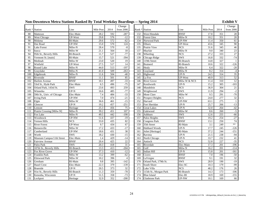### **Non-Downtown Metra Stations Ranked By Total Weekday Boardings -- Spring 2014 Exhibit V**

|        |                            |             |           |                  | Change          |     |                        |              |                  |                  | Change       |
|--------|----------------------------|-------------|-----------|------------------|-----------------|-----|------------------------|--------------|------------------|------------------|--------------|
| Rank * | Station                    | Line        | Mile Post | 2014             | from 2006       |     | Rank * Station         | Line         | Mile Post        | 2014             | from 2006    |
| 88     | Matteson                   | Elec-Main   | 28.2      | 592              | $-287$          | 132 | West Hinsdale          | <b>BNSF</b>  | 17.8             | 351              | $28\,$       |
| 89     | West Chicago               | UP-West     | 29.8      | 576              | $-12$           | 132 | Forest Glen            | Milw-N       | 10.2             | 351              | 20           |
| 90     | Mokena                     | RI-Main     | 29.6      | 572              | $-62$           | 134 | Norwood Park           | UP-NW        | 11.4             | 350              | 61           |
| 91     | Dee Road                   | UP-NW       | 15.0      | 570              | 124             | 135 | Elburn                 | UP-West      | 43.6             | 345              | 90           |
| 91     | <b>Lake Forest</b>         | Milw-N      | 28.4      | 570              | $\mbox{-}8$     | 135 | Prairie View           | <b>NCS</b>   | 31.6             | 345              | 46           |
| 93     | Itasca                     | Milw-W      | 21.1      | 564              | 18              | 137 | Mayfair                | Milw-N       | 9.0              | 340              | 23           |
| 94     | 95th St., Beverly Hills    | RI-Branch   | 11.7      | 527              | $-77$           | 138 | Wheeling               | <b>NCS</b>   | 27.2             | 333              | 27           |
| 95     | Vermont St. [main]         | RI-Main     | 15.7      | 521              | $-394$          | 139 | Chicago Ridge          | <b>SWS</b>   | 16.8             | 332              | $-74$        |
| 96     | Medinah                    | Milw-W      | 23.0      | 520              | 19              | 140 | 119th Street           | RI-Branch    | 14.8             | 327              | $\mathbf{1}$ |
| 97     | Winfield                   | UP-West     | 27.5      | 517              | 14              | 141 | <b>Brainerd</b>        | RI-Branch    | 10.6             | 322              | $-126$       |
| 98     | Round Lake                 | Milw-N      | 44.0      | $\overline{513}$ | $-197$          | 141 | Healy                  | Milw-N       | 6.4              | 322              | $-20$        |
| 99     | Grayslake                  | Milw-N      | 41.0      | 509              | $-263$          | 143 | Grayland               | Milw-N       | 8.2              | 314              | $-4$         |
| 100    | Edgebrook                  | Milw-N      | 11.6      | 504              | $-40$           | 143 | Highwood               | $UP-N$       | 24.5             | 314              | 35           |
| 101    | Riverside                  | <b>BNSF</b> | 11.1      | 501              | 85              | 145 | La Fox                 | UP-West      | 40.9             | 313              | 52           |
| 102    | Harlem Avenue              | <b>BNSF</b> | 10.1      | 497              | $-33$           | 146 | <b>River Grove</b>     | Milw-W & NCS | 11.4             | 310              | 12           |
| 103    | 53rd St., Hyde Park        | Elec-Main   | 6.5       | 496              | $-75$           | 147 | Kenilworth             | $UP-N$       | 15.2             | 305              | $-103$       |
| 104    | Orland Park, 143rd St.     | SWS         | 23.6      | 493              | 259             | 148 | Mundelein              | <b>NCS</b>   | 36.9             | 304              | 21           |
| 105    | Winnetka                   | $UP-N$      | 16.6      | 485              | $-77$           | 149 | Wrightwood             | <b>SWS</b>   | 11.9             | 294              | $-2$         |
| 106    | 59th St., Univ. of Chicago | Elec-Main   | 7.4       | 484              | $-33$           | 150 | Mont Clare             | Milw-W       | 9.5              | 291              | $-70$        |
| 107    | <b>Irving Park</b>         | UP-NW       | 7.0       | 474              | $-21$           | 151 | Prospect Heights       | <b>NCS</b>   | 24.0             | 277              | 32           |
| 108    | Elgin                      | Milw-W      | 36.6      | 461              | $-15$           | 152 | Harvard                | UP-NW        | 63.1             | 275              | $\mathbf{1}$ |
| 109    | Glencoe                    | $UP-N$      | 19.2      | 457              | $-251$          | 153 | Fort Sheridan          | $UP-N$       | 25.7             | 266              | $-13$        |
| 110    | Lemont                     | Heritage    | 25.3      | 456              | $\overline{75}$ | 154 | <b>Great Lakes</b>     | $UP-N$       | 32.0             | 264              | $-42$        |
| 111    | Prairie Crossing [Milw-N]  | Milw-N      | 39.2      | 451              | 107             | 155 | Galewood               | Milw-W       | 8.6              | 260              | $-5$         |
| 112    | Fox Lake                   | Milw-N      | 49.5      | 442              | $-190$          | 156 | Ashburn                | <b>SWS</b>   | 12.6             | 255              | $-66$        |
| 113    | Woodstock                  | UP-NW       | 51.6      | 437              | $-19$           | 157 | Palos Heights          | SWS          | 19.2             | 254              | $-27$        |
| 114    | Vernon Hills               | <b>NCS</b>  | 33.0      | 435              | 82              | 158 | <b>Congress Park</b>   | <b>BNSF</b>  | 13.1             | 250              | 74           |
| 115    | <b>River Forest</b>        | UP-West     | 9.7       | 434              | 67              | 159 | 35th Street            | RI-Main      | $\overline{3.1}$ | 249              | $**$         |
| 116    | Bensenville                | Milw-W      | 17.2      | 433              | $-17$           | 160 | <b>Hubbard Woods</b>   | $UP-N$       | 17.7             | $\overline{245}$ | $-126$       |
| 117    | Cumberland                 | UP-NW       | 18.6      | 431              | 38              | 161 | Joliet [Heritage]      | RI-Main      | 37.2             | 244              | $-151$       |
| 118    | Worth                      | <b>SWS</b>  | 18.2      | 430              | $-15$           | 162 | Ravinia                | $UP-N$       | 21.5             | 238              | $-94$        |
| 119    | Museum Campus/11th Street  | Elec-Main   | 1.4       | 429              | $-14$           | 163 | North Chicago          | $UP-N$       | 33.7             | 232              | 41           |
| 120    | <b>Fairview Avenue</b>     | <b>BNSF</b> | 20.4      | 425              | $\overline{22}$ | 164 | Antioch                | <b>NCS</b>   | 52.8             | 227              | $-35$        |
| 121    | Palos Park                 | <b>SWS</b>  | 20.3      | 418              | 31              | 165 | Riverdale              | Elec-Main    | 17.3             | 201              | $-196$       |
| 122    | 107th St., Beverly Hills   | RI-Branch   | 13.3      | 413              | $-204$          | 165 | Golf                   | Milw-N       | 16.2             | 201              | $-114$       |
| 123    | Fox River Grove            | UP-NW       | 37.3      | 410              | $-12$           | 165 | <b>Indian Hill</b>     | $UP-N$       | 15.8             | 201              | $-161$       |
| 124    | <b>Franklin Park</b>       | Milw-W      | 13.2      | 399              | $-62$           | 168 | Cicero                 | <b>BNSF</b>  | 7.0              | 196              | $-50$        |
| 125    | Elmwood Park               | Milw-W      | 10.2      | 396              | $\overline{4}$  | 169 | LaVergne               | <b>BNSF</b>  | 9.1              | 191              | 32           |
| 126    | Gresham                    | RI-Main     | 9.8       | 395              | $-142$          | 170 | Orland Park, 179th St. | <b>SWS</b>   | 28.9             | 190              | $-19$        |
| 127    | <b>Hazel Crest</b>         | Elec-Main   | 22.3      | 379              | $-139$          | 171 | South Shore            | Elec-SC      | 10.3             | 179              | $-99$        |
| 128    | <b>Braeside</b>            | $UP-N$      | 20.5      | 373              | $\overline{32}$ | 172 | Lake Villa             | <b>NCS</b>   | 48.2             | 176              | 26           |
| 129    | 91st St., Beverly Hills    | RI-Branch   | 11.3      | 359              | $-78$           | 173 | 115th St., Morgan Park | RI-Branch    | 14.3             | 173              | $-106$       |
| 130    | Kenosha, Wisconsin         | $UP-N$      | 51.5      | 358              | $-73$           | 174 | <b>Blue Island</b>     | Elec-BI      | 18.9             | 169              | $-155$       |
| 131    | Lockport                   | Heritage    | 32.9      | 352              | $-200$          | 174 | <b>Gladstone Park</b>  | UP-NW        | 10.1             | 169              | 66           |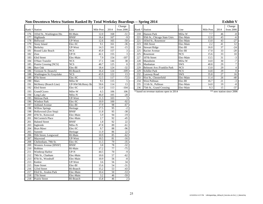### **Non-Downtown Metra Stations Ranked By Total Weekday Boardings -- Spring 2014 Exhibit V**

|        |                           |                   |           |      | Change          |     |                                          |            |           |                 | Change                   |
|--------|---------------------------|-------------------|-----------|------|-----------------|-----|------------------------------------------|------------|-----------|-----------------|--------------------------|
| Rank * | Station                   | Line              | Mile Post | 2014 | from 2006       |     | Rank * Station                           | Line       | Mile Post | 2014            | from $2006$              |
| 176    | 103rd St., Washington Hts | RI-Main           | 12.0      | 168  | $-51$           | 218 | Hanson Park                              | Milw-W     | 7.7       | 46              | $-8$                     |
| 177    | Highlands                 | <b>BNSF</b>       | 16.4      | 167  | $-9$            | 221 | 95th St., Chicago State Univ.            | Elec-Main  | 12.0      | 43              | $-6$                     |
| 178    | Bellwood                  | UP-West           | 12.6      | 165  | $-50$           | 221 | 103rd St., Rosemoor                      | Elec-Main  | 13.0      | 43              | $-27$                    |
| 179    | Stony Island              | Elec-SC           | 9.1       | 161  | $-36$           | 223 | 18th Street                              | Elec-Main  | 2.2       | 41              | 12                       |
| 179    | Berkeley                  | UP-West           | 14.3      | 161  | $-15$           | 224 | <b>Stewart Ridge</b>                     | Elec-BI    | 16.0      | 37              | $-24$                    |
| 181    | Round Lake Beach          | <b>NCS</b>        | 45.9      | 157  | $\overline{3}$  | 225 | Racine Avenue                            | Elec-BI    | 17.0      | 33              | $-20$                    |
| 182    | Zion                      | $UP-N$            | 42.1      | 155  | 3               | 225 | Rosemont                                 | <b>NCS</b> | 15.6      | 33              | 10                       |
| 183    | 63rd Street               | Elec-Main         | 7.9       | 154  | $-107$          | 227 | 107th Street                             | Elec-Main  | 13.5      | 31              | $-3$                     |
| 184    | O'Hare Transfer           | <b>NCS</b>        | 17.1      | 144  | 38              | 228 | Mannheim                                 | Milw-W     | 14.0      | 30              | $-7$                     |
| 185    | Prairie Crossing [NCS]    | <b>NCS</b>        | 40.7      | 125  | 8               | 229 | Manhattan                                | <b>SWS</b> | 40.8      | $\overline{29}$ | $\overline{7}$           |
| 186    | <b>Burr Oak</b>           | Elec-BI           | 18.4      | 124  | $-32$           | 229 | Belmont Ave./Franklin Park               | <b>NCS</b> | 13.0      | 29              | $\overline{4}$           |
| 186    | Vermont St. [branch]      | RI-Branch         | 16.4      | 124  | $-109$          | 229 | Schiller Park                            | <b>NCS</b> | 14.8      | 29              | $\overline{0}$           |
| 188    | Washington St./Grayslake  | <b>NCS</b>        | 43.9      | 122  | 13              | 232 | Laraway Road                             | <b>SWS</b> | 35.8      | 27              | 16                       |
| 189    | 87th Street               | Elec-SC           | 12.5      | 117  | $-72$           | 233 | 91st St., Chesterfield                   | Elec-Main  | 11.4      | 26              | $-40$                    |
| 190    | Mars                      | Milw-W            | 9.1       | 115  | 5               | 234 | West Pullman                             | Elec-BI    | 16.7      | $21\,$          | $-3$                     |
| 191    | McHenry (Branch Line)     | UP-NW/McHenry Br. | 50.6      | 114  | 13              | 235 | 111th St., Pullman                       | Elec-Main  | 14.0      | 19              | $-8$                     |
| 192    | 83rd Street               | Elec-SC           | 12.0      | 113  | $-104$          | 236 | 75th St., Grand Crossing                 | Elec-Main  | 9.3       | 15              | $-37$                    |
| 193    | Grand/Cicero              | Milw-W            | 6.5       | 106  | 106             |     | * based on revenue stations open in 2014 |            |           |                 | ** new station since 200 |
| 194    | Long Lake                 | Milw-N            | 46.0      | 105  | $-28$           |     |                                          |            |           |                 |                          |
| 195    | Melrose Park              | UP-West           | 11.3      | 103  | $\mathfrak{Z}$  |     |                                          |            |           |                 |                          |
| 196    | <b>Windsor Park</b>       | Elec-SC           | 10.9      | 100  | $-92$           |     |                                          |            |           |                 |                          |
| 197    | <b>Ashland Avenue</b>     | Elec-BI           | 17.9      | 98   | $-67$           |     |                                          |            |           |                 |                          |
| 198    | <b>Willow Springs</b>     | Heritage          | 17.5      | 95   | $-2$            |     |                                          |            |           |                 |                          |
| 198    | Hollywood (Zoo Stop)      | <b>BNSF</b>       | 11.8      | 95   | $-38$           |     |                                          |            |           |                 |                          |
| 200    | 47th St., Kenwood         | Elec-Main         | 5.9       | 94   | $-19$           |     |                                          |            |           |                 |                          |
| 201    | McCormick Place           | Elec-Main         | 2.7       | 92   | $-45$           |     |                                          |            |           |                 |                          |
| 201    | <b>Halsted Street</b>     | <b>BNSF</b>       | 1.8       | 92   | $\overline{22}$ |     |                                          |            |           |                 |                          |
| 203    | Ingleside                 | Milw-N            | 47.8      | 89   | $-61$           |     |                                          |            |           |                 |                          |
| 204    | Bryn Mawr                 | Elec-SC           | 9.7       | 88   | $-96$           |     |                                          |            |           |                 |                          |
| 205    | Summit                    | Heritage          | 11.9      | 86   | 22              |     |                                          |            |           |                 |                          |
| 206    | 95th Street, Longwood     | RI-Main           | 10.9      | 85   | $-62$           |     |                                          |            |           |                 |                          |
| 207    | Maywood                   | UP-West           | 10.5      | 81   | $-16$           |     |                                          |            |           |                 |                          |
| 208    | Cheltenham, 79th St.      | Elec-SC           | 11.5      | 79   | $-35$           |     |                                          |            |           |                 |                          |
| 209    | Western Avenue [BNSF]     | <b>BNSF</b>       | 3.8       | 78   | $-32$           |     |                                          |            |           |                 |                          |
| 210    | Robbins                   | RI-Main           | 17.2      | 77   | $-75$           |     |                                          |            |           |                 |                          |
| 211    | Winthrop Harbor           | $UP-N$            | 44.5      | 70   | $-9$            |     |                                          |            |           |                 |                          |
| 212    | 79th St., Chatham         | Elec-Main         | 10.0      | 57   | $-62$           |     |                                          |            |           |                 |                          |
| 213    | 87th St., Woodruff        | Elec-Main         | 10.9      | 56   | $-8$            |     |                                          |            |           |                 |                          |
| 213    | Kedzie                    | UP-West           | 3.6       | 56   | 34              |     |                                          |            |           |                 |                          |
| 215    | <b>State Street</b>       | Elec-BI           | 15.6      | 54   | $-31$           |     |                                          |            |           |                 |                          |
| 216    | 123rd Street              | RI-Branch         | 15.2      | 53   | $-43$           |     |                                          |            |           |                 |                          |
| 217    | 83rd St., Avalon Park     | Elec-Main         | 10.4      | 50   | $-53$           |     |                                          |            |           |                 |                          |
| 218    | 27th Street               | Elec-Main         | 3.2       | 46   | $-59$           |     |                                          |            |           |                 |                          |
| 218    | <b>Prairie Street</b>     | RI-Branch         | 15.8      | 46   | $\overline{2}$  |     |                                          |            |           |                 |                          |

|                   |                   |           |      | Change      |     |                                   |            |           |      | Change      |
|-------------------|-------------------|-----------|------|-------------|-----|-----------------------------------|------------|-----------|------|-------------|
|                   | Line              | Mile Post | 2014 | from $2006$ |     | Rank * Station                    | Line       | Mile Post | 2014 | from $2006$ |
| ., Washington Hts | RI-Main           | 12.0      | 168  | $-51$       | 218 | <b>Hanson Park</b>                | Milw-W     | 7.7       | 46   | -8          |
| 1S.               | <b>BNSF</b>       | 16.4      | 167  | $-9$        | 221 | 95th St., Chicago State Univ.     | Elec-Main  | 12.0      | 43   | -6          |
|                   | UP-West           | 12.6      | 165  | $-50$       | 221 | 103rd St., Rosemoor               | Elec-Main  | 13.0      | 43   | $-27$       |
| land              | Elec-SC           | 9.1       | 161  | $-36$       | 223 | 18th Street                       | Elec-Main  | 2.2       | 41   | 12          |
|                   | UP-West           | 14.3      | 161  | $-15$       | 224 | <b>Stewart Ridge</b>              | Elec-BI    | 16.0      | 37   | $-24$       |
| ake Beach         | <b>NCS</b>        | 45.9      | 157  |             | 225 | Racine Avenue                     | Elec-BI    | 17.0      | 33   | $-20$       |
|                   | $UP-N$            | 42.1      | 155  |             | 225 | Rosemont                          | <b>NCS</b> | 15.6      | 33   | 10          |
| eet               | Elec-Main         | 7.9       | 154  | $-107$      | 227 | 107th Street                      | Elec-Main  | 13.5      | 31   | $-3$        |
| Transfer          | <b>NCS</b>        | 17.1      | 144  | 38          | 228 | Mannheim                          | Milw-W     | 14.0      | 30   | $-7$        |
| rossing [NCS]     | <b>NCS</b>        | 40.7      | 125  |             | 229 | Manhattan                         | SWS        | 40.8      | 29   |             |
|                   | Elec-BI           | 18.4      | 124  | $-32$       | 229 | <b>Belmont Ave./Franklin Park</b> | <b>NCS</b> | 13.0      | 29   | 4           |
| St. [branch]      | RI-Branch         | 16.4      | 124  | $-109$      | 229 | <b>Schiller Park</b>              | <b>NCS</b> | 14.8      | 29   | $\Omega$    |
| ton St./Grayslake | <b>NCS</b>        | 43.9      | 122  | 13          | 232 | Laraway Road                      | SWS        | 35.8      | 27   | 16          |
| eet               | Elec-SC           | 12.5      | 117  | $-72$       | 233 | 91st St., Chesterfield            | Elec-Main  | 11.4      | 26   | $-40$       |
|                   | Milw-W            | 9.1       | 115  |             | 234 | <b>West Pullman</b>               | Elec-BI    | 16.7      | 21   | $-3$        |
| y (Branch Line)   | UP-NW/McHenry Br. | 50.6      | 114  | 13          | 235 | 111th St., Pullman                | Elec-Main  | 14.0      | 19   | -8          |
| eet               | Elec-SC           | 12.0      | 113  | $-104$      | 236 | 75th St., Grand Crossing          | Elec-Main  | 9.3       | 15   | $-37$       |
|                   | --- ---           |           |      |             |     |                                   |            |           |      |             |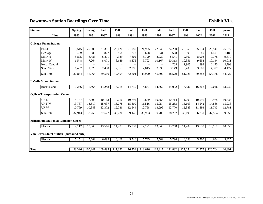# **Downtown Station Boardings Over Time Exhibit VIa.**

| <b>Station</b> |                                              | <b>Spring</b> | <b>Spring</b>            | Fall    | Fall                     | Fall    | Fall              | Fall                     | Fall    | Fall    | Fall    | Fall    | <b>Spring</b> |
|----------------|----------------------------------------------|---------------|--------------------------|---------|--------------------------|---------|-------------------|--------------------------|---------|---------|---------|---------|---------------|
|                | Line                                         | 1983          | 1985                     | 1987    | 1989                     | 1991    | 1993              | 1995                     | 1997    | 1999    | 2002    | 2006    | 2014          |
|                | <b>Chicago Union Station</b>                 |               |                          |         |                          |         |                   |                          |         |         |         |         |               |
|                | <b>BNSF</b>                                  | 18,545        | 20,005                   | 21,361  | 22,620                   | 21,980  | 21,995            | 22,546                   | 24,200  | 25,355  | 25,114  | 26,547  | 26,077        |
|                | Heritage                                     | 499           | 588                      | 827     | 858                      | 748     | 678               | 631                      | 668     | 905     | 1,180   | 1,421   | 1,188         |
|                | Milw-N                                       | 5,805         | 6,483                    | 6,801   | 7,329                    | 7,802   | 8,729             | 8,930                    | 8,541   | 9,300   | 8,903   | 9,776   | 9,870         |
|                | Milw-W                                       | 6,548         | 7,264                    | 8,071   | 8,649                    | 8,875   | 9,703             | 10,167                   | 10,313  | 10,356  | 9,693   | 10,144  | 10,011        |
|                | <b>North Central</b>                         |               | $\overline{\phantom{m}}$ |         | $\overline{\phantom{m}}$ | --      | $\qquad \qquad -$ | $\overline{\phantom{a}}$ | 1,708   | 1,905   | 1,893   | 2,173   | 2,799         |
|                | SouthWest                                    | 1,437         | 1,628                    | 2,450   | 2,953                    | 2,896   | 2,815             | 3,033                    | 3,149   | 3,400   | 3,100   | 4,327   | 4,477         |
|                | Sub-Total                                    | 32,834        | 35,968                   | 39,510  | 42,409                   | 42,301  | 43,920            | 45,307                   | 48,579  | 51,221  | 49,883  | 54,388  | 54,422        |
|                | <b>LaSalle Street Station</b>                |               |                          |         |                          |         |                   |                          |         |         |         |         |               |
|                | Rock Island                                  | 10,286        | 11,464                   | 13,248  | 15,018                   | 14,730  | 14,877            | 14,867                   | 15,002  | 16,336  | 16,868  | 17,026  | 13,239        |
|                | <b>Ogilvie Transportation Center</b>         |               |                          |         |                          |         |                   |                          |         |         |         |         |               |
|                | $UP-N$                                       | 8,437         | 8,899                    | 10,113  | 10,216                   | 10,792  | 10,689            | 10.455                   | 10.714  | 11,209  | 10,595  | 10.935  | 10,833        |
|                | UP-NW                                        | 13,737        | 13,517                   | 15,037  | 15,778                   | 15,809  | 16,516            | 15,954                   | 15,253  | 15,603  | 14,542  | 14,886  | 15,938        |
|                | $UP-W$                                       | 10,769        | 10,843                   | 12,372  | 12,736                   | 12,544  | 12,758            | 13,299                   | 12,770  | 12,383  | 11,594  | 11,743  | 12,781        |
|                | Sub-Total                                    | 32,943        | 33,259                   | 37,522  | 38,730                   | 39,145  | 39,963            | 39,708                   | 38,737  | 39,195  | 36,731  | 37,564  | 39,552        |
|                | <b>Millennium Station at Randolph Street</b> |               |                          |         |                          |         |                   |                          |         |         |         |         |               |
|                | Electric                                     | 12,112        | 13,868                   | 13,516  | 14,705                   | 15,032  | 14,121            | 13,846                   | 13,768  | 14,209  | 13,533  | 13,152  | 10,353        |
|                | Van Buren Street Station (outbound only)     |               |                          |         |                          |         |                   |                          |         |         |         |         |               |
|                | Electric                                     | 5,151         | 5,682                    | 6,099   | 6,468                    | 5,546   | 5,735             | 5,589                    | 5,796   | 6,093   | 5,360   | 4,634   | 3,325         |
|                |                                              |               |                          |         |                          |         |                   |                          |         |         |         |         |               |
| <b>Total</b>   |                                              | 93,326        | 100,241                  | 109,895 | 117,330                  | 116,754 | 118,616           | 119,317                  | 121,882 | 127,054 | 122,375 | 126,764 | 120,891       |